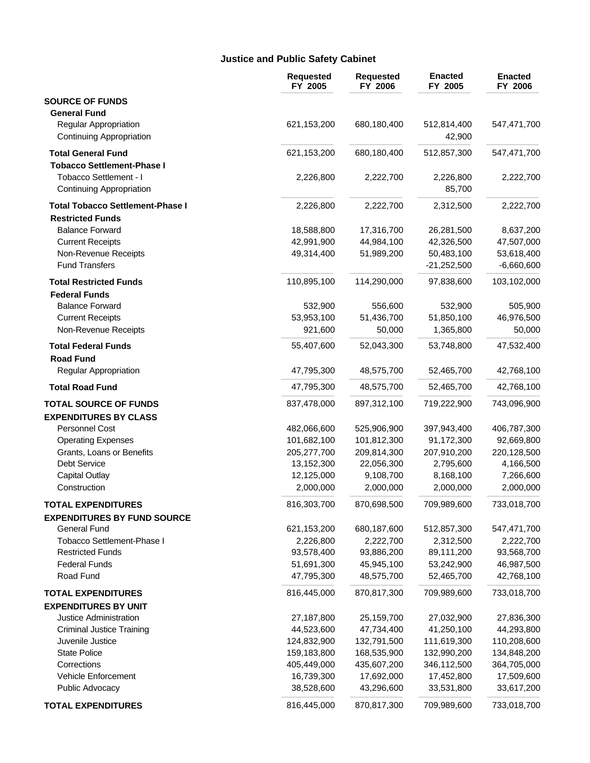### **Justice and Public Safety Cabinet**

|                                                   | <b>Requested</b><br>FY 2005 | <b>Requested</b><br>FY 2006 | <b>Enacted</b><br>FY 2005 | <b>Enacted</b><br>FY 2006 |
|---------------------------------------------------|-----------------------------|-----------------------------|---------------------------|---------------------------|
| <b>SOURCE OF FUNDS</b>                            |                             |                             |                           |                           |
| <b>General Fund</b>                               |                             |                             |                           |                           |
| Regular Appropriation<br>Continuing Appropriation | 621,153,200                 | 680,180,400                 | 512,814,400<br>42,900     | 547,471,700               |
| <b>Total General Fund</b>                         | 621,153,200                 | 680,180,400                 | 512,857,300               | 547,471,700               |
| <b>Tobacco Settlement-Phase I</b>                 |                             |                             |                           |                           |
| Tobacco Settlement - I                            | 2,226,800                   | 2,222,700                   | 2,226,800                 | 2,222,700                 |
| Continuing Appropriation                          |                             |                             | 85,700                    |                           |
| <b>Total Tobacco Settlement-Phase I</b>           | 2,226,800                   | 2,222,700                   | 2,312,500                 | 2,222,700                 |
| <b>Restricted Funds</b>                           |                             |                             |                           |                           |
| <b>Balance Forward</b>                            | 18,588,800                  | 17,316,700                  | 26,281,500                | 8,637,200                 |
| <b>Current Receipts</b>                           | 42,991,900                  | 44,984,100                  | 42,326,500                | 47,507,000                |
| Non-Revenue Receipts                              | 49,314,400                  | 51,989,200                  | 50,483,100                | 53,618,400                |
| <b>Fund Transfers</b>                             |                             |                             | $-21,252,500$             | $-6,660,600$              |
| <b>Total Restricted Funds</b>                     | 110,895,100                 | 114,290,000                 | 97,838,600                | 103,102,000               |
| <b>Federal Funds</b>                              |                             |                             |                           |                           |
| <b>Balance Forward</b>                            | 532,900                     | 556,600                     | 532,900                   | 505,900                   |
| <b>Current Receipts</b>                           | 53,953,100                  | 51,436,700                  | 51,850,100                | 46,976,500                |
| Non-Revenue Receipts                              | 921,600                     | 50,000                      | 1,365,800                 | 50,000                    |
| <b>Total Federal Funds</b>                        | 55,407,600                  | 52,043,300                  | 53,748,800                | 47,532,400                |
| <b>Road Fund</b>                                  |                             |                             |                           |                           |
| Regular Appropriation                             | 47,795,300                  | 48,575,700                  | 52,465,700                | 42,768,100                |
| <b>Total Road Fund</b>                            | 47,795,300                  | 48,575,700                  | 52,465,700                | 42,768,100                |
| <b>TOTAL SOURCE OF FUNDS</b>                      | 837,478,000                 | 897,312,100                 | 719,222,900               | 743,096,900               |
| <b>EXPENDITURES BY CLASS</b>                      |                             |                             |                           |                           |
| <b>Personnel Cost</b>                             | 482,066,600                 | 525,906,900                 | 397,943,400               | 406,787,300               |
| <b>Operating Expenses</b>                         | 101,682,100                 | 101,812,300                 | 91,172,300                | 92,669,800                |
| Grants, Loans or Benefits                         | 205,277,700                 | 209,814,300                 | 207,910,200               | 220,128,500               |
| Debt Service                                      | 13,152,300                  | 22,056,300                  | 2,795,600                 | 4,166,500                 |
| <b>Capital Outlay</b>                             | 12,125,000                  | 9,108,700                   | 8,168,100                 | 7,266,600                 |
| Construction                                      | 2,000,000                   | 2,000,000                   | 2,000,000                 | 2,000,000                 |
| <b>TOTAL EXPENDITURES</b>                         | 816,303,700                 | 870,698,500                 | 709,989,600               | 733,018,700               |
| <b>EXPENDITURES BY FUND SOURCE</b>                |                             |                             |                           |                           |
| <b>General Fund</b>                               | 621,153,200                 | 680,187,600                 | 512,857,300               | 547,471,700               |
| Tobacco Settlement-Phase I                        | 2,226,800                   | 2,222,700                   | 2,312,500                 | 2,222,700                 |
| <b>Restricted Funds</b>                           | 93,578,400                  | 93,886,200                  | 89,111,200                | 93,568,700                |
| <b>Federal Funds</b>                              | 51,691,300                  | 45,945,100                  | 53,242,900                | 46,987,500                |
| Road Fund                                         | 47,795,300                  | 48,575,700                  | 52,465,700                | 42,768,100                |
| <b>TOTAL EXPENDITURES</b>                         | 816,445,000                 | 870,817,300                 | 709,989,600               | 733,018,700               |
| <b>EXPENDITURES BY UNIT</b>                       |                             |                             |                           |                           |
| Justice Administration                            | 27,187,800                  | 25,159,700                  | 27,032,900                | 27,836,300                |
| <b>Criminal Justice Training</b>                  | 44,523,600                  | 47,734,400                  | 41,250,100                | 44,293,800                |
| Juvenile Justice                                  | 124,832,900                 | 132,791,500                 | 111,619,300               | 110,208,600               |
| <b>State Police</b>                               | 159,183,800                 | 168,535,900                 | 132,990,200               | 134,848,200               |
| Corrections                                       | 405,449,000                 | 435,607,200                 | 346,112,500               | 364,705,000               |
| Vehicle Enforcement                               | 16,739,300                  | 17,692,000                  | 17,452,800                | 17,509,600                |
| Public Advocacy                                   | 38,528,600                  | 43,296,600                  | 33,531,800                | 33,617,200                |
| <b>TOTAL EXPENDITURES</b>                         | 816,445,000                 | 870,817,300                 | 709,989,600               | 733,018,700               |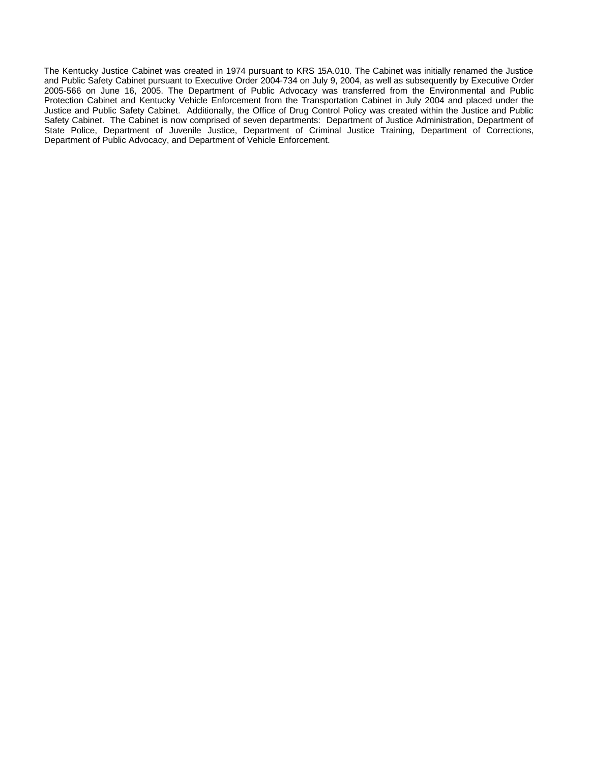The Kentucky Justice Cabinet was created in 1974 pursuant to KRS 15A.010. The Cabinet was initially renamed the Justice and Public Safety Cabinet pursuant to Executive Order 2004-734 on July 9, 2004, as well as subsequently by Executive Order 2005-566 on June 16, 2005. The Department of Public Advocacy was transferred from the Environmental and Public Protection Cabinet and Kentucky Vehicle Enforcement from the Transportation Cabinet in July 2004 and placed under the Justice and Public Safety Cabinet. Additionally, the Office of Drug Control Policy was created within the Justice and Public Safety Cabinet. The Cabinet is now comprised of seven departments: Department of Justice Administration, Department of State Police, Department of Juvenile Justice, Department of Criminal Justice Training, Department of Corrections, Department of Public Advocacy, and Department of Vehicle Enforcement.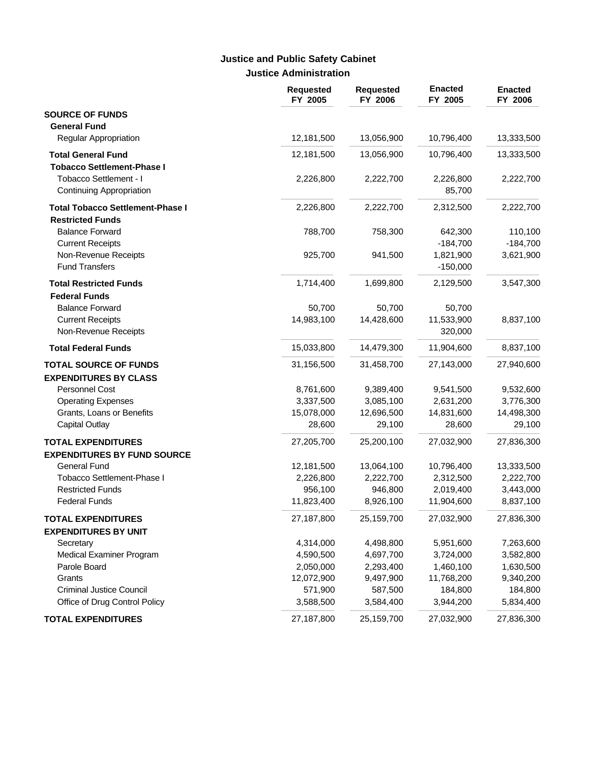# **Justice Administration Justice and Public Safety Cabinet**

|                                                                    | <b>Requested</b><br>FY 2005 | <b>Requested</b><br>FY 2006 | <b>Enacted</b><br>FY 2005 | <b>Enacted</b><br>FY 2006 |
|--------------------------------------------------------------------|-----------------------------|-----------------------------|---------------------------|---------------------------|
| <b>SOURCE OF FUNDS</b><br><b>General Fund</b>                      |                             |                             |                           |                           |
| <b>Regular Appropriation</b>                                       | 12,181,500                  | 13,056,900                  | 10,796,400                | 13,333,500                |
| <b>Total General Fund</b><br><b>Tobacco Settlement-Phase I</b>     | 12,181,500                  | 13,056,900                  | 10,796,400                | 13,333,500                |
| Tobacco Settlement - I<br>Continuing Appropriation                 | 2,226,800                   | 2,222,700                   | 2,226,800<br>85,700       | 2,222,700                 |
| <b>Total Tobacco Settlement-Phase I</b><br><b>Restricted Funds</b> | 2,226,800                   | 2,222,700                   | 2,312,500                 | 2,222,700                 |
| <b>Balance Forward</b><br><b>Current Receipts</b>                  | 788,700                     | 758,300                     | 642,300<br>$-184,700$     | 110,100<br>$-184,700$     |
| Non-Revenue Receipts<br><b>Fund Transfers</b>                      | 925,700                     | 941,500                     | 1,821,900<br>$-150,000$   | 3,621,900                 |
| <b>Total Restricted Funds</b><br><b>Federal Funds</b>              | 1,714,400                   | 1,699,800                   | 2,129,500                 | 3,547,300                 |
| <b>Balance Forward</b>                                             | 50,700                      | 50,700                      | 50,700                    |                           |
| <b>Current Receipts</b><br>Non-Revenue Receipts                    | 14,983,100                  | 14,428,600                  | 11,533,900<br>320,000     | 8,837,100                 |
| <b>Total Federal Funds</b>                                         | 15,033,800                  | 14,479,300                  | 11,904,600                | 8,837,100                 |
| <b>TOTAL SOURCE OF FUNDS</b><br><b>EXPENDITURES BY CLASS</b>       | 31,156,500                  | 31,458,700                  | 27,143,000                | 27,940,600                |
| Personnel Cost                                                     | 8,761,600                   | 9,389,400                   | 9,541,500                 | 9,532,600                 |
| <b>Operating Expenses</b>                                          | 3,337,500                   | 3,085,100                   | 2,631,200                 | 3,776,300                 |
| Grants, Loans or Benefits                                          | 15,078,000                  | 12,696,500                  | 14,831,600                | 14,498,300                |
| <b>Capital Outlay</b>                                              | 28,600                      | 29,100                      | 28,600                    | 29,100                    |
| <b>TOTAL EXPENDITURES</b><br><b>EXPENDITURES BY FUND SOURCE</b>    | 27,205,700                  | 25,200,100                  | 27,032,900                | 27,836,300                |
| <b>General Fund</b>                                                | 12,181,500                  | 13,064,100                  | 10,796,400                | 13,333,500                |
| Tobacco Settlement-Phase I                                         | 2,226,800                   | 2,222,700                   | 2,312,500                 | 2,222,700                 |
| <b>Restricted Funds</b>                                            | 956,100                     | 946,800                     | 2,019,400                 | 3,443,000                 |
| <b>Federal Funds</b>                                               | 11,823,400                  | 8,926,100                   | 11,904,600                | 8,837,100                 |
| <b>TOTAL EXPENDITURES</b><br><b>EXPENDITURES BY UNIT</b>           | 27,187,800                  | 25,159,700                  | 27,032,900                | 27,836,300                |
| Secretary                                                          | 4,314,000                   | 4,498,800                   | 5,951,600                 | 7,263,600                 |
| Medical Examiner Program                                           | 4,590,500                   | 4,697,700                   | 3,724,000                 | 3,582,800                 |
| Parole Board                                                       | 2,050,000                   | 2,293,400                   | 1,460,100                 | 1,630,500                 |
| Grants                                                             | 12,072,900                  | 9,497,900                   | 11,768,200                | 9,340,200                 |
| <b>Criminal Justice Council</b>                                    | 571,900                     | 587,500                     | 184,800                   | 184,800                   |
| Office of Drug Control Policy                                      | 3,588,500                   | 3,584,400                   | 3,944,200                 | 5,834,400                 |
| <b>TOTAL EXPENDITURES</b>                                          | 27,187,800                  | 25,159,700                  | 27,032,900                | 27,836,300                |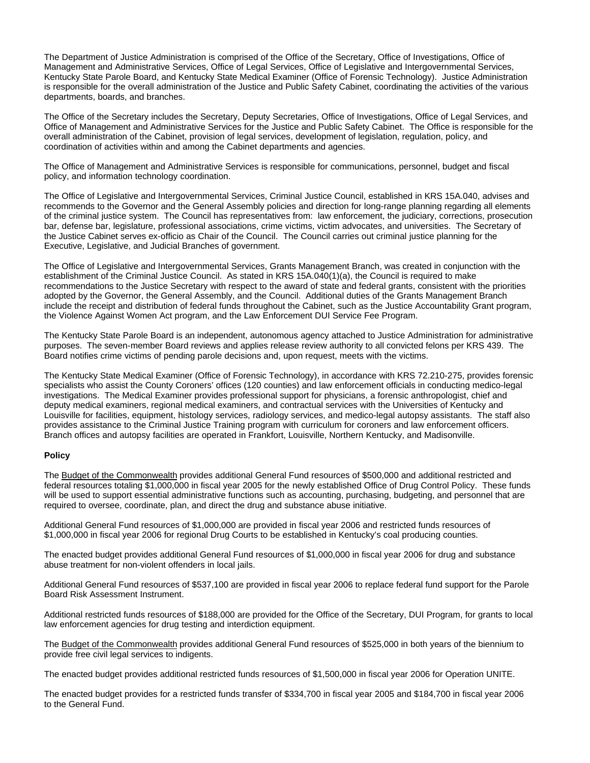The Department of Justice Administration is comprised of the Office of the Secretary, Office of Investigations, Office of Management and Administrative Services, Office of Legal Services, Office of Legislative and Intergovernmental Services, Kentucky State Parole Board, and Kentucky State Medical Examiner (Office of Forensic Technology). Justice Administration is responsible for the overall administration of the Justice and Public Safety Cabinet, coordinating the activities of the various departments, boards, and branches.

The Office of the Secretary includes the Secretary, Deputy Secretaries, Office of Investigations, Office of Legal Services, and Office of Management and Administrative Services for the Justice and Public Safety Cabinet. The Office is responsible for the overall administration of the Cabinet, provision of legal services, development of legislation, regulation, policy, and coordination of activities within and among the Cabinet departments and agencies.

The Office of Management and Administrative Services is responsible for communications, personnel, budget and fiscal policy, and information technology coordination.

The Office of Legislative and Intergovernmental Services, Criminal Justice Council, established in KRS 15A.040, advises and recommends to the Governor and the General Assembly policies and direction for long-range planning regarding all elements of the criminal justice system. The Council has representatives from: law enforcement, the judiciary, corrections, prosecution bar, defense bar, legislature, professional associations, crime victims, victim advocates, and universities. The Secretary of the Justice Cabinet serves ex-officio as Chair of the Council. The Council carries out criminal justice planning for the Executive, Legislative, and Judicial Branches of government.

The Office of Legislative and Intergovernmental Services, Grants Management Branch, was created in conjunction with the establishment of the Criminal Justice Council. As stated in KRS 15A.040(1)(a), the Council is required to make recommendations to the Justice Secretary with respect to the award of state and federal grants, consistent with the priorities adopted by the Governor, the General Assembly, and the Council. Additional duties of the Grants Management Branch include the receipt and distribution of federal funds throughout the Cabinet, such as the Justice Accountability Grant program, the Violence Against Women Act program, and the Law Enforcement DUI Service Fee Program.

The Kentucky State Parole Board is an independent, autonomous agency attached to Justice Administration for administrative purposes. The seven-member Board reviews and applies release review authority to all convicted felons per KRS 439. The Board notifies crime victims of pending parole decisions and, upon request, meets with the victims.

The Kentucky State Medical Examiner (Office of Forensic Technology), in accordance with KRS 72.210-275, provides forensic specialists who assist the County Coroners' offices (120 counties) and law enforcement officials in conducting medico-legal investigations. The Medical Examiner provides professional support for physicians, a forensic anthropologist, chief and deputy medical examiners, regional medical examiners, and contractual services with the Universities of Kentucky and Louisville for facilities, equipment, histology services, radiology services, and medico-legal autopsy assistants. The staff also provides assistance to the Criminal Justice Training program with curriculum for coroners and law enforcement officers. Branch offices and autopsy facilities are operated in Frankfort, Louisville, Northern Kentucky, and Madisonville.

#### **Policy**

The Budget of the Commonwealth provides additional General Fund resources of \$500,000 and additional restricted and federal resources totaling \$1,000,000 in fiscal year 2005 for the newly established Office of Drug Control Policy. These funds will be used to support essential administrative functions such as accounting, purchasing, budgeting, and personnel that are required to oversee, coordinate, plan, and direct the drug and substance abuse initiative.

Additional General Fund resources of \$1,000,000 are provided in fiscal year 2006 and restricted funds resources of \$1,000,000 in fiscal year 2006 for regional Drug Courts to be established in Kentucky's coal producing counties.

The enacted budget provides additional General Fund resources of \$1,000,000 in fiscal year 2006 for drug and substance abuse treatment for non-violent offenders in local jails.

Additional General Fund resources of \$537,100 are provided in fiscal year 2006 to replace federal fund support for the Parole Board Risk Assessment Instrument.

Additional restricted funds resources of \$188,000 are provided for the Office of the Secretary, DUI Program, for grants to local law enforcement agencies for drug testing and interdiction equipment.

The Budget of the Commonwealth provides additional General Fund resources of \$525,000 in both years of the biennium to provide free civil legal services to indigents.

The enacted budget provides additional restricted funds resources of \$1,500,000 in fiscal year 2006 for Operation UNITE.

The enacted budget provides for a restricted funds transfer of \$334,700 in fiscal year 2005 and \$184,700 in fiscal year 2006 to the General Fund.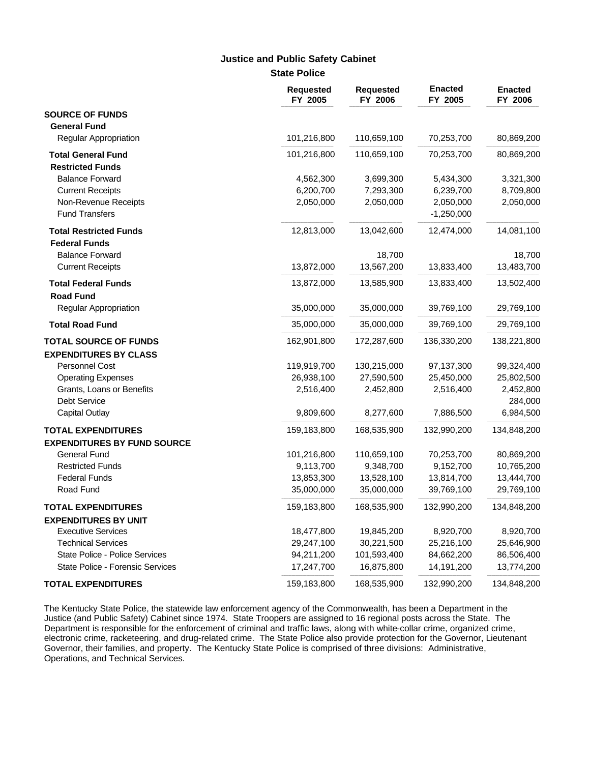### **Justice and Public Safety Cabinet**

**State Police**

|                                    | <b>Requested</b><br>FY 2005 | <b>Requested</b><br>FY 2006 | <b>Enacted</b><br>FY 2005 | <b>Enacted</b><br>FY 2006 |
|------------------------------------|-----------------------------|-----------------------------|---------------------------|---------------------------|
| <b>SOURCE OF FUNDS</b>             |                             |                             |                           |                           |
| <b>General Fund</b>                |                             |                             |                           |                           |
| Regular Appropriation              | 101,216,800                 | 110,659,100                 | 70,253,700                | 80,869,200                |
| <b>Total General Fund</b>          | 101,216,800                 | 110,659,100                 | 70,253,700                | 80,869,200                |
| <b>Restricted Funds</b>            |                             |                             |                           |                           |
| <b>Balance Forward</b>             | 4,562,300                   | 3,699,300                   | 5,434,300                 | 3,321,300                 |
| <b>Current Receipts</b>            | 6,200,700                   | 7,293,300                   | 6,239,700                 | 8,709,800                 |
| Non-Revenue Receipts               | 2,050,000                   | 2,050,000                   | 2,050,000                 | 2,050,000                 |
| <b>Fund Transfers</b>              |                             |                             | $-1,250,000$              |                           |
| <b>Total Restricted Funds</b>      | 12,813,000                  | 13,042,600                  | 12,474,000                | 14,081,100                |
| <b>Federal Funds</b>               |                             |                             |                           |                           |
| <b>Balance Forward</b>             |                             | 18,700                      |                           | 18,700                    |
| <b>Current Receipts</b>            | 13,872,000                  | 13,567,200                  | 13,833,400                | 13,483,700                |
| <b>Total Federal Funds</b>         | 13,872,000                  | 13,585,900                  | 13,833,400                | 13,502,400                |
| <b>Road Fund</b>                   |                             |                             |                           |                           |
| Regular Appropriation              | 35,000,000                  | 35,000,000                  | 39,769,100                | 29,769,100                |
| <b>Total Road Fund</b>             | 35,000,000                  | 35,000,000                  | 39,769,100                | 29,769,100                |
| <b>TOTAL SOURCE OF FUNDS</b>       | 162,901,800                 | 172,287,600                 | 136,330,200               | 138,221,800               |
| <b>EXPENDITURES BY CLASS</b>       |                             |                             |                           |                           |
| <b>Personnel Cost</b>              | 119,919,700                 | 130,215,000                 | 97,137,300                | 99,324,400                |
| <b>Operating Expenses</b>          | 26,938,100                  | 27,590,500                  | 25,450,000                | 25,802,500                |
| Grants, Loans or Benefits          | 2,516,400                   | 2,452,800                   | 2,516,400                 | 2,452,800                 |
| Debt Service                       |                             |                             |                           | 284,000                   |
| <b>Capital Outlay</b>              | 9,809,600                   | 8,277,600                   | 7,886,500                 | 6,984,500                 |
| <b>TOTAL EXPENDITURES</b>          | 159,183,800                 | 168,535,900                 | 132,990,200               | 134,848,200               |
| <b>EXPENDITURES BY FUND SOURCE</b> |                             |                             |                           |                           |
| <b>General Fund</b>                | 101,216,800                 | 110,659,100                 | 70,253,700                | 80,869,200                |
| <b>Restricted Funds</b>            | 9,113,700                   | 9,348,700                   | 9,152,700                 | 10,765,200                |
| <b>Federal Funds</b>               | 13,853,300                  | 13,528,100                  | 13,814,700                | 13,444,700                |
| Road Fund                          | 35,000,000                  | 35,000,000                  | 39,769,100                | 29,769,100                |
| <b>TOTAL EXPENDITURES</b>          | 159,183,800                 | 168,535,900                 | 132,990,200               | 134,848,200               |
| <b>EXPENDITURES BY UNIT</b>        |                             |                             |                           |                           |
| <b>Executive Services</b>          | 18,477,800                  | 19,845,200                  | 8,920,700                 | 8,920,700                 |
| <b>Technical Services</b>          | 29,247,100                  | 30,221,500                  | 25,216,100                | 25,646,900                |
| State Police - Police Services     | 94,211,200                  | 101,593,400                 | 84,662,200                | 86,506,400                |
| State Police - Forensic Services   | 17,247,700                  | 16,875,800                  | 14,191,200                | 13,774,200                |
| <b>TOTAL EXPENDITURES</b>          | 159,183,800                 | 168,535,900                 | 132,990,200               | 134,848,200               |

The Kentucky State Police, the statewide law enforcement agency of the Commonwealth, has been a Department in the Justice (and Public Safety) Cabinet since 1974. State Troopers are assigned to 16 regional posts across the State. The Department is responsible for the enforcement of criminal and traffic laws, along with white-collar crime, organized crime, electronic crime, racketeering, and drug-related crime. The State Police also provide protection for the Governor, Lieutenant Governor, their families, and property. The Kentucky State Police is comprised of three divisions: Administrative, Operations, and Technical Services.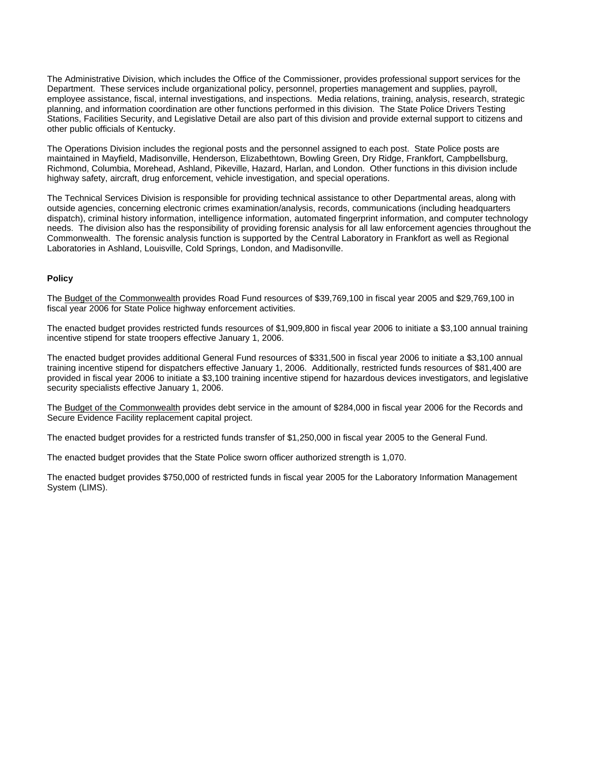The Administrative Division, which includes the Office of the Commissioner, provides professional support services for the Department. These services include organizational policy, personnel, properties management and supplies, payroll, employee assistance, fiscal, internal investigations, and inspections. Media relations, training, analysis, research, strategic planning, and information coordination are other functions performed in this division. The State Police Drivers Testing Stations, Facilities Security, and Legislative Detail are also part of this division and provide external support to citizens and other public officials of Kentucky.

The Operations Division includes the regional posts and the personnel assigned to each post. State Police posts are maintained in Mayfield, Madisonville, Henderson, Elizabethtown, Bowling Green, Dry Ridge, Frankfort, Campbellsburg, Richmond, Columbia, Morehead, Ashland, Pikeville, Hazard, Harlan, and London. Other functions in this division include highway safety, aircraft, drug enforcement, vehicle investigation, and special operations.

The Technical Services Division is responsible for providing technical assistance to other Departmental areas, along with outside agencies, concerning electronic crimes examination/analysis, records, communications (including headquarters dispatch), criminal history information, intelligence information, automated fingerprint information, and computer technology needs. The division also has the responsibility of providing forensic analysis for all law enforcement agencies throughout the Commonwealth. The forensic analysis function is supported by the Central Laboratory in Frankfort as well as Regional Laboratories in Ashland, Louisville, Cold Springs, London, and Madisonville.

#### **Policy**

The Budget of the Commonwealth provides Road Fund resources of \$39,769,100 in fiscal year 2005 and \$29,769,100 in fiscal year 2006 for State Police highway enforcement activities.

The enacted budget provides restricted funds resources of \$1,909,800 in fiscal year 2006 to initiate a \$3,100 annual training incentive stipend for state troopers effective January 1, 2006.

The enacted budget provides additional General Fund resources of \$331,500 in fiscal year 2006 to initiate a \$3,100 annual training incentive stipend for dispatchers effective January 1, 2006. Additionally, restricted funds resources of \$81,400 are provided in fiscal year 2006 to initiate a \$3,100 training incentive stipend for hazardous devices investigators, and legislative security specialists effective January 1, 2006.

The Budget of the Commonwealth provides debt service in the amount of \$284,000 in fiscal year 2006 for the Records and Secure Evidence Facility replacement capital project.

The enacted budget provides for a restricted funds transfer of \$1,250,000 in fiscal year 2005 to the General Fund.

The enacted budget provides that the State Police sworn officer authorized strength is 1,070.

The enacted budget provides \$750,000 of restricted funds in fiscal year 2005 for the Laboratory Information Management System (LIMS).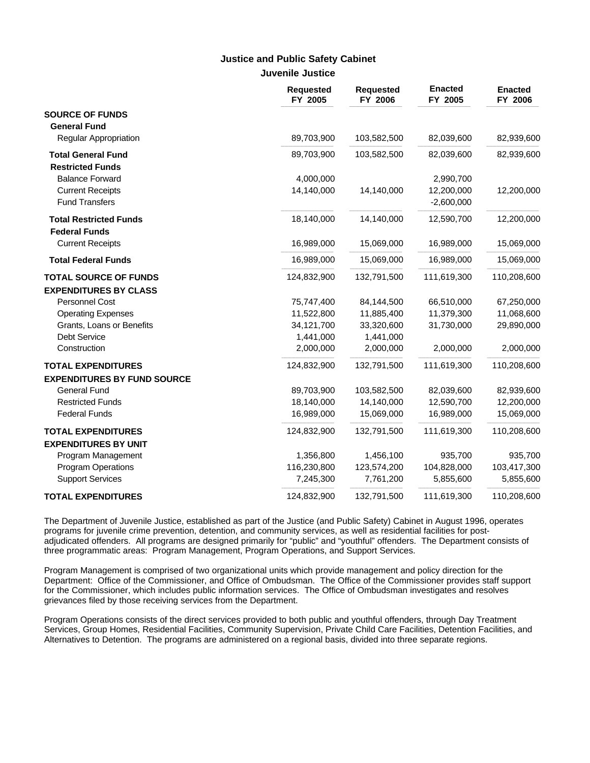# **Justice and Public Safety Cabinet**

| Juvenile Justice |  |
|------------------|--|
|------------------|--|

|                                    | Requested<br>FY 2005 | <b>Requested</b><br>FY 2006 | <b>Enacted</b><br>FY 2005 | <b>Enacted</b><br>FY 2006 |
|------------------------------------|----------------------|-----------------------------|---------------------------|---------------------------|
| <b>SOURCE OF FUNDS</b>             |                      |                             |                           |                           |
| <b>General Fund</b>                |                      |                             |                           |                           |
| <b>Regular Appropriation</b>       | 89,703,900           | 103,582,500                 | 82,039,600                | 82,939,600                |
| <b>Total General Fund</b>          | 89,703,900           | 103,582,500                 | 82,039,600                | 82,939,600                |
| <b>Restricted Funds</b>            |                      |                             |                           |                           |
| <b>Balance Forward</b>             | 4,000,000            |                             | 2,990,700                 |                           |
| <b>Current Receipts</b>            | 14,140,000           | 14,140,000                  | 12,200,000                | 12,200,000                |
| <b>Fund Transfers</b>              |                      |                             | $-2,600,000$              |                           |
| <b>Total Restricted Funds</b>      | 18,140,000           | 14,140,000                  | 12,590,700                | 12,200,000                |
| <b>Federal Funds</b>               |                      |                             |                           |                           |
| <b>Current Receipts</b>            | 16,989,000           | 15,069,000                  | 16,989,000                | 15,069,000                |
| <b>Total Federal Funds</b>         | 16,989,000           | 15,069,000                  | 16,989,000                | 15,069,000                |
| <b>TOTAL SOURCE OF FUNDS</b>       | 124,832,900          | 132,791,500                 | 111,619,300               | 110,208,600               |
| <b>EXPENDITURES BY CLASS</b>       |                      |                             |                           |                           |
| Personnel Cost                     | 75,747,400           | 84,144,500                  | 66,510,000                | 67,250,000                |
| <b>Operating Expenses</b>          | 11,522,800           | 11,885,400                  | 11,379,300                | 11,068,600                |
| Grants, Loans or Benefits          | 34,121,700           | 33,320,600                  | 31,730,000                | 29,890,000                |
| Debt Service                       | 1,441,000            | 1,441,000                   |                           |                           |
| Construction                       | 2,000,000            | 2,000,000                   | 2,000,000                 | 2,000,000                 |
| <b>TOTAL EXPENDITURES</b>          | 124,832,900          | 132,791,500                 | 111,619,300               | 110,208,600               |
| <b>EXPENDITURES BY FUND SOURCE</b> |                      |                             |                           |                           |
| <b>General Fund</b>                | 89,703,900           | 103,582,500                 | 82,039,600                | 82,939,600                |
| <b>Restricted Funds</b>            | 18,140,000           | 14,140,000                  | 12,590,700                | 12,200,000                |
| <b>Federal Funds</b>               | 16,989,000           | 15,069,000                  | 16,989,000                | 15,069,000                |
| <b>TOTAL EXPENDITURES</b>          | 124,832,900          | 132,791,500                 | 111,619,300               | 110,208,600               |
| <b>EXPENDITURES BY UNIT</b>        |                      |                             |                           |                           |
| Program Management                 | 1,356,800            | 1,456,100                   | 935,700                   | 935,700                   |
| <b>Program Operations</b>          | 116,230,800          | 123,574,200                 | 104,828,000               | 103,417,300               |
| <b>Support Services</b>            | 7,245,300            | 7,761,200                   | 5,855,600                 | 5,855,600                 |
| <b>TOTAL EXPENDITURES</b>          | 124,832,900          | 132,791,500                 | 111,619,300               | 110,208,600               |

The Department of Juvenile Justice, established as part of the Justice (and Public Safety) Cabinet in August 1996, operates programs for juvenile crime prevention, detention, and community services, as well as residential facilities for postadjudicated offenders. All programs are designed primarily for "public" and "youthful" offenders. The Department consists of three programmatic areas: Program Management, Program Operations, and Support Services.

Program Management is comprised of two organizational units which provide management and policy direction for the Department: Office of the Commissioner, and Office of Ombudsman. The Office of the Commissioner provides staff support for the Commissioner, which includes public information services. The Office of Ombudsman investigates and resolves grievances filed by those receiving services from the Department.

Program Operations consists of the direct services provided to both public and youthful offenders, through Day Treatment Services, Group Homes, Residential Facilities, Community Supervision, Private Child Care Facilities, Detention Facilities, and Alternatives to Detention. The programs are administered on a regional basis, divided into three separate regions.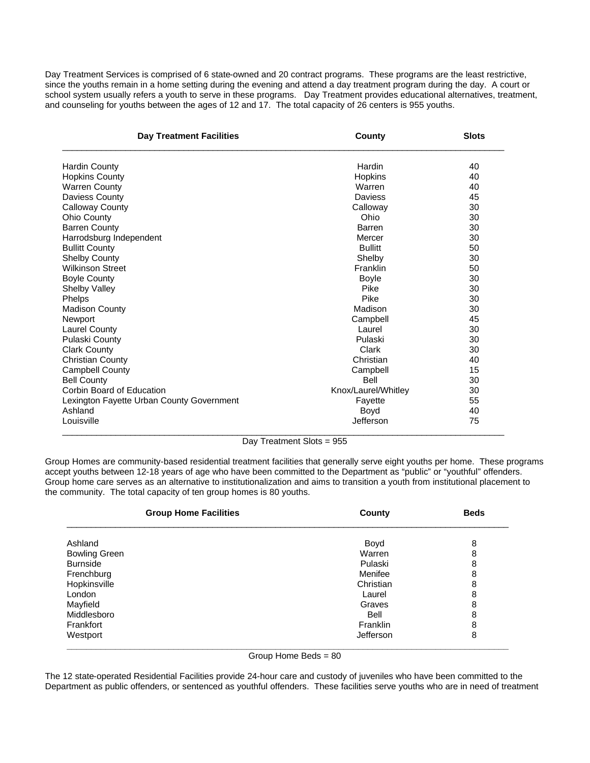Day Treatment Services is comprised of 6 state-owned and 20 contract programs. These programs are the least restrictive, since the youths remain in a home setting during the evening and attend a day treatment program during the day. A court or school system usually refers a youth to serve in these programs. Day Treatment provides educational alternatives, treatment, and counseling for youths between the ages of 12 and 17. The total capacity of 26 centers is 955 youths.

| <b>Day Treatment Facilities</b>           | County              | <b>Slots</b> |
|-------------------------------------------|---------------------|--------------|
| <b>Hardin County</b>                      | Hardin              | 40           |
| <b>Hopkins County</b>                     | Hopkins             | 40           |
| <b>Warren County</b>                      | Warren              | 40           |
| Daviess County                            | Daviess             | 45           |
| <b>Calloway County</b>                    | Calloway            | 30           |
| Ohio County                               | Ohio                | 30           |
| <b>Barren County</b>                      | Barren              | 30           |
| Harrodsburg Independent                   | Mercer              | 30           |
| <b>Bullitt County</b>                     | <b>Bullitt</b>      | 50           |
| <b>Shelby County</b>                      | Shelby              | 30           |
| <b>Wilkinson Street</b>                   | Franklin            | 50           |
| <b>Boyle County</b>                       | Boyle               | 30           |
| <b>Shelby Valley</b>                      | Pike                | 30           |
| Phelps                                    | Pike                | 30           |
| <b>Madison County</b>                     | Madison             | 30           |
| Newport                                   | Campbell            | 45           |
| <b>Laurel County</b>                      | Laurel              | 30           |
| Pulaski County                            | Pulaski             | 30           |
| <b>Clark County</b>                       | Clark               | 30           |
| <b>Christian County</b>                   | Christian           | 40           |
| <b>Campbell County</b>                    | Campbell            | 15           |
| <b>Bell County</b>                        | Bell                | 30           |
| Corbin Board of Education                 | Knox/Laurel/Whitley | 30           |
| Lexington Fayette Urban County Government | Fayette             | 55           |
| Ashland                                   | Boyd                | 40           |
| Louisville                                | Jefferson           | 75           |

Day Treatment Slots = 955

Group Homes are community-based residential treatment facilities that generally serve eight youths per home. These programs accept youths between 12-18 years of age who have been committed to the Department as "public" or "youthful" offenders. Group home care serves as an alternative to institutionalization and aims to transition a youth from institutional placement to the community. The total capacity of ten group homes is 80 youths.

| <b>Group Home Facilities</b> | County    | <b>Beds</b> |
|------------------------------|-----------|-------------|
| Ashland                      | Boyd      | 8           |
| <b>Bowling Green</b>         | Warren    | 8           |
| <b>Burnside</b>              | Pulaski   | 8           |
| Frenchburg                   | Menifee   | 8           |
| Hopkinsville                 | Christian | 8           |
| London                       | Laurel    | 8           |
| Mayfield                     | Graves    | 8           |
| Middlesboro                  | Bell      | 8           |
| Frankfort                    | Franklin  | 8           |
| Westport                     | Jefferson | 8           |

Group Home Beds = 80

The 12 state-operated Residential Facilities provide 24-hour care and custody of juveniles who have been committed to the Department as public offenders, or sentenced as youthful offenders. These facilities serve youths who are in need of treatment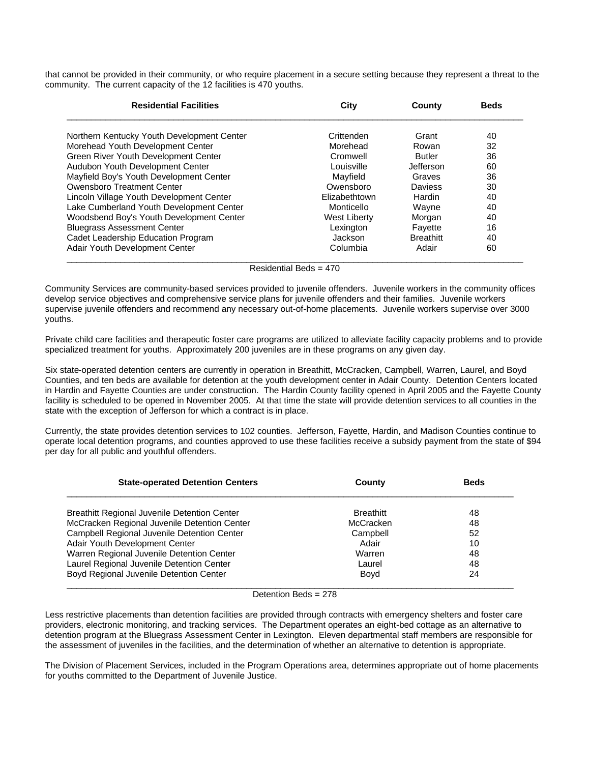that cannot be provided in their community, or who require placement in a secure setting because they represent a threat to the community. The current capacity of the 12 facilities is 470 youths.

| <b>Residential Facilities</b>              | City          |                  | <b>Beds</b> |  |
|--------------------------------------------|---------------|------------------|-------------|--|
| Northern Kentucky Youth Development Center | Crittenden    | Grant            | 40          |  |
| Morehead Youth Development Center          | Morehead      | Rowan            | 32          |  |
| Green River Youth Development Center       | Cromwell      | <b>Butler</b>    | 36          |  |
| Audubon Youth Development Center           | Louisville    | Jefferson        | 60          |  |
| Mayfield Boy's Youth Development Center    | Mayfield      | Graves           | 36          |  |
| Owensboro Treatment Center                 | Owensboro     | Daviess          | 30          |  |
| Lincoln Village Youth Development Center   | Elizabethtown | Hardin           | 40          |  |
| Lake Cumberland Youth Development Center   | Monticello    | Wayne            | 40          |  |
| Woodsbend Boy's Youth Development Center   | West Liberty  | Morgan           | 40          |  |
| Bluegrass Assessment Center                | Lexington     | Fayette          | 16          |  |
| Cadet Leadership Education Program         | Jackson       | <b>Breathitt</b> | 40          |  |
| Adair Youth Development Center             | Columbia      | Adair            | 60          |  |

Residential Beds = 470

Community Services are community-based services provided to juvenile offenders. Juvenile workers in the community offices develop service objectives and comprehensive service plans for juvenile offenders and their families. Juvenile workers supervise juvenile offenders and recommend any necessary out-of-home placements. Juvenile workers supervise over 3000 youths.

Private child care facilities and therapeutic foster care programs are utilized to alleviate facility capacity problems and to provide specialized treatment for youths. Approximately 200 juveniles are in these programs on any given day.

Six state-operated detention centers are currently in operation in Breathitt, McCracken, Campbell, Warren, Laurel, and Boyd Counties, and ten beds are available for detention at the youth development center in Adair County. Detention Centers located in Hardin and Fayette Counties are under construction. The Hardin County facility opened in April 2005 and the Fayette County facility is scheduled to be opened in November 2005. At that time the state will provide detention services to all counties in the state with the exception of Jefferson for which a contract is in place.

Currently, the state provides detention services to 102 counties. Jefferson, Fayette, Hardin, and Madison Counties continue to operate local detention programs, and counties approved to use these facilities receive a subsidy payment from the state of \$94 per day for all public and youthful offenders.

| <b>State-operated Detention Centers</b>      | County           | <b>Beds</b> |
|----------------------------------------------|------------------|-------------|
| Breathitt Regional Juvenile Detention Center | <b>Breathitt</b> | 48          |
| McCracken Regional Juvenile Detention Center | McCracken        | 48          |
| Campbell Regional Juvenile Detention Center  | Campbell         | 52          |
| Adair Youth Development Center               | Adair            | 10          |
| Warren Regional Juvenile Detention Center    | Warren           | 48          |
| Laurel Regional Juvenile Detention Center    | Laurel           | 48          |
| Boyd Regional Juvenile Detention Center      | Boyd             | 24          |

Detention Beds = 278

Less restrictive placements than detention facilities are provided through contracts with emergency shelters and foster care providers, electronic monitoring, and tracking services. The Department operates an eight-bed cottage as an alternative to detention program at the Bluegrass Assessment Center in Lexington. Eleven departmental staff members are responsible for the assessment of juveniles in the facilities, and the determination of whether an alternative to detention is appropriate.

The Division of Placement Services, included in the Program Operations area, determines appropriate out of home placements for youths committed to the Department of Juvenile Justice.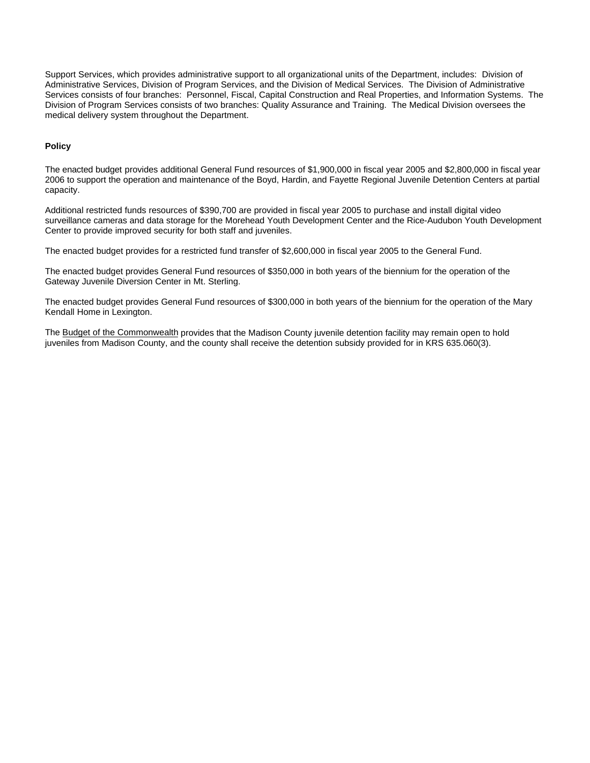Support Services, which provides administrative support to all organizational units of the Department, includes: Division of Administrative Services, Division of Program Services, and the Division of Medical Services. The Division of Administrative Services consists of four branches: Personnel, Fiscal, Capital Construction and Real Properties, and Information Systems. The Division of Program Services consists of two branches: Quality Assurance and Training. The Medical Division oversees the medical delivery system throughout the Department.

#### **Policy**

The enacted budget provides additional General Fund resources of \$1,900,000 in fiscal year 2005 and \$2,800,000 in fiscal year 2006 to support the operation and maintenance of the Boyd, Hardin, and Fayette Regional Juvenile Detention Centers at partial capacity.

Additional restricted funds resources of \$390,700 are provided in fiscal year 2005 to purchase and install digital video surveillance cameras and data storage for the Morehead Youth Development Center and the Rice-Audubon Youth Development Center to provide improved security for both staff and juveniles.

The enacted budget provides for a restricted fund transfer of \$2,600,000 in fiscal year 2005 to the General Fund.

The enacted budget provides General Fund resources of \$350,000 in both years of the biennium for the operation of the Gateway Juvenile Diversion Center in Mt. Sterling.

The enacted budget provides General Fund resources of \$300,000 in both years of the biennium for the operation of the Mary Kendall Home in Lexington.

The Budget of the Commonwealth provides that the Madison County juvenile detention facility may remain open to hold juveniles from Madison County, and the county shall receive the detention subsidy provided for in KRS 635.060(3).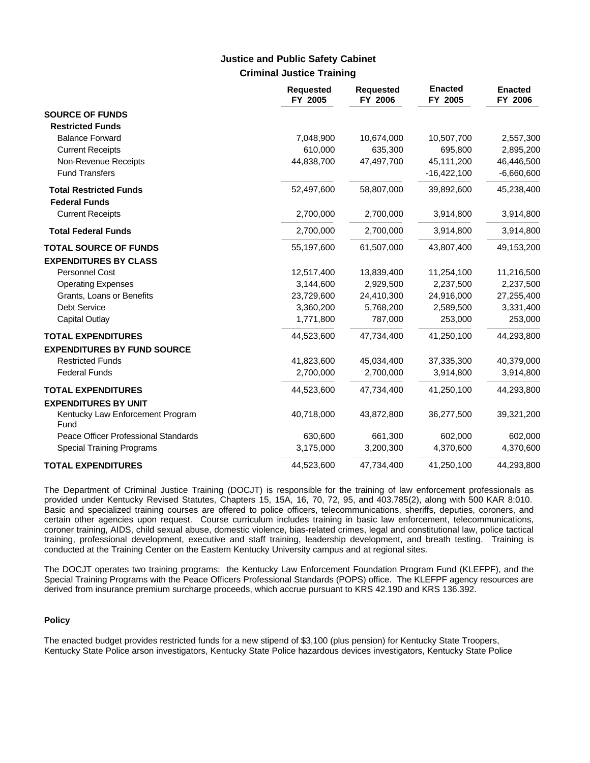### **Criminal Justice Training Justice and Public Safety Cabinet**

|                                          | <b>Requested</b><br>FY 2005 | <b>Requested</b><br>FY 2006 | <b>Enacted</b><br>FY 2005 | <b>Enacted</b><br>FY 2006 |
|------------------------------------------|-----------------------------|-----------------------------|---------------------------|---------------------------|
| <b>SOURCE OF FUNDS</b>                   |                             |                             |                           |                           |
| <b>Restricted Funds</b>                  |                             |                             |                           |                           |
| <b>Balance Forward</b>                   | 7,048,900                   | 10,674,000                  | 10,507,700                | 2,557,300                 |
| <b>Current Receipts</b>                  | 610,000                     | 635,300                     | 695,800                   | 2,895,200                 |
| Non-Revenue Receipts                     | 44,838,700                  | 47,497,700                  | 45,111,200                | 46,446,500                |
| <b>Fund Transfers</b>                    |                             |                             | $-16,422,100$             | $-6,660,600$              |
| <b>Total Restricted Funds</b>            | 52,497,600                  | 58,807,000                  | 39,892,600                | 45,238,400                |
| <b>Federal Funds</b>                     |                             |                             |                           |                           |
| <b>Current Receipts</b>                  | 2,700,000                   | 2,700,000                   | 3,914,800                 | 3,914,800                 |
| <b>Total Federal Funds</b>               | 2,700,000                   | 2,700,000                   | 3,914,800                 | 3,914,800                 |
| <b>TOTAL SOURCE OF FUNDS</b>             | 55,197,600                  | 61,507,000                  | 43,807,400                | 49,153,200                |
| <b>EXPENDITURES BY CLASS</b>             |                             |                             |                           |                           |
| Personnel Cost                           | 12,517,400                  | 13,839,400                  | 11,254,100                | 11,216,500                |
| <b>Operating Expenses</b>                | 3,144,600                   | 2,929,500                   | 2,237,500                 | 2,237,500                 |
| Grants, Loans or Benefits                | 23,729,600                  | 24,410,300                  | 24,916,000                | 27,255,400                |
| Debt Service                             | 3,360,200                   | 5,768,200                   | 2,589,500                 | 3,331,400                 |
| <b>Capital Outlay</b>                    | 1,771,800                   | 787,000                     | 253,000                   | 253,000                   |
| <b>TOTAL EXPENDITURES</b>                | 44,523,600                  | 47,734,400                  | 41,250,100                | 44,293,800                |
| <b>EXPENDITURES BY FUND SOURCE</b>       |                             |                             |                           |                           |
| <b>Restricted Funds</b>                  | 41,823,600                  | 45,034,400                  | 37,335,300                | 40,379,000                |
| <b>Federal Funds</b>                     | 2,700,000                   | 2,700,000                   | 3,914,800                 | 3,914,800                 |
| <b>TOTAL EXPENDITURES</b>                | 44,523,600                  | 47,734,400                  | 41,250,100                | 44,293,800                |
| <b>EXPENDITURES BY UNIT</b>              |                             |                             |                           |                           |
| Kentucky Law Enforcement Program<br>Fund | 40,718,000                  | 43,872,800                  | 36,277,500                | 39,321,200                |
| Peace Officer Professional Standards     | 630,600                     | 661,300                     | 602,000                   | 602,000                   |
| <b>Special Training Programs</b>         | 3,175,000                   | 3,200,300                   | 4,370,600                 | 4,370,600                 |
| <b>TOTAL EXPENDITURES</b>                | 44,523,600                  | 47,734,400                  | 41,250,100                | 44,293,800                |

The Department of Criminal Justice Training (DOCJT) is responsible for the training of law enforcement professionals as provided under Kentucky Revised Statutes, Chapters 15, 15A, 16, 70, 72, 95, and 403.785(2), along with 500 KAR 8:010. Basic and specialized training courses are offered to police officers, telecommunications, sheriffs, deputies, coroners, and certain other agencies upon request. Course curriculum includes training in basic law enforcement, telecommunications, coroner training, AIDS, child sexual abuse, domestic violence, bias-related crimes, legal and constitutional law, police tactical training, professional development, executive and staff training, leadership development, and breath testing. Training is conducted at the Training Center on the Eastern Kentucky University campus and at regional sites.

The DOCJT operates two training programs: the Kentucky Law Enforcement Foundation Program Fund (KLEFPF), and the Special Training Programs with the Peace Officers Professional Standards (POPS) office. The KLEFPF agency resources are derived from insurance premium surcharge proceeds, which accrue pursuant to KRS 42.190 and KRS 136.392.

#### **Policy**

The enacted budget provides restricted funds for a new stipend of \$3,100 (plus pension) for Kentucky State Troopers, Kentucky State Police arson investigators, Kentucky State Police hazardous devices investigators, Kentucky State Police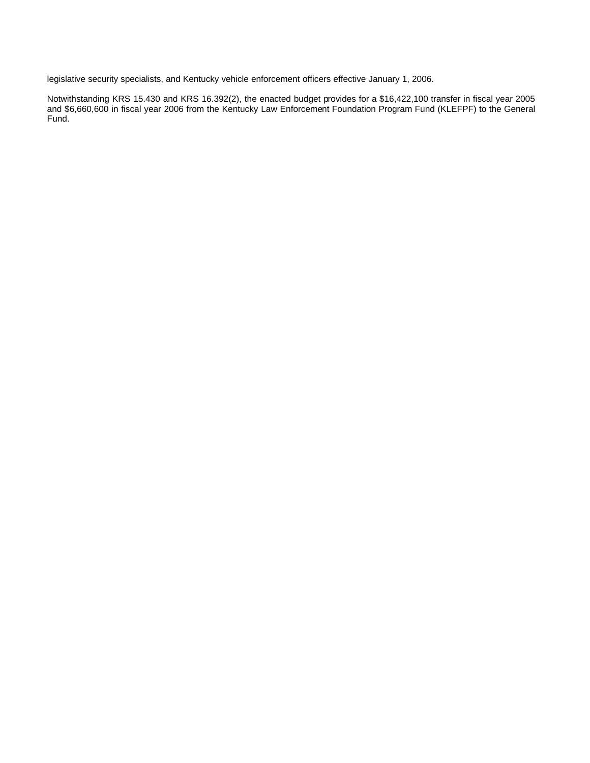legislative security specialists, and Kentucky vehicle enforcement officers effective January 1, 2006.

Notwithstanding KRS 15.430 and KRS 16.392(2), the enacted budget provides for a \$16,422,100 transfer in fiscal year 2005 and \$6,660,600 in fiscal year 2006 from the Kentucky Law Enforcement Foundation Program Fund (KLEFPF) to the General Fund.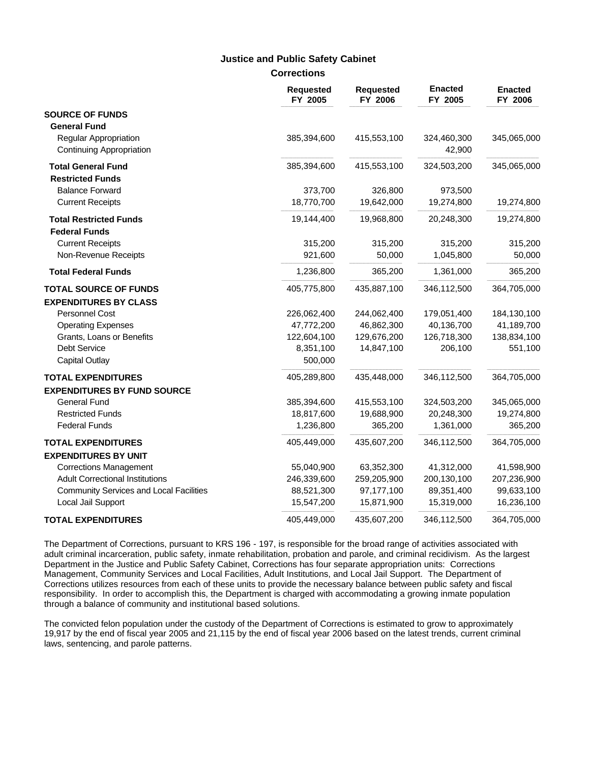### **Justice and Public Safety Cabinet**

**Corrections**

|                                                          | Requested<br>FY 2005 | <b>Requested</b><br>FY 2006 | <b>Enacted</b><br>FY 2005 | <b>Enacted</b><br>FY 2006 |
|----------------------------------------------------------|----------------------|-----------------------------|---------------------------|---------------------------|
| <b>SOURCE OF FUNDS</b>                                   |                      |                             |                           |                           |
| <b>General Fund</b>                                      |                      |                             |                           |                           |
| <b>Regular Appropriation</b><br>Continuing Appropriation | 385,394,600          | 415,553,100                 | 324,460,300<br>42,900     | 345,065,000               |
| <b>Total General Fund</b>                                | 385,394,600          | 415,553,100                 | 324,503,200               | 345,065,000               |
| <b>Restricted Funds</b>                                  |                      |                             |                           |                           |
| <b>Balance Forward</b>                                   | 373,700              | 326,800                     | 973,500                   |                           |
| <b>Current Receipts</b>                                  | 18,770,700           | 19,642,000                  | 19,274,800                | 19,274,800                |
| <b>Total Restricted Funds</b>                            | 19,144,400           | 19,968,800                  | 20,248,300                | 19,274,800                |
| <b>Federal Funds</b>                                     |                      |                             |                           |                           |
| <b>Current Receipts</b>                                  | 315,200              | 315,200                     | 315,200                   | 315,200                   |
| Non-Revenue Receipts                                     | 921,600              | 50,000                      | 1,045,800                 | 50,000                    |
| <b>Total Federal Funds</b>                               | 1,236,800            | 365,200                     | 1,361,000                 | 365,200                   |
| <b>TOTAL SOURCE OF FUNDS</b>                             | 405,775,800          | 435,887,100                 | 346,112,500               | 364,705,000               |
| <b>EXPENDITURES BY CLASS</b>                             |                      |                             |                           |                           |
| <b>Personnel Cost</b>                                    | 226,062,400          | 244,062,400                 | 179,051,400               | 184,130,100               |
| <b>Operating Expenses</b>                                | 47,772,200           | 46,862,300                  | 40,136,700                | 41,189,700                |
| Grants, Loans or Benefits                                | 122,604,100          | 129,676,200                 | 126,718,300               | 138,834,100               |
| Debt Service                                             | 8,351,100            | 14,847,100                  | 206,100                   | 551,100                   |
| <b>Capital Outlay</b>                                    | 500,000              |                             |                           |                           |
| <b>TOTAL EXPENDITURES</b>                                | 405,289,800          | 435,448,000                 | 346,112,500               | 364,705,000               |
| <b>EXPENDITURES BY FUND SOURCE</b>                       |                      |                             |                           |                           |
| <b>General Fund</b>                                      | 385,394,600          | 415,553,100                 | 324,503,200               | 345,065,000               |
| <b>Restricted Funds</b>                                  | 18,817,600           | 19,688,900                  | 20,248,300                | 19,274,800                |
| <b>Federal Funds</b>                                     | 1,236,800            | 365,200                     | 1,361,000                 | 365,200                   |
| <b>TOTAL EXPENDITURES</b>                                | 405,449,000          | 435,607,200                 | 346,112,500               | 364,705,000               |
| <b>EXPENDITURES BY UNIT</b>                              |                      |                             |                           |                           |
| <b>Corrections Management</b>                            | 55,040,900           | 63,352,300                  | 41,312,000                | 41,598,900                |
| <b>Adult Correctional Institutions</b>                   | 246,339,600          | 259,205,900                 | 200,130,100               | 207,236,900               |
| <b>Community Services and Local Facilities</b>           | 88,521,300           | 97,177,100                  | 89,351,400                | 99,633,100                |
| Local Jail Support                                       | 15,547,200           | 15,871,900                  | 15,319,000                | 16,236,100                |
| <b>TOTAL EXPENDITURES</b>                                | 405,449,000          | 435,607,200                 | 346,112,500               | 364,705,000               |

The Department of Corrections, pursuant to KRS 196 - 197, is responsible for the broad range of activities associated with adult criminal incarceration, public safety, inmate rehabilitation, probation and parole, and criminal recidivism. As the largest Department in the Justice and Public Safety Cabinet, Corrections has four separate appropriation units: Corrections Management, Community Services and Local Facilities, Adult Institutions, and Local Jail Support. The Department of Corrections utilizes resources from each of these units to provide the necessary balance between public safety and fiscal responsibility. In order to accomplish this, the Department is charged with accommodating a growing inmate population through a balance of community and institutional based solutions.

The convicted felon population under the custody of the Department of Corrections is estimated to grow to approximately 19,917 by the end of fiscal year 2005 and 21,115 by the end of fiscal year 2006 based on the latest trends, current criminal laws, sentencing, and parole patterns.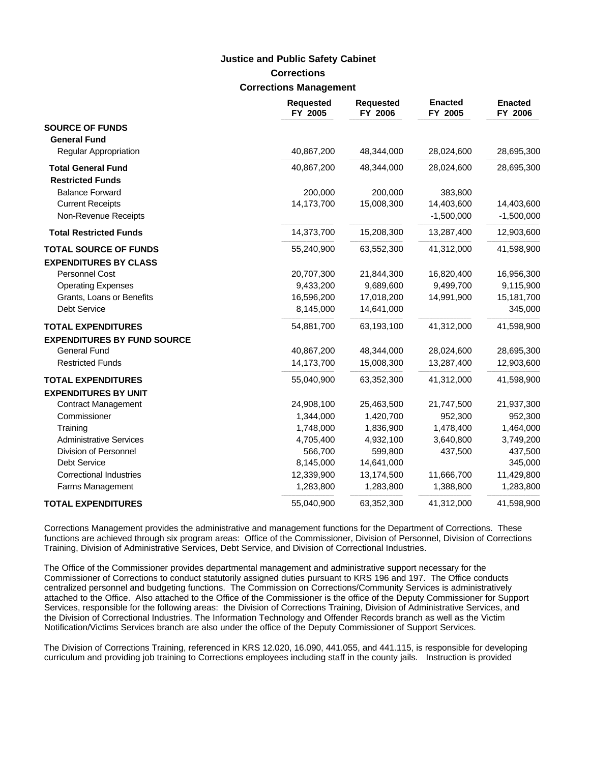### **Corrections Corrections Management Justice and Public Safety Cabinet**

|                                    | <b>Requested</b><br>FY 2005 | <b>Requested</b><br>FY 2006 | <b>Enacted</b><br>FY 2005 | <b>Enacted</b><br>FY 2006 |
|------------------------------------|-----------------------------|-----------------------------|---------------------------|---------------------------|
| <b>SOURCE OF FUNDS</b>             |                             |                             |                           |                           |
| <b>General Fund</b>                |                             |                             |                           |                           |
| <b>Regular Appropriation</b>       | 40,867,200                  | 48,344,000                  | 28,024,600                | 28,695,300                |
| <b>Total General Fund</b>          | 40,867,200                  | 48,344,000                  | 28,024,600                | 28,695,300                |
| <b>Restricted Funds</b>            |                             |                             |                           |                           |
| <b>Balance Forward</b>             | 200,000                     | 200,000                     | 383,800                   |                           |
| <b>Current Receipts</b>            | 14,173,700                  | 15,008,300                  | 14,403,600                | 14,403,600                |
| Non-Revenue Receipts               |                             |                             | $-1,500,000$              | $-1,500,000$              |
| <b>Total Restricted Funds</b>      | 14,373,700                  | 15,208,300                  | 13,287,400                | 12,903,600                |
| <b>TOTAL SOURCE OF FUNDS</b>       | 55,240,900                  | 63,552,300                  | 41,312,000                | 41,598,900                |
| <b>EXPENDITURES BY CLASS</b>       |                             |                             |                           |                           |
| <b>Personnel Cost</b>              | 20,707,300                  | 21,844,300                  | 16,820,400                | 16,956,300                |
| <b>Operating Expenses</b>          | 9,433,200                   | 9,689,600                   | 9,499,700                 | 9,115,900                 |
| Grants, Loans or Benefits          | 16,596,200                  | 17,018,200                  | 14,991,900                | 15,181,700                |
| <b>Debt Service</b>                | 8,145,000                   | 14,641,000                  |                           | 345,000                   |
| <b>TOTAL EXPENDITURES</b>          | 54,881,700                  | 63,193,100                  | 41,312,000                | 41,598,900                |
| <b>EXPENDITURES BY FUND SOURCE</b> |                             |                             |                           |                           |
| <b>General Fund</b>                | 40,867,200                  | 48,344,000                  | 28,024,600                | 28,695,300                |
| <b>Restricted Funds</b>            | 14,173,700                  | 15,008,300                  | 13,287,400                | 12,903,600                |
| <b>TOTAL EXPENDITURES</b>          | 55,040,900                  | 63,352,300                  | 41,312,000                | 41,598,900                |
| <b>EXPENDITURES BY UNIT</b>        |                             |                             |                           |                           |
| <b>Contract Management</b>         | 24,908,100                  | 25,463,500                  | 21,747,500                | 21,937,300                |
| Commissioner                       | 1,344,000                   | 1,420,700                   | 952,300                   | 952,300                   |
| Training                           | 1,748,000                   | 1,836,900                   | 1,478,400                 | 1,464,000                 |
| <b>Administrative Services</b>     | 4,705,400                   | 4,932,100                   | 3,640,800                 | 3,749,200                 |
| Division of Personnel              | 566,700                     | 599,800                     | 437,500                   | 437,500                   |
| <b>Debt Service</b>                | 8,145,000                   | 14,641,000                  |                           | 345,000                   |
| <b>Correctional Industries</b>     | 12,339,900                  | 13,174,500                  | 11,666,700                | 11,429,800                |
| Farms Management                   | 1,283,800                   | 1,283,800                   | 1,388,800                 | 1,283,800                 |
| <b>TOTAL EXPENDITURES</b>          | 55,040,900                  | 63,352,300                  | 41,312,000                | 41,598,900                |

Corrections Management provides the administrative and management functions for the Department of Corrections. These functions are achieved through six program areas: Office of the Commissioner, Division of Personnel, Division of Corrections Training, Division of Administrative Services, Debt Service, and Division of Correctional Industries.

The Office of the Commissioner provides departmental management and administrative support necessary for the Commissioner of Corrections to conduct statutorily assigned duties pursuant to KRS 196 and 197. The Office conducts centralized personnel and budgeting functions. The Commission on Corrections/Community Services is administratively attached to the Office. Also attached to the Office of the Commissioner is the office of the Deputy Commissioner for Support Services, responsible for the following areas: the Division of Corrections Training, Division of Administrative Services, and the Division of Correctional Industries. The Information Technology and Offender Records branch as well as the Victim Notification/Victims Services branch are also under the office of the Deputy Commissioner of Support Services.

The Division of Corrections Training, referenced in KRS 12.020, 16.090, 441.055, and 441.115, is responsible for developing curriculum and providing job training to Corrections employees including staff in the county jails. Instruction is provided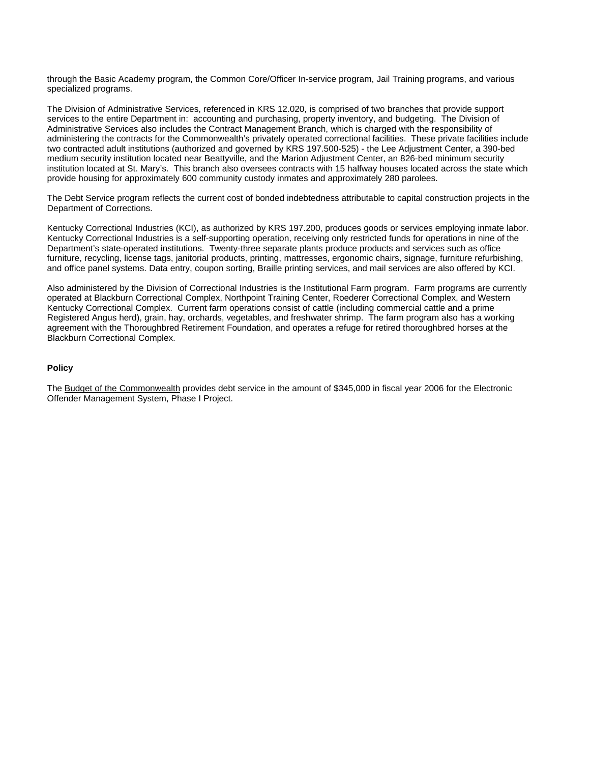through the Basic Academy program, the Common Core/Officer In-service program, Jail Training programs, and various specialized programs.

The Division of Administrative Services, referenced in KRS 12.020, is comprised of two branches that provide support services to the entire Department in: accounting and purchasing, property inventory, and budgeting. The Division of Administrative Services also includes the Contract Management Branch, which is charged with the responsibility of administering the contracts for the Commonwealth's privately operated correctional facilities. These private facilities include two contracted adult institutions (authorized and governed by KRS 197.500-525) - the Lee Adjustment Center, a 390-bed medium security institution located near Beattyville, and the Marion Adjustment Center, an 826-bed minimum security institution located at St. Mary's. This branch also oversees contracts with 15 halfway houses located across the state which provide housing for approximately 600 community custody inmates and approximately 280 parolees.

The Debt Service program reflects the current cost of bonded indebtedness attributable to capital construction projects in the Department of Corrections.

Kentucky Correctional Industries (KCI), as authorized by KRS 197.200, produces goods or services employing inmate labor. Kentucky Correctional Industries is a self-supporting operation, receiving only restricted funds for operations in nine of the Department's state-operated institutions. Twenty-three separate plants produce products and services such as office furniture, recycling, license tags, janitorial products, printing, mattresses, ergonomic chairs, signage, furniture refurbishing, and office panel systems. Data entry, coupon sorting, Braille printing services, and mail services are also offered by KCI.

Also administered by the Division of Correctional Industries is the Institutional Farm program. Farm programs are currently operated at Blackburn Correctional Complex, Northpoint Training Center, Roederer Correctional Complex, and Western Kentucky Correctional Complex. Current farm operations consist of cattle (including commercial cattle and a prime Registered Angus herd), grain, hay, orchards, vegetables, and freshwater shrimp. The farm program also has a working agreement with the Thoroughbred Retirement Foundation, and operates a refuge for retired thoroughbred horses at the Blackburn Correctional Complex.

#### **Policy**

The Budget of the Commonwealth provides debt service in the amount of \$345,000 in fiscal year 2006 for the Electronic Offender Management System, Phase I Project.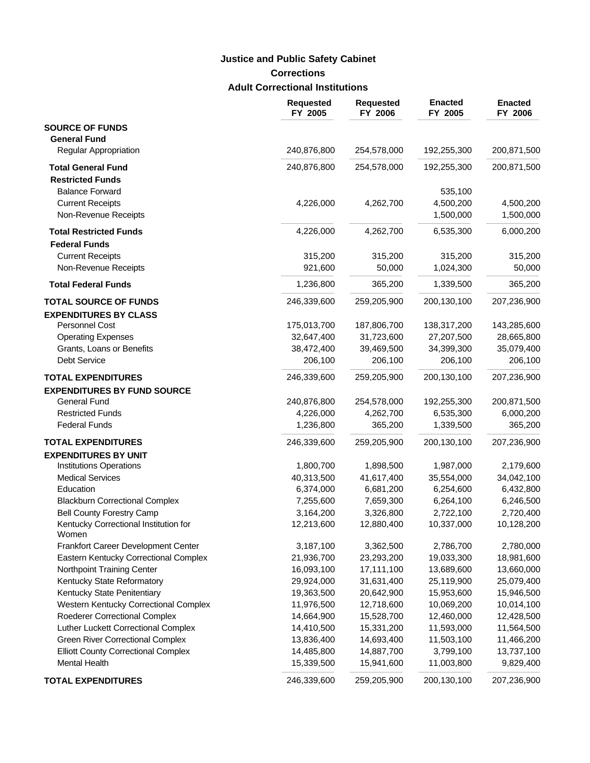# **Corrections Adult Correctional Institutions Justice and Public Safety Cabinet**

|                                                | <b>Requested</b><br>FY 2005 | <b>Requested</b><br>FY 2006 | <b>Enacted</b><br>FY 2005 | <b>Enacted</b><br>FY 2006 |
|------------------------------------------------|-----------------------------|-----------------------------|---------------------------|---------------------------|
| <b>SOURCE OF FUNDS</b>                         |                             |                             |                           |                           |
| <b>General Fund</b>                            |                             |                             |                           |                           |
| Regular Appropriation                          | 240,876,800                 | 254,578,000                 | 192,255,300               | 200,871,500               |
| <b>Total General Fund</b>                      | 240,876,800                 | 254,578,000                 | 192,255,300               | 200,871,500               |
| <b>Restricted Funds</b>                        |                             |                             |                           |                           |
| <b>Balance Forward</b>                         |                             |                             | 535,100                   |                           |
| <b>Current Receipts</b>                        | 4,226,000                   | 4,262,700                   | 4,500,200                 | 4,500,200                 |
| Non-Revenue Receipts                           |                             |                             | 1,500,000                 | 1,500,000                 |
| <b>Total Restricted Funds</b>                  | 4,226,000                   | 4,262,700                   | 6,535,300                 | 6,000,200                 |
| <b>Federal Funds</b>                           |                             |                             |                           |                           |
| <b>Current Receipts</b>                        | 315,200                     | 315,200                     | 315,200                   | 315,200                   |
| Non-Revenue Receipts                           | 921,600                     | 50,000                      | 1,024,300                 | 50,000                    |
| <b>Total Federal Funds</b>                     | 1,236,800                   | 365,200                     | 1,339,500                 | 365,200                   |
| <b>TOTAL SOURCE OF FUNDS</b>                   | 246,339,600                 | 259,205,900                 | 200,130,100               | 207,236,900               |
| <b>EXPENDITURES BY CLASS</b>                   |                             |                             |                           |                           |
| <b>Personnel Cost</b>                          | 175,013,700                 | 187,806,700                 | 138,317,200               | 143,285,600               |
| <b>Operating Expenses</b>                      | 32,647,400                  | 31,723,600                  | 27,207,500                | 28,665,800                |
| Grants, Loans or Benefits                      | 38,472,400                  | 39,469,500                  | 34,399,300                | 35,079,400                |
| <b>Debt Service</b>                            | 206,100                     | 206,100                     | 206,100                   | 206,100                   |
| <b>TOTAL EXPENDITURES</b>                      | 246,339,600                 | 259,205,900                 | 200,130,100               | 207,236,900               |
| <b>EXPENDITURES BY FUND SOURCE</b>             |                             |                             |                           |                           |
| <b>General Fund</b>                            | 240,876,800                 | 254,578,000                 | 192,255,300               | 200,871,500               |
| <b>Restricted Funds</b>                        | 4,226,000                   | 4,262,700                   | 6,535,300                 | 6,000,200                 |
| <b>Federal Funds</b>                           | 1,236,800                   | 365,200                     | 1,339,500                 | 365,200                   |
| <b>TOTAL EXPENDITURES</b>                      | 246,339,600                 | 259,205,900                 | 200,130,100               | 207,236,900               |
| <b>EXPENDITURES BY UNIT</b>                    |                             |                             |                           |                           |
| <b>Institutions Operations</b>                 | 1,800,700                   | 1,898,500                   | 1,987,000                 | 2,179,600                 |
| <b>Medical Services</b>                        | 40,313,500                  | 41,617,400                  | 35,554,000                | 34,042,100                |
| Education                                      | 6,374,000                   | 6,681,200                   | 6,254,600                 | 6,432,800                 |
| <b>Blackburn Correctional Complex</b>          | 7,255,600                   | 7,659,300                   | 6,264,100                 | 6,246,500                 |
| <b>Bell County Forestry Camp</b>               | 3,164,200                   | 3,326,800                   | 2,722,100                 | 2,720,400                 |
| Kentucky Correctional Institution for<br>Women | 12,213,600                  | 12,880,400                  | 10,337,000                | 10,128,200                |
| Frankfort Career Development Center            | 3,187,100                   | 3,362,500                   | 2,786,700                 | 2,780,000                 |
| Eastern Kentucky Correctional Complex          | 21,936,700                  | 23,293,200                  | 19,033,300                | 18,981,600                |
| Northpoint Training Center                     | 16,093,100                  | 17,111,100                  | 13,689,600                | 13,660,000                |
| Kentucky State Reformatory                     | 29,924,000                  | 31,631,400                  | 25,119,900                | 25,079,400                |
| Kentucky State Penitentiary                    | 19,363,500                  | 20,642,900                  | 15,953,600                | 15,946,500                |
| Western Kentucky Correctional Complex          | 11,976,500                  | 12,718,600                  | 10,069,200                | 10,014,100                |
| Roederer Correctional Complex                  | 14,664,900                  | 15,528,700                  | 12,460,000                | 12,428,500                |
| Luther Luckett Correctional Complex            | 14,410,500                  | 15,331,200                  | 11,593,000                | 11,564,500                |
| <b>Green River Correctional Complex</b>        | 13,836,400                  | 14,693,400                  | 11,503,100                | 11,466,200                |
| <b>Elliott County Correctional Complex</b>     | 14,485,800                  | 14,887,700                  | 3,799,100                 | 13,737,100                |
| Mental Health                                  | 15,339,500                  | 15,941,600                  | 11,003,800                | 9,829,400                 |
| <b>TOTAL EXPENDITURES</b>                      | 246,339,600                 | 259,205,900                 | 200,130,100               | 207,236,900               |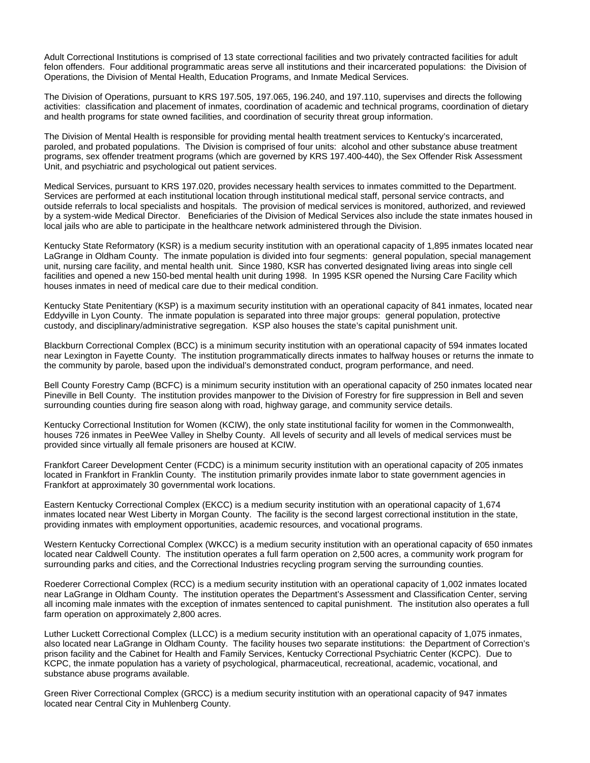Adult Correctional Institutions is comprised of 13 state correctional facilities and two privately contracted facilities for adult felon offenders. Four additional programmatic areas serve all institutions and their incarcerated populations: the Division of Operations, the Division of Mental Health, Education Programs, and Inmate Medical Services.

The Division of Operations, pursuant to KRS 197.505, 197.065, 196.240, and 197.110, supervises and directs the following activities: classification and placement of inmates, coordination of academic and technical programs, coordination of dietary and health programs for state owned facilities, and coordination of security threat group information.

The Division of Mental Health is responsible for providing mental health treatment services to Kentucky's incarcerated, paroled, and probated populations. The Division is comprised of four units: alcohol and other substance abuse treatment programs, sex offender treatment programs (which are governed by KRS 197.400-440), the Sex Offender Risk Assessment Unit, and psychiatric and psychological out patient services.

Medical Services, pursuant to KRS 197.020, provides necessary health services to inmates committed to the Department. Services are performed at each institutional location through institutional medical staff, personal service contracts, and outside referrals to local specialists and hospitals. The provision of medical services is monitored, authorized, and reviewed by a system-wide Medical Director. Beneficiaries of the Division of Medical Services also include the state inmates housed in local jails who are able to participate in the healthcare network administered through the Division.

Kentucky State Reformatory (KSR) is a medium security institution with an operational capacity of 1,895 inmates located near LaGrange in Oldham County. The inmate population is divided into four segments: general population, special management unit, nursing care facility, and mental health unit. Since 1980, KSR has converted designated living areas into single cell facilities and opened a new 150-bed mental health unit during 1998. In 1995 KSR opened the Nursing Care Facility which houses inmates in need of medical care due to their medical condition.

Kentucky State Penitentiary (KSP) is a maximum security institution with an operational capacity of 841 inmates, located near Eddyville in Lyon County. The inmate population is separated into three major groups: general population, protective custody, and disciplinary/administrative segregation. KSP also houses the state's capital punishment unit.

Blackburn Correctional Complex (BCC) is a minimum security institution with an operational capacity of 594 inmates located near Lexington in Fayette County. The institution programmatically directs inmates to halfway houses or returns the inmate to the community by parole, based upon the individual's demonstrated conduct, program performance, and need.

Bell County Forestry Camp (BCFC) is a minimum security institution with an operational capacity of 250 inmates located near Pineville in Bell County. The institution provides manpower to the Division of Forestry for fire suppression in Bell and seven surrounding counties during fire season along with road, highway garage, and community service details.

Kentucky Correctional Institution for Women (KCIW), the only state institutional facility for women in the Commonwealth, houses 726 inmates in PeeWee Valley in Shelby County. All levels of security and all levels of medical services must be provided since virtually all female prisoners are housed at KCIW.

Frankfort Career Development Center (FCDC) is a minimum security institution with an operational capacity of 205 inmates located in Frankfort in Franklin County. The institution primarily provides inmate labor to state government agencies in Frankfort at approximately 30 governmental work locations.

Eastern Kentucky Correctional Complex (EKCC) is a medium security institution with an operational capacity of 1,674 inmates located near West Liberty in Morgan County. The facility is the second largest correctional institution in the state, providing inmates with employment opportunities, academic resources, and vocational programs.

Western Kentucky Correctional Complex (WKCC) is a medium security institution with an operational capacity of 650 inmates located near Caldwell County. The institution operates a full farm operation on 2,500 acres, a community work program for surrounding parks and cities, and the Correctional Industries recycling program serving the surrounding counties.

Roederer Correctional Complex (RCC) is a medium security institution with an operational capacity of 1,002 inmates located near LaGrange in Oldham County. The institution operates the Department's Assessment and Classification Center, serving all incoming male inmates with the exception of inmates sentenced to capital punishment. The institution also operates a full farm operation on approximately 2,800 acres.

Luther Luckett Correctional Complex (LLCC) is a medium security institution with an operational capacity of 1,075 inmates, also located near LaGrange in Oldham County. The facility houses two separate institutions: the Department of Correction's prison facility and the Cabinet for Health and Family Services, Kentucky Correctional Psychiatric Center (KCPC). Due to KCPC, the inmate population has a variety of psychological, pharmaceutical, recreational, academic, vocational, and substance abuse programs available.

Green River Correctional Complex (GRCC) is a medium security institution with an operational capacity of 947 inmates located near Central City in Muhlenberg County.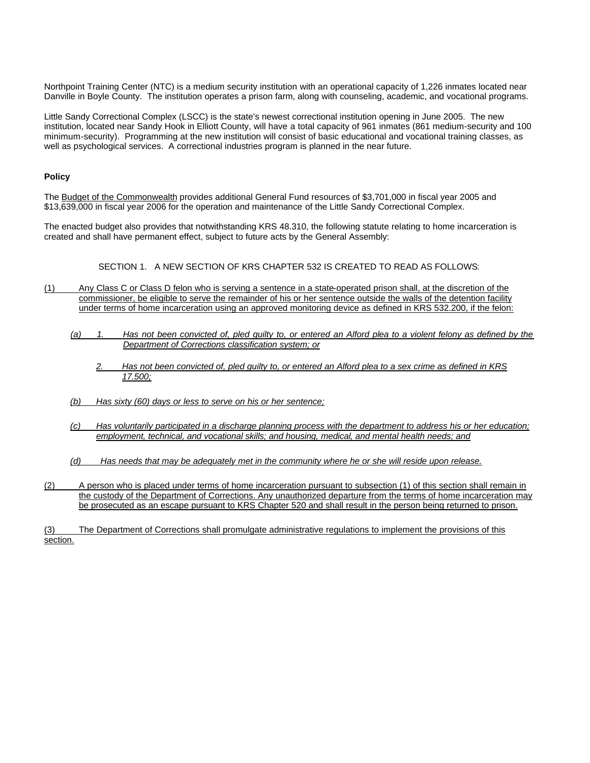Northpoint Training Center (NTC) is a medium security institution with an operational capacity of 1,226 inmates located near Danville in Boyle County. The institution operates a prison farm, along with counseling, academic, and vocational programs.

Little Sandy Correctional Complex (LSCC) is the state's newest correctional institution opening in June 2005. The new institution, located near Sandy Hook in Elliott County, will have a total capacity of 961 inmates (861 medium-security and 100 minimum-security). Programming at the new institution will consist of basic educational and vocational training classes, as well as psychological services. A correctional industries program is planned in the near future.

#### **Policy**

The Budget of the Commonwealth provides additional General Fund resources of \$3,701,000 in fiscal year 2005 and \$13,639,000 in fiscal year 2006 for the operation and maintenance of the Little Sandy Correctional Complex.

The enacted budget also provides that notwithstanding KRS 48.310, the following statute relating to home incarceration is created and shall have permanent effect, subject to future acts by the General Assembly:

#### SECTION 1. A NEW SECTION OF KRS CHAPTER 532 IS CREATED TO READ AS FOLLOWS:

- (1) Any Class C or Class D felon who is serving a sentence in a state-operated prison shall, at the discretion of the commissioner, be eligible to serve the remainder of his or her sentence outside the walls of the detention facility under terms of home incarceration using an approved monitoring device as defined in KRS 532.200, if the felon:
	- *(a) 1. Has not been convicted of, pled guilty to, or entered an Alford plea to a violent felony as defined by the Department of Corrections classification system; or*
		- *2. Has not been convicted of, pled guilty to, or entered an Alford plea to a sex crime as defined in KRS 17.500;*
	- *(b) Has sixty (60) days or less to serve on his or her sentence;*
	- *(c) Has voluntarily participated in a discharge planning process with the department to address his or her education; employment, technical, and vocational skills; and housing, medical, and mental health needs; and*
	- *(d) Has needs that may be adequately met in the community where he or she will reside upon release.*
- (2) A person who is placed under terms of home incarceration pursuant to subsection (1) of this section shall remain in the custody of the Department of Corrections. Any unauthorized departure from the terms of home incarceration may be prosecuted as an escape pursuant to KRS Chapter 520 and shall result in the person being returned to prison.

<sup>(3)</sup> The Department of Corrections shall promulgate administrative regulations to implement the provisions of this section.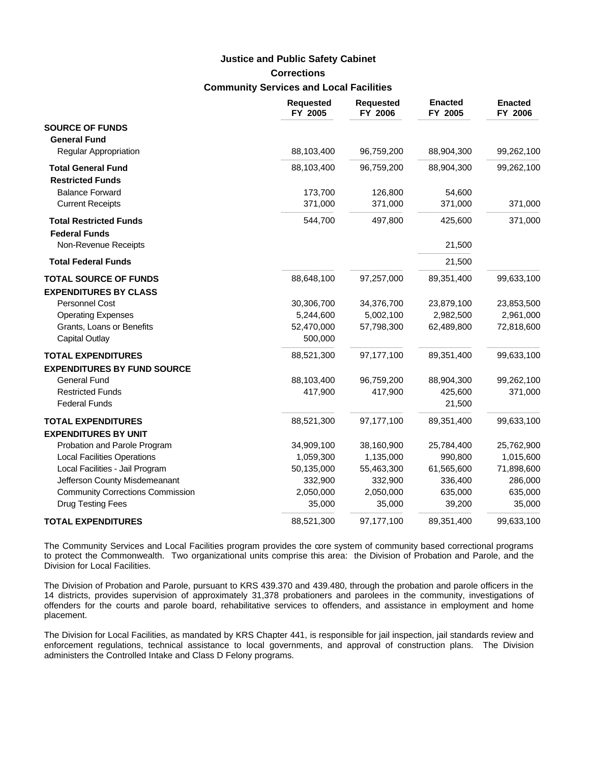# **Corrections Community Services and Local Facilities Justice and Public Safety Cabinet**

|                                         | <b>Requested</b><br>FY 2005 | <b>Requested</b><br>FY 2006 | <b>Enacted</b><br>FY 2005 | <b>Enacted</b><br>FY 2006 |
|-----------------------------------------|-----------------------------|-----------------------------|---------------------------|---------------------------|
| <b>SOURCE OF FUNDS</b>                  |                             |                             |                           |                           |
| <b>General Fund</b>                     |                             |                             |                           |                           |
| <b>Regular Appropriation</b>            | 88,103,400                  | 96,759,200                  | 88,904,300                | 99,262,100                |
| <b>Total General Fund</b>               | 88,103,400                  | 96,759,200                  | 88,904,300                | 99,262,100                |
| <b>Restricted Funds</b>                 |                             |                             |                           |                           |
| <b>Balance Forward</b>                  | 173,700                     | 126,800                     | 54,600                    |                           |
| <b>Current Receipts</b>                 | 371,000                     | 371,000                     | 371,000                   | 371,000                   |
| <b>Total Restricted Funds</b>           | 544,700                     | 497,800                     | 425,600                   | 371,000                   |
| <b>Federal Funds</b>                    |                             |                             |                           |                           |
| Non-Revenue Receipts                    |                             |                             | 21,500                    |                           |
| <b>Total Federal Funds</b>              |                             |                             | 21,500                    |                           |
| <b>TOTAL SOURCE OF FUNDS</b>            | 88,648,100                  | 97,257,000                  | 89,351,400                | 99,633,100                |
| <b>EXPENDITURES BY CLASS</b>            |                             |                             |                           |                           |
| Personnel Cost                          | 30,306,700                  | 34,376,700                  | 23,879,100                | 23,853,500                |
| <b>Operating Expenses</b>               | 5,244,600                   | 5,002,100                   | 2,982,500                 | 2,961,000                 |
| Grants, Loans or Benefits               | 52,470,000                  | 57,798,300                  | 62,489,800                | 72,818,600                |
| <b>Capital Outlay</b>                   | 500,000                     |                             |                           |                           |
| <b>TOTAL EXPENDITURES</b>               | 88,521,300                  | 97,177,100                  | 89,351,400                | 99,633,100                |
| <b>EXPENDITURES BY FUND SOURCE</b>      |                             |                             |                           |                           |
| <b>General Fund</b>                     | 88,103,400                  | 96,759,200                  | 88,904,300                | 99,262,100                |
| <b>Restricted Funds</b>                 | 417,900                     | 417,900                     | 425,600                   | 371,000                   |
| <b>Federal Funds</b>                    |                             |                             | 21,500                    |                           |
| <b>TOTAL EXPENDITURES</b>               | 88,521,300                  | 97,177,100                  | 89,351,400                | 99,633,100                |
| <b>EXPENDITURES BY UNIT</b>             |                             |                             |                           |                           |
| Probation and Parole Program            | 34,909,100                  | 38,160,900                  | 25,784,400                | 25,762,900                |
| <b>Local Facilities Operations</b>      | 1,059,300                   | 1,135,000                   | 990,800                   | 1,015,600                 |
| Local Facilities - Jail Program         | 50,135,000                  | 55,463,300                  | 61,565,600                | 71,898,600                |
| Jefferson County Misdemeanant           | 332,900                     | 332,900                     | 336,400                   | 286,000                   |
| <b>Community Corrections Commission</b> | 2,050,000                   | 2,050,000                   | 635,000                   | 635,000                   |
| Drug Testing Fees                       | 35,000                      | 35,000                      | 39,200                    | 35,000                    |
| <b>TOTAL EXPENDITURES</b>               | 88,521,300                  | 97,177,100                  | 89,351,400                | 99,633,100                |

The Community Services and Local Facilities program provides the core system of community based correctional programs to protect the Commonwealth. Two organizational units comprise this area: the Division of Probation and Parole, and the Division for Local Facilities.

The Division of Probation and Parole, pursuant to KRS 439.370 and 439.480, through the probation and parole officers in the 14 districts, provides supervision of approximately 31,378 probationers and parolees in the community, investigations of offenders for the courts and parole board, rehabilitative services to offenders, and assistance in employment and home placement.

The Division for Local Facilities, as mandated by KRS Chapter 441, is responsible for jail inspection, jail standards review and enforcement regulations, technical assistance to local governments, and approval of construction plans. The Division administers the Controlled Intake and Class D Felony programs.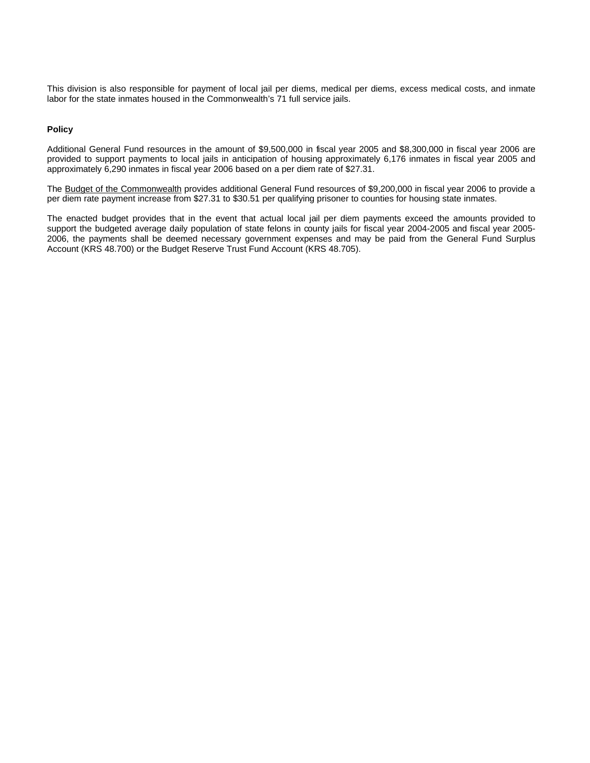This division is also responsible for payment of local jail per diems, medical per diems, excess medical costs, and inmate labor for the state inmates housed in the Commonwealth's 71 full service jails.

#### **Policy**

Additional General Fund resources in the amount of \$9,500,000 in fiscal year 2005 and \$8,300,000 in fiscal year 2006 are provided to support payments to local jails in anticipation of housing approximately 6,176 inmates in fiscal year 2005 and approximately 6,290 inmates in fiscal year 2006 based on a per diem rate of \$27.31.

The Budget of the Commonwealth provides additional General Fund resources of \$9,200,000 in fiscal year 2006 to provide a per diem rate payment increase from \$27.31 to \$30.51 per qualifying prisoner to counties for housing state inmates.

The enacted budget provides that in the event that actual local jail per diem payments exceed the amounts provided to support the budgeted average daily population of state felons in county jails for fiscal year 2004-2005 and fiscal year 2005- 2006, the payments shall be deemed necessary government expenses and may be paid from the General Fund Surplus Account (KRS 48.700) or the Budget Reserve Trust Fund Account (KRS 48.705).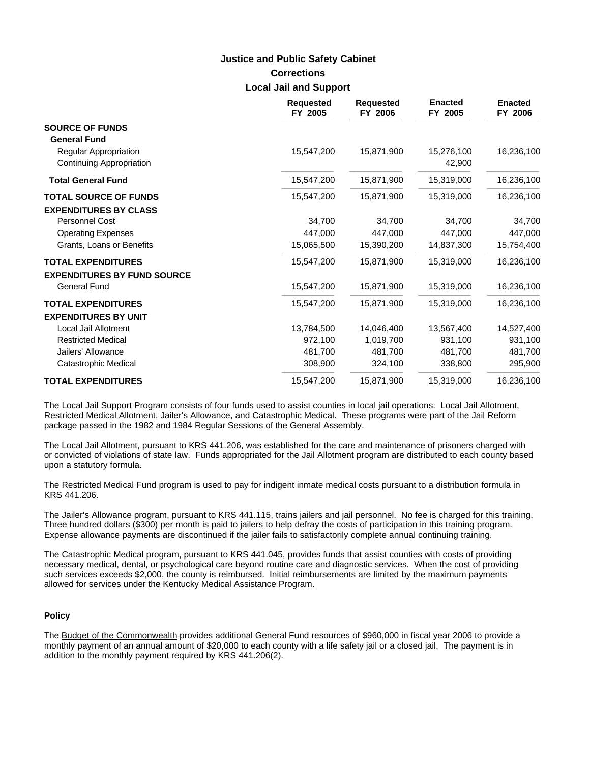### **Corrections Local Jail and Support Justice and Public Safety Cabinet**

|                                                          | <b>Requested</b><br>FY 2005 | <b>Requested</b><br>FY 2006 | <b>Enacted</b><br>FY 2005 | <b>Enacted</b><br>FY 2006 |
|----------------------------------------------------------|-----------------------------|-----------------------------|---------------------------|---------------------------|
| <b>SOURCE OF FUNDS</b><br><b>General Fund</b>            |                             |                             |                           |                           |
| <b>Regular Appropriation</b><br>Continuing Appropriation | 15,547,200                  | 15,871,900                  | 15,276,100<br>42,900      | 16,236,100                |
| <b>Total General Fund</b>                                | 15,547,200                  | 15,871,900                  | 15,319,000                | 16,236,100                |
| <b>TOTAL SOURCE OF FUNDS</b>                             | 15,547,200                  | 15,871,900                  | 15,319,000                | 16,236,100                |
| <b>EXPENDITURES BY CLASS</b>                             |                             |                             |                           |                           |
| <b>Personnel Cost</b>                                    | 34,700                      | 34,700                      | 34,700                    | 34,700                    |
| <b>Operating Expenses</b>                                | 447,000                     | 447,000                     | 447,000                   | 447,000                   |
| Grants, Loans or Benefits                                | 15,065,500                  | 15,390,200                  | 14,837,300                | 15,754,400                |
| <b>TOTAL EXPENDITURES</b>                                | 15,547,200                  | 15,871,900                  | 15,319,000                | 16,236,100                |
| <b>EXPENDITURES BY FUND SOURCE</b>                       |                             |                             |                           |                           |
| <b>General Fund</b>                                      | 15,547,200                  | 15,871,900                  | 15,319,000                | 16,236,100                |
| <b>TOTAL EXPENDITURES</b>                                | 15,547,200                  | 15,871,900                  | 15,319,000                | 16,236,100                |
| <b>EXPENDITURES BY UNIT</b>                              |                             |                             |                           |                           |
| Local Jail Allotment                                     | 13,784,500                  | 14,046,400                  | 13,567,400                | 14,527,400                |
| <b>Restricted Medical</b>                                | 972,100                     | 1,019,700                   | 931,100                   | 931,100                   |
| Jailers' Allowance                                       | 481,700                     | 481,700                     | 481,700                   | 481,700                   |
| Catastrophic Medical                                     | 308,900                     | 324,100                     | 338,800                   | 295,900                   |
| <b>TOTAL EXPENDITURES</b>                                | 15,547,200                  | 15,871,900                  | 15,319,000                | 16,236,100                |

The Local Jail Support Program consists of four funds used to assist counties in local jail operations: Local Jail Allotment, Restricted Medical Allotment, Jailer's Allowance, and Catastrophic Medical. These programs were part of the Jail Reform package passed in the 1982 and 1984 Regular Sessions of the General Assembly.

The Local Jail Allotment, pursuant to KRS 441.206, was established for the care and maintenance of prisoners charged with or convicted of violations of state law. Funds appropriated for the Jail Allotment program are distributed to each county based upon a statutory formula.

The Restricted Medical Fund program is used to pay for indigent inmate medical costs pursuant to a distribution formula in KRS 441.206.

The Jailer's Allowance program, pursuant to KRS 441.115, trains jailers and jail personnel. No fee is charged for this training. Three hundred dollars (\$300) per month is paid to jailers to help defray the costs of participation in this training program. Expense allowance payments are discontinued if the jailer fails to satisfactorily complete annual continuing training.

The Catastrophic Medical program, pursuant to KRS 441.045, provides funds that assist counties with costs of providing necessary medical, dental, or psychological care beyond routine care and diagnostic services. When the cost of providing such services exceeds \$2,000, the county is reimbursed. Initial reimbursements are limited by the maximum payments allowed for services under the Kentucky Medical Assistance Program.

#### **Policy**

The Budget of the Commonwealth provides additional General Fund resources of \$960,000 in fiscal year 2006 to provide a monthly payment of an annual amount of \$20,000 to each county with a life safety jail or a closed jail. The payment is in addition to the monthly payment required by KRS 441.206(2).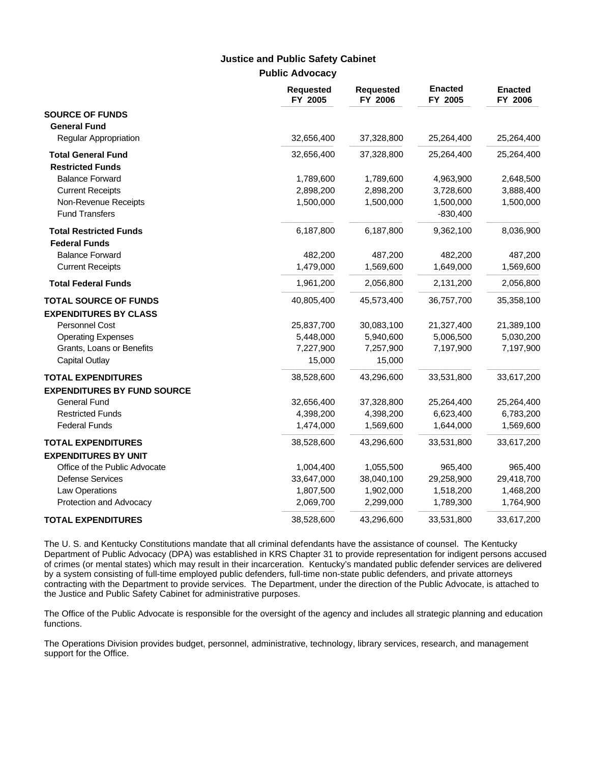### **Public Advocacy Justice and Public Safety Cabinet**

|                                    | <b>Requested</b><br>FY 2005 | <b>Requested</b><br>FY 2006 | <b>Enacted</b><br>FY 2005 | <b>Enacted</b><br>FY 2006 |
|------------------------------------|-----------------------------|-----------------------------|---------------------------|---------------------------|
| <b>SOURCE OF FUNDS</b>             |                             |                             |                           |                           |
| <b>General Fund</b>                |                             |                             |                           |                           |
| Regular Appropriation              | 32,656,400                  | 37,328,800                  | 25,264,400                | 25,264,400                |
| <b>Total General Fund</b>          | 32,656,400                  | 37,328,800                  | 25,264,400                | 25,264,400                |
| <b>Restricted Funds</b>            |                             |                             |                           |                           |
| <b>Balance Forward</b>             | 1,789,600                   | 1,789,600                   | 4,963,900                 | 2,648,500                 |
| <b>Current Receipts</b>            | 2,898,200                   | 2,898,200                   | 3,728,600                 | 3,888,400                 |
| Non-Revenue Receipts               | 1,500,000                   | 1,500,000                   | 1,500,000                 | 1,500,000                 |
| <b>Fund Transfers</b>              |                             |                             | $-830,400$                |                           |
| <b>Total Restricted Funds</b>      | 6,187,800                   | 6,187,800                   | 9,362,100                 | 8,036,900                 |
| <b>Federal Funds</b>               |                             |                             |                           |                           |
| <b>Balance Forward</b>             | 482,200                     | 487,200                     | 482,200                   | 487,200                   |
| <b>Current Receipts</b>            | 1,479,000                   | 1,569,600                   | 1,649,000                 | 1,569,600                 |
| <b>Total Federal Funds</b>         | 1,961,200                   | 2,056,800                   | 2,131,200                 | 2,056,800                 |
| <b>TOTAL SOURCE OF FUNDS</b>       | 40,805,400                  | 45,573,400                  | 36,757,700                | 35,358,100                |
| <b>EXPENDITURES BY CLASS</b>       |                             |                             |                           |                           |
| <b>Personnel Cost</b>              | 25,837,700                  | 30,083,100                  | 21,327,400                | 21,389,100                |
| <b>Operating Expenses</b>          | 5,448,000                   | 5,940,600                   | 5,006,500                 | 5,030,200                 |
| Grants, Loans or Benefits          | 7,227,900                   | 7,257,900                   | 7,197,900                 | 7,197,900                 |
| <b>Capital Outlay</b>              | 15,000                      | 15,000                      |                           |                           |
| <b>TOTAL EXPENDITURES</b>          | 38,528,600                  | 43,296,600                  | 33,531,800                | 33,617,200                |
| <b>EXPENDITURES BY FUND SOURCE</b> |                             |                             |                           |                           |
| <b>General Fund</b>                | 32,656,400                  | 37,328,800                  | 25,264,400                | 25,264,400                |
| <b>Restricted Funds</b>            | 4,398,200                   | 4,398,200                   | 6,623,400                 | 6,783,200                 |
| <b>Federal Funds</b>               | 1,474,000                   | 1,569,600                   | 1,644,000                 | 1,569,600                 |
| <b>TOTAL EXPENDITURES</b>          | 38,528,600                  | 43,296,600                  | 33,531,800                | 33,617,200                |
| <b>EXPENDITURES BY UNIT</b>        |                             |                             |                           |                           |
| Office of the Public Advocate      | 1,004,400                   | 1,055,500                   | 965,400                   | 965,400                   |
| <b>Defense Services</b>            | 33,647,000                  | 38,040,100                  | 29,258,900                | 29,418,700                |
| Law Operations                     | 1,807,500                   | 1,902,000                   | 1,518,200                 | 1,468,200                 |
| Protection and Advocacy            | 2,069,700                   | 2,299,000                   | 1,789,300                 | 1,764,900                 |
| <b>TOTAL EXPENDITURES</b>          | 38,528,600                  | 43,296,600                  | 33,531,800                | 33,617,200                |

The U. S. and Kentucky Constitutions mandate that all criminal defendants have the assistance of counsel. The Kentucky Department of Public Advocacy (DPA) was established in KRS Chapter 31 to provide representation for indigent persons accused of crimes (or mental states) which may result in their incarceration. Kentucky's mandated public defender services are delivered by a system consisting of full-time employed public defenders, full-time non-state public defenders, and private attorneys contracting with the Department to provide services. The Department, under the direction of the Public Advocate, is attached to the Justice and Public Safety Cabinet for administrative purposes.

The Office of the Public Advocate is responsible for the oversight of the agency and includes all strategic planning and education functions.

The Operations Division provides budget, personnel, administrative, technology, library services, research, and management support for the Office.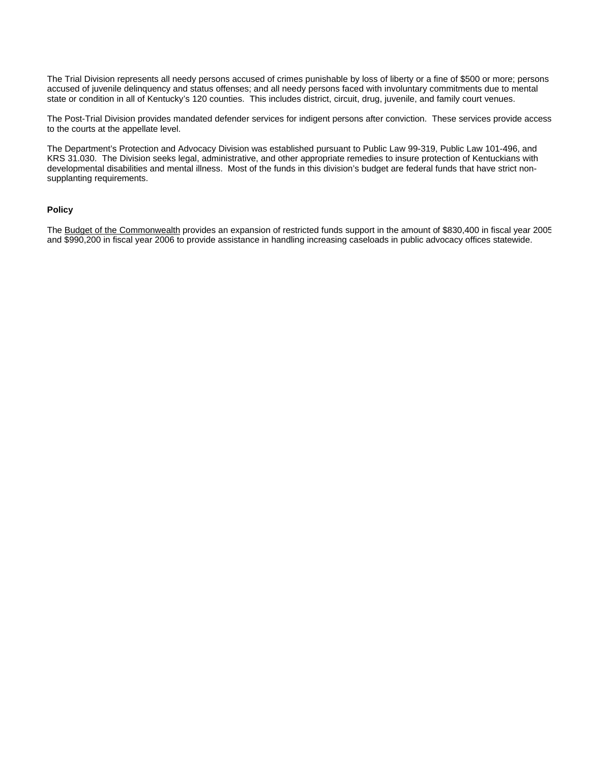The Trial Division represents all needy persons accused of crimes punishable by loss of liberty or a fine of \$500 or more; persons accused of juvenile delinquency and status offenses; and all needy persons faced with involuntary commitments due to mental state or condition in all of Kentucky's 120 counties. This includes district, circuit, drug, juvenile, and family court venues.

The Post-Trial Division provides mandated defender services for indigent persons after conviction. These services provide access to the courts at the appellate level.

The Department's Protection and Advocacy Division was established pursuant to Public Law 99-319, Public Law 101-496, and KRS 31.030. The Division seeks legal, administrative, and other appropriate remedies to insure protection of Kentuckians with developmental disabilities and mental illness. Most of the funds in this division's budget are federal funds that have strict nonsupplanting requirements.

#### **Policy**

The Budget of the Commonwealth provides an expansion of restricted funds support in the amount of \$830,400 in fiscal year 2005 and \$990,200 in fiscal year 2006 to provide assistance in handling increasing caseloads in public advocacy offices statewide.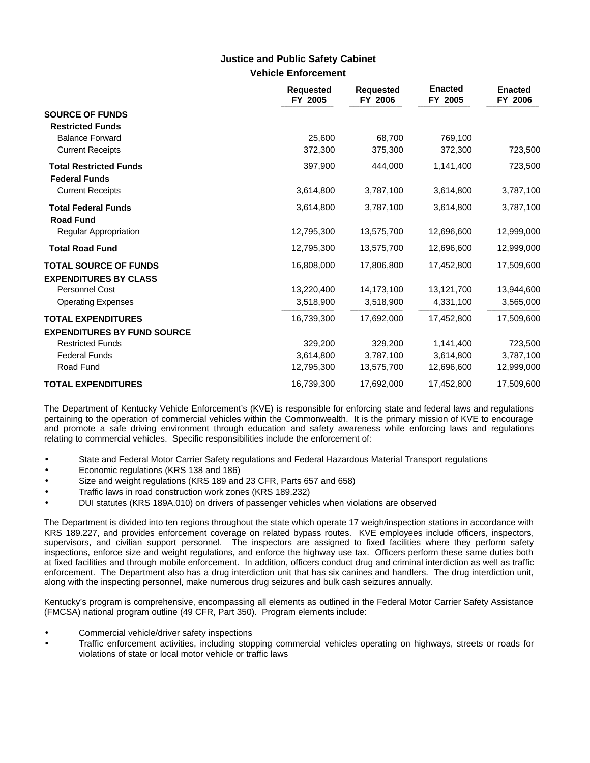### **Vehicle Enforcement Justice and Public Safety Cabinet**

|                                                                 | <b>Requested</b><br>FY 2005 | <b>Requested</b><br>FY 2006 | <b>Enacted</b><br>FY 2005 | <b>Enacted</b><br>FY 2006 |
|-----------------------------------------------------------------|-----------------------------|-----------------------------|---------------------------|---------------------------|
| <b>SOURCE OF FUNDS</b><br><b>Restricted Funds</b>               |                             |                             |                           |                           |
| <b>Balance Forward</b>                                          | 25,600                      | 68,700                      | 769,100                   |                           |
| <b>Current Receipts</b>                                         | 372,300                     | 375,300                     | 372,300                   | 723,500                   |
| <b>Total Restricted Funds</b><br><b>Federal Funds</b>           | 397,900                     | 444,000                     | 1,141,400                 | 723,500                   |
| <b>Current Receipts</b>                                         | 3,614,800                   | 3,787,100                   | 3,614,800                 | 3,787,100                 |
| <b>Total Federal Funds</b><br><b>Road Fund</b>                  | 3,614,800                   | 3,787,100                   | 3,614,800                 | 3,787,100                 |
| Regular Appropriation                                           | 12,795,300                  | 13,575,700                  | 12,696,600                | 12,999,000                |
| <b>Total Road Fund</b>                                          | 12,795,300                  | 13,575,700                  | 12,696,600                | 12,999,000                |
| <b>TOTAL SOURCE OF FUNDS</b><br><b>EXPENDITURES BY CLASS</b>    | 16,808,000                  | 17,806,800                  | 17,452,800                | 17,509,600                |
| <b>Personnel Cost</b>                                           | 13,220,400                  | 14,173,100                  | 13,121,700                | 13,944,600                |
| <b>Operating Expenses</b>                                       | 3,518,900                   | 3,518,900                   | 4,331,100                 | 3,565,000                 |
| <b>TOTAL EXPENDITURES</b><br><b>EXPENDITURES BY FUND SOURCE</b> | 16,739,300                  | 17,692,000                  | 17,452,800                | 17,509,600                |
| <b>Restricted Funds</b>                                         | 329,200                     | 329,200                     | 1,141,400                 | 723,500                   |
| <b>Federal Funds</b>                                            | 3,614,800                   | 3,787,100                   | 3,614,800                 | 3,787,100                 |
| Road Fund                                                       | 12,795,300                  | 13,575,700                  | 12,696,600                | 12,999,000                |
| <b>TOTAL EXPENDITURES</b>                                       | 16,739,300                  | 17,692,000                  | 17,452,800                | 17,509,600                |

The Department of Kentucky Vehicle Enforcement's (KVE) is responsible for enforcing state and federal laws and regulations pertaining to the operation of commercial vehicles within the Commonwealth. It is the primary mission of KVE to encourage and promote a safe driving environment through education and safety awareness while enforcing laws and regulations relating to commercial vehicles. Specific responsibilities include the enforcement of:

- State and Federal Motor Carrier Safety regulations and Federal Hazardous Material Transport regulations
- Economic regulations (KRS 138 and 186)
- Size and weight regulations (KRS 189 and 23 CFR, Parts 657 and 658)
- Traffic laws in road construction work zones (KRS 189.232)
- DUI statutes (KRS 189A.010) on drivers of passenger vehicles when violations are observed

The Department is divided into ten regions throughout the state which operate 17 weigh/inspection stations in accordance with KRS 189.227, and provides enforcement coverage on related bypass routes. KVE employees include officers, inspectors, supervisors, and civilian support personnel. The inspectors are assigned to fixed facilities where they perform safety inspections, enforce size and weight regulations, and enforce the highway use tax. Officers perform these same duties both at fixed facilities and through mobile enforcement. In addition, officers conduct drug and criminal interdiction as well as traffic enforcement. The Department also has a drug interdiction unit that has six canines and handlers. The drug interdiction unit, along with the inspecting personnel, make numerous drug seizures and bulk cash seizures annually.

Kentucky's program is comprehensive, encompassing all elements as outlined in the Federal Motor Carrier Safety Assistance (FMCSA) national program outline (49 CFR, Part 350). Program elements include:

- Commercial vehicle/driver safety inspections
- Traffic enforcement activities, including stopping commercial vehicles operating on highways, streets or roads for violations of state or local motor vehicle or traffic laws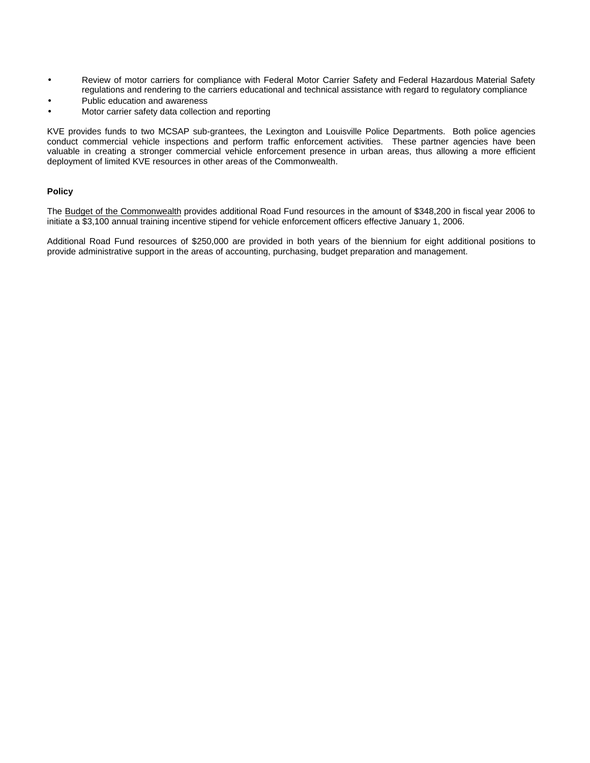- Review of motor carriers for compliance with Federal Motor Carrier Safety and Federal Hazardous Material Safety regulations and rendering to the carriers educational and technical assistance with regard to regulatory compliance
- Public education and awareness
- Motor carrier safety data collection and reporting

KVE provides funds to two MCSAP sub-grantees, the Lexington and Louisville Police Departments. Both police agencies conduct commercial vehicle inspections and perform traffic enforcement activities. These partner agencies have been valuable in creating a stronger commercial vehicle enforcement presence in urban areas, thus allowing a more efficient deployment of limited KVE resources in other areas of the Commonwealth.

#### **Policy**

The Budget of the Commonwealth provides additional Road Fund resources in the amount of \$348,200 in fiscal year 2006 to initiate a \$3,100 annual training incentive stipend for vehicle enforcement officers effective January 1, 2006.

Additional Road Fund resources of \$250,000 are provided in both years of the biennium for eight additional positions to provide administrative support in the areas of accounting, purchasing, budget preparation and management.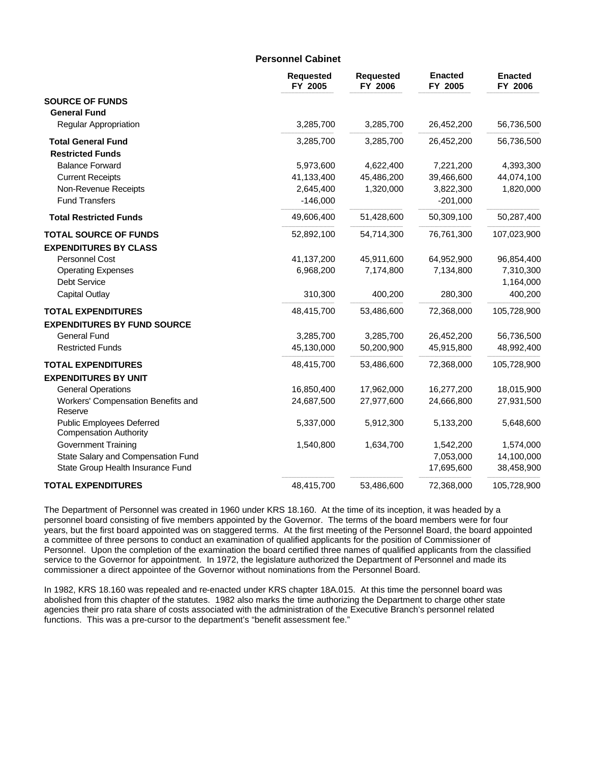#### **Personnel Cabinet**

|                                                                   | <b>Requested</b><br>FY 2005 | <b>Requested</b><br>FY 2006 | <b>Enacted</b><br>FY 2005 | <b>Enacted</b><br>FY 2006 |
|-------------------------------------------------------------------|-----------------------------|-----------------------------|---------------------------|---------------------------|
| <b>SOURCE OF FUNDS</b>                                            |                             |                             |                           |                           |
| <b>General Fund</b>                                               |                             |                             |                           |                           |
| <b>Regular Appropriation</b>                                      | 3,285,700                   | 3,285,700                   | 26,452,200                | 56,736,500                |
| <b>Total General Fund</b>                                         | 3,285,700                   | 3,285,700                   | 26,452,200                | 56,736,500                |
| <b>Restricted Funds</b>                                           |                             |                             |                           |                           |
| <b>Balance Forward</b>                                            | 5,973,600                   | 4,622,400                   | 7,221,200                 | 4,393,300                 |
| <b>Current Receipts</b>                                           | 41,133,400                  | 45,486,200                  | 39,466,600                | 44,074,100                |
| Non-Revenue Receipts                                              | 2,645,400                   | 1,320,000                   | 3,822,300                 | 1,820,000                 |
| <b>Fund Transfers</b>                                             | $-146,000$                  |                             | $-201,000$                |                           |
| <b>Total Restricted Funds</b>                                     | 49,606,400                  | 51,428,600                  | 50,309,100                | 50,287,400                |
| <b>TOTAL SOURCE OF FUNDS</b>                                      | 52,892,100                  | 54,714,300                  | 76,761,300                | 107,023,900               |
| <b>EXPENDITURES BY CLASS</b>                                      |                             |                             |                           |                           |
| Personnel Cost                                                    | 41,137,200                  | 45,911,600                  | 64,952,900                | 96,854,400                |
| <b>Operating Expenses</b>                                         | 6,968,200                   | 7,174,800                   | 7,134,800                 | 7,310,300                 |
| <b>Debt Service</b>                                               |                             |                             |                           | 1,164,000                 |
| <b>Capital Outlay</b>                                             | 310,300                     | 400,200                     | 280,300                   | 400,200                   |
| <b>TOTAL EXPENDITURES</b>                                         | 48,415,700                  | 53,486,600                  | 72,368,000                | 105,728,900               |
| <b>EXPENDITURES BY FUND SOURCE</b>                                |                             |                             |                           |                           |
| <b>General Fund</b>                                               | 3,285,700                   | 3,285,700                   | 26,452,200                | 56,736,500                |
| <b>Restricted Funds</b>                                           | 45,130,000                  | 50,200,900                  | 45,915,800                | 48,992,400                |
| <b>TOTAL EXPENDITURES</b>                                         | 48,415,700                  | 53,486,600                  | 72,368,000                | 105,728,900               |
| <b>EXPENDITURES BY UNIT</b>                                       |                             |                             |                           |                           |
| <b>General Operations</b>                                         | 16,850,400                  | 17,962,000                  | 16,277,200                | 18,015,900                |
| Workers' Compensation Benefits and<br>Reserve                     | 24,687,500                  | 27,977,600                  | 24,666,800                | 27,931,500                |
| <b>Public Employees Deferred</b><br><b>Compensation Authority</b> | 5,337,000                   | 5,912,300                   | 5,133,200                 | 5,648,600                 |
| <b>Government Training</b>                                        | 1,540,800                   | 1,634,700                   | 1,542,200                 | 1,574,000                 |
| State Salary and Compensation Fund                                |                             |                             | 7,053,000                 | 14,100,000                |
| State Group Health Insurance Fund                                 |                             |                             | 17,695,600                | 38,458,900                |
| <b>TOTAL EXPENDITURES</b>                                         | 48,415,700                  | 53,486,600                  | 72,368,000                | 105,728,900               |

The Department of Personnel was created in 1960 under KRS 18.160. At the time of its inception, it was headed by a personnel board consisting of five members appointed by the Governor. The terms of the board members were for four years, but the first board appointed was on staggered terms. At the first meeting of the Personnel Board, the board appointed a committee of three persons to conduct an examination of qualified applicants for the position of Commissioner of Personnel. Upon the completion of the examination the board certified three names of qualified applicants from the classified service to the Governor for appointment. In 1972, the legislature authorized the Department of Personnel and made its commissioner a direct appointee of the Governor without nominations from the Personnel Board.

In 1982, KRS 18.160 was repealed and re-enacted under KRS chapter 18A.015. At this time the personnel board was abolished from this chapter of the statutes. 1982 also marks the time authorizing the Department to charge other state agencies their pro rata share of costs associated with the administration of the Executive Branch's personnel related functions. This was a pre-cursor to the department's "benefit assessment fee."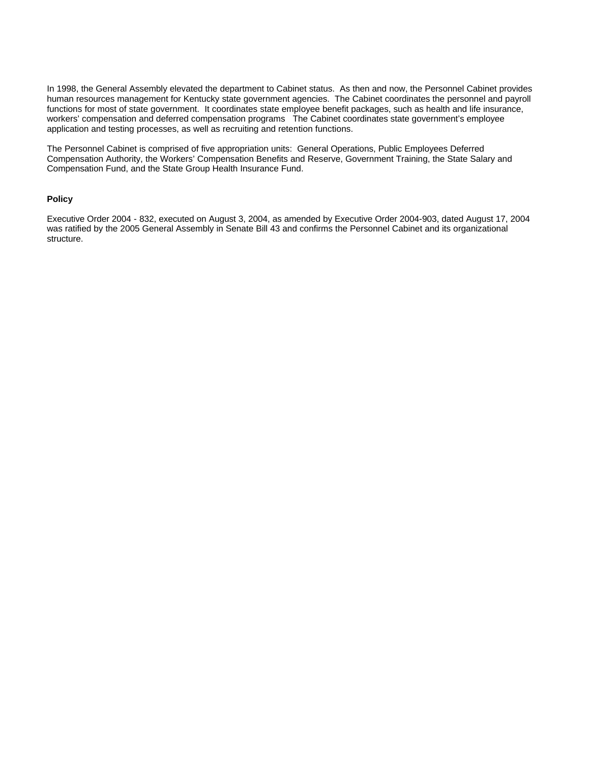In 1998, the General Assembly elevated the department to Cabinet status. As then and now, the Personnel Cabinet provides human resources management for Kentucky state government agencies. The Cabinet coordinates the personnel and payroll functions for most of state government. It coordinates state employee benefit packages, such as health and life insurance, workers' compensation and deferred compensation programs The Cabinet coordinates state government's employee application and testing processes, as well as recruiting and retention functions.

The Personnel Cabinet is comprised of five appropriation units: General Operations, Public Employees Deferred Compensation Authority, the Workers' Compensation Benefits and Reserve, Government Training, the State Salary and Compensation Fund, and the State Group Health Insurance Fund.

#### **Policy**

Executive Order 2004 - 832, executed on August 3, 2004, as amended by Executive Order 2004-903, dated August 17, 2004 was ratified by the 2005 General Assembly in Senate Bill 43 and confirms the Personnel Cabinet and its organizational structure.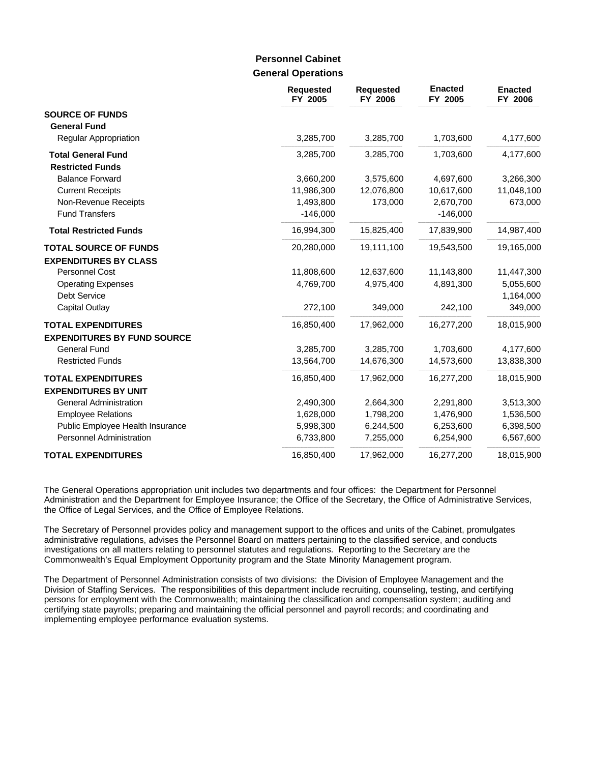### **General Operations Personnel Cabinet**

|                                               | <b>Requested</b><br>FY 2005 | <b>Requested</b><br>FY 2006 | <b>Enacted</b><br>FY 2005 | <b>Enacted</b><br>FY 2006 |
|-----------------------------------------------|-----------------------------|-----------------------------|---------------------------|---------------------------|
| <b>SOURCE OF FUNDS</b><br><b>General Fund</b> |                             |                             |                           |                           |
| <b>Regular Appropriation</b>                  | 3,285,700                   | 3,285,700                   | 1,703,600                 | 4,177,600                 |
| <b>Total General Fund</b>                     | 3,285,700                   | 3,285,700                   | 1,703,600                 | 4,177,600                 |
| <b>Restricted Funds</b>                       |                             |                             |                           |                           |
| <b>Balance Forward</b>                        | 3,660,200                   | 3,575,600                   | 4,697,600                 | 3,266,300                 |
| <b>Current Receipts</b>                       | 11,986,300                  | 12,076,800                  | 10,617,600                | 11,048,100                |
| Non-Revenue Receipts                          | 1,493,800                   | 173,000                     | 2,670,700                 | 673,000                   |
| <b>Fund Transfers</b>                         | $-146,000$                  |                             | $-146,000$                |                           |
| <b>Total Restricted Funds</b>                 | 16,994,300                  | 15,825,400                  | 17,839,900                | 14,987,400                |
| <b>TOTAL SOURCE OF FUNDS</b>                  | 20,280,000                  | 19,111,100                  | 19,543,500                | 19,165,000                |
| <b>EXPENDITURES BY CLASS</b>                  |                             |                             |                           |                           |
| Personnel Cost                                | 11,808,600                  | 12,637,600                  | 11,143,800                | 11,447,300                |
| <b>Operating Expenses</b>                     | 4,769,700                   | 4,975,400                   | 4,891,300                 | 5,055,600                 |
| <b>Debt Service</b>                           |                             |                             |                           | 1,164,000                 |
| <b>Capital Outlay</b>                         | 272,100                     | 349,000                     | 242,100                   | 349,000                   |
| <b>TOTAL EXPENDITURES</b>                     | 16,850,400                  | 17,962,000                  | 16,277,200                | 18,015,900                |
| <b>EXPENDITURES BY FUND SOURCE</b>            |                             |                             |                           |                           |
| <b>General Fund</b>                           | 3,285,700                   | 3,285,700                   | 1,703,600                 | 4,177,600                 |
| <b>Restricted Funds</b>                       | 13,564,700                  | 14,676,300                  | 14,573,600                | 13,838,300                |
| <b>TOTAL EXPENDITURES</b>                     | 16,850,400                  | 17,962,000                  | 16,277,200                | 18,015,900                |
| <b>EXPENDITURES BY UNIT</b>                   |                             |                             |                           |                           |
| <b>General Administration</b>                 | 2,490,300                   | 2,664,300                   | 2,291,800                 | 3,513,300                 |
| <b>Employee Relations</b>                     | 1,628,000                   | 1,798,200                   | 1,476,900                 | 1,536,500                 |
| Public Employee Health Insurance              | 5,998,300                   | 6,244,500                   | 6,253,600                 | 6,398,500                 |
| Personnel Administration                      | 6,733,800                   | 7,255,000                   | 6,254,900                 | 6,567,600                 |
| <b>TOTAL EXPENDITURES</b>                     | 16,850,400                  | 17,962,000                  | 16,277,200                | 18,015,900                |

The General Operations appropriation unit includes two departments and four offices: the Department for Personnel Administration and the Department for Employee Insurance; the Office of the Secretary, the Office of Administrative Services, the Office of Legal Services, and the Office of Employee Relations.

The Secretary of Personnel provides policy and management support to the offices and units of the Cabinet, promulgates administrative regulations, advises the Personnel Board on matters pertaining to the classified service, and conducts investigations on all matters relating to personnel statutes and regulations. Reporting to the Secretary are the Commonwealth's Equal Employment Opportunity program and the State Minority Management program.

The Department of Personnel Administration consists of two divisions: the Division of Employee Management and the Division of Staffing Services. The responsibilities of this department include recruiting, counseling, testing, and certifying persons for employment with the Commonwealth; maintaining the classification and compensation system; auditing and certifying state payrolls; preparing and maintaining the official personnel and payroll records; and coordinating and implementing employee performance evaluation systems.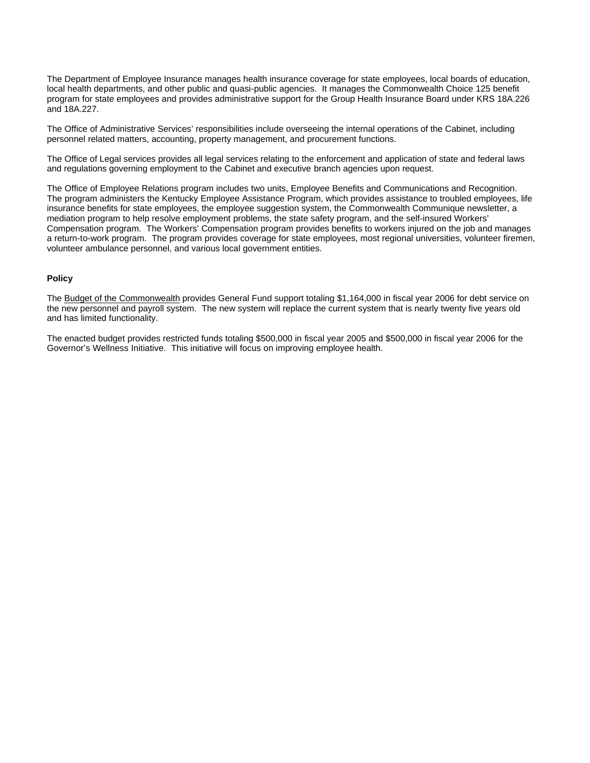The Department of Employee Insurance manages health insurance coverage for state employees, local boards of education, local health departments, and other public and quasi-public agencies. It manages the Commonwealth Choice 125 benefit program for state employees and provides administrative support for the Group Health Insurance Board under KRS 18A.226 and 18A.227.

The Office of Administrative Services' responsibilities include overseeing the internal operations of the Cabinet, including personnel related matters, accounting, property management, and procurement functions.

The Office of Legal services provides all legal services relating to the enforcement and application of state and federal laws and regulations governing employment to the Cabinet and executive branch agencies upon request.

The Office of Employee Relations program includes two units, Employee Benefits and Communications and Recognition. The program administers the Kentucky Employee Assistance Program, which provides assistance to troubled employees, life insurance benefits for state employees, the employee suggestion system, the Commonwealth Communique newsletter, a mediation program to help resolve employment problems, the state safety program, and the self-insured Workers' Compensation program. The Workers' Compensation program provides benefits to workers injured on the job and manages a return-to-work program. The program provides coverage for state employees, most regional universities, volunteer firemen, volunteer ambulance personnel, and various local government entities.

#### **Policy**

The Budget of the Commonwealth provides General Fund support totaling \$1,164,000 in fiscal year 2006 for debt service on the new personnel and payroll system. The new system will replace the current system that is nearly twenty five years old and has limited functionality.

The enacted budget provides restricted funds totaling \$500,000 in fiscal year 2005 and \$500,000 in fiscal year 2006 for the Governor's Wellness Initiative. This initiative will focus on improving employee health.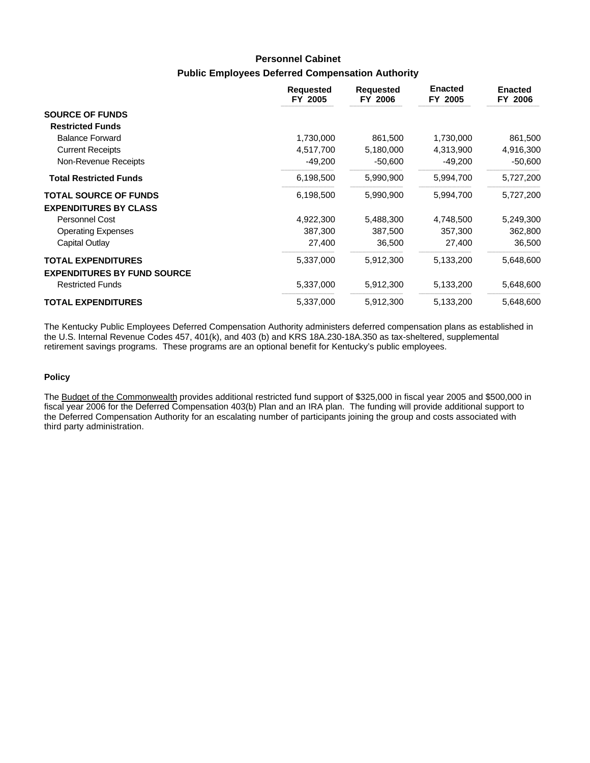# **Public Employees Deferred Compensation Authority Personnel Cabinet**

|                                                               | <b>Requested</b><br>FY 2005 | <b>Requested</b><br>FY 2006 | <b>Enacted</b><br>FY 2005 | <b>Enacted</b><br>FY 2006 |
|---------------------------------------------------------------|-----------------------------|-----------------------------|---------------------------|---------------------------|
| <b>SOURCE OF FUNDS</b>                                        |                             |                             |                           |                           |
| <b>Restricted Funds</b>                                       |                             |                             |                           |                           |
| <b>Balance Forward</b>                                        | 1,730,000                   | 861,500                     | 1,730,000                 | 861,500                   |
| <b>Current Receipts</b>                                       | 4,517,700                   | 5,180,000                   | 4,313,900                 | 4,916,300                 |
| Non-Revenue Receipts                                          | $-49,200$                   | $-50,600$                   | $-49,200$                 | $-50,600$                 |
| <b>Total Restricted Funds</b>                                 | 6,198,500                   | 5,990,900                   | 5,994,700                 | 5,727,200                 |
| <b>TOTAL SOURCE OF FUNDS</b>                                  | 6,198,500                   | 5,990,900                   | 5,994,700                 | 5,727,200                 |
| <b>EXPENDITURES BY CLASS</b>                                  |                             |                             |                           |                           |
| Personnel Cost                                                | 4,922,300                   | 5,488,300                   | 4,748,500                 | 5,249,300                 |
| <b>Operating Expenses</b>                                     | 387,300                     | 387,500                     | 357,300                   | 362,800                   |
| Capital Outlay                                                | 27,400                      | 36,500                      | 27,400                    | 36,500                    |
| <b>TOTAL EXPENDITURES</b>                                     | 5,337,000                   | 5,912,300                   | 5,133,200                 | 5,648,600                 |
| <b>EXPENDITURES BY FUND SOURCE</b><br><b>Restricted Funds</b> | 5,337,000                   | 5,912,300                   | 5,133,200                 | 5,648,600                 |
| <b>TOTAL EXPENDITURES</b>                                     | 5,337,000                   | 5,912,300                   | 5,133,200                 | 5,648,600                 |

The Kentucky Public Employees Deferred Compensation Authority administers deferred compensation plans as established in the U.S. Internal Revenue Codes 457, 401(k), and 403 (b) and KRS 18A.230-18A.350 as tax-sheltered, supplemental retirement savings programs. These programs are an optional benefit for Kentucky's public employees.

#### **Policy**

The Budget of the Commonwealth provides additional restricted fund support of \$325,000 in fiscal year 2005 and \$500,000 in fiscal year 2006 for the Deferred Compensation 403(b) Plan and an IRA plan. The funding will provide additional support to the Deferred Compensation Authority for an escalating number of participants joining the group and costs associated with third party administration.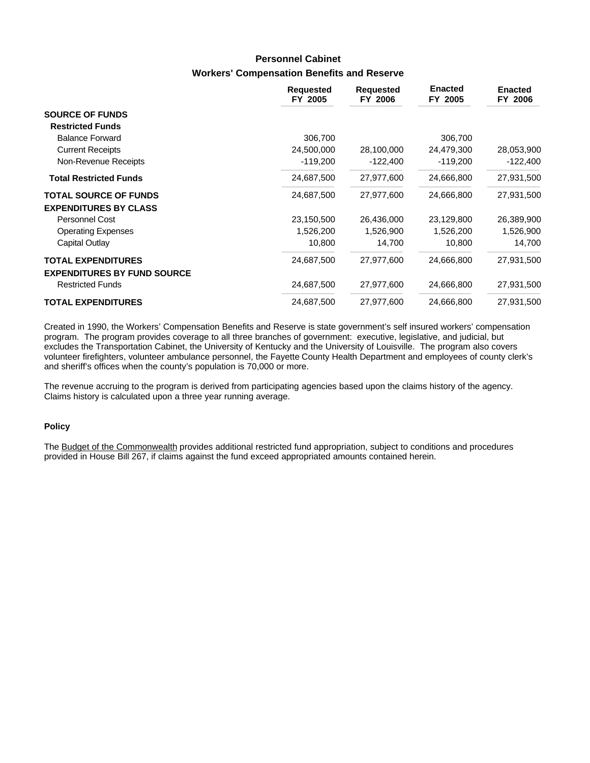# **Workers' Compensation Benefits and Reserve Personnel Cabinet**

|                                    | <b>Requested</b><br>FY 2005 | <b>Requested</b><br>FY 2006 | <b>Enacted</b><br>FY 2005 | <b>Enacted</b><br>FY 2006 |
|------------------------------------|-----------------------------|-----------------------------|---------------------------|---------------------------|
| <b>SOURCE OF FUNDS</b>             |                             |                             |                           |                           |
| <b>Restricted Funds</b>            |                             |                             |                           |                           |
| <b>Balance Forward</b>             | 306,700                     |                             | 306,700                   |                           |
| <b>Current Receipts</b>            | 24,500,000                  | 28,100,000                  | 24,479,300                | 28,053,900                |
| Non-Revenue Receipts               | $-119,200$                  | $-122,400$                  | $-119,200$                | $-122,400$                |
| <b>Total Restricted Funds</b>      | 24,687,500                  | 27,977,600                  | 24,666,800                | 27,931,500                |
| <b>TOTAL SOURCE OF FUNDS</b>       | 24,687,500                  | 27,977,600                  | 24,666,800                | 27,931,500                |
| <b>EXPENDITURES BY CLASS</b>       |                             |                             |                           |                           |
| Personnel Cost                     | 23,150,500                  | 26,436,000                  | 23,129,800                | 26,389,900                |
| <b>Operating Expenses</b>          | 1,526,200                   | 1,526,900                   | 1,526,200                 | 1,526,900                 |
| Capital Outlay                     | 10,800                      | 14,700                      | 10,800                    | 14,700                    |
| <b>TOTAL EXPENDITURES</b>          | 24,687,500                  | 27,977,600                  | 24,666,800                | 27,931,500                |
| <b>EXPENDITURES BY FUND SOURCE</b> |                             |                             |                           |                           |
| <b>Restricted Funds</b>            | 24,687,500                  | 27,977,600                  | 24,666,800                | 27,931,500                |
| <b>TOTAL EXPENDITURES</b>          | 24,687,500                  | 27,977,600                  | 24,666,800                | 27,931,500                |

Created in 1990, the Workers' Compensation Benefits and Reserve is state government's self insured workers' compensation program. The program provides coverage to all three branches of government: executive, legislative, and judicial, but excludes the Transportation Cabinet, the University of Kentucky and the University of Louisville. The program also covers volunteer firefighters, volunteer ambulance personnel, the Fayette County Health Department and employees of county clerk's and sheriff's offices when the county's population is 70,000 or more.

The revenue accruing to the program is derived from participating agencies based upon the claims history of the agency. Claims history is calculated upon a three year running average.

#### **Policy**

The Budget of the Commonwealth provides additional restricted fund appropriation, subject to conditions and procedures provided in House Bill 267, if claims against the fund exceed appropriated amounts contained herein.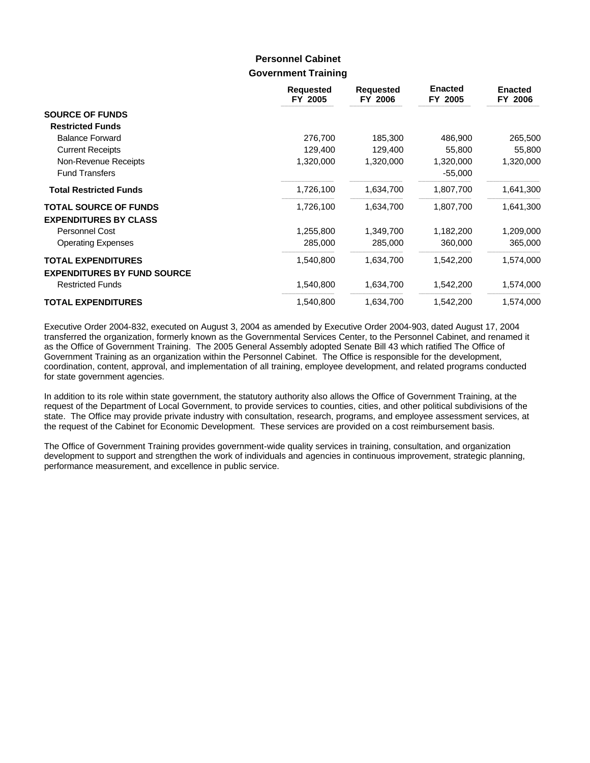### **Government Training Personnel Cabinet**

|                                    | <b>Requested</b><br>FY 2005 | <b>Requested</b><br>FY 2006 | <b>Enacted</b><br>FY 2005 | <b>Enacted</b><br>FY 2006 |
|------------------------------------|-----------------------------|-----------------------------|---------------------------|---------------------------|
| <b>SOURCE OF FUNDS</b>             |                             |                             |                           |                           |
| <b>Restricted Funds</b>            |                             |                             |                           |                           |
| <b>Balance Forward</b>             | 276,700                     | 185,300                     | 486,900                   | 265,500                   |
| <b>Current Receipts</b>            | 129,400                     | 129,400                     | 55,800                    | 55,800                    |
| Non-Revenue Receipts               | 1,320,000                   | 1,320,000                   | 1,320,000                 | 1,320,000                 |
| <b>Fund Transfers</b>              |                             |                             | $-55,000$                 |                           |
| <b>Total Restricted Funds</b>      | 1,726,100                   | 1,634,700                   | 1,807,700                 | 1,641,300                 |
| <b>TOTAL SOURCE OF FUNDS</b>       | 1,726,100                   | 1,634,700                   | 1,807,700                 | 1,641,300                 |
| <b>EXPENDITURES BY CLASS</b>       |                             |                             |                           |                           |
| Personnel Cost                     | 1,255,800                   | 1,349,700                   | 1,182,200                 | 1,209,000                 |
| <b>Operating Expenses</b>          | 285,000                     | 285,000                     | 360,000                   | 365,000                   |
| <b>TOTAL EXPENDITURES</b>          | 1,540,800                   | 1,634,700                   | 1,542,200                 | 1,574,000                 |
| <b>EXPENDITURES BY FUND SOURCE</b> |                             |                             |                           |                           |
| <b>Restricted Funds</b>            | 1,540,800                   | 1,634,700                   | 1,542,200                 | 1,574,000                 |
| <b>TOTAL EXPENDITURES</b>          | 1,540,800                   | 1,634,700                   | 1,542,200                 | 1,574,000                 |

Executive Order 2004-832, executed on August 3, 2004 as amended by Executive Order 2004-903, dated August 17, 2004 transferred the organization, formerly known as the Governmental Services Center, to the Personnel Cabinet, and renamed it as the Office of Government Training. The 2005 General Assembly adopted Senate Bill 43 which ratified The Office of Government Training as an organization within the Personnel Cabinet. The Office is responsible for the development, coordination, content, approval, and implementation of all training, employee development, and related programs conducted for state government agencies.

In addition to its role within state government, the statutory authority also allows the Office of Government Training, at the request of the Department of Local Government, to provide services to counties, cities, and other political subdivisions of the state. The Office may provide private industry with consultation, research, programs, and employee assessment services, at the request of the Cabinet for Economic Development. These services are provided on a cost reimbursement basis.

The Office of Government Training provides government-wide quality services in training, consultation, and organization development to support and strengthen the work of individuals and agencies in continuous improvement, strategic planning, performance measurement, and excellence in public service.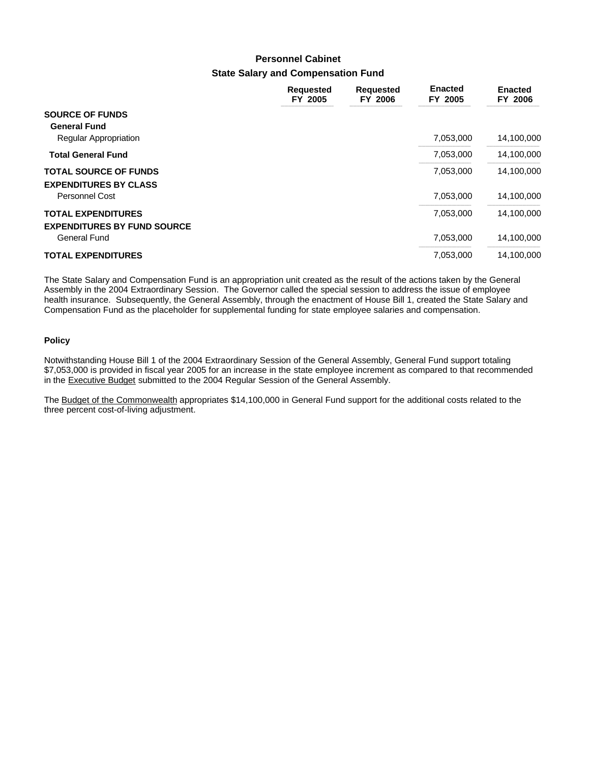# **State Salary and Compensation Fund Personnel Cabinet**

|                                                                        | <b>Requested</b><br>FY 2005 | <b>Requested</b><br>FY 2006 | <b>Enacted</b><br>FY 2005 | <b>Enacted</b><br>FY 2006 |
|------------------------------------------------------------------------|-----------------------------|-----------------------------|---------------------------|---------------------------|
| <b>SOURCE OF FUNDS</b><br><b>General Fund</b><br>Regular Appropriation |                             |                             | 7,053,000                 | 14,100,000                |
| <b>Total General Fund</b>                                              |                             |                             | 7,053,000                 | 14,100,000                |
| <b>TOTAL SOURCE OF FUNDS</b><br><b>EXPENDITURES BY CLASS</b>           |                             |                             | 7,053,000                 | 14,100,000                |
| Personnel Cost                                                         |                             |                             | 7,053,000                 | 14,100,000                |
| <b>TOTAL EXPENDITURES</b><br><b>EXPENDITURES BY FUND SOURCE</b>        |                             |                             | 7,053,000                 | 14,100,000                |
| General Fund                                                           |                             |                             | 7,053,000                 | 14,100,000                |
| <b>TOTAL EXPENDITURES</b>                                              |                             |                             | 7,053,000                 | 14,100,000                |

The State Salary and Compensation Fund is an appropriation unit created as the result of the actions taken by the General Assembly in the 2004 Extraordinary Session. The Governor called the special session to address the issue of employee health insurance. Subsequently, the General Assembly, through the enactment of House Bill 1, created the State Salary and Compensation Fund as the placeholder for supplemental funding for state employee salaries and compensation.

#### **Policy**

Notwithstanding House Bill 1 of the 2004 Extraordinary Session of the General Assembly, General Fund support totaling \$7,053,000 is provided in fiscal year 2005 for an increase in the state employee increment as compared to that recommended in the Executive Budget submitted to the 2004 Regular Session of the General Assembly.

The Budget of the Commonwealth appropriates \$14,100,000 in General Fund support for the additional costs related to the three percent cost-of-living adjustment.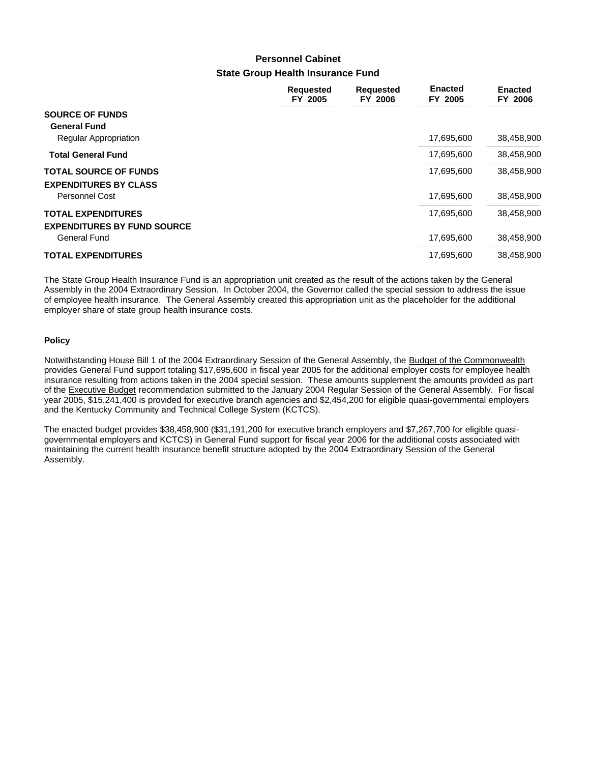# **State Group Health Insurance Fund Personnel Cabinet**

|                                                                        | Requested<br>FY 2005 | <b>Requested</b><br>FY 2006 | <b>Enacted</b><br>FY 2005 | <b>Enacted</b><br>FY 2006 |
|------------------------------------------------------------------------|----------------------|-----------------------------|---------------------------|---------------------------|
| <b>SOURCE OF FUNDS</b><br><b>General Fund</b><br>Regular Appropriation |                      |                             | 17,695,600                | 38,458,900                |
| <b>Total General Fund</b>                                              |                      |                             | 17,695,600                | 38,458,900                |
| <b>TOTAL SOURCE OF FUNDS</b><br><b>EXPENDITURES BY CLASS</b>           |                      |                             | 17,695,600                | 38,458,900                |
| Personnel Cost                                                         |                      |                             | 17,695,600                | 38,458,900                |
| <b>TOTAL EXPENDITURES</b><br><b>EXPENDITURES BY FUND SOURCE</b>        |                      |                             | 17,695,600                | 38,458,900                |
| General Fund                                                           |                      |                             | 17,695,600                | 38,458,900                |
| <b>TOTAL EXPENDITURES</b>                                              |                      |                             | 17,695,600                | 38,458,900                |

The State Group Health Insurance Fund is an appropriation unit created as the result of the actions taken by the General Assembly in the 2004 Extraordinary Session. In October 2004, the Governor called the special session to address the issue of employee health insurance. The General Assembly created this appropriation unit as the placeholder for the additional employer share of state group health insurance costs.

#### **Policy**

Notwithstanding House Bill 1 of the 2004 Extraordinary Session of the General Assembly, the Budget of the Commonwealth provides General Fund support totaling \$17,695,600 in fiscal year 2005 for the additional employer costs for employee health insurance resulting from actions taken in the 2004 special session. These amounts supplement the amounts provided as part of the Executive Budget recommendation submitted to the January 2004 Regular Session of the General Assembly. For fiscal year 2005, \$15,241,400 is provided for executive branch agencies and \$2,454,200 for eligible quasi-governmental employers and the Kentucky Community and Technical College System (KCTCS).

The enacted budget provides \$38,458,900 (\$31,191,200 for executive branch employers and \$7,267,700 for eligible quasigovernmental employers and KCTCS) in General Fund support for fiscal year 2006 for the additional costs associated with maintaining the current health insurance benefit structure adopted by the 2004 Extraordinary Session of the General Assembly.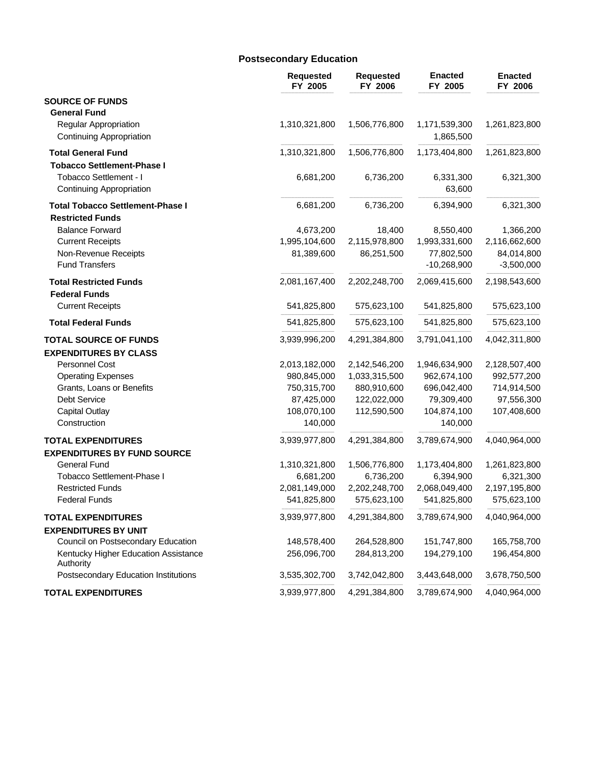### **Postsecondary Education**

|                                                                                 | <b>Requested</b><br>FY 2005 | <b>Requested</b><br>FY 2006 | <b>Enacted</b><br>FY 2005   | <b>Enacted</b><br>FY 2006  |
|---------------------------------------------------------------------------------|-----------------------------|-----------------------------|-----------------------------|----------------------------|
| <b>SOURCE OF FUNDS</b>                                                          |                             |                             |                             |                            |
| <b>General Fund</b><br>Regular Appropriation<br><b>Continuing Appropriation</b> | 1,310,321,800               | 1,506,776,800               | 1,171,539,300<br>1,865,500  | 1,261,823,800              |
| <b>Total General Fund</b><br><b>Tobacco Settlement-Phase I</b>                  | 1,310,321,800               | 1,506,776,800               | 1,173,404,800               | 1,261,823,800              |
| Tobacco Settlement - I<br><b>Continuing Appropriation</b>                       | 6,681,200                   | 6,736,200                   | 6,331,300<br>63,600         | 6,321,300                  |
| <b>Total Tobacco Settlement-Phase I</b>                                         | 6,681,200                   | 6,736,200                   | 6,394,900                   | 6,321,300                  |
| <b>Restricted Funds</b>                                                         |                             |                             |                             |                            |
| <b>Balance Forward</b>                                                          | 4,673,200                   | 18,400                      | 8,550,400                   | 1,366,200                  |
| <b>Current Receipts</b>                                                         | 1,995,104,600               | 2,115,978,800               | 1,993,331,600               | 2,116,662,600              |
| Non-Revenue Receipts<br><b>Fund Transfers</b>                                   | 81,389,600                  | 86,251,500                  | 77,802,500<br>$-10,268,900$ | 84,014,800<br>$-3,500,000$ |
| <b>Total Restricted Funds</b>                                                   | 2,081,167,400               | 2,202,248,700               | 2,069,415,600               | 2,198,543,600              |
| <b>Federal Funds</b>                                                            |                             |                             |                             |                            |
| <b>Current Receipts</b>                                                         | 541,825,800                 | 575,623,100                 | 541,825,800                 | 575,623,100                |
| <b>Total Federal Funds</b>                                                      | 541,825,800                 | 575,623,100                 | 541,825,800                 | 575,623,100                |
| <b>TOTAL SOURCE OF FUNDS</b>                                                    | 3,939,996,200               | 4,291,384,800               | 3,791,041,100               | 4,042,311,800              |
| <b>EXPENDITURES BY CLASS</b>                                                    |                             |                             |                             |                            |
| Personnel Cost                                                                  | 2,013,182,000               | 2,142,546,200               | 1,946,634,900               | 2,128,507,400              |
| <b>Operating Expenses</b>                                                       | 980,845,000                 | 1,033,315,500               | 962,674,100                 | 992,577,200                |
| Grants, Loans or Benefits                                                       | 750,315,700                 | 880,910,600                 | 696,042,400                 | 714,914,500                |
| Debt Service                                                                    | 87,425,000                  | 122,022,000                 | 79,309,400                  | 97,556,300                 |
| <b>Capital Outlay</b><br>Construction                                           | 108,070,100<br>140,000      | 112,590,500                 | 104,874,100<br>140,000      | 107,408,600                |
| <b>TOTAL EXPENDITURES</b>                                                       | 3,939,977,800               | 4,291,384,800               | 3,789,674,900               | 4,040,964,000              |
| <b>EXPENDITURES BY FUND SOURCE</b>                                              |                             |                             |                             |                            |
| General Fund                                                                    | 1,310,321,800               | 1,506,776,800               | 1,173,404,800               | 1,261,823,800              |
| Tobacco Settlement-Phase I                                                      | 6,681,200                   | 6,736,200                   | 6,394,900                   | 6,321,300                  |
| <b>Restricted Funds</b>                                                         | 2,081,149,000               | 2,202,248,700               | 2,068,049,400               | 2,197,195,800              |
| <b>Federal Funds</b>                                                            | 541,825,800                 | 575,623,100                 | 541,825,800                 | 575,623,100                |
| <b>TOTAL EXPENDITURES</b>                                                       | 3,939,977,800               | 4,291,384,800               | 3,789,674,900               | 4,040,964,000              |
| <b>EXPENDITURES BY UNIT</b>                                                     |                             |                             |                             |                            |
| Council on Postsecondary Education                                              | 148,578,400                 | 264,528,800                 | 151,747,800                 | 165,758,700                |
| Kentucky Higher Education Assistance<br>Authority                               | 256,096,700                 | 284,813,200                 | 194,279,100                 | 196,454,800                |
| Postsecondary Education Institutions                                            | 3,535,302,700               | 3,742,042,800               | 3,443,648,000               | 3,678,750,500              |
| <b>TOTAL EXPENDITURES</b>                                                       | 3,939,977,800               | 4,291,384,800               | 3,789,674,900               | 4,040,964,000              |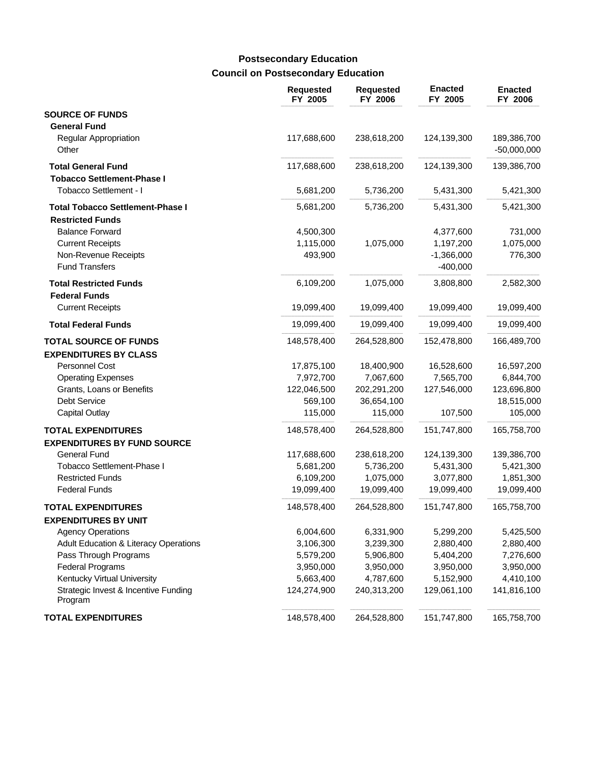# **Council on Postsecondary Education Postsecondary Education**

|                                                                                                                               | <b>Requested</b><br>FY 2005       | <b>Requested</b><br>FY 2006 | <b>Enacted</b><br>FY 2005                            | <b>Enacted</b><br>FY 2006       |
|-------------------------------------------------------------------------------------------------------------------------------|-----------------------------------|-----------------------------|------------------------------------------------------|---------------------------------|
| <b>SOURCE OF FUNDS</b>                                                                                                        |                                   |                             |                                                      |                                 |
| <b>General Fund</b><br>Regular Appropriation<br>Other                                                                         | 117,688,600                       | 238,618,200                 | 124,139,300                                          | 189,386,700<br>$-50,000,000$    |
| <b>Total General Fund</b>                                                                                                     | 117,688,600                       | 238,618,200                 | 124,139,300                                          | 139,386,700                     |
| <b>Tobacco Settlement-Phase I</b><br>Tobacco Settlement - I                                                                   | 5,681,200                         | 5,736,200                   | 5,431,300                                            | 5,421,300                       |
| <b>Total Tobacco Settlement-Phase I</b>                                                                                       | 5,681,200                         | 5,736,200                   | 5,431,300                                            | 5,421,300                       |
| <b>Restricted Funds</b><br><b>Balance Forward</b><br><b>Current Receipts</b><br>Non-Revenue Receipts<br><b>Fund Transfers</b> | 4,500,300<br>1,115,000<br>493,900 | 1,075,000                   | 4,377,600<br>1,197,200<br>$-1,366,000$<br>$-400,000$ | 731,000<br>1,075,000<br>776,300 |
| <b>Total Restricted Funds</b>                                                                                                 | 6,109,200                         | 1,075,000                   | 3,808,800                                            | 2,582,300                       |
| <b>Federal Funds</b><br><b>Current Receipts</b>                                                                               | 19,099,400                        | 19,099,400                  | 19,099,400                                           | 19,099,400                      |
| <b>Total Federal Funds</b>                                                                                                    | 19,099,400                        | 19,099,400                  | 19,099,400                                           | 19,099,400                      |
| <b>TOTAL SOURCE OF FUNDS</b><br><b>EXPENDITURES BY CLASS</b>                                                                  | 148,578,400                       | 264,528,800                 | 152,478,800                                          | 166,489,700                     |
| Personnel Cost                                                                                                                | 17,875,100                        | 18,400,900                  | 16,528,600                                           | 16,597,200                      |
| <b>Operating Expenses</b>                                                                                                     | 7,972,700                         | 7,067,600                   | 7,565,700                                            | 6,844,700                       |
| Grants, Loans or Benefits                                                                                                     | 122,046,500                       | 202,291,200                 | 127,546,000                                          | 123,696,800                     |
| <b>Debt Service</b>                                                                                                           | 569,100                           | 36,654,100                  |                                                      | 18,515,000                      |
| <b>Capital Outlay</b>                                                                                                         | 115,000                           | 115,000                     | 107,500                                              | 105,000                         |
| <b>TOTAL EXPENDITURES</b><br><b>EXPENDITURES BY FUND SOURCE</b>                                                               | 148,578,400                       | 264,528,800                 | 151,747,800                                          | 165,758,700                     |
| General Fund                                                                                                                  | 117,688,600                       | 238,618,200                 | 124,139,300                                          | 139,386,700                     |
| Tobacco Settlement-Phase I                                                                                                    | 5,681,200                         | 5,736,200                   | 5,431,300                                            | 5,421,300                       |
| <b>Restricted Funds</b>                                                                                                       | 6,109,200                         | 1,075,000                   | 3,077,800                                            | 1,851,300                       |
| <b>Federal Funds</b>                                                                                                          | 19,099,400                        | 19,099,400                  | 19,099,400                                           | 19,099,400                      |
| <b>TOTAL EXPENDITURES</b>                                                                                                     | 148,578,400                       | 264,528,800                 | 151,747,800                                          | 165,758,700                     |
| <b>EXPENDITURES BY UNIT</b>                                                                                                   |                                   |                             |                                                      |                                 |
| <b>Agency Operations</b>                                                                                                      | 6,004,600                         | 6,331,900                   | 5,299,200                                            | 5,425,500                       |
| <b>Adult Education &amp; Literacy Operations</b>                                                                              | 3,106,300                         | 3,239,300                   | 2,880,400                                            | 2,880,400                       |
| Pass Through Programs                                                                                                         | 5,579,200                         | 5,906,800                   | 5,404,200                                            | 7,276,600                       |
| <b>Federal Programs</b>                                                                                                       | 3,950,000                         | 3,950,000                   | 3,950,000                                            | 3,950,000                       |
| Kentucky Virtual University<br>Strategic Invest & Incentive Funding<br>Program                                                | 5,663,400<br>124,274,900          | 4,787,600<br>240,313,200    | 5,152,900<br>129,061,100                             | 4,410,100<br>141,816,100        |
| <b>TOTAL EXPENDITURES</b>                                                                                                     | 148,578,400                       | 264,528,800                 | 151,747,800                                          | 165,758,700                     |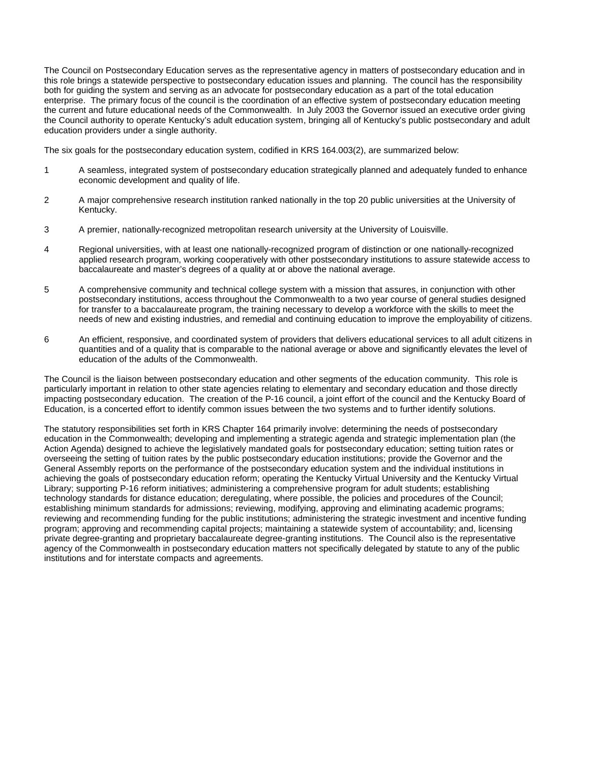The Council on Postsecondary Education serves as the representative agency in matters of postsecondary education and in this role brings a statewide perspective to postsecondary education issues and planning. The council has the responsibility both for guiding the system and serving as an advocate for postsecondary education as a part of the total education enterprise. The primary focus of the council is the coordination of an effective system of postsecondary education meeting the current and future educational needs of the Commonwealth. In July 2003 the Governor issued an executive order giving the Council authority to operate Kentucky's adult education system, bringing all of Kentucky's public postsecondary and adult education providers under a single authority.

The six goals for the postsecondary education system, codified in KRS 164.003(2), are summarized below:

- 1 A seamless, integrated system of postsecondary education strategically planned and adequately funded to enhance economic development and quality of life.
- 2 A major comprehensive research institution ranked nationally in the top 20 public universities at the University of Kentucky.
- 3 A premier, nationally-recognized metropolitan research university at the University of Louisville.
- 4 Regional universities, with at least one nationally-recognized program of distinction or one nationally-recognized applied research program, working cooperatively with other postsecondary institutions to assure statewide access to baccalaureate and master's degrees of a quality at or above the national average.
- 5 A comprehensive community and technical college system with a mission that assures, in conjunction with other postsecondary institutions, access throughout the Commonwealth to a two year course of general studies designed for transfer to a baccalaureate program, the training necessary to develop a workforce with the skills to meet the needs of new and existing industries, and remedial and continuing education to improve the employability of citizens.
- 6 An efficient, responsive, and coordinated system of providers that delivers educational services to all adult citizens in quantities and of a quality that is comparable to the national average or above and significantly elevates the level of education of the adults of the Commonwealth.

The Council is the liaison between postsecondary education and other segments of the education community. This role is particularly important in relation to other state agencies relating to elementary and secondary education and those directly impacting postsecondary education. The creation of the P-16 council, a joint effort of the council and the Kentucky Board of Education, is a concerted effort to identify common issues between the two systems and to further identify solutions.

The statutory responsibilities set forth in KRS Chapter 164 primarily involve: determining the needs of postsecondary education in the Commonwealth; developing and implementing a strategic agenda and strategic implementation plan (the Action Agenda) designed to achieve the legislatively mandated goals for postsecondary education; setting tuition rates or overseeing the setting of tuition rates by the public postsecondary education institutions; provide the Governor and the General Assembly reports on the performance of the postsecondary education system and the individual institutions in achieving the goals of postsecondary education reform; operating the Kentucky Virtual University and the Kentucky Virtual Library; supporting P-16 reform initiatives; administering a comprehensive program for adult students; establishing technology standards for distance education; deregulating, where possible, the policies and procedures of the Council; establishing minimum standards for admissions; reviewing, modifying, approving and eliminating academic programs; reviewing and recommending funding for the public institutions; administering the strategic investment and incentive funding program; approving and recommending capital projects; maintaining a statewide system of accountability; and, licensing private degree-granting and proprietary baccalaureate degree-granting institutions. The Council also is the representative agency of the Commonwealth in postsecondary education matters not specifically delegated by statute to any of the public institutions and for interstate compacts and agreements.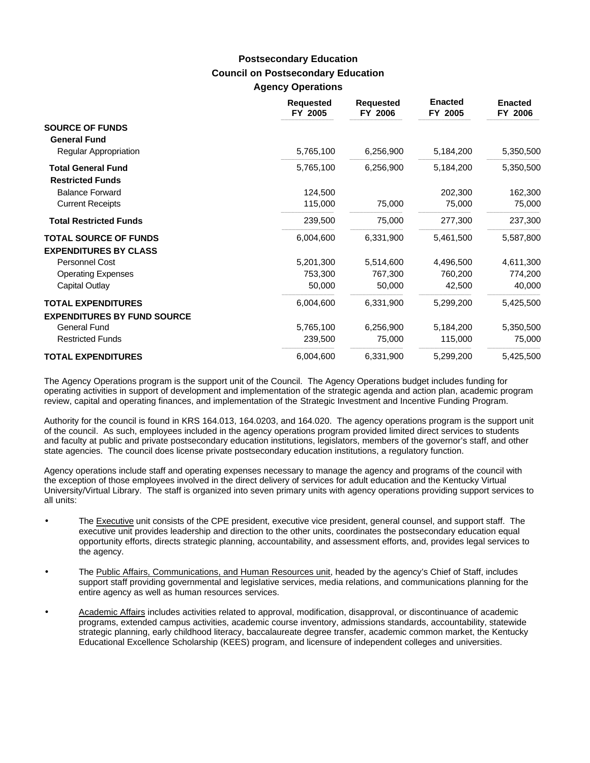### **Council on Postsecondary Education Agency Operations Postsecondary Education**

|                                                      | <b>Requested</b><br>FY 2005 | <b>Requested</b><br>FY 2006 | <b>Enacted</b><br>FY 2005 | <b>Enacted</b><br>FY 2006 |
|------------------------------------------------------|-----------------------------|-----------------------------|---------------------------|---------------------------|
| <b>SOURCE OF FUNDS</b><br><b>General Fund</b>        |                             |                             |                           |                           |
| <b>Regular Appropriation</b>                         | 5,765,100                   | 6,256,900                   | 5,184,200                 | 5,350,500                 |
| <b>Total General Fund</b><br><b>Restricted Funds</b> | 5,765,100                   | 6,256,900                   | 5,184,200                 | 5,350,500                 |
| <b>Balance Forward</b>                               | 124,500                     |                             | 202,300                   | 162,300                   |
| <b>Current Receipts</b>                              | 115,000                     | 75,000                      | 75,000                    | 75,000                    |
| <b>Total Restricted Funds</b>                        | 239,500                     | 75,000                      | 277,300                   | 237,300                   |
| <b>TOTAL SOURCE OF FUNDS</b>                         | 6,004,600                   | 6,331,900                   | 5,461,500                 | 5,587,800                 |
| <b>EXPENDITURES BY CLASS</b>                         |                             |                             |                           |                           |
| Personnel Cost                                       | 5,201,300                   | 5,514,600                   | 4,496,500                 | 4,611,300                 |
| <b>Operating Expenses</b>                            | 753,300                     | 767,300                     | 760,200                   | 774,200                   |
| Capital Outlay                                       | 50,000                      | 50,000                      | 42,500                    | 40,000                    |
| <b>TOTAL EXPENDITURES</b>                            | 6,004,600                   | 6,331,900                   | 5,299,200                 | 5,425,500                 |
| <b>EXPENDITURES BY FUND SOURCE</b>                   |                             |                             |                           |                           |
| <b>General Fund</b>                                  | 5,765,100                   | 6,256,900                   | 5,184,200                 | 5,350,500                 |
| <b>Restricted Funds</b>                              | 239,500                     | 75,000                      | 115,000                   | 75,000                    |
| <b>TOTAL EXPENDITURES</b>                            | 6,004,600                   | 6,331,900                   | 5,299,200                 | 5,425,500                 |

The Agency Operations program is the support unit of the Council. The Agency Operations budget includes funding for operating activities in support of development and implementation of the strategic agenda and action plan, academic program review, capital and operating finances, and implementation of the Strategic Investment and Incentive Funding Program.

Authority for the council is found in KRS 164.013, 164.0203, and 164.020. The agency operations program is the support unit of the council. As such, employees included in the agency operations program provided limited direct services to students and faculty at public and private postsecondary education institutions, legislators, members of the governor's staff, and other state agencies. The council does license private postsecondary education institutions, a regulatory function.

Agency operations include staff and operating expenses necessary to manage the agency and programs of the council with the exception of those employees involved in the direct delivery of services for adult education and the Kentucky Virtual University/Virtual Library. The staff is organized into seven primary units with agency operations providing support services to all units:

- The Executive unit consists of the CPE president, executive vice president, general counsel, and support staff. The executive unit provides leadership and direction to the other units, coordinates the postsecondary education equal opportunity efforts, directs strategic planning, accountability, and assessment efforts, and, provides legal services to the agency.
- The Public Affairs, Communications, and Human Resources unit, headed by the agency's Chief of Staff, includes support staff providing governmental and legislative services, media relations, and communications planning for the entire agency as well as human resources services.
- Academic Affairs includes activities related to approval, modification, disapproval, or discontinuance of academic programs, extended campus activities, academic course inventory, admissions standards, accountability, statewide strategic planning, early childhood literacy, baccalaureate degree transfer, academic common market, the Kentucky Educational Excellence Scholarship (KEES) program, and licensure of independent colleges and universities.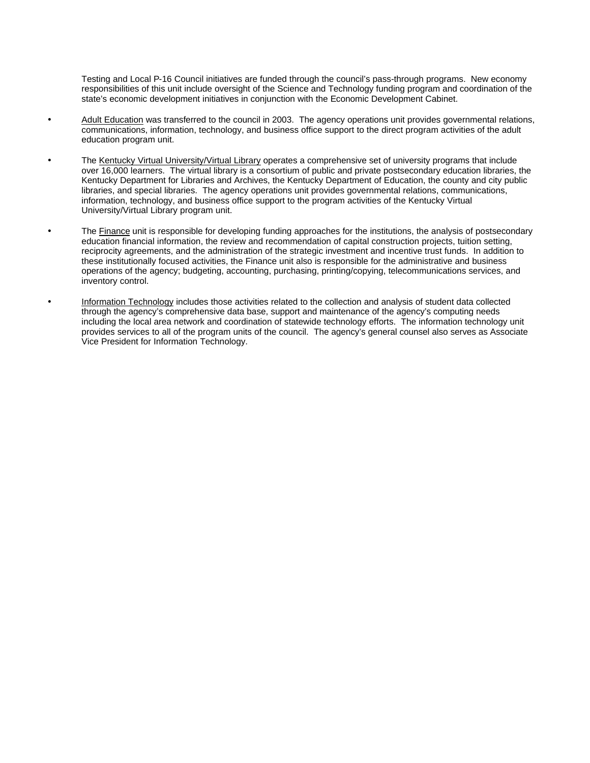Testing and Local P-16 Council initiatives are funded through the council's pass-through programs. New economy responsibilities of this unit include oversight of the Science and Technology funding program and coordination of the state's economic development initiatives in conjunction with the Economic Development Cabinet.

- Adult Education was transferred to the council in 2003. The agency operations unit provides governmental relations, communications, information, technology, and business office support to the direct program activities of the adult education program unit.
- The Kentucky Virtual University/Virtual Library operates a comprehensive set of university programs that include over 16,000 learners. The virtual library is a consortium of public and private postsecondary education libraries, the Kentucky Department for Libraries and Archives, the Kentucky Department of Education, the county and city public libraries, and special libraries. The agency operations unit provides governmental relations, communications, information, technology, and business office support to the program activities of the Kentucky Virtual University/Virtual Library program unit.
- The Finance unit is responsible for developing funding approaches for the institutions, the analysis of postsecondary education financial information, the review and recommendation of capital construction projects, tuition setting, reciprocity agreements, and the administration of the strategic investment and incentive trust funds. In addition to these institutionally focused activities, the Finance unit also is responsible for the administrative and business operations of the agency; budgeting, accounting, purchasing, printing/copying, telecommunications services, and inventory control.
- Information Technology includes those activities related to the collection and analysis of student data collected through the agency's comprehensive data base, support and maintenance of the agency's computing needs including the local area network and coordination of statewide technology efforts. The information technology unit provides services to all of the program units of the council. The agency's general counsel also serves as Associate Vice President for Information Technology.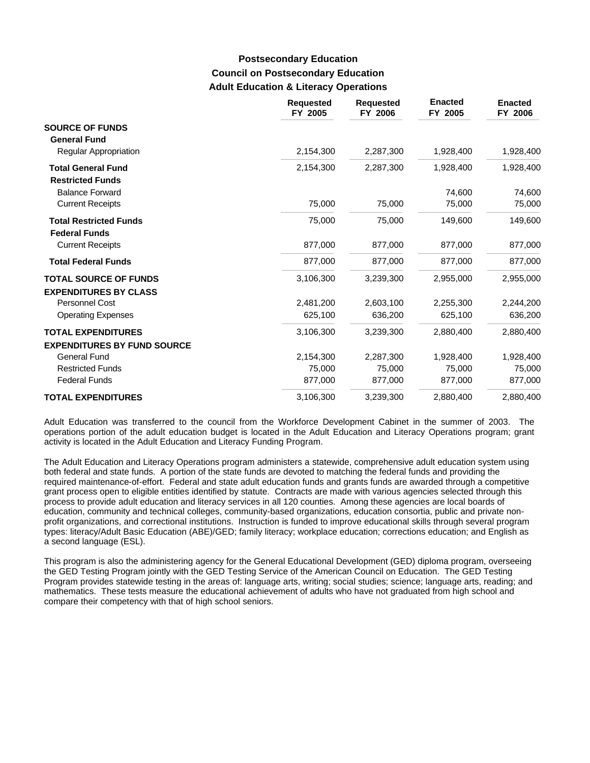### **Council on Postsecondary Education Adult Education & Literacy Operations Postsecondary Education**

|                                                                 | <b>Requested</b><br>FY 2005 | <b>Requested</b><br>FY 2006 | <b>Enacted</b><br>FY 2005 | <b>Enacted</b><br>FY 2006 |
|-----------------------------------------------------------------|-----------------------------|-----------------------------|---------------------------|---------------------------|
| <b>SOURCE OF FUNDS</b><br><b>General Fund</b>                   |                             |                             |                           |                           |
| Regular Appropriation                                           | 2,154,300                   | 2,287,300                   | 1,928,400                 | 1,928,400                 |
| <b>Total General Fund</b><br><b>Restricted Funds</b>            | 2,154,300                   | 2,287,300                   | 1,928,400                 | 1,928,400                 |
| <b>Balance Forward</b>                                          |                             |                             | 74,600                    | 74,600                    |
| <b>Current Receipts</b>                                         | 75,000                      | 75,000                      | 75,000                    | 75,000                    |
| <b>Total Restricted Funds</b><br><b>Federal Funds</b>           | 75,000                      | 75,000                      | 149,600                   | 149,600                   |
| <b>Current Receipts</b>                                         | 877,000                     | 877,000                     | 877,000                   | 877,000                   |
| <b>Total Federal Funds</b>                                      | 877,000                     | 877,000                     | 877,000                   | 877,000                   |
| <b>TOTAL SOURCE OF FUNDS</b><br><b>EXPENDITURES BY CLASS</b>    | 3,106,300                   | 3,239,300                   | 2,955,000                 | 2,955,000                 |
| Personnel Cost                                                  | 2,481,200                   | 2,603,100                   | 2,255,300                 | 2,244,200                 |
| <b>Operating Expenses</b>                                       | 625,100                     | 636,200                     | 625,100                   | 636,200                   |
| <b>TOTAL EXPENDITURES</b><br><b>EXPENDITURES BY FUND SOURCE</b> | 3,106,300                   | 3,239,300                   | 2,880,400                 | 2,880,400                 |
| <b>General Fund</b>                                             | 2,154,300                   | 2,287,300                   | 1,928,400                 | 1,928,400                 |
| <b>Restricted Funds</b>                                         | 75,000                      | 75,000                      | 75,000                    | 75,000                    |
| <b>Federal Funds</b>                                            | 877,000                     | 877,000                     | 877,000                   | 877,000                   |
| <b>TOTAL EXPENDITURES</b>                                       | 3,106,300                   | 3,239,300                   | 2,880,400                 | 2,880,400                 |

Adult Education was transferred to the council from the Workforce Development Cabinet in the summer of 2003. The operations portion of the adult education budget is located in the Adult Education and Literacy Operations program; grant activity is located in the Adult Education and Literacy Funding Program.

The Adult Education and Literacy Operations program administers a statewide, comprehensive adult education system using both federal and state funds. A portion of the state funds are devoted to matching the federal funds and providing the required maintenance-of-effort. Federal and state adult education funds and grants funds are awarded through a competitive grant process open to eligible entities identified by statute. Contracts are made with various agencies selected through this process to provide adult education and literacy services in all 120 counties. Among these agencies are local boards of education, community and technical colleges, community-based organizations, education consortia, public and private nonprofit organizations, and correctional institutions. Instruction is funded to improve educational skills through several program types: literacy/Adult Basic Education (ABE)/GED; family literacy; workplace education; corrections education; and English as a second language (ESL).

This program is also the administering agency for the General Educational Development (GED) diploma program, overseeing the GED Testing Program jointly with the GED Testing Service of the American Council on Education. The GED Testing Program provides statewide testing in the areas of: language arts, writing; social studies; science; language arts, reading; and mathematics. These tests measure the educational achievement of adults who have not graduated from high school and compare their competency with that of high school seniors.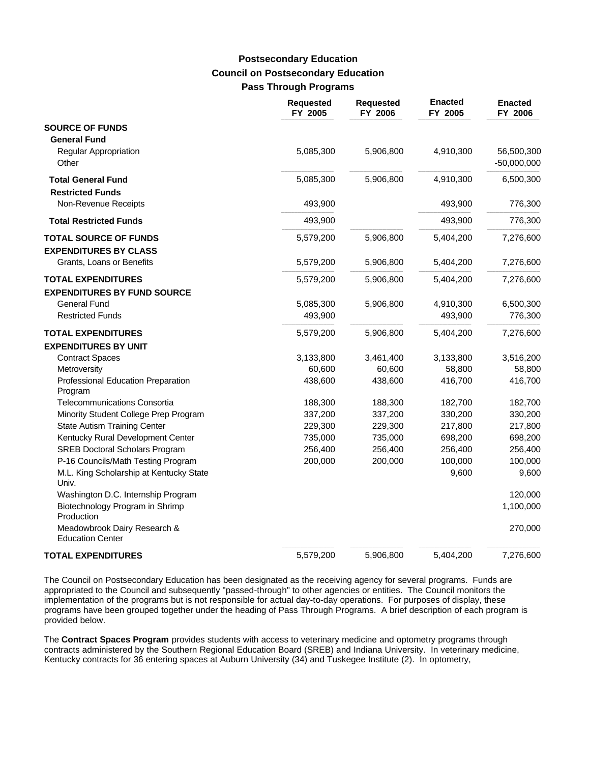### **Council on Postsecondary Education Pass Through Programs Postsecondary Education**

|                                                                 | <b>Requested</b><br>FY 2005 | <b>Requested</b><br>FY 2006 | <b>Enacted</b><br>FY 2005 | <b>Enacted</b><br>FY 2006   |
|-----------------------------------------------------------------|-----------------------------|-----------------------------|---------------------------|-----------------------------|
| <b>SOURCE OF FUNDS</b><br><b>General Fund</b>                   |                             |                             |                           |                             |
| Regular Appropriation<br>Other                                  | 5,085,300                   | 5,906,800                   | 4,910,300                 | 56,500,300<br>$-50,000,000$ |
| <b>Total General Fund</b><br><b>Restricted Funds</b>            | 5,085,300                   | 5,906,800                   | 4,910,300                 | 6,500,300                   |
| Non-Revenue Receipts                                            | 493,900                     |                             | 493,900                   | 776,300                     |
| <b>Total Restricted Funds</b>                                   | 493,900                     |                             | 493,900                   | 776,300                     |
| <b>TOTAL SOURCE OF FUNDS</b><br><b>EXPENDITURES BY CLASS</b>    | 5,579,200                   | 5,906,800                   | 5,404,200                 | 7,276,600                   |
| Grants, Loans or Benefits                                       | 5,579,200                   | 5,906,800                   | 5,404,200                 | 7,276,600                   |
| <b>TOTAL EXPENDITURES</b><br><b>EXPENDITURES BY FUND SOURCE</b> | 5,579,200                   | 5,906,800                   | 5,404,200                 | 7,276,600                   |
| General Fund                                                    | 5,085,300                   | 5,906,800                   | 4,910,300                 | 6,500,300                   |
| <b>Restricted Funds</b>                                         | 493,900                     |                             | 493,900                   | 776,300                     |
| <b>TOTAL EXPENDITURES</b>                                       | 5,579,200                   | 5,906,800                   | 5,404,200                 | 7,276,600                   |
| <b>EXPENDITURES BY UNIT</b>                                     |                             |                             |                           |                             |
| <b>Contract Spaces</b>                                          | 3,133,800                   | 3,461,400                   | 3,133,800                 | 3,516,200                   |
| Metroversity                                                    | 60,600                      | 60,600                      | 58,800                    | 58,800                      |
| Professional Education Preparation<br>Program                   | 438,600                     | 438,600                     | 416,700                   | 416,700                     |
| Telecommunications Consortia                                    | 188,300                     | 188,300                     | 182,700                   | 182,700                     |
| Minority Student College Prep Program                           | 337,200                     | 337,200                     | 330,200                   | 330,200                     |
| <b>State Autism Training Center</b>                             | 229,300                     | 229,300                     | 217,800                   | 217,800                     |
| Kentucky Rural Development Center                               | 735,000                     | 735,000                     | 698,200                   | 698,200                     |
| <b>SREB Doctoral Scholars Program</b>                           | 256,400                     | 256,400                     | 256,400                   | 256,400                     |
| P-16 Councils/Math Testing Program                              | 200,000                     | 200,000                     | 100,000                   | 100,000                     |
| M.L. King Scholarship at Kentucky State<br>Univ.                |                             |                             | 9,600                     | 9,600                       |
| Washington D.C. Internship Program                              |                             |                             |                           | 120,000                     |
| Biotechnology Program in Shrimp<br>Production                   |                             |                             |                           | 1,100,000                   |
| Meadowbrook Dairy Research &<br><b>Education Center</b>         |                             |                             |                           | 270,000                     |
| <b>TOTAL EXPENDITURES</b>                                       | 5,579,200                   | 5,906,800                   | 5,404,200                 | 7,276,600                   |

The Council on Postsecondary Education has been designated as the receiving agency for several programs. Funds are appropriated to the Council and subsequently "passed-through" to other agencies or entities. The Council monitors the implementation of the programs but is not responsible for actual day-to-day operations. For purposes of display, these programs have been grouped together under the heading of Pass Through Programs. A brief description of each program is provided below.

The **Contract Spaces Program** provides students with access to veterinary medicine and optometry programs through contracts administered by the Southern Regional Education Board (SREB) and Indiana University. In veterinary medicine, Kentucky contracts for 36 entering spaces at Auburn University (34) and Tuskegee Institute (2). In optometry,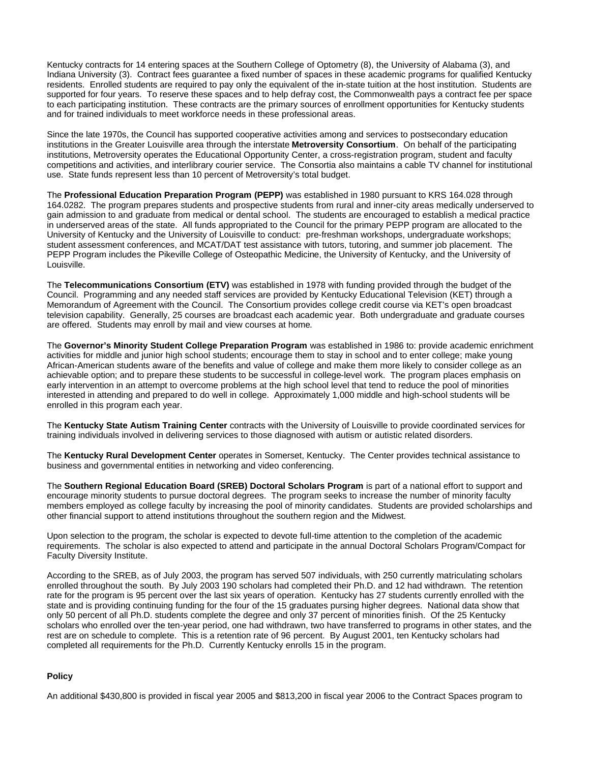Kentucky contracts for 14 entering spaces at the Southern College of Optometry (8), the University of Alabama (3), and Indiana University (3). Contract fees guarantee a fixed number of spaces in these academic programs for qualified Kentucky residents. Enrolled students are required to pay only the equivalent of the in-state tuition at the host institution. Students are supported for four years. To reserve these spaces and to help defray cost, the Commonwealth pays a contract fee per space to each participating institution. These contracts are the primary sources of enrollment opportunities for Kentucky students and for trained individuals to meet workforce needs in these professional areas.

Since the late 1970s, the Council has supported cooperative activities among and services to postsecondary education institutions in the Greater Louisville area through the interstate **Metroversity Consortium**. On behalf of the participating institutions, Metroversity operates the Educational Opportunity Center, a cross-registration program, student and faculty competitions and activities, and interlibrary courier service. The Consortia also maintains a cable TV channel for institutional use. State funds represent less than 10 percent of Metroversity's total budget.

The **Professional Education Preparation Program (PEPP)** was established in 1980 pursuant to KRS 164.028 through 164.0282. The program prepares students and prospective students from rural and inner-city areas medically underserved to gain admission to and graduate from medical or dental school. The students are encouraged to establish a medical practice in underserved areas of the state. All funds appropriated to the Council for the primary PEPP program are allocated to the University of Kentucky and the University of Louisville to conduct: pre-freshman workshops, undergraduate workshops; student assessment conferences, and MCAT/DAT test assistance with tutors, tutoring, and summer job placement. The PEPP Program includes the Pikeville College of Osteopathic Medicine, the University of Kentucky, and the University of Louisville.

The **Telecommunications Consortium (ETV)** was established in 1978 with funding provided through the budget of the Council. Programming and any needed staff services are provided by Kentucky Educational Television (KET) through a Memorandum of Agreement with the Council. The Consortium provides college credit course via KET's open broadcast television capability. Generally, 25 courses are broadcast each academic year. Both undergraduate and graduate courses are offered. Students may enroll by mail and view courses at home.

The **Governor's Minority Student College Preparation Program** was established in 1986 to: provide academic enrichment activities for middle and junior high school students; encourage them to stay in school and to enter college; make young African-American students aware of the benefits and value of college and make them more likely to consider college as an achievable option; and to prepare these students to be successful in college-level work. The program places emphasis on early intervention in an attempt to overcome problems at the high school level that tend to reduce the pool of minorities interested in attending and prepared to do well in college. Approximately 1,000 middle and high-school students will be enrolled in this program each year.

The **Kentucky State Autism Training Center** contracts with the University of Louisville to provide coordinated services for training individuals involved in delivering services to those diagnosed with autism or autistic related disorders.

The **Kentucky Rural Development Center** operates in Somerset, Kentucky. The Center provides technical assistance to business and governmental entities in networking and video conferencing.

The **Southern Regional Education Board (SREB) Doctoral Scholars Program** is part of a national effort to support and encourage minority students to pursue doctoral degrees. The program seeks to increase the number of minority faculty members employed as college faculty by increasing the pool of minority candidates. Students are provided scholarships and other financial support to attend institutions throughout the southern region and the Midwest.

Upon selection to the program, the scholar is expected to devote full-time attention to the completion of the academic requirements. The scholar is also expected to attend and participate in the annual Doctoral Scholars Program/Compact for Faculty Diversity Institute.

According to the SREB, as of July 2003, the program has served 507 individuals, with 250 currently matriculating scholars enrolled throughout the south. By July 2003 190 scholars had completed their Ph.D. and 12 had withdrawn. The retention rate for the program is 95 percent over the last six years of operation. Kentucky has 27 students currently enrolled with the state and is providing continuing funding for the four of the 15 graduates pursing higher degrees. National data show that only 50 percent of all Ph.D. students complete the degree and only 37 percent of minorities finish. Of the 25 Kentucky scholars who enrolled over the ten-year period, one had withdrawn, two have transferred to programs in other states, and the rest are on schedule to complete. This is a retention rate of 96 percent. By August 2001, ten Kentucky scholars had completed all requirements for the Ph.D. Currently Kentucky enrolls 15 in the program.

### **Policy**

An additional \$430,800 is provided in fiscal year 2005 and \$813,200 in fiscal year 2006 to the Contract Spaces program to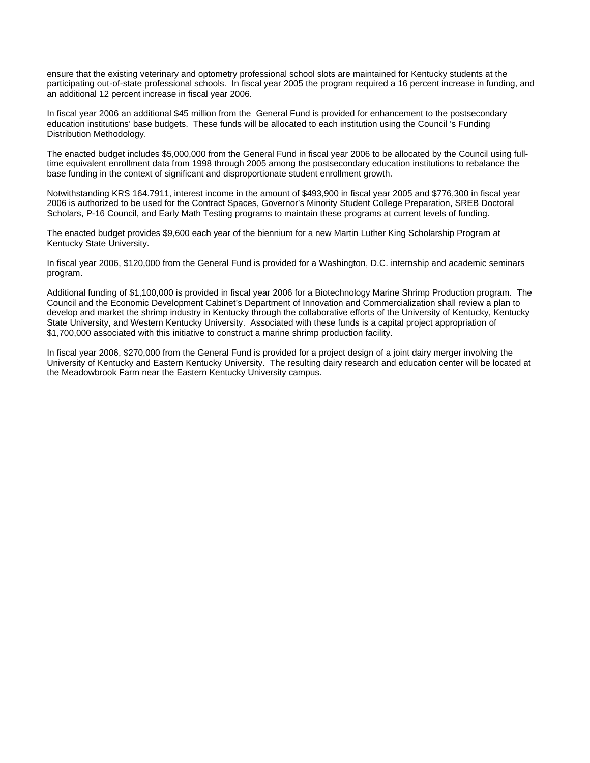ensure that the existing veterinary and optometry professional school slots are maintained for Kentucky students at the participating out-of-state professional schools. In fiscal year 2005 the program required a 16 percent increase in funding, and an additional 12 percent increase in fiscal year 2006.

In fiscal year 2006 an additional \$45 million from the General Fund is provided for enhancement to the postsecondary education institutions' base budgets. These funds will be allocated to each institution using the Council 's Funding Distribution Methodology.

The enacted budget includes \$5,000,000 from the General Fund in fiscal year 2006 to be allocated by the Council using fulltime equivalent enrollment data from 1998 through 2005 among the postsecondary education institutions to rebalance the base funding in the context of significant and disproportionate student enrollment growth.

Notwithstanding KRS 164.7911, interest income in the amount of \$493,900 in fiscal year 2005 and \$776,300 in fiscal year 2006 is authorized to be used for the Contract Spaces, Governor's Minority Student College Preparation, SREB Doctoral Scholars, P-16 Council, and Early Math Testing programs to maintain these programs at current levels of funding.

The enacted budget provides \$9,600 each year of the biennium for a new Martin Luther King Scholarship Program at Kentucky State University.

In fiscal year 2006, \$120,000 from the General Fund is provided for a Washington, D.C. internship and academic seminars program.

Additional funding of \$1,100,000 is provided in fiscal year 2006 for a Biotechnology Marine Shrimp Production program. The Council and the Economic Development Cabinet's Department of Innovation and Commercialization shall review a plan to develop and market the shrimp industry in Kentucky through the collaborative efforts of the University of Kentucky, Kentucky State University, and Western Kentucky University. Associated with these funds is a capital project appropriation of \$1,700,000 associated with this initiative to construct a marine shrimp production facility.

In fiscal year 2006, \$270,000 from the General Fund is provided for a project design of a joint dairy merger involving the University of Kentucky and Eastern Kentucky University. The resulting dairy research and education center will be located at the Meadowbrook Farm near the Eastern Kentucky University campus.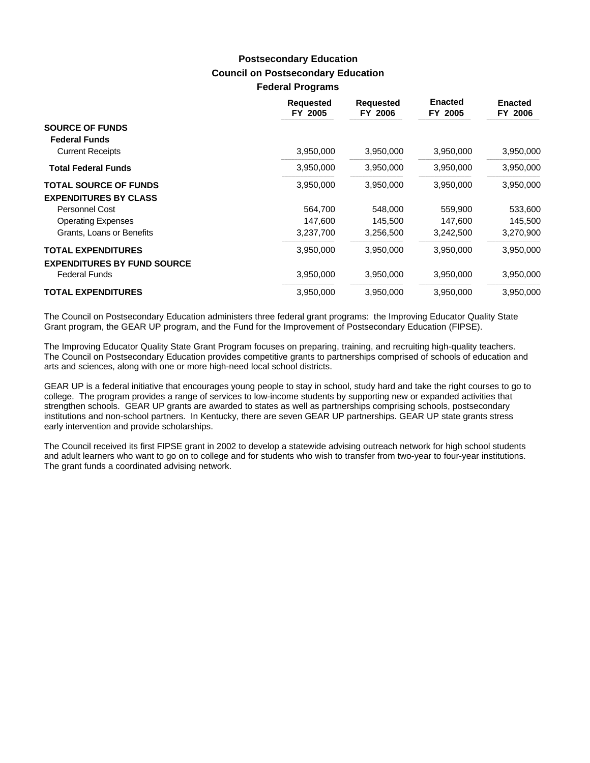### **Council on Postsecondary Education Federal Programs Postsecondary Education**

|                                                | <b>Requested</b><br>FY 2005 | <b>Requested</b><br>FY 2006 | <b>Enacted</b><br>FY 2005 | <b>Enacted</b><br>FY 2006 |
|------------------------------------------------|-----------------------------|-----------------------------|---------------------------|---------------------------|
| <b>SOURCE OF FUNDS</b><br><b>Federal Funds</b> |                             |                             |                           |                           |
| <b>Current Receipts</b>                        | 3,950,000                   | 3,950,000                   | 3,950,000                 | 3,950,000                 |
| <b>Total Federal Funds</b>                     | 3,950,000                   | 3,950,000                   | 3,950,000                 | 3,950,000                 |
| <b>TOTAL SOURCE OF FUNDS</b>                   | 3,950,000                   | 3,950,000                   | 3,950,000                 | 3,950,000                 |
| <b>EXPENDITURES BY CLASS</b>                   |                             |                             |                           |                           |
| Personnel Cost                                 | 564,700                     | 548,000                     | 559,900                   | 533,600                   |
| <b>Operating Expenses</b>                      | 147,600                     | 145,500                     | 147,600                   | 145,500                   |
| Grants, Loans or Benefits                      | 3,237,700                   | 3,256,500                   | 3,242,500                 | 3,270,900                 |
| <b>TOTAL EXPENDITURES</b>                      | 3,950,000                   | 3,950,000                   | 3,950,000                 | 3,950,000                 |
| <b>EXPENDITURES BY FUND SOURCE</b>             |                             |                             |                           |                           |
| <b>Federal Funds</b>                           | 3,950,000                   | 3,950,000                   | 3,950,000                 | 3,950,000                 |
| <b>TOTAL EXPENDITURES</b>                      | 3,950,000                   | 3,950,000                   | 3,950,000                 | 3,950,000                 |

The Council on Postsecondary Education administers three federal grant programs: the Improving Educator Quality State Grant program, the GEAR UP program, and the Fund for the Improvement of Postsecondary Education (FIPSE).

The Improving Educator Quality State Grant Program focuses on preparing, training, and recruiting high-quality teachers. The Council on Postsecondary Education provides competitive grants to partnerships comprised of schools of education and arts and sciences, along with one or more high-need local school districts.

GEAR UP is a federal initiative that encourages young people to stay in school, study hard and take the right courses to go to college. The program provides a range of services to low-income students by supporting new or expanded activities that strengthen schools. GEAR UP grants are awarded to states as well as partnerships comprising schools, postsecondary institutions and non-school partners. In Kentucky, there are seven GEAR UP partnerships. GEAR UP state grants stress early intervention and provide scholarships.

The Council received its first FIPSE grant in 2002 to develop a statewide advising outreach network for high school students and adult learners who want to go on to college and for students who wish to transfer from two-year to four-year institutions. The grant funds a coordinated advising network.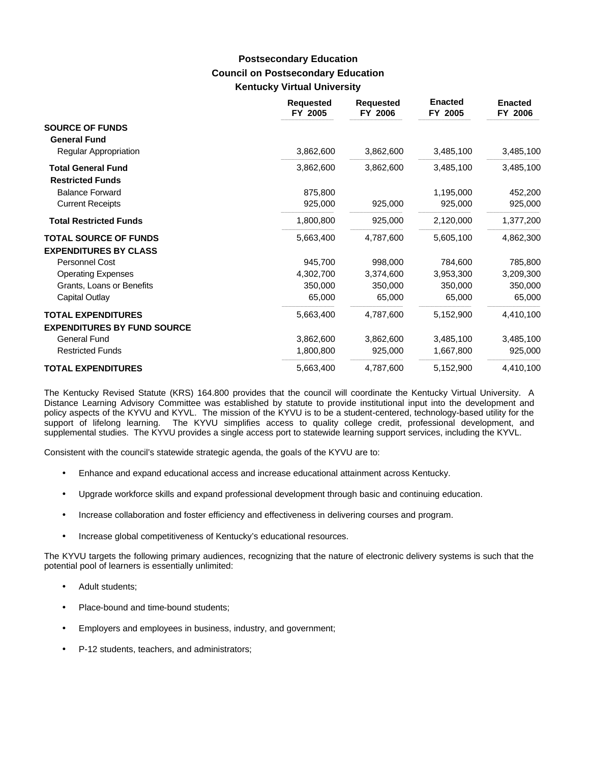### **Council on Postsecondary Education Kentucky Virtual University Postsecondary Education**

|                                                      | <b>Requested</b><br>FY 2005 | <b>Requested</b><br>FY 2006 | <b>Enacted</b><br>FY 2005 | <b>Enacted</b><br>FY 2006 |
|------------------------------------------------------|-----------------------------|-----------------------------|---------------------------|---------------------------|
| <b>SOURCE OF FUNDS</b><br><b>General Fund</b>        |                             |                             |                           |                           |
| Regular Appropriation                                | 3,862,600                   | 3,862,600                   | 3,485,100                 | 3,485,100                 |
| <b>Total General Fund</b><br><b>Restricted Funds</b> | 3,862,600                   | 3,862,600                   | 3,485,100                 | 3,485,100                 |
| <b>Balance Forward</b>                               | 875,800                     |                             | 1,195,000                 | 452,200                   |
| <b>Current Receipts</b>                              | 925,000                     | 925,000                     | 925,000                   | 925,000                   |
| <b>Total Restricted Funds</b>                        | 1,800,800                   | 925,000                     | 2,120,000                 | 1,377,200                 |
| <b>TOTAL SOURCE OF FUNDS</b>                         | 5,663,400                   | 4,787,600                   | 5,605,100                 | 4,862,300                 |
| <b>EXPENDITURES BY CLASS</b>                         |                             |                             |                           |                           |
| Personnel Cost                                       | 945,700                     | 998,000                     | 784,600                   | 785,800                   |
| <b>Operating Expenses</b>                            | 4,302,700                   | 3,374,600                   | 3,953,300                 | 3,209,300                 |
| Grants, Loans or Benefits                            | 350,000                     | 350,000                     | 350,000                   | 350,000                   |
| Capital Outlay                                       | 65,000                      | 65,000                      | 65,000                    | 65,000                    |
| <b>TOTAL EXPENDITURES</b>                            | 5,663,400                   | 4,787,600                   | 5,152,900                 | 4,410,100                 |
| <b>EXPENDITURES BY FUND SOURCE</b>                   |                             |                             |                           |                           |
| <b>General Fund</b>                                  | 3,862,600                   | 3,862,600                   | 3,485,100                 | 3,485,100                 |
| <b>Restricted Funds</b>                              | 1,800,800                   | 925,000                     | 1,667,800                 | 925,000                   |
| <b>TOTAL EXPENDITURES</b>                            | 5,663,400                   | 4,787,600                   | 5,152,900                 | 4,410,100                 |

The Kentucky Revised Statute (KRS) 164.800 provides that the council will coordinate the Kentucky Virtual University. A Distance Learning Advisory Committee was established by statute to provide institutional input into the development and policy aspects of the KYVU and KYVL. The mission of the KYVU is to be a student-centered, technology-based utility for the support of lifelong learning. The KYVU simplifies access to quality college credit, professional development, and supplemental studies. The KYVU provides a single access port to statewide learning support services, including the KYVL.

Consistent with the council's statewide strategic agenda, the goals of the KYVU are to:

- Enhance and expand educational access and increase educational attainment across Kentucky.
- Upgrade workforce skills and expand professional development through basic and continuing education.
- Increase collaboration and foster efficiency and effectiveness in delivering courses and program.
- Increase global competitiveness of Kentucky's educational resources.

The KYVU targets the following primary audiences, recognizing that the nature of electronic delivery systems is such that the potential pool of learners is essentially unlimited:

- Adult students;
- Place-bound and time-bound students;
- Employers and employees in business, industry, and government;
- P-12 students, teachers, and administrators;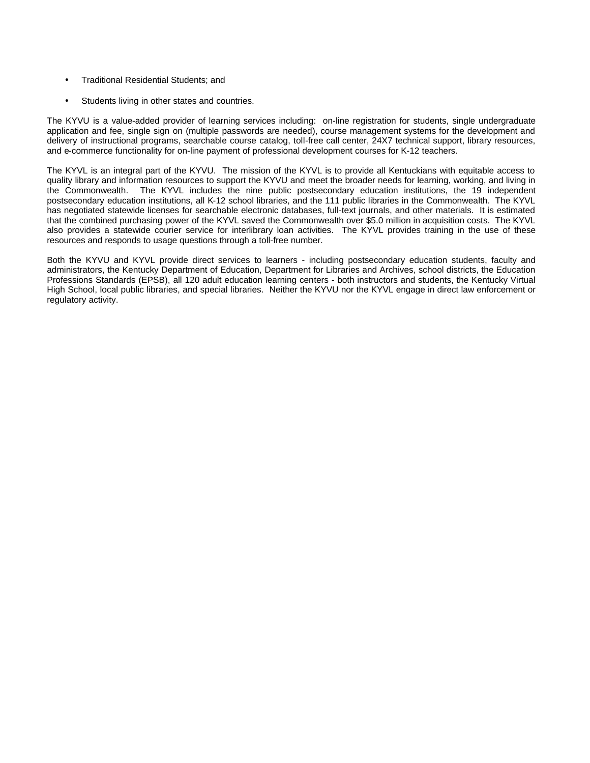- Traditional Residential Students; and
- Students living in other states and countries.

The KYVU is a value-added provider of learning services including: on-line registration for students, single undergraduate application and fee, single sign on (multiple passwords are needed), course management systems for the development and delivery of instructional programs, searchable course catalog, toll-free call center, 24X7 technical support, library resources, and e-commerce functionality for on-line payment of professional development courses for K-12 teachers.

The KYVL is an integral part of the KYVU. The mission of the KYVL is to provide all Kentuckians with equitable access to quality library and information resources to support the KYVU and meet the broader needs for learning, working, and living in the Commonwealth. The KYVL includes the nine public postsecondary education institutions, the 19 independent postsecondary education institutions, all K-12 school libraries, and the 111 public libraries in the Commonwealth. The KYVL has negotiated statewide licenses for searchable electronic databases, full-text journals, and other materials. It is estimated that the combined purchasing power of the KYVL saved the Commonwealth over \$5.0 million in acquisition costs. The KYVL also provides a statewide courier service for interlibrary loan activities. The KYVL provides training in the use of these resources and responds to usage questions through a toll-free number.

Both the KYVU and KYVL provide direct services to learners - including postsecondary education students, faculty and administrators, the Kentucky Department of Education, Department for Libraries and Archives, school districts, the Education Professions Standards (EPSB), all 120 adult education learning centers - both instructors and students, the Kentucky Virtual High School, local public libraries, and special libraries. Neither the KYVU nor the KYVL engage in direct law enforcement or regulatory activity.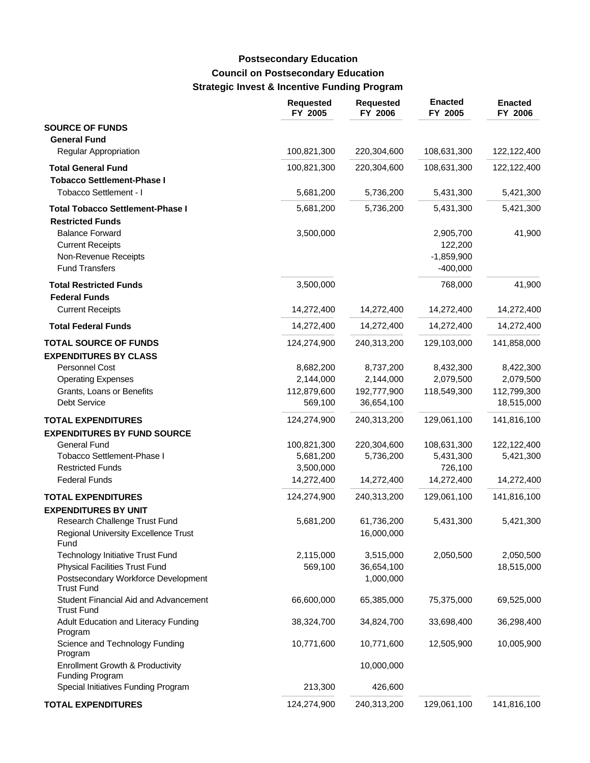# **Council on Postsecondary Education Strategic Invest & Incentive Funding Program Postsecondary Education**

|                                                            | <b>Requested</b><br>FY 2005 | <b>Requested</b><br>FY 2006 | <b>Enacted</b><br>FY 2005 | <b>Enacted</b><br>FY 2006 |
|------------------------------------------------------------|-----------------------------|-----------------------------|---------------------------|---------------------------|
| <b>SOURCE OF FUNDS</b>                                     |                             |                             |                           |                           |
| <b>General Fund</b>                                        |                             |                             |                           |                           |
| <b>Regular Appropriation</b>                               | 100,821,300                 | 220,304,600                 | 108,631,300               | 122,122,400               |
| <b>Total General Fund</b>                                  | 100,821,300                 | 220,304,600                 | 108,631,300               | 122,122,400               |
| <b>Tobacco Settlement-Phase I</b>                          |                             |                             |                           |                           |
| Tobacco Settlement - I                                     | 5,681,200                   | 5,736,200                   | 5,431,300                 | 5,421,300                 |
| <b>Total Tobacco Settlement-Phase I</b>                    | 5,681,200                   | 5,736,200                   | 5,431,300                 | 5,421,300                 |
| <b>Restricted Funds</b>                                    |                             |                             |                           |                           |
| <b>Balance Forward</b>                                     | 3,500,000                   |                             | 2,905,700                 | 41,900                    |
| <b>Current Receipts</b>                                    |                             |                             | 122,200                   |                           |
| Non-Revenue Receipts                                       |                             |                             | $-1,859,900$              |                           |
| <b>Fund Transfers</b>                                      |                             |                             | $-400,000$                |                           |
| <b>Total Restricted Funds</b>                              | 3,500,000                   |                             | 768,000                   | 41,900                    |
| <b>Federal Funds</b>                                       |                             |                             |                           |                           |
| <b>Current Receipts</b>                                    | 14,272,400                  | 14,272,400                  | 14,272,400                | 14,272,400                |
| <b>Total Federal Funds</b>                                 | 14,272,400                  | 14,272,400                  | 14,272,400                | 14,272,400                |
| <b>TOTAL SOURCE OF FUNDS</b>                               | 124,274,900                 | 240,313,200                 | 129,103,000               | 141,858,000               |
| <b>EXPENDITURES BY CLASS</b>                               |                             |                             |                           |                           |
| Personnel Cost                                             | 8,682,200                   | 8,737,200                   | 8,432,300                 | 8,422,300                 |
| <b>Operating Expenses</b>                                  | 2,144,000                   | 2,144,000                   | 2,079,500                 | 2,079,500                 |
| Grants, Loans or Benefits                                  | 112,879,600                 | 192,777,900                 | 118,549,300               | 112,799,300               |
| Debt Service                                               | 569,100                     | 36,654,100                  |                           | 18,515,000                |
| <b>TOTAL EXPENDITURES</b>                                  | 124,274,900                 | 240,313,200                 | 129,061,100               | 141,816,100               |
| <b>EXPENDITURES BY FUND SOURCE</b>                         |                             |                             |                           |                           |
| General Fund                                               | 100,821,300                 | 220,304,600                 | 108,631,300               | 122,122,400               |
| Tobacco Settlement-Phase I                                 | 5,681,200                   | 5,736,200                   | 5,431,300                 | 5,421,300                 |
| <b>Restricted Funds</b>                                    | 3,500,000                   |                             | 726,100                   |                           |
| <b>Federal Funds</b>                                       | 14,272,400                  | 14,272,400                  | 14,272,400                | 14,272,400                |
| <b>TOTAL EXPENDITURES</b>                                  | 124,274,900                 | 240,313,200                 | 129,061,100               | 141,816,100               |
| <b>EXPENDITURES BY UNIT</b>                                |                             |                             |                           |                           |
| Research Challenge Trust Fund                              | 5,681,200                   | 61,736,200                  | 5,431,300                 | 5,421,300                 |
| Regional University Excellence Trust<br>Fund               |                             | 16,000,000                  |                           |                           |
| <b>Technology Initiative Trust Fund</b>                    | 2,115,000                   | 3,515,000                   | 2,050,500                 | 2,050,500                 |
| <b>Physical Facilities Trust Fund</b>                      | 569,100                     | 36,654,100                  |                           | 18,515,000                |
| Postsecondary Workforce Development<br><b>Trust Fund</b>   |                             | 1,000,000                   |                           |                           |
| Student Financial Aid and Advancement<br><b>Trust Fund</b> | 66,600,000                  | 65,385,000                  | 75,375,000                | 69,525,000                |
| Adult Education and Literacy Funding<br>Program            | 38,324,700                  | 34,824,700                  | 33,698,400                | 36,298,400                |
| Science and Technology Funding<br>Program                  | 10,771,600                  | 10,771,600                  | 12,505,900                | 10,005,900                |
| Enrollment Growth & Productivity<br><b>Funding Program</b> |                             | 10,000,000                  |                           |                           |
| Special Initiatives Funding Program                        | 213,300                     | 426,600                     |                           |                           |
| <b>TOTAL EXPENDITURES</b>                                  | 124,274,900                 | 240,313,200                 | 129,061,100               | 141,816,100               |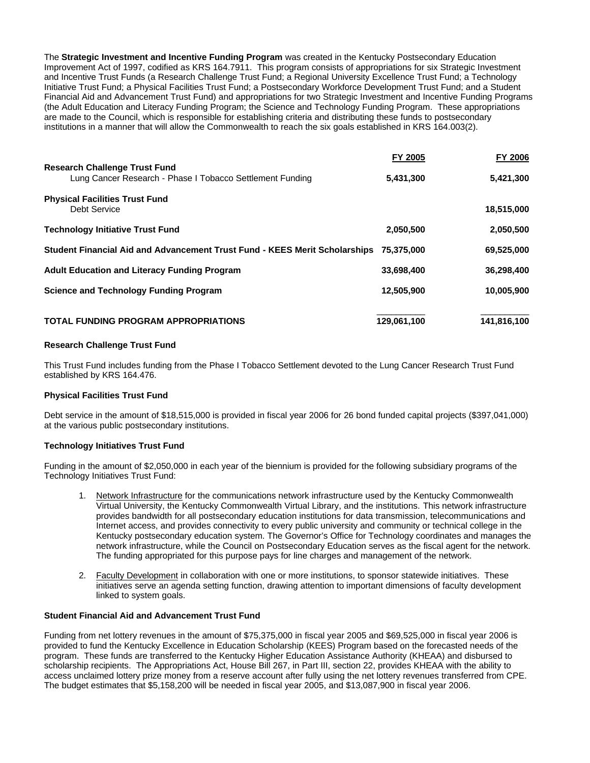The **Strategic Investment and Incentive Funding Program** was created in the Kentucky Postsecondary Education Improvement Act of 1997, codified as KRS 164.7911. This program consists of appropriations for six Strategic Investment and Incentive Trust Funds (a Research Challenge Trust Fund; a Regional University Excellence Trust Fund; a Technology Initiative Trust Fund; a Physical Facilities Trust Fund; a Postsecondary Workforce Development Trust Fund; and a Student Financial Aid and Advancement Trust Fund) and appropriations for two Strategic Investment and Incentive Funding Programs (the Adult Education and Literacy Funding Program; the Science and Technology Funding Program. These appropriations are made to the Council, which is responsible for establishing criteria and distributing these funds to postsecondary institutions in a manner that will allow the Commonwealth to reach the six goals established in KRS 164.003(2).

|                                                                                                   | <b>FY 2005</b> | FY 2006     |
|---------------------------------------------------------------------------------------------------|----------------|-------------|
| <b>Research Challenge Trust Fund</b><br>Lung Cancer Research - Phase I Tobacco Settlement Funding | 5,431,300      | 5,421,300   |
| <b>Physical Facilities Trust Fund</b><br>Debt Service                                             |                | 18,515,000  |
| <b>Technology Initiative Trust Fund</b>                                                           | 2.050.500      | 2,050,500   |
| Student Financial Aid and Advancement Trust Fund - KEES Merit Scholarships 75,375,000             |                | 69,525,000  |
| <b>Adult Education and Literacy Funding Program</b>                                               | 33,698,400     | 36,298,400  |
| <b>Science and Technology Funding Program</b>                                                     | 12,505,900     | 10,005,900  |
| <b>TOTAL FUNDING PROGRAM APPROPRIATIONS</b>                                                       | 129,061,100    | 141,816,100 |

### **Research Challenge Trust Fund**

This Trust Fund includes funding from the Phase I Tobacco Settlement devoted to the Lung Cancer Research Trust Fund established by KRS 164.476.

#### **Physical Facilities Trust Fund**

Debt service in the amount of \$18,515,000 is provided in fiscal year 2006 for 26 bond funded capital projects (\$397,041,000) at the various public postsecondary institutions.

#### **Technology Initiatives Trust Fund**

Funding in the amount of \$2,050,000 in each year of the biennium is provided for the following subsidiary programs of the Technology Initiatives Trust Fund:

- 1. Network Infrastructure for the communications network infrastructure used by the Kentucky Commonwealth Virtual University, the Kentucky Commonwealth Virtual Library, and the institutions. This network infrastructure provides bandwidth for all postsecondary education institutions for data transmission, telecommunications and Internet access, and provides connectivity to every public university and community or technical college in the Kentucky postsecondary education system. The Governor's Office for Technology coordinates and manages the network infrastructure, while the Council on Postsecondary Education serves as the fiscal agent for the network. The funding appropriated for this purpose pays for line charges and management of the network.
- 2. Faculty Development in collaboration with one or more institutions, to sponsor statewide initiatives. These initiatives serve an agenda setting function, drawing attention to important dimensions of faculty development linked to system goals.

### **Student Financial Aid and Advancement Trust Fund**

Funding from net lottery revenues in the amount of \$75,375,000 in fiscal year 2005 and \$69,525,000 in fiscal year 2006 is provided to fund the Kentucky Excellence in Education Scholarship (KEES) Program based on the forecasted needs of the program. These funds are transferred to the Kentucky Higher Education Assistance Authority (KHEAA) and disbursed to scholarship recipients. The Appropriations Act, House Bill 267, in Part III, section 22, provides KHEAA with the ability to access unclaimed lottery prize money from a reserve account after fully using the net lottery revenues transferred from CPE. The budget estimates that \$5,158,200 will be needed in fiscal year 2005, and \$13,087,900 in fiscal year 2006.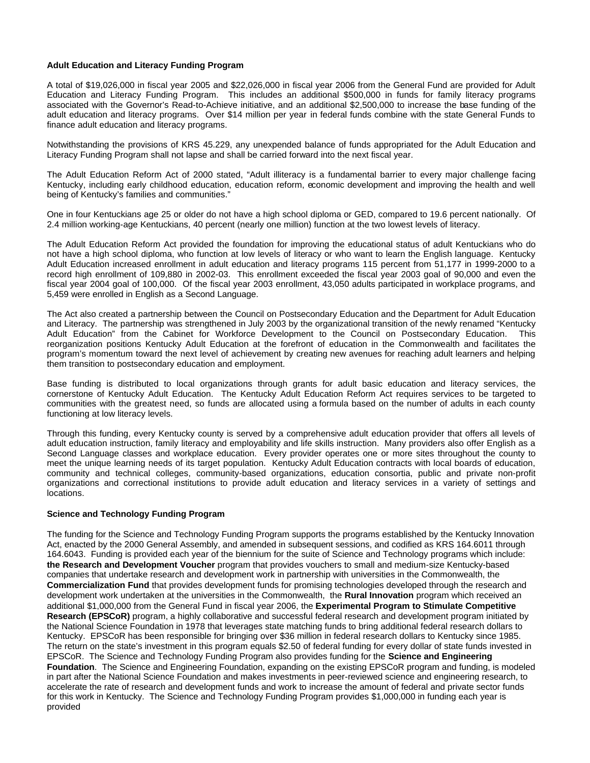#### **Adult Education and Literacy Funding Program**

A total of \$19,026,000 in fiscal year 2005 and \$22,026,000 in fiscal year 2006 from the General Fund are provided for Adult Education and Literacy Funding Program. This includes an additional \$500,000 in funds for family literacy programs associated with the Governor's Read-to-Achieve initiative, and an additional \$2,500,000 to increase the base funding of the adult education and literacy programs. Over \$14 million per year in federal funds combine with the state General Funds to finance adult education and literacy programs.

Notwithstanding the provisions of KRS 45.229, any unexpended balance of funds appropriated for the Adult Education and Literacy Funding Program shall not lapse and shall be carried forward into the next fiscal year.

The Adult Education Reform Act of 2000 stated, "Adult illiteracy is a fundamental barrier to every major challenge facing Kentucky, including early childhood education, education reform, economic development and improving the health and well being of Kentucky's families and communities."

One in four Kentuckians age 25 or older do not have a high school diploma or GED, compared to 19.6 percent nationally. Of 2.4 million working-age Kentuckians, 40 percent (nearly one million) function at the two lowest levels of literacy.

The Adult Education Reform Act provided the foundation for improving the educational status of adult Kentuckians who do not have a high school diploma, who function at low levels of literacy or who want to learn the English language. Kentucky Adult Education increased enrollment in adult education and literacy programs 115 percent from 51,177 in 1999-2000 to a record high enrollment of 109,880 in 2002-03. This enrollment exceeded the fiscal year 2003 goal of 90,000 and even the fiscal year 2004 goal of 100,000. Of the fiscal year 2003 enrollment, 43,050 adults participated in workplace programs, and 5,459 were enrolled in English as a Second Language.

The Act also created a partnership between the Council on Postsecondary Education and the Department for Adult Education and Literacy. The partnership was strengthened in July 2003 by the organizational transition of the newly renamed "Kentucky Adult Education" from the Cabinet for Workforce Development to the Council on Postsecondary Education. This reorganization positions Kentucky Adult Education at the forefront of education in the Commonwealth and facilitates the program's momentum toward the next level of achievement by creating new avenues for reaching adult learners and helping them transition to postsecondary education and employment.

Base funding is distributed to local organizations through grants for adult basic education and literacy services, the cornerstone of Kentucky Adult Education. The Kentucky Adult Education Reform Act requires services to be targeted to communities with the greatest need, so funds are allocated using a formula based on the number of adults in each county functioning at low literacy levels.

Through this funding, every Kentucky county is served by a comprehensive adult education provider that offers all levels of adult education instruction, family literacy and employability and life skills instruction. Many providers also offer English as a Second Language classes and workplace education. Every provider operates one or more sites throughout the county to meet the unique learning needs of its target population. Kentucky Adult Education contracts with local boards of education, community and technical colleges, community-based organizations, education consortia, public and private non-profit organizations and correctional institutions to provide adult education and literacy services in a variety of settings and locations.

### **Science and Technology Funding Program**

The funding for the Science and Technology Funding Program supports the programs established by the Kentucky Innovation Act, enacted by the 2000 General Assembly, and amended in subsequent sessions, and codified as KRS 164.6011 through 164.6043. Funding is provided each year of the biennium for the suite of Science and Technology programs which include: **the Research and Development Voucher** program that provides vouchers to small and medium-size Kentucky-based companies that undertake research and development work in partnership with universities in the Commonwealth, the **Commercialization Fund** that provides development funds for promising technologies developed through the research and development work undertaken at the universities in the Commonwealth, the **Rural Innovation** program which received an additional \$1,000,000 from the General Fund in fiscal year 2006, the **Experimental Program to Stimulate Competitive Research (EPSCoR)** program, a highly collaborative and successful federal research and development program initiated by the National Science Foundation in 1978 that leverages state matching funds to bring additional federal research dollars to Kentucky. EPSCoR has been responsible for bringing over \$36 million in federal research dollars to Kentucky since 1985. The return on the state's investment in this program equals \$2.50 of federal funding for every dollar of state funds invested in EPSCoR. The Science and Technology Funding Program also provides funding for the **Science and Engineering Foundation**. The Science and Engineering Foundation, expanding on the existing EPSCoR program and funding, is modeled in part after the National Science Foundation and makes investments in peer-reviewed science and engineering research, to accelerate the rate of research and development funds and work to increase the amount of federal and private sector funds for this work in Kentucky. The Science and Technology Funding Program provides \$1,000,000 in funding each year is provided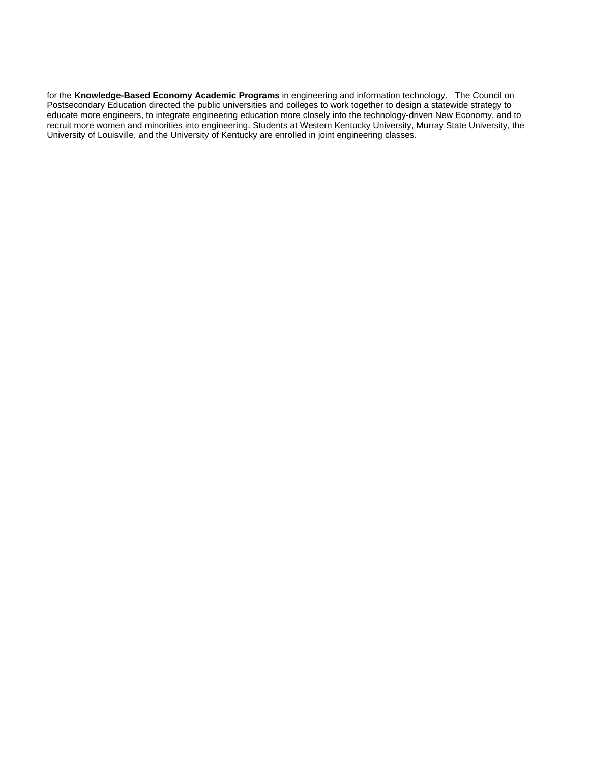for the **Knowledge-Based Economy Academic Programs** in engineering and information technology. The Council on Postsecondary Education directed the public universities and colleges to work together to design a statewide strategy to educate more engineers, to integrate engineering education more closely into the technology-driven New Economy, and to recruit more women and minorities into engineering. Students at Western Kentucky University, Murray State University, the University of Louisville, and the University of Kentucky are enrolled in joint engineering classes.

provided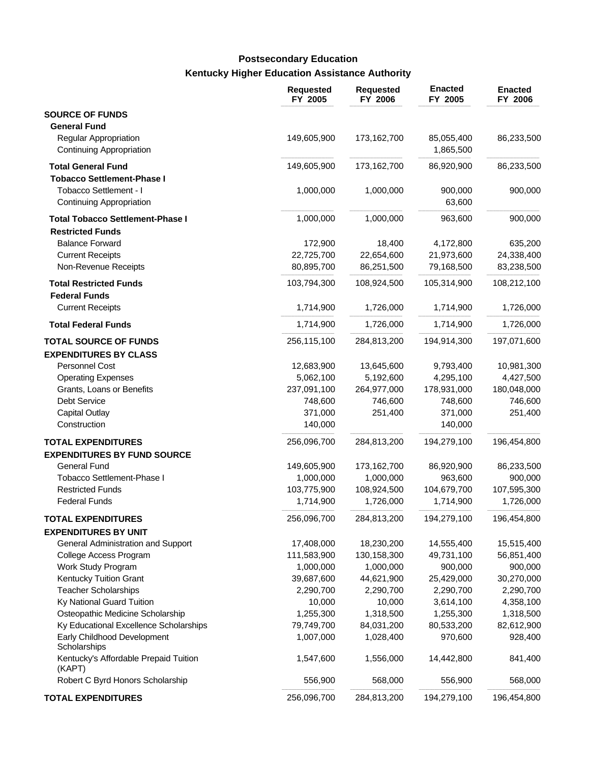# **Kentucky Higher Education Assistance Authority Postsecondary Education**

|                                                           | <b>Requested</b><br>FY 2005 | <b>Requested</b><br>FY 2006 | <b>Enacted</b><br>FY 2005 | <b>Enacted</b><br>FY 2006 |
|-----------------------------------------------------------|-----------------------------|-----------------------------|---------------------------|---------------------------|
| <b>SOURCE OF FUNDS</b><br><b>General Fund</b>             |                             |                             |                           |                           |
| Regular Appropriation<br>Continuing Appropriation         | 149,605,900                 | 173,162,700                 | 85,055,400<br>1,865,500   | 86,233,500                |
| <b>Total General Fund</b>                                 | 149,605,900                 | 173,162,700                 | 86,920,900                | 86,233,500                |
| <b>Tobacco Settlement-Phase I</b>                         |                             |                             |                           |                           |
| Tobacco Settlement - I<br><b>Continuing Appropriation</b> | 1,000,000                   | 1,000,000                   | 900,000<br>63,600         | 900,000                   |
| <b>Total Tobacco Settlement-Phase I</b>                   | 1,000,000                   | 1,000,000                   | 963,600                   | 900,000                   |
| <b>Restricted Funds</b>                                   |                             |                             |                           |                           |
| <b>Balance Forward</b>                                    | 172,900                     | 18,400                      | 4,172,800                 | 635,200                   |
| <b>Current Receipts</b>                                   | 22,725,700                  | 22,654,600                  | 21,973,600                | 24,338,400                |
| Non-Revenue Receipts                                      | 80,895,700                  | 86,251,500                  | 79,168,500                | 83,238,500                |
| <b>Total Restricted Funds</b><br><b>Federal Funds</b>     | 103,794,300                 | 108,924,500                 | 105,314,900               | 108,212,100               |
| <b>Current Receipts</b>                                   | 1,714,900                   | 1,726,000                   | 1,714,900                 | 1,726,000                 |
| <b>Total Federal Funds</b>                                | 1,714,900                   | 1,726,000                   | 1,714,900                 | 1,726,000                 |
| <b>TOTAL SOURCE OF FUNDS</b>                              | 256,115,100                 | 284,813,200                 | 194,914,300               | 197,071,600               |
| <b>EXPENDITURES BY CLASS</b>                              |                             |                             |                           |                           |
| Personnel Cost                                            | 12,683,900                  | 13,645,600                  | 9,793,400                 | 10,981,300                |
| <b>Operating Expenses</b>                                 | 5,062,100                   | 5,192,600                   | 4,295,100                 | 4,427,500                 |
| Grants, Loans or Benefits                                 | 237,091,100                 | 264,977,000                 | 178,931,000               | 180,048,000               |
| Debt Service                                              | 748,600                     | 746,600                     | 748,600                   | 746,600                   |
| <b>Capital Outlay</b>                                     | 371,000                     | 251,400                     | 371,000                   | 251,400                   |
| Construction                                              | 140,000                     |                             | 140,000                   |                           |
| <b>TOTAL EXPENDITURES</b>                                 | 256,096,700                 | 284,813,200                 | 194,279,100               | 196,454,800               |
| <b>EXPENDITURES BY FUND SOURCE</b>                        |                             |                             |                           |                           |
| <b>General Fund</b>                                       | 149,605,900                 | 173,162,700                 | 86,920,900                | 86,233,500                |
| Tobacco Settlement-Phase I                                | 1,000,000                   | 1,000,000                   | 963,600                   | 900,000                   |
| <b>Restricted Funds</b>                                   | 103,775,900                 | 108,924,500                 | 104,679,700               | 107,595,300               |
| <b>Federal Funds</b>                                      | 1,714,900                   | 1,726,000                   | 1,714,900                 | 1,726,000                 |
| <b>TOTAL EXPENDITURES</b>                                 | 256,096,700                 | 284,813,200                 | 194,279,100               | 196,454,800               |
| <b>EXPENDITURES BY UNIT</b>                               |                             |                             |                           |                           |
| General Administration and Support                        | 17,408,000                  | 18,230,200                  | 14,555,400                | 15,515,400                |
| College Access Program                                    | 111,583,900                 | 130,158,300                 | 49,731,100                | 56,851,400                |
| Work Study Program                                        | 1,000,000                   | 1,000,000                   | 900,000                   | 900,000                   |
| Kentucky Tuition Grant                                    | 39,687,600                  | 44,621,900                  | 25,429,000                | 30,270,000                |
| <b>Teacher Scholarships</b>                               | 2,290,700                   | 2,290,700                   | 2,290,700                 | 2,290,700                 |
| Ky National Guard Tuition                                 | 10,000                      | 10,000                      | 3,614,100                 | 4,358,100                 |
| Osteopathic Medicine Scholarship                          | 1,255,300                   | 1,318,500                   | 1,255,300                 | 1,318,500                 |
| Ky Educational Excellence Scholarships                    | 79,749,700                  | 84,031,200                  | 80,533,200                | 82,612,900                |
| Early Childhood Development<br>Scholarships               | 1,007,000                   | 1,028,400                   | 970,600                   | 928,400                   |
| Kentucky's Affordable Prepaid Tuition<br>(KAPT)           | 1,547,600                   | 1,556,000                   | 14,442,800                | 841,400                   |
| Robert C Byrd Honors Scholarship                          | 556,900                     | 568,000                     | 556,900                   | 568,000                   |
| <b>TOTAL EXPENDITURES</b>                                 | 256,096,700                 | 284,813,200                 | 194,279,100               | 196,454,800               |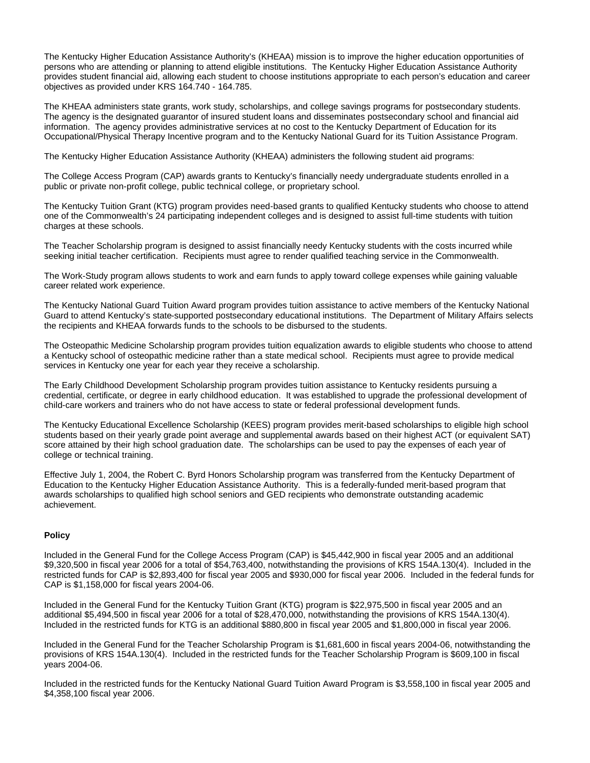The Kentucky Higher Education Assistance Authority's (KHEAA) mission is to improve the higher education opportunities of persons who are attending or planning to attend eligible institutions. The Kentucky Higher Education Assistance Authority provides student financial aid, allowing each student to choose institutions appropriate to each person's education and career objectives as provided under KRS 164.740 - 164.785.

The KHEAA administers state grants, work study, scholarships, and college savings programs for postsecondary students. The agency is the designated guarantor of insured student loans and disseminates postsecondary school and financial aid information. The agency provides administrative services at no cost to the Kentucky Department of Education for its Occupational/Physical Therapy Incentive program and to the Kentucky National Guard for its Tuition Assistance Program.

The Kentucky Higher Education Assistance Authority (KHEAA) administers the following student aid programs:

The College Access Program (CAP) awards grants to Kentucky's financially needy undergraduate students enrolled in a public or private non-profit college, public technical college, or proprietary school.

The Kentucky Tuition Grant (KTG) program provides need-based grants to qualified Kentucky students who choose to attend one of the Commonwealth's 24 participating independent colleges and is designed to assist full-time students with tuition charges at these schools.

The Teacher Scholarship program is designed to assist financially needy Kentucky students with the costs incurred while seeking initial teacher certification. Recipients must agree to render qualified teaching service in the Commonwealth.

The Work-Study program allows students to work and earn funds to apply toward college expenses while gaining valuable career related work experience.

The Kentucky National Guard Tuition Award program provides tuition assistance to active members of the Kentucky National Guard to attend Kentucky's state-supported postsecondary educational institutions. The Department of Military Affairs selects the recipients and KHEAA forwards funds to the schools to be disbursed to the students.

The Osteopathic Medicine Scholarship program provides tuition equalization awards to eligible students who choose to attend a Kentucky school of osteopathic medicine rather than a state medical school. Recipients must agree to provide medical services in Kentucky one year for each year they receive a scholarship.

The Early Childhood Development Scholarship program provides tuition assistance to Kentucky residents pursuing a credential, certificate, or degree in early childhood education. It was established to upgrade the professional development of child-care workers and trainers who do not have access to state or federal professional development funds.

The Kentucky Educational Excellence Scholarship (KEES) program provides merit-based scholarships to eligible high school students based on their yearly grade point average and supplemental awards based on their highest ACT (or equivalent SAT) score attained by their high school graduation date. The scholarships can be used to pay the expenses of each year of college or technical training.

Effective July 1, 2004, the Robert C. Byrd Honors Scholarship program was transferred from the Kentucky Department of Education to the Kentucky Higher Education Assistance Authority. This is a federally-funded merit-based program that awards scholarships to qualified high school seniors and GED recipients who demonstrate outstanding academic achievement.

### **Policy**

Included in the General Fund for the College Access Program (CAP) is \$45,442,900 in fiscal year 2005 and an additional \$9,320,500 in fiscal year 2006 for a total of \$54,763,400, notwithstanding the provisions of KRS 154A.130(4). Included in the restricted funds for CAP is \$2,893,400 for fiscal year 2005 and \$930,000 for fiscal year 2006. Included in the federal funds for CAP is \$1,158,000 for fiscal years 2004-06.

Included in the General Fund for the Kentucky Tuition Grant (KTG) program is \$22,975,500 in fiscal year 2005 and an additional \$5,494,500 in fiscal year 2006 for a total of \$28,470,000, notwithstanding the provisions of KRS 154A.130(4). Included in the restricted funds for KTG is an additional \$880,800 in fiscal year 2005 and \$1,800,000 in fiscal year 2006.

Included in the General Fund for the Teacher Scholarship Program is \$1,681,600 in fiscal years 2004-06, notwithstanding the provisions of KRS 154A.130(4). Included in the restricted funds for the Teacher Scholarship Program is \$609,100 in fiscal years 2004-06.

Included in the restricted funds for the Kentucky National Guard Tuition Award Program is \$3,558,100 in fiscal year 2005 and \$4,358,100 fiscal year 2006.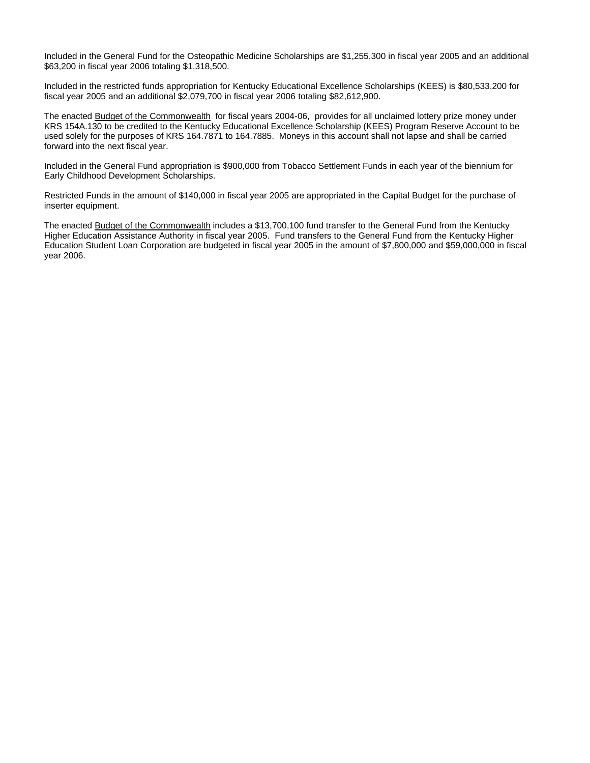Included in the General Fund for the Osteopathic Medicine Scholarships are \$1,255,300 in fiscal year 2005 and an additional \$63,200 in fiscal year 2006 totaling \$1,318,500.

Included in the restricted funds appropriation for Kentucky Educational Excellence Scholarships (KEES) is \$80,533,200 for fiscal year 2005 and an additional \$2,079,700 in fiscal year 2006 totaling \$82,612,900.

The enacted Budget of the Commonwealth for fiscal years 2004-06, provides for all unclaimed lottery prize money under KRS 154A.130 to be credited to the Kentucky Educational Excellence Scholarship (KEES) Program Reserve Account to be used solely for the purposes of KRS 164.7871 to 164.7885. Moneys in this account shall not lapse and shall be carried forward into the next fiscal year.

Included in the General Fund appropriation is \$900,000 from Tobacco Settlement Funds in each year of the biennium for Early Childhood Development Scholarships.

Restricted Funds in the amount of \$140,000 in fiscal year 2005 are appropriated in the Capital Budget for the purchase of inserter equipment.

The enacted Budget of the Commonwealth includes a \$13,700,100 fund transfer to the General Fund from the Kentucky Higher Education Assistance Authority in fiscal year 2005. Fund transfers to the General Fund from the Kentucky Higher Education Student Loan Corporation are budgeted in fiscal year 2005 in the amount of \$7,800,000 and \$59,000,000 in fiscal year 2006.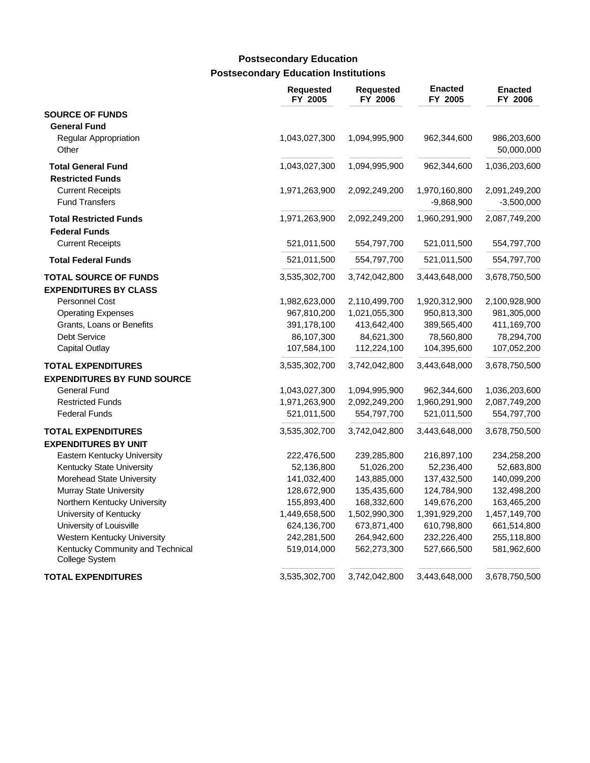# **Postsecondary Education Institutions Postsecondary Education**

|                                                              | <b>Requested</b><br>FY 2005 | <b>Requested</b><br>FY 2006 | <b>Enacted</b><br>FY 2005     | <b>Enacted</b><br>FY 2006     |
|--------------------------------------------------------------|-----------------------------|-----------------------------|-------------------------------|-------------------------------|
| <b>SOURCE OF FUNDS</b>                                       |                             |                             |                               |                               |
| <b>General Fund</b><br>Regular Appropriation<br>Other        | 1,043,027,300               | 1,094,995,900               | 962,344,600                   | 986,203,600<br>50,000,000     |
| <b>Total General Fund</b><br><b>Restricted Funds</b>         | 1,043,027,300               | 1,094,995,900               | 962,344,600                   | 1,036,203,600                 |
| <b>Current Receipts</b><br><b>Fund Transfers</b>             | 1,971,263,900               | 2,092,249,200               | 1,970,160,800<br>$-9,868,900$ | 2,091,249,200<br>$-3,500,000$ |
| <b>Total Restricted Funds</b><br><b>Federal Funds</b>        | 1,971,263,900               | 2,092,249,200               | 1,960,291,900                 | 2,087,749,200                 |
| <b>Current Receipts</b>                                      | 521,011,500                 | 554,797,700                 | 521,011,500                   | 554,797,700                   |
| <b>Total Federal Funds</b>                                   | 521,011,500                 | 554,797,700                 | 521,011,500                   | 554,797,700                   |
| <b>TOTAL SOURCE OF FUNDS</b><br><b>EXPENDITURES BY CLASS</b> | 3,535,302,700               | 3,742,042,800               | 3,443,648,000                 | 3,678,750,500                 |
| Personnel Cost                                               | 1,982,623,000               | 2,110,499,700               | 1,920,312,900                 | 2,100,928,900                 |
| <b>Operating Expenses</b>                                    | 967,810,200                 | 1,021,055,300               | 950,813,300                   | 981,305,000                   |
| Grants, Loans or Benefits                                    | 391,178,100                 | 413,642,400                 | 389,565,400                   | 411,169,700                   |
| Debt Service                                                 | 86,107,300                  | 84,621,300                  | 78,560,800                    | 78,294,700                    |
| <b>Capital Outlay</b>                                        | 107,584,100                 | 112,224,100                 | 104,395,600                   | 107,052,200                   |
| <b>TOTAL EXPENDITURES</b>                                    | 3,535,302,700               | 3,742,042,800               | 3,443,648,000                 | 3,678,750,500                 |
| <b>EXPENDITURES BY FUND SOURCE</b>                           |                             |                             |                               |                               |
| <b>General Fund</b>                                          | 1,043,027,300               | 1,094,995,900               | 962,344,600                   | 1,036,203,600                 |
| <b>Restricted Funds</b>                                      | 1,971,263,900               | 2,092,249,200               | 1,960,291,900                 | 2,087,749,200                 |
| <b>Federal Funds</b>                                         | 521,011,500                 | 554,797,700                 | 521,011,500                   | 554,797,700                   |
| <b>TOTAL EXPENDITURES</b>                                    | 3,535,302,700               | 3,742,042,800               | 3,443,648,000                 | 3,678,750,500                 |
| <b>EXPENDITURES BY UNIT</b>                                  |                             |                             |                               |                               |
| Eastern Kentucky University                                  | 222,476,500                 | 239,285,800                 | 216,897,100                   | 234,258,200                   |
| Kentucky State University                                    | 52,136,800                  | 51,026,200                  | 52,236,400                    | 52,683,800                    |
| Morehead State University                                    | 141,032,400                 | 143,885,000                 | 137,432,500                   | 140,099,200                   |
| Murray State University                                      | 128,672,900                 | 135,435,600                 | 124,784,900                   | 132,498,200                   |
| Northern Kentucky University                                 | 155,893,400                 | 168,332,600                 | 149,676,200                   | 163,465,200                   |
| University of Kentucky                                       | 1,449,658,500               | 1,502,990,300               | 1,391,929,200                 | 1,457,149,700                 |
| University of Louisville                                     | 624,136,700                 | 673,871,400                 | 610,798,800                   | 661,514,800                   |
| Western Kentucky University                                  | 242,281,500                 | 264,942,600                 | 232,226,400                   | 255,118,800                   |
| Kentucky Community and Technical<br>College System           | 519,014,000                 | 562,273,300                 | 527,666,500                   | 581,962,600                   |
| <b>TOTAL EXPENDITURES</b>                                    | 3,535,302,700               | 3,742,042,800               | 3,443,648,000                 | 3,678,750,500                 |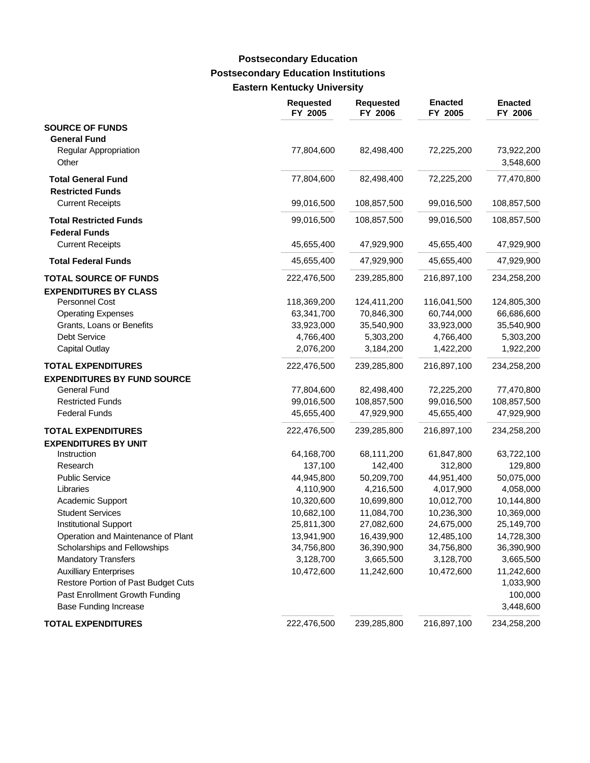### **Postsecondary Education Institutions Eastern Kentucky University Postsecondary Education**

|                                                              | <b>Requested</b><br>FY 2005 | <b>Requested</b><br>FY 2006 | <b>Enacted</b><br>FY 2005 | <b>Enacted</b><br>FY 2006 |
|--------------------------------------------------------------|-----------------------------|-----------------------------|---------------------------|---------------------------|
| <b>SOURCE OF FUNDS</b>                                       |                             |                             |                           |                           |
| <b>General Fund</b><br><b>Regular Appropriation</b><br>Other | 77,804,600                  | 82,498,400                  | 72,225,200                | 73,922,200<br>3,548,600   |
| <b>Total General Fund</b>                                    | 77,804,600                  | 82,498,400                  | 72,225,200                | 77,470,800                |
| <b>Restricted Funds</b>                                      |                             |                             |                           |                           |
| <b>Current Receipts</b>                                      | 99,016,500                  | 108,857,500                 | 99,016,500                | 108,857,500               |
| <b>Total Restricted Funds</b><br><b>Federal Funds</b>        | 99,016,500                  | 108,857,500                 | 99,016,500                | 108,857,500               |
| <b>Current Receipts</b>                                      | 45,655,400                  | 47,929,900                  | 45,655,400                | 47,929,900                |
| <b>Total Federal Funds</b>                                   | 45,655,400                  | 47,929,900                  | 45,655,400                | 47,929,900                |
| <b>TOTAL SOURCE OF FUNDS</b><br><b>EXPENDITURES BY CLASS</b> | 222,476,500                 | 239,285,800                 | 216,897,100               | 234,258,200               |
| <b>Personnel Cost</b>                                        | 118,369,200                 | 124,411,200                 | 116,041,500               | 124,805,300               |
| <b>Operating Expenses</b>                                    | 63,341,700                  | 70,846,300                  | 60,744,000                | 66,686,600                |
| Grants, Loans or Benefits                                    | 33,923,000                  | 35,540,900                  | 33,923,000                | 35,540,900                |
| <b>Debt Service</b>                                          | 4,766,400                   | 5,303,200                   | 4,766,400                 | 5,303,200                 |
| Capital Outlay                                               | 2,076,200                   | 3,184,200                   | 1,422,200                 | 1,922,200                 |
| <b>TOTAL EXPENDITURES</b>                                    | 222,476,500                 | 239,285,800                 | 216,897,100               | 234,258,200               |
| <b>EXPENDITURES BY FUND SOURCE</b>                           |                             |                             |                           |                           |
| <b>General Fund</b>                                          | 77,804,600                  | 82,498,400                  | 72,225,200                | 77,470,800                |
| <b>Restricted Funds</b>                                      | 99,016,500                  | 108,857,500                 | 99,016,500                | 108,857,500               |
| <b>Federal Funds</b>                                         | 45,655,400                  | 47,929,900                  | 45,655,400                | 47,929,900                |
| <b>TOTAL EXPENDITURES</b><br><b>EXPENDITURES BY UNIT</b>     | 222,476,500                 | 239,285,800                 | 216,897,100               | 234,258,200               |
| Instruction                                                  | 64,168,700                  | 68,111,200                  | 61,847,800                | 63,722,100                |
| Research                                                     | 137,100                     | 142,400                     | 312,800                   | 129,800                   |
| <b>Public Service</b>                                        | 44,945,800                  | 50,209,700                  | 44,951,400                | 50,075,000                |
| Libraries                                                    | 4,110,900                   | 4,216,500                   | 4,017,900                 | 4,058,000                 |
| Academic Support                                             | 10,320,600                  | 10,699,800                  | 10,012,700                | 10,144,800                |
| <b>Student Services</b>                                      | 10,682,100                  | 11,084,700                  | 10,236,300                | 10,369,000                |
| <b>Institutional Support</b>                                 | 25,811,300                  | 27,082,600                  | 24,675,000                | 25,149,700                |
| Operation and Maintenance of Plant                           | 13,941,900                  | 16,439,900                  | 12,485,100                | 14,728,300                |
| Scholarships and Fellowships                                 | 34,756,800                  | 36,390,900                  | 34,756,800                | 36,390,900                |
| <b>Mandatory Transfers</b>                                   | 3,128,700                   | 3,665,500                   | 3,128,700                 | 3,665,500                 |
| <b>Auxilliary Enterprises</b>                                | 10,472,600                  | 11,242,600                  | 10,472,600                | 11,242,600                |
| Restore Portion of Past Budget Cuts                          |                             |                             |                           | 1,033,900                 |
| Past Enrollment Growth Funding                               |                             |                             |                           | 100,000                   |
| <b>Base Funding Increase</b>                                 |                             |                             |                           | 3,448,600                 |
| <b>TOTAL EXPENDITURES</b>                                    | 222,476,500                 | 239,285,800                 | 216,897,100               | 234,258,200               |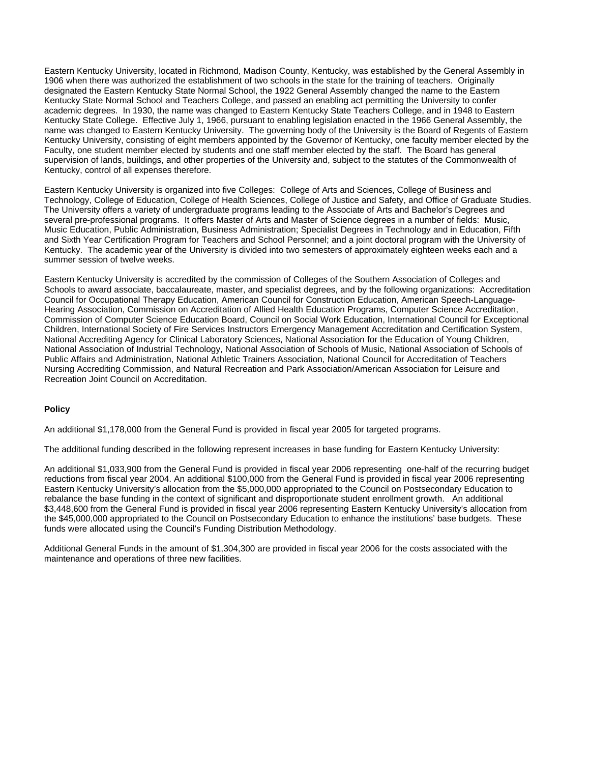Eastern Kentucky University, located in Richmond, Madison County, Kentucky, was established by the General Assembly in 1906 when there was authorized the establishment of two schools in the state for the training of teachers. Originally designated the Eastern Kentucky State Normal School, the 1922 General Assembly changed the name to the Eastern Kentucky State Normal School and Teachers College, and passed an enabling act permitting the University to confer academic degrees. In 1930, the name was changed to Eastern Kentucky State Teachers College, and in 1948 to Eastern Kentucky State College. Effective July 1, 1966, pursuant to enabling legislation enacted in the 1966 General Assembly, the name was changed to Eastern Kentucky University. The governing body of the University is the Board of Regents of Eastern Kentucky University, consisting of eight members appointed by the Governor of Kentucky, one faculty member elected by the Faculty, one student member elected by students and one staff member elected by the staff. The Board has general supervision of lands, buildings, and other properties of the University and, subject to the statutes of the Commonwealth of Kentucky, control of all expenses therefore.

Eastern Kentucky University is organized into five Colleges: College of Arts and Sciences, College of Business and Technology, College of Education, College of Health Sciences, College of Justice and Safety, and Office of Graduate Studies. The University offers a variety of undergraduate programs leading to the Associate of Arts and Bachelor's Degrees and several pre-professional programs. It offers Master of Arts and Master of Science degrees in a number of fields: Music, Music Education, Public Administration, Business Administration; Specialist Degrees in Technology and in Education, Fifth and Sixth Year Certification Program for Teachers and School Personnel; and a joint doctoral program with the University of Kentucky. The academic year of the University is divided into two semesters of approximately eighteen weeks each and a summer session of twelve weeks.

Eastern Kentucky University is accredited by the commission of Colleges of the Southern Association of Colleges and Schools to award associate, baccalaureate, master, and specialist degrees, and by the following organizations: Accreditation Council for Occupational Therapy Education, American Council for Construction Education, American Speech-Language-Hearing Association, Commission on Accreditation of Allied Health Education Programs, Computer Science Accreditation, Commission of Computer Science Education Board, Council on Social Work Education, International Council for Exceptional Children, International Society of Fire Services Instructors Emergency Management Accreditation and Certification System, National Accrediting Agency for Clinical Laboratory Sciences, National Association for the Education of Young Children, National Association of Industrial Technology, National Association of Schools of Music, National Association of Schools of Public Affairs and Administration, National Athletic Trainers Association, National Council for Accreditation of Teachers Nursing Accrediting Commission, and Natural Recreation and Park Association/American Association for Leisure and Recreation Joint Council on Accreditation.

### **Policy**

An additional \$1,178,000 from the General Fund is provided in fiscal year 2005 for targeted programs.

The additional funding described in the following represent increases in base funding for Eastern Kentucky University:

An additional \$1,033,900 from the General Fund is provided in fiscal year 2006 representing one-half of the recurring budget reductions from fiscal year 2004. An additional \$100,000 from the General Fund is provided in fiscal year 2006 representing Eastern Kentucky University's allocation from the \$5,000,000 appropriated to the Council on Postsecondary Education to rebalance the base funding in the context of significant and disproportionate student enrollment growth. An additional \$3,448,600 from the General Fund is provided in fiscal year 2006 representing Eastern Kentucky University's allocation from the \$45,000,000 appropriated to the Council on Postsecondary Education to enhance the institutions' base budgets. These funds were allocated using the Council's Funding Distribution Methodology.

Additional General Funds in the amount of \$1,304,300 are provided in fiscal year 2006 for the costs associated with the maintenance and operations of three new facilities.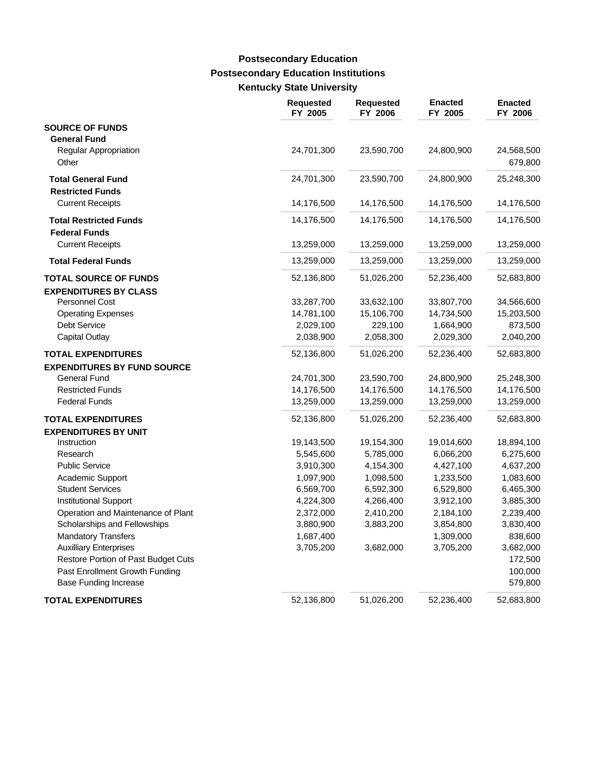# **Postsecondary Education Institutions Kentucky State University Postsecondary Education**

|                                              | <b>Requested</b><br>FY 2005 | <b>Requested</b><br>FY 2006 | <b>Enacted</b><br>FY 2005 | <b>Enacted</b><br>FY 2006 |
|----------------------------------------------|-----------------------------|-----------------------------|---------------------------|---------------------------|
| <b>SOURCE OF FUNDS</b>                       |                             |                             |                           |                           |
| <b>General Fund</b><br>Regular Appropriation | 24,701,300                  | 23,590,700                  | 24,800,900                | 24,568,500                |
| Other                                        |                             |                             |                           | 679,800                   |
| <b>Total General Fund</b>                    | 24,701,300                  | 23,590,700                  | 24,800,900                | 25,248,300                |
| <b>Restricted Funds</b>                      |                             |                             |                           |                           |
| <b>Current Receipts</b>                      | 14,176,500                  | 14,176,500                  | 14,176,500                | 14,176,500                |
| <b>Total Restricted Funds</b>                | 14,176,500                  | 14,176,500                  | 14,176,500                | 14,176,500                |
| <b>Federal Funds</b>                         |                             |                             |                           |                           |
| <b>Current Receipts</b>                      | 13,259,000                  | 13,259,000                  | 13,259,000                | 13,259,000                |
| <b>Total Federal Funds</b>                   | 13,259,000                  | 13,259,000                  | 13,259,000                | 13,259,000                |
| <b>TOTAL SOURCE OF FUNDS</b>                 | 52,136,800                  | 51,026,200                  | 52,236,400                | 52,683,800                |
| <b>EXPENDITURES BY CLASS</b>                 |                             |                             |                           |                           |
| Personnel Cost                               | 33,287,700                  | 33,632,100                  | 33,807,700                | 34,566,600                |
| <b>Operating Expenses</b>                    | 14,781,100                  | 15,106,700                  | 14,734,500                | 15,203,500                |
| <b>Debt Service</b>                          | 2,029,100                   | 229,100                     | 1,664,900                 | 873,500                   |
| Capital Outlay                               | 2,038,900                   | 2,058,300                   | 2,029,300                 | 2,040,200                 |
| <b>TOTAL EXPENDITURES</b>                    | 52,136,800                  | 51,026,200                  | 52,236,400                | 52,683,800                |
| <b>EXPENDITURES BY FUND SOURCE</b>           |                             |                             |                           |                           |
| <b>General Fund</b>                          | 24,701,300                  | 23,590,700                  | 24,800,900                | 25,248,300                |
| <b>Restricted Funds</b>                      | 14,176,500                  | 14,176,500                  | 14,176,500                | 14,176,500                |
| <b>Federal Funds</b>                         | 13,259,000                  | 13,259,000                  | 13,259,000                | 13,259,000                |
| <b>TOTAL EXPENDITURES</b>                    | 52,136,800                  | 51,026,200                  | 52,236,400                | 52,683,800                |
| <b>EXPENDITURES BY UNIT</b>                  |                             |                             |                           |                           |
| Instruction                                  | 19,143,500                  | 19,154,300                  | 19,014,600                | 18,894,100                |
| Research                                     | 5,545,600                   | 5,785,000                   | 6,066,200                 | 6,275,600                 |
| <b>Public Service</b>                        | 3,910,300                   | 4,154,300                   | 4,427,100                 | 4,637,200                 |
| Academic Support                             | 1,097,900                   | 1,098,500                   | 1,233,500                 | 1,083,600                 |
| <b>Student Services</b>                      | 6,569,700                   | 6,592,300                   | 6,529,800                 | 6,465,300                 |
| <b>Institutional Support</b>                 | 4,224,300                   | 4,266,400                   | 3,912,100                 | 3,885,300                 |
| Operation and Maintenance of Plant           | 2,372,000                   | 2,410,200                   | 2,184,100                 | 2,239,400                 |
| Scholarships and Fellowships                 | 3,880,900                   | 3,883,200                   | 3,854,800                 | 3,830,400                 |
| <b>Mandatory Transfers</b>                   | 1,687,400                   |                             | 1,309,000                 | 838,600                   |
| <b>Auxilliary Enterprises</b>                | 3,705,200                   | 3,682,000                   | 3,705,200                 | 3,682,000                 |
| Restore Portion of Past Budget Cuts          |                             |                             |                           | 172,500                   |
| Past Enrollment Growth Funding               |                             |                             |                           | 100,000                   |
| <b>Base Funding Increase</b>                 |                             |                             |                           | 579,800                   |
| <b>TOTAL EXPENDITURES</b>                    | 52,136,800                  | 51,026,200                  | 52,236,400                | 52,683,800                |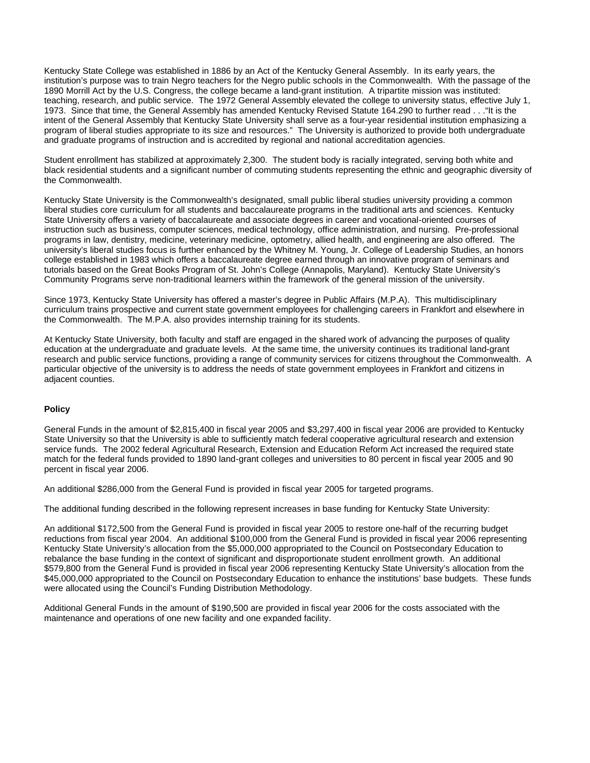Kentucky State College was established in 1886 by an Act of the Kentucky General Assembly. In its early years, the institution's purpose was to train Negro teachers for the Negro public schools in the Commonwealth. With the passage of the 1890 Morrill Act by the U.S. Congress, the college became a land-grant institution. A tripartite mission was instituted: teaching, research, and public service. The 1972 General Assembly elevated the college to university status, effective July 1, 1973. Since that time, the General Assembly has amended Kentucky Revised Statute 164.290 to further read . . ."It is the intent of the General Assembly that Kentucky State University shall serve as a four-year residential institution emphasizing a program of liberal studies appropriate to its size and resources." The University is authorized to provide both undergraduate and graduate programs of instruction and is accredited by regional and national accreditation agencies.

Student enrollment has stabilized at approximately 2,300. The student body is racially integrated, serving both white and black residential students and a significant number of commuting students representing the ethnic and geographic diversity of the Commonwealth.

Kentucky State University is the Commonwealth's designated, small public liberal studies university providing a common liberal studies core curriculum for all students and baccalaureate programs in the traditional arts and sciences. Kentucky State University offers a variety of baccalaureate and associate degrees in career and vocational-oriented courses of instruction such as business, computer sciences, medical technology, office administration, and nursing. Pre-professional programs in law, dentistry, medicine, veterinary medicine, optometry, allied health, and engineering are also offered. The university's liberal studies focus is further enhanced by the Whitney M. Young, Jr. College of Leadership Studies, an honors college established in 1983 which offers a baccalaureate degree earned through an innovative program of seminars and tutorials based on the Great Books Program of St. John's College (Annapolis, Maryland). Kentucky State University's Community Programs serve non-traditional learners within the framework of the general mission of the university.

Since 1973, Kentucky State University has offered a master's degree in Public Affairs (M.P.A). This multidisciplinary curriculum trains prospective and current state government employees for challenging careers in Frankfort and elsewhere in the Commonwealth. The M.P.A. also provides internship training for its students.

At Kentucky State University, both faculty and staff are engaged in the shared work of advancing the purposes of quality education at the undergraduate and graduate levels. At the same time, the university continues its traditional land-grant research and public service functions, providing a range of community services for citizens throughout the Commonwealth. A particular objective of the university is to address the needs of state government employees in Frankfort and citizens in adiacent counties.

### **Policy**

General Funds in the amount of \$2,815,400 in fiscal year 2005 and \$3,297,400 in fiscal year 2006 are provided to Kentucky State University so that the University is able to sufficiently match federal cooperative agricultural research and extension service funds. The 2002 federal Agricultural Research, Extension and Education Reform Act increased the required state match for the federal funds provided to 1890 land-grant colleges and universities to 80 percent in fiscal year 2005 and 90 percent in fiscal year 2006.

An additional \$286,000 from the General Fund is provided in fiscal year 2005 for targeted programs.

The additional funding described in the following represent increases in base funding for Kentucky State University:

An additional \$172,500 from the General Fund is provided in fiscal year 2005 to restore one-half of the recurring budget reductions from fiscal year 2004. An additional \$100,000 from the General Fund is provided in fiscal year 2006 representing Kentucky State University's allocation from the \$5,000,000 appropriated to the Council on Postsecondary Education to rebalance the base funding in the context of significant and disproportionate student enrollment growth. An additional \$579,800 from the General Fund is provided in fiscal year 2006 representing Kentucky State University's allocation from the \$45,000,000 appropriated to the Council on Postsecondary Education to enhance the institutions' base budgets. These funds were allocated using the Council's Funding Distribution Methodology.

Additional General Funds in the amount of \$190,500 are provided in fiscal year 2006 for the costs associated with the maintenance and operations of one new facility and one expanded facility.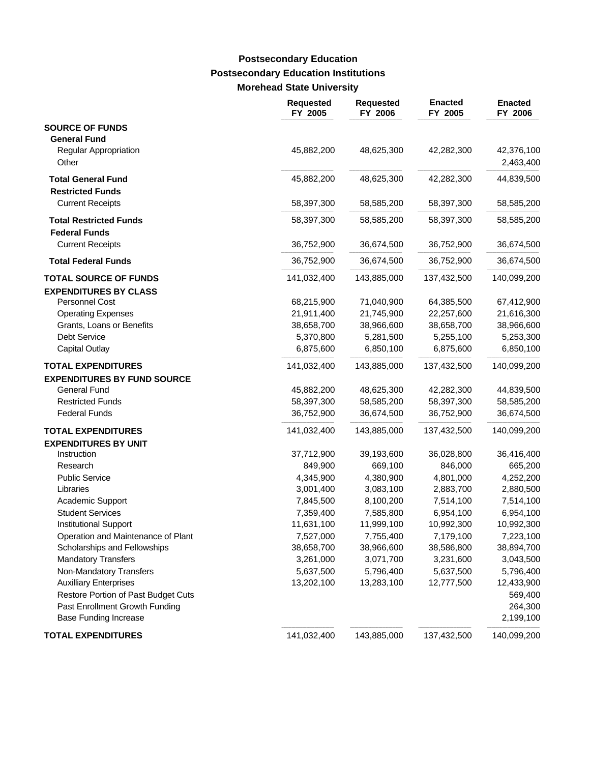### **Postsecondary Education Institutions Morehead State University Postsecondary Education**

|                                                     | <b>Requested</b><br>FY 2005 | <b>Requested</b><br>FY 2006 | <b>Enacted</b><br>FY 2005 | <b>Enacted</b><br>FY 2006 |
|-----------------------------------------------------|-----------------------------|-----------------------------|---------------------------|---------------------------|
| <b>SOURCE OF FUNDS</b>                              |                             |                             |                           |                           |
| <b>General Fund</b><br><b>Regular Appropriation</b> | 45,882,200                  | 48,625,300                  | 42,282,300                | 42,376,100                |
| Other                                               |                             |                             |                           | 2,463,400                 |
| <b>Total General Fund</b>                           | 45,882,200                  | 48,625,300                  | 42,282,300                | 44,839,500                |
| <b>Restricted Funds</b>                             |                             |                             |                           |                           |
| <b>Current Receipts</b>                             | 58,397,300                  | 58,585,200                  | 58,397,300                | 58,585,200                |
| <b>Total Restricted Funds</b>                       | 58,397,300                  | 58,585,200                  | 58,397,300                | 58,585,200                |
| <b>Federal Funds</b>                                |                             |                             |                           |                           |
| <b>Current Receipts</b>                             | 36,752,900                  | 36,674,500                  | 36,752,900                | 36,674,500                |
| <b>Total Federal Funds</b>                          | 36,752,900                  | 36,674,500                  | 36,752,900                | 36,674,500                |
| <b>TOTAL SOURCE OF FUNDS</b>                        | 141,032,400                 | 143,885,000                 | 137,432,500               | 140,099,200               |
| <b>EXPENDITURES BY CLASS</b>                        |                             |                             |                           |                           |
| <b>Personnel Cost</b>                               | 68,215,900                  | 71,040,900                  | 64,385,500                | 67,412,900                |
| <b>Operating Expenses</b>                           | 21,911,400                  | 21,745,900                  | 22,257,600                | 21,616,300                |
| Grants, Loans or Benefits                           | 38,658,700                  | 38,966,600                  | 38,658,700                | 38,966,600                |
| Debt Service                                        | 5,370,800                   | 5,281,500                   | 5,255,100                 | 5,253,300                 |
| <b>Capital Outlay</b>                               | 6,875,600                   | 6,850,100                   | 6,875,600                 | 6,850,100                 |
| <b>TOTAL EXPENDITURES</b>                           | 141,032,400                 | 143,885,000                 | 137,432,500               | 140,099,200               |
| <b>EXPENDITURES BY FUND SOURCE</b>                  |                             |                             |                           |                           |
| General Fund                                        | 45,882,200                  | 48,625,300                  | 42,282,300                | 44,839,500                |
| <b>Restricted Funds</b>                             | 58,397,300                  | 58,585,200                  | 58,397,300                | 58,585,200                |
| <b>Federal Funds</b>                                | 36,752,900                  | 36,674,500                  | 36,752,900                | 36,674,500                |
| <b>TOTAL EXPENDITURES</b>                           | 141,032,400                 | 143,885,000                 | 137,432,500               | 140,099,200               |
| <b>EXPENDITURES BY UNIT</b>                         |                             |                             |                           |                           |
| Instruction                                         | 37,712,900                  | 39,193,600                  | 36,028,800                | 36,416,400                |
| Research                                            | 849,900                     | 669,100                     | 846,000                   | 665,200                   |
| <b>Public Service</b>                               | 4,345,900                   | 4,380,900                   | 4,801,000                 | 4,252,200                 |
| Libraries                                           | 3,001,400                   | 3,083,100                   | 2,883,700                 | 2,880,500                 |
| Academic Support                                    | 7,845,500                   | 8,100,200                   | 7,514,100                 | 7,514,100                 |
| <b>Student Services</b>                             | 7,359,400                   | 7,585,800                   | 6,954,100                 | 6,954,100                 |
| <b>Institutional Support</b>                        | 11,631,100                  | 11,999,100                  | 10,992,300                | 10,992,300                |
| Operation and Maintenance of Plant                  | 7,527,000                   | 7,755,400                   | 7,179,100                 | 7,223,100                 |
| Scholarships and Fellowships                        | 38,658,700                  | 38,966,600                  | 38,586,800                | 38,894,700                |
| <b>Mandatory Transfers</b>                          | 3,261,000                   | 3,071,700                   | 3,231,600                 | 3,043,500                 |
| Non-Mandatory Transfers                             | 5,637,500                   | 5,796,400                   | 5,637,500                 | 5,796,400                 |
| <b>Auxilliary Enterprises</b>                       | 13,202,100                  | 13,283,100                  | 12,777,500                | 12,433,900                |
| Restore Portion of Past Budget Cuts                 |                             |                             |                           | 569,400                   |
| Past Enrollment Growth Funding                      |                             |                             |                           | 264,300                   |
| <b>Base Funding Increase</b>                        |                             |                             |                           | 2,199,100                 |
| <b>TOTAL EXPENDITURES</b>                           | 141,032,400                 | 143,885,000                 | 137,432,500               | 140,099,200               |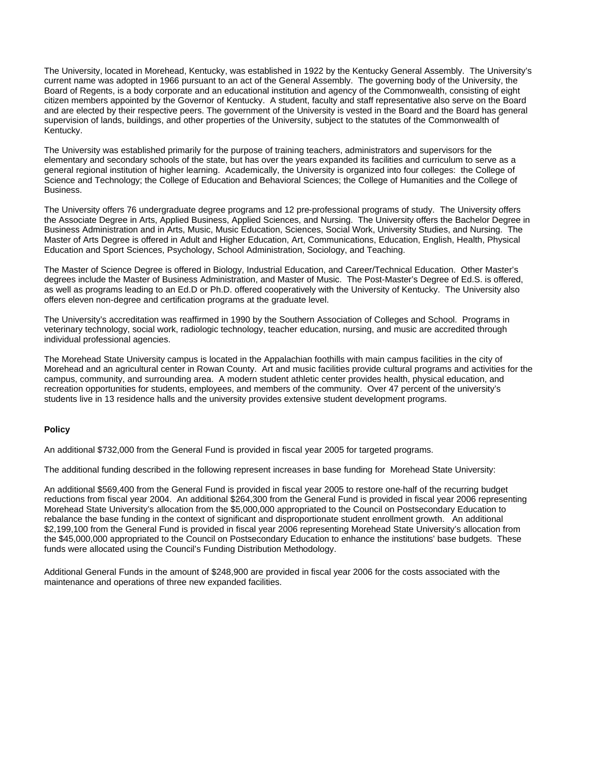The University, located in Morehead, Kentucky, was established in 1922 by the Kentucky General Assembly. The University's current name was adopted in 1966 pursuant to an act of the General Assembly. The governing body of the University, the Board of Regents, is a body corporate and an educational institution and agency of the Commonwealth, consisting of eight citizen members appointed by the Governor of Kentucky. A student, faculty and staff representative also serve on the Board and are elected by their respective peers. The government of the University is vested in the Board and the Board has general supervision of lands, buildings, and other properties of the University, subject to the statutes of the Commonwealth of Kentucky.

The University was established primarily for the purpose of training teachers, administrators and supervisors for the elementary and secondary schools of the state, but has over the years expanded its facilities and curriculum to serve as a general regional institution of higher learning. Academically, the University is organized into four colleges: the College of Science and Technology; the College of Education and Behavioral Sciences; the College of Humanities and the College of Business.

The University offers 76 undergraduate degree programs and 12 pre-professional programs of study. The University offers the Associate Degree in Arts, Applied Business, Applied Sciences, and Nursing. The University offers the Bachelor Degree in Business Administration and in Arts, Music, Music Education, Sciences, Social Work, University Studies, and Nursing. The Master of Arts Degree is offered in Adult and Higher Education, Art, Communications, Education, English, Health, Physical Education and Sport Sciences, Psychology, School Administration, Sociology, and Teaching.

The Master of Science Degree is offered in Biology, Industrial Education, and Career/Technical Education. Other Master's degrees include the Master of Business Administration, and Master of Music. The Post-Master's Degree of Ed.S. is offered, as well as programs leading to an Ed.D or Ph.D. offered cooperatively with the University of Kentucky. The University also offers eleven non-degree and certification programs at the graduate level.

The University's accreditation was reaffirmed in 1990 by the Southern Association of Colleges and School. Programs in veterinary technology, social work, radiologic technology, teacher education, nursing, and music are accredited through individual professional agencies.

The Morehead State University campus is located in the Appalachian foothills with main campus facilities in the city of Morehead and an agricultural center in Rowan County. Art and music facilities provide cultural programs and activities for the campus, community, and surrounding area. A modern student athletic center provides health, physical education, and recreation opportunities for students, employees, and members of the community. Over 47 percent of the university's students live in 13 residence halls and the university provides extensive student development programs.

### **Policy**

An additional \$732,000 from the General Fund is provided in fiscal year 2005 for targeted programs.

The additional funding described in the following represent increases in base funding for Morehead State University:

An additional \$569,400 from the General Fund is provided in fiscal year 2005 to restore one-half of the recurring budget reductions from fiscal year 2004. An additional \$264,300 from the General Fund is provided in fiscal year 2006 representing Morehead State University's allocation from the \$5,000,000 appropriated to the Council on Postsecondary Education to rebalance the base funding in the context of significant and disproportionate student enrollment growth. An additional \$2,199,100 from the General Fund is provided in fiscal year 2006 representing Morehead State University's allocation from the \$45,000,000 appropriated to the Council on Postsecondary Education to enhance the institutions' base budgets. These funds were allocated using the Council's Funding Distribution Methodology.

Additional General Funds in the amount of \$248,900 are provided in fiscal year 2006 for the costs associated with the maintenance and operations of three new expanded facilities.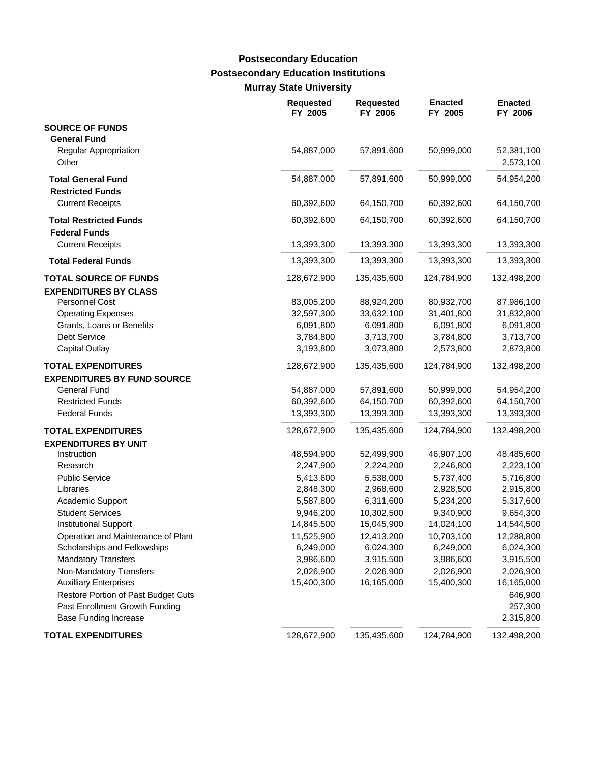# **Postsecondary Education Institutions Murray State University Postsecondary Education**

|                                              | <b>Requested</b><br>FY 2005 | <b>Requested</b><br>FY 2006 | <b>Enacted</b><br>FY 2005 | <b>Enacted</b><br>FY 2006 |
|----------------------------------------------|-----------------------------|-----------------------------|---------------------------|---------------------------|
| <b>SOURCE OF FUNDS</b>                       |                             |                             |                           |                           |
| <b>General Fund</b><br>Regular Appropriation | 54,887,000                  | 57,891,600                  | 50,999,000                | 52,381,100                |
| Other                                        |                             |                             |                           | 2,573,100                 |
| <b>Total General Fund</b>                    | 54,887,000                  | 57,891,600                  | 50,999,000                | 54,954,200                |
| <b>Restricted Funds</b>                      |                             |                             |                           |                           |
| <b>Current Receipts</b>                      | 60,392,600                  | 64,150,700                  | 60,392,600                | 64,150,700                |
| <b>Total Restricted Funds</b>                | 60,392,600                  | 64,150,700                  | 60,392,600                | 64,150,700                |
| <b>Federal Funds</b>                         |                             |                             |                           |                           |
| <b>Current Receipts</b>                      | 13,393,300                  | 13,393,300                  | 13,393,300                | 13,393,300                |
| <b>Total Federal Funds</b>                   | 13,393,300                  | 13,393,300                  | 13,393,300                | 13,393,300                |
| <b>TOTAL SOURCE OF FUNDS</b>                 | 128,672,900                 | 135,435,600                 | 124,784,900               | 132,498,200               |
| <b>EXPENDITURES BY CLASS</b>                 |                             |                             |                           |                           |
| Personnel Cost                               | 83,005,200                  | 88,924,200                  | 80,932,700                | 87,986,100                |
| <b>Operating Expenses</b>                    | 32,597,300                  | 33,632,100                  | 31,401,800                | 31,832,800                |
| Grants, Loans or Benefits                    | 6,091,800                   | 6,091,800                   | 6,091,800                 | 6,091,800                 |
| <b>Debt Service</b>                          | 3,784,800                   | 3,713,700                   | 3,784,800                 | 3,713,700                 |
| <b>Capital Outlay</b>                        | 3,193,800                   | 3,073,800                   | 2,573,800                 | 2,873,800                 |
| <b>TOTAL EXPENDITURES</b>                    | 128,672,900                 | 135,435,600                 | 124,784,900               | 132,498,200               |
| <b>EXPENDITURES BY FUND SOURCE</b>           |                             |                             |                           |                           |
| <b>General Fund</b>                          | 54,887,000                  | 57,891,600                  | 50,999,000                | 54,954,200                |
| <b>Restricted Funds</b>                      | 60,392,600                  | 64,150,700                  | 60,392,600                | 64,150,700                |
| <b>Federal Funds</b>                         | 13,393,300                  | 13,393,300                  | 13,393,300                | 13,393,300                |
| <b>TOTAL EXPENDITURES</b>                    | 128,672,900                 | 135,435,600                 | 124,784,900               | 132,498,200               |
| <b>EXPENDITURES BY UNIT</b>                  |                             |                             |                           |                           |
| Instruction                                  | 48,594,900                  | 52,499,900                  | 46,907,100                | 48,485,600                |
| Research                                     | 2,247,900                   | 2,224,200                   | 2,246,800                 | 2,223,100                 |
| <b>Public Service</b>                        | 5,413,600                   | 5,538,000                   | 5,737,400                 | 5,716,800                 |
| Libraries                                    | 2,848,300                   | 2,968,600                   | 2,928,500                 | 2,915,800                 |
| Academic Support                             | 5,587,800                   | 6,311,600                   | 5,234,200                 | 5,317,600                 |
| <b>Student Services</b>                      | 9,946,200                   | 10,302,500                  | 9,340,900                 | 9,654,300                 |
| <b>Institutional Support</b>                 | 14,845,500                  | 15,045,900                  | 14,024,100                | 14,544,500                |
| Operation and Maintenance of Plant           | 11,525,900                  | 12,413,200                  | 10,703,100                | 12,288,800                |
| Scholarships and Fellowships                 | 6,249,000                   | 6,024,300                   | 6,249,000                 | 6,024,300                 |
| <b>Mandatory Transfers</b>                   | 3,986,600                   | 3,915,500                   | 3,986,600                 | 3,915,500                 |
| Non-Mandatory Transfers                      | 2,026,900                   | 2,026,900                   | 2,026,900                 | 2,026,900                 |
| <b>Auxilliary Enterprises</b>                | 15,400,300                  | 16,165,000                  | 15,400,300                | 16,165,000                |
| Restore Portion of Past Budget Cuts          |                             |                             |                           | 646,900                   |
| Past Enrollment Growth Funding               |                             |                             |                           | 257,300                   |
| <b>Base Funding Increase</b>                 |                             |                             |                           | 2,315,800                 |
| <b>TOTAL EXPENDITURES</b>                    | 128,672,900                 | 135,435,600                 | 124,784,900               | 132,498,200               |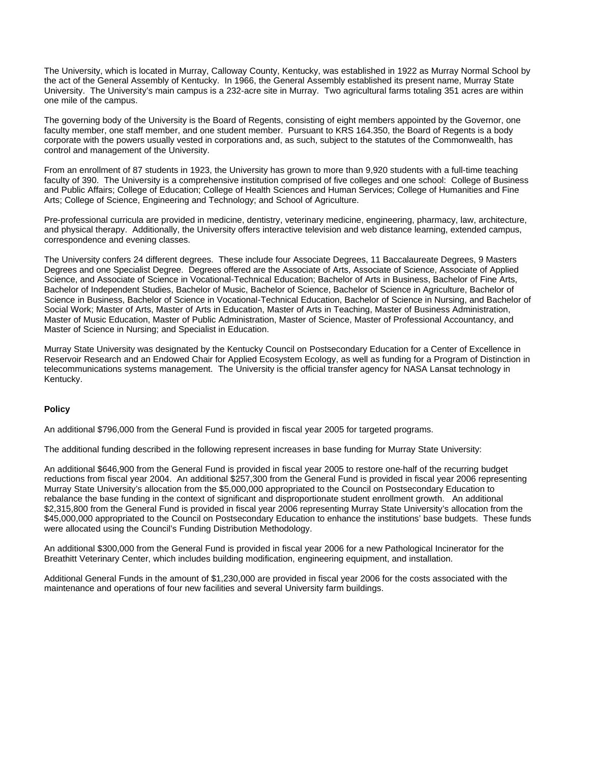The University, which is located in Murray, Calloway County, Kentucky, was established in 1922 as Murray Normal School by the act of the General Assembly of Kentucky. In 1966, the General Assembly established its present name, Murray State University. The University's main campus is a 232-acre site in Murray. Two agricultural farms totaling 351 acres are within one mile of the campus.

The governing body of the University is the Board of Regents, consisting of eight members appointed by the Governor, one faculty member, one staff member, and one student member. Pursuant to KRS 164.350, the Board of Regents is a body corporate with the powers usually vested in corporations and, as such, subject to the statutes of the Commonwealth, has control and management of the University.

From an enrollment of 87 students in 1923, the University has grown to more than 9,920 students with a full-time teaching faculty of 390. The University is a comprehensive institution comprised of five colleges and one school: College of Business and Public Affairs; College of Education; College of Health Sciences and Human Services; College of Humanities and Fine Arts; College of Science, Engineering and Technology; and School of Agriculture.

Pre-professional curricula are provided in medicine, dentistry, veterinary medicine, engineering, pharmacy, law, architecture, and physical therapy. Additionally, the University offers interactive television and web distance learning, extended campus, correspondence and evening classes.

The University confers 24 different degrees. These include four Associate Degrees, 11 Baccalaureate Degrees, 9 Masters Degrees and one Specialist Degree. Degrees offered are the Associate of Arts, Associate of Science, Associate of Applied Science, and Associate of Science in Vocational-Technical Education; Bachelor of Arts in Business, Bachelor of Fine Arts, Bachelor of Independent Studies, Bachelor of Music, Bachelor of Science, Bachelor of Science in Agriculture, Bachelor of Science in Business, Bachelor of Science in Vocational-Technical Education, Bachelor of Science in Nursing, and Bachelor of Social Work; Master of Arts, Master of Arts in Education, Master of Arts in Teaching, Master of Business Administration, Master of Music Education, Master of Public Administration, Master of Science, Master of Professional Accountancy, and Master of Science in Nursing; and Specialist in Education.

Murray State University was designated by the Kentucky Council on Postsecondary Education for a Center of Excellence in Reservoir Research and an Endowed Chair for Applied Ecosystem Ecology, as well as funding for a Program of Distinction in telecommunications systems management. The University is the official transfer agency for NASA Lansat technology in Kentucky.

### **Policy**

An additional \$796,000 from the General Fund is provided in fiscal year 2005 for targeted programs.

The additional funding described in the following represent increases in base funding for Murray State University:

An additional \$646,900 from the General Fund is provided in fiscal year 2005 to restore one-half of the recurring budget reductions from fiscal year 2004. An additional \$257,300 from the General Fund is provided in fiscal year 2006 representing Murray State University's allocation from the \$5,000,000 appropriated to the Council on Postsecondary Education to rebalance the base funding in the context of significant and disproportionate student enrollment growth. An additional \$2,315,800 from the General Fund is provided in fiscal year 2006 representing Murray State University's allocation from the \$45,000,000 appropriated to the Council on Postsecondary Education to enhance the institutions' base budgets. These funds were allocated using the Council's Funding Distribution Methodology.

An additional \$300,000 from the General Fund is provided in fiscal year 2006 for a new Pathological Incinerator for the Breathitt Veterinary Center, which includes building modification, engineering equipment, and installation.

Additional General Funds in the amount of \$1,230,000 are provided in fiscal year 2006 for the costs associated with the maintenance and operations of four new facilities and several University farm buildings.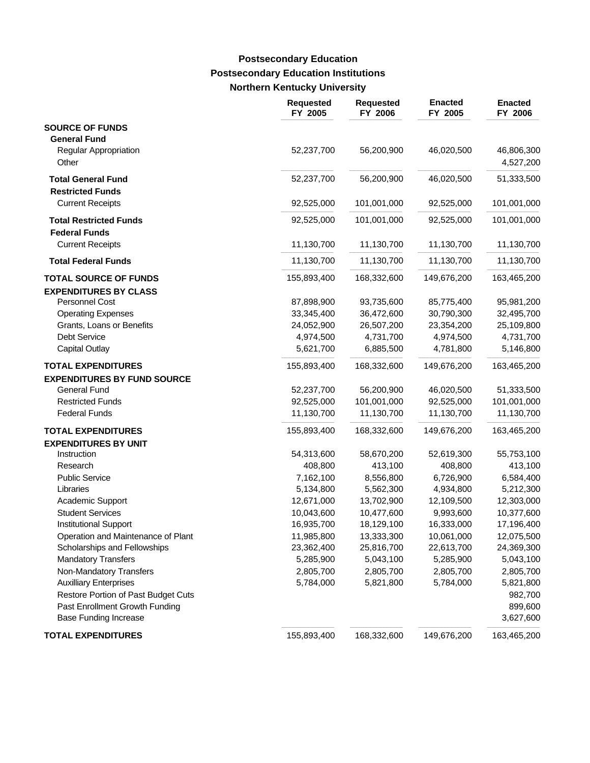### **Postsecondary Education Institutions Northern Kentucky University Postsecondary Education**

|                                                              | <b>Requested</b><br>FY 2005 | <b>Requested</b><br>FY 2006 | <b>Enacted</b><br>FY 2005 | <b>Enacted</b><br>FY 2006 |
|--------------------------------------------------------------|-----------------------------|-----------------------------|---------------------------|---------------------------|
| <b>SOURCE OF FUNDS</b><br><b>General Fund</b>                |                             |                             |                           |                           |
| Regular Appropriation<br>Other                               | 52,237,700                  | 56,200,900                  | 46,020,500                | 46,806,300<br>4,527,200   |
| <b>Total General Fund</b><br><b>Restricted Funds</b>         | 52,237,700                  | 56,200,900                  | 46,020,500                | 51,333,500                |
| <b>Current Receipts</b>                                      | 92,525,000                  | 101,001,000                 | 92,525,000                | 101,001,000               |
| <b>Total Restricted Funds</b><br><b>Federal Funds</b>        | 92,525,000                  | 101,001,000                 | 92,525,000                | 101,001,000               |
| <b>Current Receipts</b>                                      | 11,130,700                  | 11,130,700                  | 11,130,700                | 11,130,700                |
| <b>Total Federal Funds</b>                                   | 11,130,700                  | 11,130,700                  | 11,130,700                | 11,130,700                |
| <b>TOTAL SOURCE OF FUNDS</b><br><b>EXPENDITURES BY CLASS</b> | 155,893,400                 | 168,332,600                 | 149,676,200               | 163,465,200               |
| <b>Personnel Cost</b>                                        | 87,898,900                  | 93,735,600                  | 85,775,400                | 95,981,200                |
| <b>Operating Expenses</b>                                    | 33,345,400                  | 36,472,600                  | 30,790,300                | 32,495,700                |
| Grants, Loans or Benefits                                    | 24,052,900                  | 26,507,200                  | 23,354,200                | 25,109,800                |
| Debt Service                                                 | 4,974,500                   | 4,731,700                   | 4,974,500                 | 4,731,700                 |
| Capital Outlay                                               | 5,621,700                   | 6,885,500                   | 4,781,800                 | 5,146,800                 |
| <b>TOTAL EXPENDITURES</b>                                    | 155,893,400                 | 168,332,600                 | 149,676,200               | 163,465,200               |
| <b>EXPENDITURES BY FUND SOURCE</b>                           |                             |                             |                           |                           |
| <b>General Fund</b>                                          | 52,237,700                  | 56,200,900                  | 46,020,500                | 51,333,500                |
| <b>Restricted Funds</b>                                      | 92,525,000                  | 101,001,000                 | 92,525,000                | 101,001,000               |
| <b>Federal Funds</b>                                         | 11,130,700                  | 11,130,700                  | 11,130,700                | 11,130,700                |
| <b>TOTAL EXPENDITURES</b>                                    | 155,893,400                 | 168,332,600                 | 149,676,200               | 163,465,200               |
| <b>EXPENDITURES BY UNIT</b>                                  |                             |                             |                           |                           |
| Instruction                                                  | 54,313,600                  | 58,670,200                  | 52,619,300                | 55,753,100                |
| Research                                                     | 408,800                     | 413,100                     | 408,800                   | 413,100                   |
| <b>Public Service</b>                                        | 7,162,100                   | 8,556,800                   | 6,726,900                 | 6,584,400                 |
| Libraries                                                    | 5,134,800                   | 5,562,300                   | 4,934,800                 | 5,212,300                 |
| Academic Support                                             | 12,671,000                  | 13,702,900                  | 12,109,500                | 12,303,000                |
| <b>Student Services</b>                                      | 10,043,600                  | 10,477,600                  | 9,993,600                 | 10,377,600                |
| <b>Institutional Support</b>                                 | 16,935,700                  | 18,129,100                  | 16,333,000                | 17,196,400                |
| Operation and Maintenance of Plant                           | 11,985,800                  | 13,333,300                  | 10,061,000                | 12,075,500                |
| Scholarships and Fellowships                                 | 23,362,400                  | 25,816,700                  | 22,613,700                | 24,369,300                |
| <b>Mandatory Transfers</b>                                   | 5,285,900                   | 5,043,100                   | 5,285,900                 | 5,043,100                 |
| Non-Mandatory Transfers                                      | 2,805,700                   | 2,805,700                   | 2,805,700                 | 2,805,700                 |
| <b>Auxilliary Enterprises</b>                                | 5,784,000                   | 5,821,800                   | 5,784,000                 | 5,821,800                 |
| Restore Portion of Past Budget Cuts                          |                             |                             |                           | 982,700                   |
| Past Enrollment Growth Funding                               |                             |                             |                           | 899,600                   |
| <b>Base Funding Increase</b>                                 |                             |                             |                           | 3,627,600                 |
| <b>TOTAL EXPENDITURES</b>                                    | 155,893,400                 | 168,332,600                 | 149,676,200               | 163,465,200               |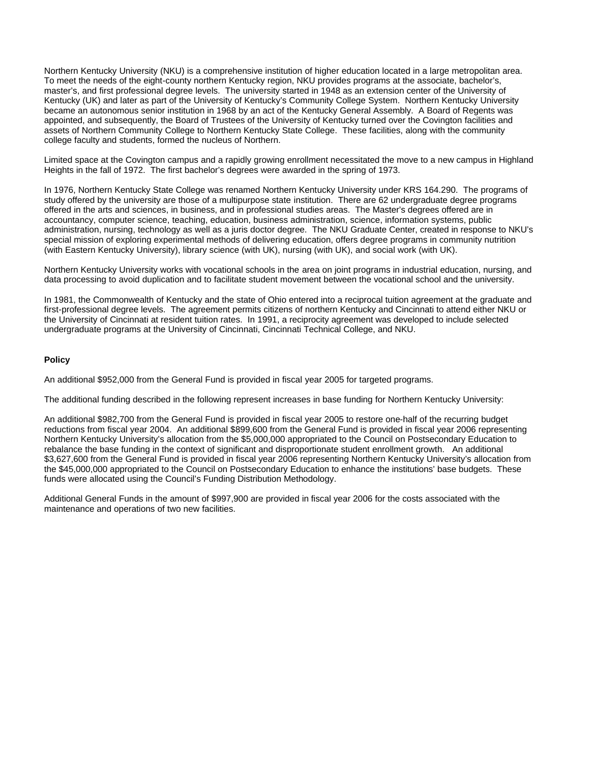Northern Kentucky University (NKU) is a comprehensive institution of higher education located in a large metropolitan area. To meet the needs of the eight-county northern Kentucky region, NKU provides programs at the associate, bachelor's, master's, and first professional degree levels. The university started in 1948 as an extension center of the University of Kentucky (UK) and later as part of the University of Kentucky's Community College System. Northern Kentucky University became an autonomous senior institution in 1968 by an act of the Kentucky General Assembly. A Board of Regents was appointed, and subsequently, the Board of Trustees of the University of Kentucky turned over the Covington facilities and assets of Northern Community College to Northern Kentucky State College. These facilities, along with the community college faculty and students, formed the nucleus of Northern.

Limited space at the Covington campus and a rapidly growing enrollment necessitated the move to a new campus in Highland Heights in the fall of 1972. The first bachelor's degrees were awarded in the spring of 1973.

In 1976, Northern Kentucky State College was renamed Northern Kentucky University under KRS 164.290. The programs of study offered by the university are those of a multipurpose state institution. There are 62 undergraduate degree programs offered in the arts and sciences, in business, and in professional studies areas. The Master's degrees offered are in accountancy, computer science, teaching, education, business administration, science, information systems, public administration, nursing, technology as well as a juris doctor degree. The NKU Graduate Center, created in response to NKU's special mission of exploring experimental methods of delivering education, offers degree programs in community nutrition (with Eastern Kentucky University), library science (with UK), nursing (with UK), and social work (with UK).

Northern Kentucky University works with vocational schools in the area on joint programs in industrial education, nursing, and data processing to avoid duplication and to facilitate student movement between the vocational school and the university.

In 1981, the Commonwealth of Kentucky and the state of Ohio entered into a reciprocal tuition agreement at the graduate and first-professional degree levels. The agreement permits citizens of northern Kentucky and Cincinnati to attend either NKU or the University of Cincinnati at resident tuition rates. In 1991, a reciprocity agreement was developed to include selected undergraduate programs at the University of Cincinnati, Cincinnati Technical College, and NKU.

### **Policy**

An additional \$952,000 from the General Fund is provided in fiscal year 2005 for targeted programs.

The additional funding described in the following represent increases in base funding for Northern Kentucky University:

An additional \$982,700 from the General Fund is provided in fiscal year 2005 to restore one-half of the recurring budget reductions from fiscal year 2004. An additional \$899,600 from the General Fund is provided in fiscal year 2006 representing Northern Kentucky University's allocation from the \$5,000,000 appropriated to the Council on Postsecondary Education to rebalance the base funding in the context of significant and disproportionate student enrollment growth. An additional \$3,627,600 from the General Fund is provided in fiscal year 2006 representing Northern Kentucky University's allocation from the \$45,000,000 appropriated to the Council on Postsecondary Education to enhance the institutions' base budgets. These funds were allocated using the Council's Funding Distribution Methodology.

Additional General Funds in the amount of \$997,900 are provided in fiscal year 2006 for the costs associated with the maintenance and operations of two new facilities.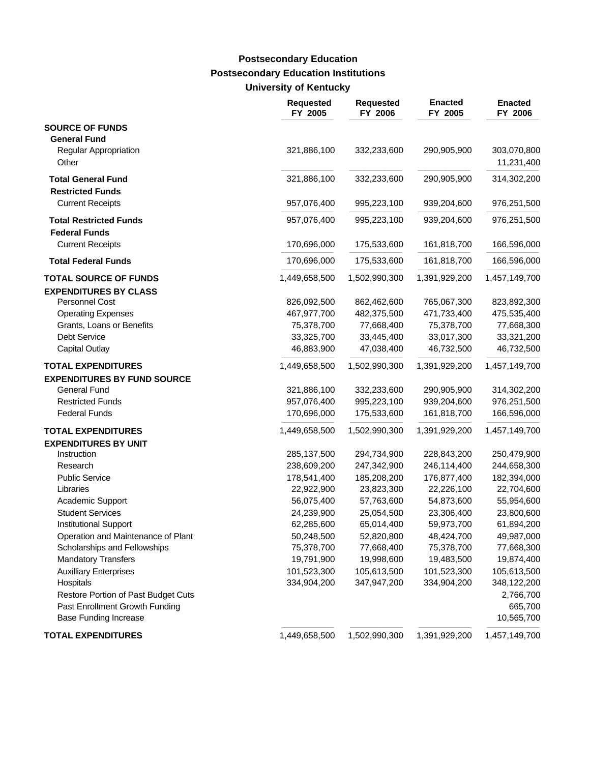# **Postsecondary Education Institutions University of Kentucky Postsecondary Education**

|                                                              | <b>Requested</b><br>FY 2005 | <b>Requested</b><br>FY 2006 | <b>Enacted</b><br>FY 2005 | <b>Enacted</b><br>FY 2006 |
|--------------------------------------------------------------|-----------------------------|-----------------------------|---------------------------|---------------------------|
| <b>SOURCE OF FUNDS</b>                                       |                             |                             |                           |                           |
| <b>General Fund</b><br><b>Regular Appropriation</b><br>Other | 321,886,100                 | 332,233,600                 | 290,905,900               | 303,070,800<br>11,231,400 |
| <b>Total General Fund</b>                                    | 321,886,100                 | 332,233,600                 | 290,905,900               | 314,302,200               |
| <b>Restricted Funds</b>                                      |                             |                             |                           |                           |
| <b>Current Receipts</b>                                      | 957,076,400                 | 995,223,100                 | 939,204,600               | 976,251,500               |
| <b>Total Restricted Funds</b>                                | 957,076,400                 | 995,223,100                 | 939,204,600               | 976,251,500               |
| <b>Federal Funds</b>                                         |                             |                             |                           |                           |
| <b>Current Receipts</b>                                      | 170,696,000                 | 175,533,600                 | 161,818,700               | 166,596,000               |
| <b>Total Federal Funds</b>                                   | 170,696,000                 | 175,533,600                 | 161,818,700               | 166,596,000               |
| <b>TOTAL SOURCE OF FUNDS</b>                                 | 1,449,658,500               | 1,502,990,300               | 1,391,929,200             | 1,457,149,700             |
| <b>EXPENDITURES BY CLASS</b>                                 |                             |                             |                           |                           |
| <b>Personnel Cost</b>                                        | 826,092,500                 | 862,462,600                 | 765,067,300               | 823,892,300               |
| <b>Operating Expenses</b>                                    | 467,977,700                 | 482,375,500                 | 471,733,400               | 475,535,400               |
| Grants, Loans or Benefits                                    | 75,378,700                  | 77,668,400                  | 75,378,700                | 77,668,300                |
| <b>Debt Service</b>                                          | 33,325,700                  | 33,445,400                  | 33,017,300                | 33,321,200                |
| <b>Capital Outlay</b>                                        | 46,883,900                  | 47,038,400                  | 46,732,500                | 46,732,500                |
| <b>TOTAL EXPENDITURES</b>                                    | 1,449,658,500               | 1,502,990,300               | 1,391,929,200             | 1,457,149,700             |
| <b>EXPENDITURES BY FUND SOURCE</b>                           |                             |                             |                           |                           |
| <b>General Fund</b>                                          | 321,886,100                 | 332,233,600                 | 290,905,900               | 314,302,200               |
| <b>Restricted Funds</b>                                      | 957,076,400                 | 995,223,100                 | 939,204,600               | 976,251,500               |
| <b>Federal Funds</b>                                         | 170,696,000                 | 175,533,600                 | 161,818,700               | 166,596,000               |
| <b>TOTAL EXPENDITURES</b>                                    | 1,449,658,500               | 1,502,990,300               | 1,391,929,200             | 1,457,149,700             |
| <b>EXPENDITURES BY UNIT</b>                                  |                             |                             |                           |                           |
| Instruction                                                  | 285,137,500                 | 294,734,900                 | 228,843,200               | 250,479,900               |
| Research                                                     | 238,609,200                 | 247,342,900                 | 246,114,400               | 244,658,300               |
| <b>Public Service</b>                                        | 178,541,400                 | 185,208,200                 | 176,877,400               | 182,394,000               |
| Libraries                                                    | 22,922,900                  | 23,823,300                  | 22,226,100                | 22,704,600                |
| Academic Support                                             | 56,075,400                  | 57,763,600                  | 54,873,600                | 55,954,600                |
| <b>Student Services</b>                                      | 24,239,900                  | 25,054,500                  | 23,306,400                | 23,800,600                |
| <b>Institutional Support</b>                                 | 62,285,600                  | 65,014,400                  | 59,973,700                | 61,894,200                |
| Operation and Maintenance of Plant                           | 50,248,500                  | 52,820,800                  | 48,424,700                | 49,987,000                |
| Scholarships and Fellowships                                 | 75,378,700                  | 77,668,400                  | 75,378,700                | 77,668,300                |
| <b>Mandatory Transfers</b>                                   | 19,791,900                  | 19,998,600                  | 19,483,500                | 19,874,400                |
| <b>Auxilliary Enterprises</b>                                | 101,523,300                 | 105,613,500                 | 101,523,300               | 105,613,500               |
| Hospitals                                                    | 334,904,200                 | 347,947,200                 | 334,904,200               | 348,122,200               |
| Restore Portion of Past Budget Cuts                          |                             |                             |                           | 2,766,700                 |
| Past Enrollment Growth Funding                               |                             |                             |                           | 665,700                   |
| <b>Base Funding Increase</b>                                 |                             |                             |                           | 10,565,700                |
| <b>TOTAL EXPENDITURES</b>                                    | 1,449,658,500               | 1,502,990,300               | 1,391,929,200             | 1,457,149,700             |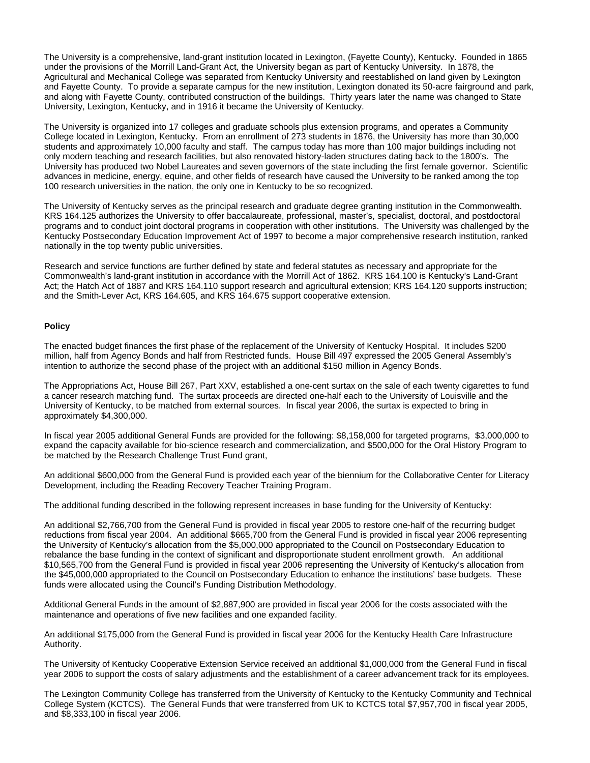The University is a comprehensive, land-grant institution located in Lexington, (Fayette County), Kentucky. Founded in 1865 under the provisions of the Morrill Land-Grant Act, the University began as part of Kentucky University. In 1878, the Agricultural and Mechanical College was separated from Kentucky University and reestablished on land given by Lexington and Fayette County. To provide a separate campus for the new institution, Lexington donated its 50-acre fairground and park, and along with Fayette County, contributed construction of the buildings. Thirty years later the name was changed to State University, Lexington, Kentucky, and in 1916 it became the University of Kentucky.

The University is organized into 17 colleges and graduate schools plus extension programs, and operates a Community College located in Lexington, Kentucky. From an enrollment of 273 students in 1876, the University has more than 30,000 students and approximately 10,000 faculty and staff. The campus today has more than 100 major buildings including not only modern teaching and research facilities, but also renovated history-laden structures dating back to the 1800's. The University has produced two Nobel Laureates and seven governors of the state including the first female governor. Scientific advances in medicine, energy, equine, and other fields of research have caused the University to be ranked among the top 100 research universities in the nation, the only one in Kentucky to be so recognized.

The University of Kentucky serves as the principal research and graduate degree granting institution in the Commonwealth. KRS 164.125 authorizes the University to offer baccalaureate, professional, master's, specialist, doctoral, and postdoctoral programs and to conduct joint doctoral programs in cooperation with other institutions. The University was challenged by the Kentucky Postsecondary Education Improvement Act of 1997 to become a major comprehensive research institution, ranked nationally in the top twenty public universities.

Research and service functions are further defined by state and federal statutes as necessary and appropriate for the Commonwealth's land-grant institution in accordance with the Morrill Act of 1862. KRS 164.100 is Kentucky's Land-Grant Act; the Hatch Act of 1887 and KRS 164.110 support research and agricultural extension; KRS 164.120 supports instruction; and the Smith-Lever Act, KRS 164.605, and KRS 164.675 support cooperative extension.

#### **Policy**

The enacted budget finances the first phase of the replacement of the University of Kentucky Hospital. It includes \$200 million, half from Agency Bonds and half from Restricted funds. House Bill 497 expressed the 2005 General Assembly's intention to authorize the second phase of the project with an additional \$150 million in Agency Bonds.

The Appropriations Act, House Bill 267, Part XXV, established a one-cent surtax on the sale of each twenty cigarettes to fund a cancer research matching fund. The surtax proceeds are directed one-half each to the University of Louisville and the University of Kentucky, to be matched from external sources. In fiscal year 2006, the surtax is expected to bring in approximately \$4,300,000.

In fiscal year 2005 additional General Funds are provided for the following: \$8,158,000 for targeted programs, \$3,000,000 to expand the capacity available for bio-science research and commercialization, and \$500,000 for the Oral History Program to be matched by the Research Challenge Trust Fund grant,

An additional \$600,000 from the General Fund is provided each year of the biennium for the Collaborative Center for Literacy Development, including the Reading Recovery Teacher Training Program.

The additional funding described in the following represent increases in base funding for the University of Kentucky:

An additional \$2,766,700 from the General Fund is provided in fiscal year 2005 to restore one-half of the recurring budget reductions from fiscal year 2004. An additional \$665,700 from the General Fund is provided in fiscal year 2006 representing the University of Kentucky's allocation from the \$5,000,000 appropriated to the Council on Postsecondary Education to rebalance the base funding in the context of significant and disproportionate student enrollment growth. An additional \$10,565,700 from the General Fund is provided in fiscal year 2006 representing the University of Kentucky's allocation from the \$45,000,000 appropriated to the Council on Postsecondary Education to enhance the institutions' base budgets. These funds were allocated using the Council's Funding Distribution Methodology.

Additional General Funds in the amount of \$2,887,900 are provided in fiscal year 2006 for the costs associated with the maintenance and operations of five new facilities and one expanded facility.

An additional \$175,000 from the General Fund is provided in fiscal year 2006 for the Kentucky Health Care Infrastructure Authority.

The University of Kentucky Cooperative Extension Service received an additional \$1,000,000 from the General Fund in fiscal year 2006 to support the costs of salary adjustments and the establishment of a career advancement track for its employees.

The Lexington Community College has transferred from the University of Kentucky to the Kentucky Community and Technical College System (KCTCS). The General Funds that were transferred from UK to KCTCS total \$7,957,700 in fiscal year 2005, and \$8,333,100 in fiscal year 2006.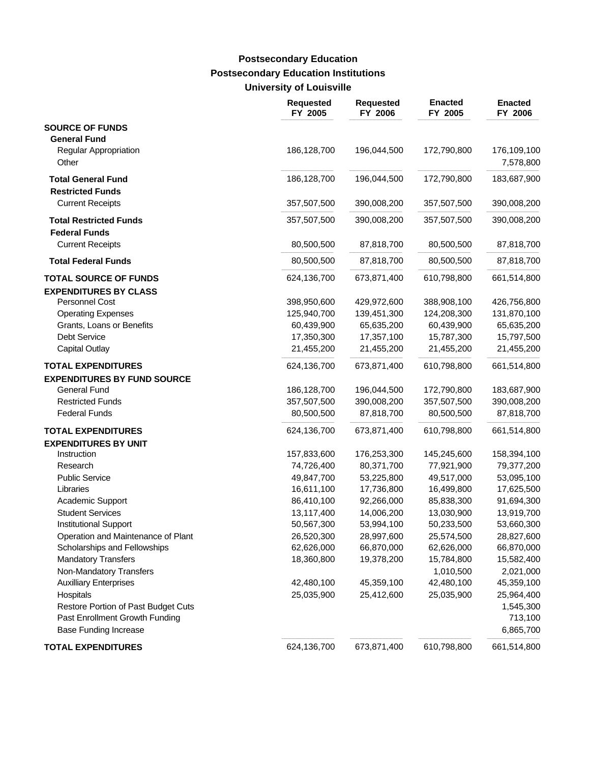### **Postsecondary Education Institutions University of Louisville Postsecondary Education**

|                                                       | <b>Requested</b><br>FY 2005 | <b>Requested</b><br>FY 2006 | <b>Enacted</b><br>FY 2005 | <b>Enacted</b><br>FY 2006 |
|-------------------------------------------------------|-----------------------------|-----------------------------|---------------------------|---------------------------|
| <b>SOURCE OF FUNDS</b><br><b>General Fund</b>         |                             |                             |                           |                           |
| <b>Regular Appropriation</b><br>Other                 | 186,128,700                 | 196,044,500                 | 172,790,800               | 176,109,100<br>7,578,800  |
| <b>Total General Fund</b><br><b>Restricted Funds</b>  | 186,128,700                 | 196,044,500                 | 172,790,800               | 183,687,900               |
| <b>Current Receipts</b>                               | 357,507,500                 | 390,008,200                 | 357,507,500               | 390,008,200               |
| <b>Total Restricted Funds</b><br><b>Federal Funds</b> | 357,507,500                 | 390,008,200                 | 357,507,500               | 390,008,200               |
| <b>Current Receipts</b>                               | 80,500,500                  | 87,818,700                  | 80,500,500                | 87,818,700                |
| <b>Total Federal Funds</b>                            | 80,500,500                  | 87,818,700                  | 80,500,500                | 87,818,700                |
| <b>TOTAL SOURCE OF FUNDS</b>                          | 624,136,700                 | 673,871,400                 | 610,798,800               | 661,514,800               |
| <b>EXPENDITURES BY CLASS</b>                          |                             |                             |                           |                           |
| <b>Personnel Cost</b>                                 | 398,950,600                 | 429,972,600                 | 388,908,100               | 426,756,800               |
| <b>Operating Expenses</b>                             | 125,940,700                 | 139,451,300                 | 124,208,300               | 131,870,100               |
| Grants, Loans or Benefits                             | 60,439,900                  | 65,635,200                  | 60,439,900                | 65,635,200                |
| <b>Debt Service</b>                                   | 17,350,300                  | 17,357,100                  | 15,787,300                | 15,797,500                |
| <b>Capital Outlay</b>                                 | 21,455,200                  | 21,455,200                  | 21,455,200                | 21,455,200                |
| <b>TOTAL EXPENDITURES</b>                             | 624,136,700                 | 673,871,400                 | 610,798,800               | 661,514,800               |
| <b>EXPENDITURES BY FUND SOURCE</b>                    |                             |                             |                           |                           |
| <b>General Fund</b>                                   | 186,128,700                 | 196,044,500                 | 172,790,800               | 183,687,900               |
| <b>Restricted Funds</b>                               | 357,507,500                 | 390,008,200                 | 357,507,500               | 390,008,200               |
| <b>Federal Funds</b>                                  | 80,500,500                  | 87,818,700                  | 80,500,500                | 87,818,700                |
| <b>TOTAL EXPENDITURES</b>                             | 624,136,700                 | 673,871,400                 | 610,798,800               | 661,514,800               |
| <b>EXPENDITURES BY UNIT</b>                           |                             |                             |                           |                           |
| Instruction                                           | 157,833,600                 | 176,253,300                 | 145,245,600               | 158,394,100               |
| Research                                              | 74,726,400                  | 80,371,700                  | 77,921,900                | 79,377,200                |
| <b>Public Service</b>                                 | 49,847,700                  | 53,225,800                  | 49,517,000                | 53,095,100                |
| Libraries                                             | 16,611,100                  | 17,736,800                  | 16,499,800                | 17,625,500                |
| Academic Support                                      | 86,410,100                  | 92,266,000                  | 85,838,300                | 91,694,300                |
| <b>Student Services</b>                               | 13,117,400                  | 14,006,200                  | 13,030,900                | 13,919,700                |
| <b>Institutional Support</b>                          | 50,567,300                  | 53,994,100                  | 50,233,500                | 53,660,300                |
| Operation and Maintenance of Plant                    | 26,520,300                  | 28,997,600                  | 25,574,500                | 28,827,600                |
| Scholarships and Fellowships                          | 62,626,000                  | 66,870,000                  | 62,626,000                | 66,870,000                |
| <b>Mandatory Transfers</b>                            | 18,360,800                  | 19,378,200                  | 15,784,800                | 15,582,400                |
| Non-Mandatory Transfers                               |                             |                             | 1,010,500                 | 2,021,000                 |
| <b>Auxilliary Enterprises</b>                         | 42,480,100                  | 45,359,100                  | 42,480,100                | 45,359,100                |
| Hospitals                                             | 25,035,900                  | 25,412,600                  | 25,035,900                | 25,964,400                |
| Restore Portion of Past Budget Cuts                   |                             |                             |                           | 1,545,300                 |
| Past Enrollment Growth Funding                        |                             |                             |                           | 713,100                   |
| <b>Base Funding Increase</b>                          |                             |                             |                           | 6,865,700                 |
| <b>TOTAL EXPENDITURES</b>                             | 624,136,700                 | 673,871,400                 | 610,798,800               | 661,514,800               |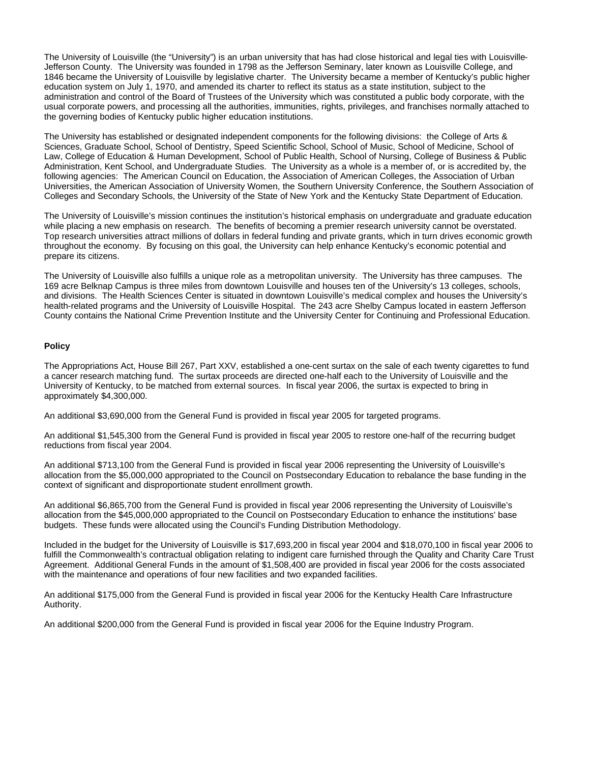The University of Louisville (the "University") is an urban university that has had close historical and legal ties with Louisville-Jefferson County. The University was founded in 1798 as the Jefferson Seminary, later known as Louisville College, and 1846 became the University of Louisville by legislative charter. The University became a member of Kentucky's public higher education system on July 1, 1970, and amended its charter to reflect its status as a state institution, subject to the administration and control of the Board of Trustees of the University which was constituted a public body corporate, with the usual corporate powers, and processing all the authorities, immunities, rights, privileges, and franchises normally attached to the governing bodies of Kentucky public higher education institutions.

The University has established or designated independent components for the following divisions: the College of Arts & Sciences, Graduate School, School of Dentistry, Speed Scientific School, School of Music, School of Medicine, School of Law, College of Education & Human Development, School of Public Health, School of Nursing, College of Business & Public Administration, Kent School, and Undergraduate Studies. The University as a whole is a member of, or is accredited by, the following agencies: The American Council on Education, the Association of American Colleges, the Association of Urban Universities, the American Association of University Women, the Southern University Conference, the Southern Association of Colleges and Secondary Schools, the University of the State of New York and the Kentucky State Department of Education.

The University of Louisville's mission continues the institution's historical emphasis on undergraduate and graduate education while placing a new emphasis on research. The benefits of becoming a premier research university cannot be overstated. Top research universities attract millions of dollars in federal funding and private grants, which in turn drives economic growth throughout the economy. By focusing on this goal, the University can help enhance Kentucky's economic potential and prepare its citizens.

The University of Louisville also fulfills a unique role as a metropolitan university. The University has three campuses. The 169 acre Belknap Campus is three miles from downtown Louisville and houses ten of the University's 13 colleges, schools, and divisions. The Health Sciences Center is situated in downtown Louisville's medical complex and houses the University's health-related programs and the University of Louisville Hospital. The 243 acre Shelby Campus located in eastern Jefferson County contains the National Crime Prevention Institute and the University Center for Continuing and Professional Education.

### **Policy**

The Appropriations Act, House Bill 267, Part XXV, established a one-cent surtax on the sale of each twenty cigarettes to fund a cancer research matching fund. The surtax proceeds are directed one-half each to the University of Louisville and the University of Kentucky, to be matched from external sources. In fiscal year 2006, the surtax is expected to bring in approximately \$4,300,000.

An additional \$3,690,000 from the General Fund is provided in fiscal year 2005 for targeted programs.

An additional \$1,545,300 from the General Fund is provided in fiscal year 2005 to restore one-half of the recurring budget reductions from fiscal year 2004.

An additional \$713,100 from the General Fund is provided in fiscal year 2006 representing the University of Louisville's allocation from the \$5,000,000 appropriated to the Council on Postsecondary Education to rebalance the base funding in the context of significant and disproportionate student enrollment growth.

An additional \$6,865,700 from the General Fund is provided in fiscal year 2006 representing the University of Louisville's allocation from the \$45,000,000 appropriated to the Council on Postsecondary Education to enhance the institutions' base budgets. These funds were allocated using the Council's Funding Distribution Methodology.

Included in the budget for the University of Louisville is \$17,693,200 in fiscal year 2004 and \$18,070,100 in fiscal year 2006 to fulfill the Commonwealth's contractual obligation relating to indigent care furnished through the Quality and Charity Care Trust Agreement. Additional General Funds in the amount of \$1,508,400 are provided in fiscal year 2006 for the costs associated with the maintenance and operations of four new facilities and two expanded facilities.

An additional \$175,000 from the General Fund is provided in fiscal year 2006 for the Kentucky Health Care Infrastructure Authority.

An additional \$200,000 from the General Fund is provided in fiscal year 2006 for the Equine Industry Program.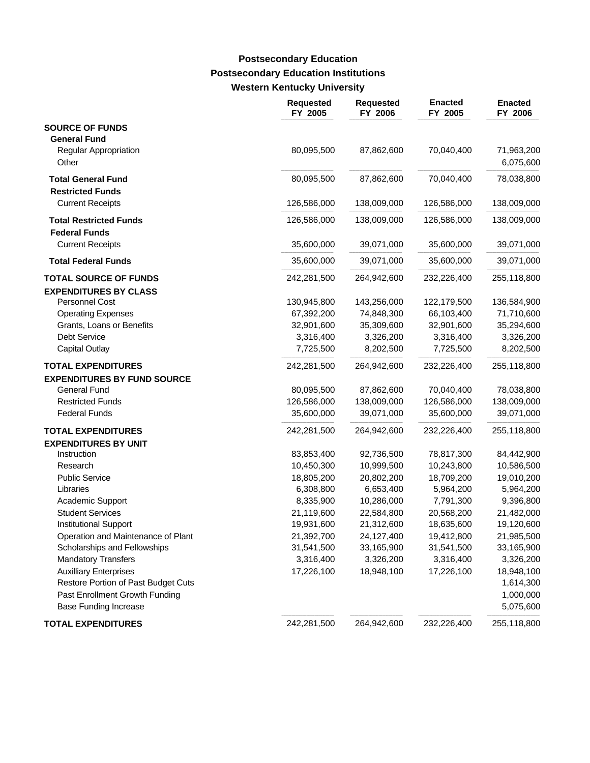### **Postsecondary Education Institutions Western Kentucky University Postsecondary Education**

|                                                       | <b>Requested</b><br>FY 2005 | <b>Requested</b><br>FY 2006 | <b>Enacted</b><br>FY 2005 | <b>Enacted</b><br>FY 2006 |
|-------------------------------------------------------|-----------------------------|-----------------------------|---------------------------|---------------------------|
| <b>SOURCE OF FUNDS</b>                                |                             |                             |                           |                           |
| <b>General Fund</b><br>Regular Appropriation<br>Other | 80,095,500                  | 87,862,600                  | 70,040,400                | 71,963,200<br>6,075,600   |
|                                                       |                             |                             | 70,040,400                | 78,038,800                |
| <b>Total General Fund</b><br><b>Restricted Funds</b>  | 80,095,500                  | 87,862,600                  |                           |                           |
| <b>Current Receipts</b>                               | 126,586,000                 | 138,009,000                 | 126,586,000               | 138,009,000               |
| <b>Total Restricted Funds</b><br><b>Federal Funds</b> | 126,586,000                 | 138,009,000                 | 126,586,000               | 138,009,000               |
| <b>Current Receipts</b>                               | 35,600,000                  | 39,071,000                  | 35,600,000                | 39,071,000                |
| <b>Total Federal Funds</b>                            | 35,600,000                  | 39,071,000                  | 35,600,000                | 39,071,000                |
| <b>TOTAL SOURCE OF FUNDS</b>                          | 242,281,500                 | 264,942,600                 | 232,226,400               | 255,118,800               |
| <b>EXPENDITURES BY CLASS</b>                          |                             |                             |                           |                           |
| <b>Personnel Cost</b>                                 | 130,945,800                 | 143,256,000                 | 122,179,500               | 136,584,900               |
| <b>Operating Expenses</b>                             | 67,392,200                  | 74,848,300                  | 66,103,400                | 71,710,600                |
| Grants, Loans or Benefits                             | 32,901,600                  | 35,309,600                  | 32,901,600                | 35,294,600                |
| <b>Debt Service</b>                                   | 3,316,400                   | 3,326,200                   | 3,316,400                 | 3,326,200                 |
| <b>Capital Outlay</b>                                 | 7,725,500                   | 8,202,500                   | 7,725,500                 | 8,202,500                 |
| <b>TOTAL EXPENDITURES</b>                             | 242,281,500                 | 264,942,600                 | 232,226,400               | 255,118,800               |
| <b>EXPENDITURES BY FUND SOURCE</b>                    |                             |                             |                           |                           |
| <b>General Fund</b>                                   | 80,095,500                  | 87,862,600                  | 70,040,400                | 78,038,800                |
| <b>Restricted Funds</b>                               | 126,586,000                 | 138,009,000                 | 126,586,000               | 138,009,000               |
| <b>Federal Funds</b>                                  | 35,600,000                  | 39,071,000                  | 35,600,000                | 39,071,000                |
| <b>TOTAL EXPENDITURES</b>                             | 242,281,500                 | 264,942,600                 | 232,226,400               | 255,118,800               |
| <b>EXPENDITURES BY UNIT</b>                           |                             |                             |                           |                           |
| Instruction                                           | 83,853,400                  | 92,736,500                  | 78,817,300                | 84,442,900                |
| Research                                              | 10,450,300                  | 10,999,500                  | 10,243,800                | 10,586,500                |
| <b>Public Service</b>                                 | 18,805,200                  | 20,802,200                  | 18,709,200                | 19,010,200                |
| Libraries                                             | 6,308,800                   | 6,653,400                   | 5,964,200                 | 5,964,200                 |
| Academic Support                                      | 8,335,900                   | 10,286,000                  | 7,791,300                 | 9,396,800                 |
| <b>Student Services</b>                               | 21,119,600                  | 22,584,800                  | 20,568,200                | 21,482,000                |
| Institutional Support                                 | 19,931,600                  | 21,312,600                  | 18,635,600                | 19,120,600                |
| Operation and Maintenance of Plant                    | 21,392,700                  | 24,127,400                  | 19,412,800                | 21,985,500                |
| Scholarships and Fellowships                          | 31,541,500                  | 33,165,900                  | 31,541,500                | 33,165,900                |
| <b>Mandatory Transfers</b>                            | 3,316,400                   | 3,326,200                   | 3,316,400                 | 3,326,200                 |
| <b>Auxilliary Enterprises</b>                         | 17,226,100                  | 18,948,100                  | 17,226,100                | 18,948,100                |
| Restore Portion of Past Budget Cuts                   |                             |                             |                           | 1,614,300                 |
| Past Enrollment Growth Funding                        |                             |                             |                           | 1,000,000                 |
| <b>Base Funding Increase</b>                          |                             |                             |                           | 5,075,600                 |
| <b>TOTAL EXPENDITURES</b>                             | 242,281,500                 | 264,942,600                 | 232,226,400               | 255,118,800               |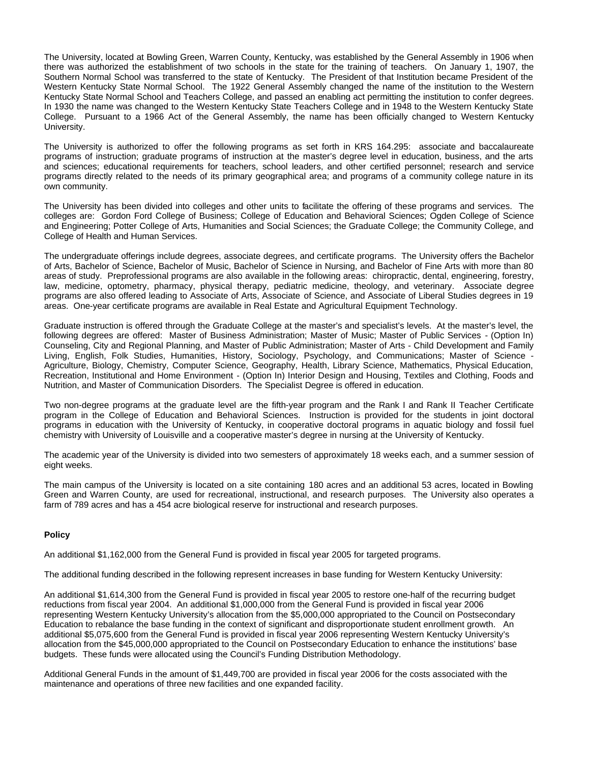The University, located at Bowling Green, Warren County, Kentucky, was established by the General Assembly in 1906 when there was authorized the establishment of two schools in the state for the training of teachers. On January 1, 1907, the Southern Normal School was transferred to the state of Kentucky. The President of that Institution became President of the Western Kentucky State Normal School. The 1922 General Assembly changed the name of the institution to the Western Kentucky State Normal School and Teachers College, and passed an enabling act permitting the institution to confer degrees. In 1930 the name was changed to the Western Kentucky State Teachers College and in 1948 to the Western Kentucky State College. Pursuant to a 1966 Act of the General Assembly, the name has been officially changed to Western Kentucky University.

The University is authorized to offer the following programs as set forth in KRS 164.295: associate and baccalaureate programs of instruction; graduate programs of instruction at the master's degree level in education, business, and the arts and sciences; educational requirements for teachers, school leaders, and other certified personnel; research and service programs directly related to the needs of its primary geographical area; and programs of a community college nature in its own community.

The University has been divided into colleges and other units to facilitate the offering of these programs and services. The colleges are: Gordon Ford College of Business; College of Education and Behavioral Sciences; Ogden College of Science and Engineering; Potter College of Arts, Humanities and Social Sciences; the Graduate College; the Community College, and College of Health and Human Services.

The undergraduate offerings include degrees, associate degrees, and certificate programs. The University offers the Bachelor of Arts, Bachelor of Science, Bachelor of Music, Bachelor of Science in Nursing, and Bachelor of Fine Arts with more than 80 areas of study. Preprofessional programs are also available in the following areas: chiropractic, dental, engineering, forestry, law, medicine, optometry, pharmacy, physical therapy, pediatric medicine, theology, and veterinary. Associate degree programs are also offered leading to Associate of Arts, Associate of Science, and Associate of Liberal Studies degrees in 19 areas. One-year certificate programs are available in Real Estate and Agricultural Equipment Technology.

Graduate instruction is offered through the Graduate College at the master's and specialist's levels. At the master's level, the following degrees are offered: Master of Business Administration; Master of Music; Master of Public Services - (Option In) Counseling, City and Regional Planning, and Master of Public Administration; Master of Arts - Child Development and Family Living, English, Folk Studies, Humanities, History, Sociology, Psychology, and Communications; Master of Science - Agriculture, Biology, Chemistry, Computer Science, Geography, Health, Library Science, Mathematics, Physical Education, Recreation, Institutional and Home Environment - (Option In) Interior Design and Housing, Textiles and Clothing, Foods and Nutrition, and Master of Communication Disorders. The Specialist Degree is offered in education.

Two non-degree programs at the graduate level are the fifth-year program and the Rank I and Rank II Teacher Certificate program in the College of Education and Behavioral Sciences. Instruction is provided for the students in joint doctoral programs in education with the University of Kentucky, in cooperative doctoral programs in aquatic biology and fossil fuel chemistry with University of Louisville and a cooperative master's degree in nursing at the University of Kentucky.

The academic year of the University is divided into two semesters of approximately 18 weeks each, and a summer session of eight weeks.

The main campus of the University is located on a site containing 180 acres and an additional 53 acres, located in Bowling Green and Warren County, are used for recreational, instructional, and research purposes. The University also operates a farm of 789 acres and has a 454 acre biological reserve for instructional and research purposes.

### **Policy**

An additional \$1,162,000 from the General Fund is provided in fiscal year 2005 for targeted programs.

The additional funding described in the following represent increases in base funding for Western Kentucky University:

An additional \$1,614,300 from the General Fund is provided in fiscal year 2005 to restore one-half of the recurring budget reductions from fiscal year 2004. An additional \$1,000,000 from the General Fund is provided in fiscal year 2006 representing Western Kentucky University's allocation from the \$5,000,000 appropriated to the Council on Postsecondary Education to rebalance the base funding in the context of significant and disproportionate student enrollment growth. An additional \$5,075,600 from the General Fund is provided in fiscal year 2006 representing Western Kentucky University's allocation from the \$45,000,000 appropriated to the Council on Postsecondary Education to enhance the institutions' base budgets. These funds were allocated using the Council's Funding Distribution Methodology.

Additional General Funds in the amount of \$1,449,700 are provided in fiscal year 2006 for the costs associated with the maintenance and operations of three new facilities and one expanded facility.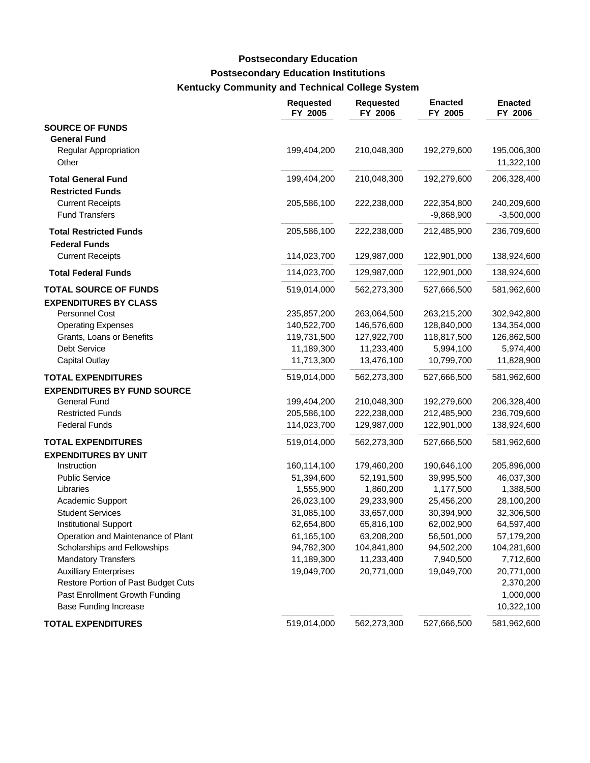# **Postsecondary Education Institutions Kentucky Community and Technical College System Postsecondary Education**

|                                                                             | <b>Requested</b><br>FY 2005 | <b>Requested</b><br>FY 2006 | <b>Enacted</b><br>FY 2005   | <b>Enacted</b><br>FY 2006   |
|-----------------------------------------------------------------------------|-----------------------------|-----------------------------|-----------------------------|-----------------------------|
| <b>SOURCE OF FUNDS</b><br><b>General Fund</b>                               |                             |                             |                             |                             |
| <b>Regular Appropriation</b><br>Other                                       | 199,404,200                 | 210,048,300                 | 192,279,600                 | 195,006,300<br>11,322,100   |
| <b>Total General Fund</b>                                                   | 199,404,200                 | 210,048,300                 | 192,279,600                 | 206,328,400                 |
| <b>Restricted Funds</b><br><b>Current Receipts</b><br><b>Fund Transfers</b> | 205,586,100                 | 222,238,000                 | 222,354,800<br>$-9,868,900$ | 240,209,600<br>$-3,500,000$ |
| <b>Total Restricted Funds</b><br><b>Federal Funds</b>                       | 205,586,100                 | 222,238,000                 | 212,485,900                 | 236,709,600                 |
| <b>Current Receipts</b>                                                     | 114,023,700                 | 129,987,000                 | 122,901,000                 | 138,924,600                 |
| <b>Total Federal Funds</b>                                                  | 114,023,700                 | 129,987,000                 | 122,901,000                 | 138,924,600                 |
| <b>TOTAL SOURCE OF FUNDS</b><br><b>EXPENDITURES BY CLASS</b>                | 519,014,000                 | 562,273,300                 | 527,666,500                 | 581,962,600                 |
| Personnel Cost                                                              | 235,857,200                 | 263,064,500                 | 263,215,200                 | 302,942,800                 |
| <b>Operating Expenses</b>                                                   | 140,522,700                 | 146,576,600                 | 128,840,000                 | 134,354,000                 |
| Grants, Loans or Benefits                                                   | 119,731,500                 | 127,922,700                 | 118,817,500                 | 126,862,500                 |
| Debt Service                                                                | 11,189,300                  | 11,233,400                  | 5,994,100                   | 5,974,400                   |
| <b>Capital Outlay</b>                                                       | 11,713,300                  | 13,476,100                  | 10,799,700                  | 11,828,900                  |
| <b>TOTAL EXPENDITURES</b>                                                   | 519,014,000                 | 562,273,300                 | 527,666,500                 | 581,962,600                 |
| <b>EXPENDITURES BY FUND SOURCE</b>                                          |                             |                             |                             |                             |
| <b>General Fund</b>                                                         | 199,404,200                 | 210,048,300                 | 192,279,600                 | 206,328,400                 |
| <b>Restricted Funds</b><br><b>Federal Funds</b>                             | 205,586,100                 | 222,238,000<br>129,987,000  | 212,485,900                 | 236,709,600<br>138,924,600  |
|                                                                             | 114,023,700                 |                             | 122,901,000                 |                             |
| <b>TOTAL EXPENDITURES</b><br><b>EXPENDITURES BY UNIT</b>                    | 519,014,000                 | 562,273,300                 | 527,666,500                 | 581,962,600                 |
| Instruction                                                                 | 160,114,100                 | 179,460,200                 | 190,646,100                 | 205,896,000                 |
| <b>Public Service</b>                                                       | 51,394,600                  | 52,191,500                  | 39,995,500                  | 46,037,300                  |
| Libraries                                                                   | 1,555,900                   | 1,860,200                   | 1,177,500                   | 1,388,500                   |
| Academic Support                                                            | 26,023,100                  | 29,233,900                  | 25,456,200                  | 28,100,200                  |
| <b>Student Services</b>                                                     | 31,085,100                  | 33,657,000                  | 30,394,900                  | 32,306,500                  |
| <b>Institutional Support</b>                                                | 62,654,800                  | 65,816,100                  | 62,002,900                  | 64,597,400                  |
| Operation and Maintenance of Plant                                          | 61,165,100                  | 63,208,200                  | 56,501,000                  | 57,179,200                  |
| Scholarships and Fellowships                                                | 94,782,300                  | 104,841,800                 | 94,502,200                  | 104,281,600                 |
| <b>Mandatory Transfers</b>                                                  | 11,189,300                  | 11,233,400                  | 7,940,500                   | 7,712,600                   |
| <b>Auxilliary Enterprises</b>                                               | 19,049,700                  | 20,771,000                  | 19,049,700                  | 20,771,000                  |
| Restore Portion of Past Budget Cuts                                         |                             |                             |                             | 2,370,200                   |
| Past Enrollment Growth Funding                                              |                             |                             |                             | 1,000,000                   |
| <b>Base Funding Increase</b>                                                |                             |                             |                             | 10,322,100                  |
| <b>TOTAL EXPENDITURES</b>                                                   | 519,014,000                 | 562,273,300                 | 527,666,500                 | 581,962,600                 |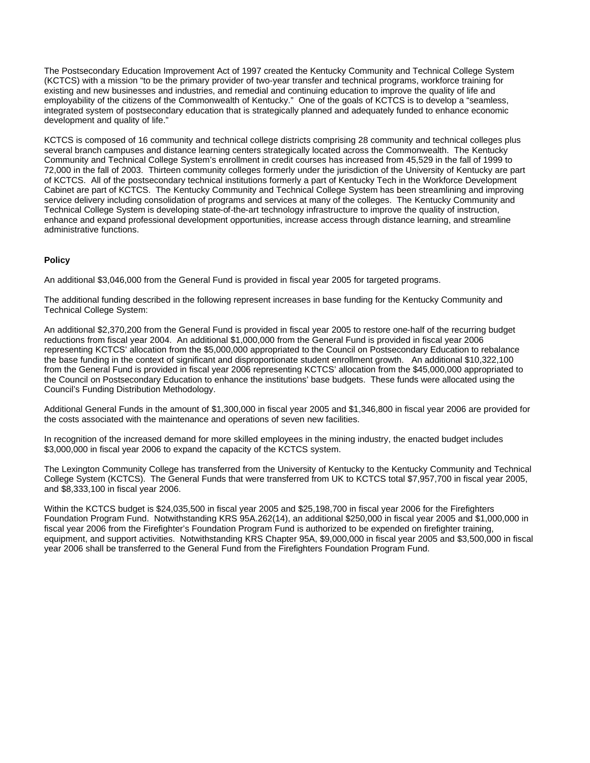The Postsecondary Education Improvement Act of 1997 created the Kentucky Community and Technical College System (KCTCS) with a mission "to be the primary provider of two-year transfer and technical programs, workforce training for existing and new businesses and industries, and remedial and continuing education to improve the quality of life and employability of the citizens of the Commonwealth of Kentucky." One of the goals of KCTCS is to develop a "seamless, integrated system of postsecondary education that is strategically planned and adequately funded to enhance economic development and quality of life."

KCTCS is composed of 16 community and technical college districts comprising 28 community and technical colleges plus several branch campuses and distance learning centers strategically located across the Commonwealth. The Kentucky Community and Technical College System's enrollment in credit courses has increased from 45,529 in the fall of 1999 to 72,000 in the fall of 2003. Thirteen community colleges formerly under the jurisdiction of the University of Kentucky are part of KCTCS. All of the postsecondary technical institutions formerly a part of Kentucky Tech in the Workforce Development Cabinet are part of KCTCS. The Kentucky Community and Technical College System has been streamlining and improving service delivery including consolidation of programs and services at many of the colleges. The Kentucky Community and Technical College System is developing state-of-the-art technology infrastructure to improve the quality of instruction, enhance and expand professional development opportunities, increase access through distance learning, and streamline administrative functions.

### **Policy**

An additional \$3,046,000 from the General Fund is provided in fiscal year 2005 for targeted programs.

The additional funding described in the following represent increases in base funding for the Kentucky Community and Technical College System:

An additional \$2,370,200 from the General Fund is provided in fiscal year 2005 to restore one-half of the recurring budget reductions from fiscal year 2004. An additional \$1,000,000 from the General Fund is provided in fiscal year 2006 representing KCTCS' allocation from the \$5,000,000 appropriated to the Council on Postsecondary Education to rebalance the base funding in the context of significant and disproportionate student enrollment growth. An additional \$10,322,100 from the General Fund is provided in fiscal year 2006 representing KCTCS' allocation from the \$45,000,000 appropriated to the Council on Postsecondary Education to enhance the institutions' base budgets. These funds were allocated using the Council's Funding Distribution Methodology.

Additional General Funds in the amount of \$1,300,000 in fiscal year 2005 and \$1,346,800 in fiscal year 2006 are provided for the costs associated with the maintenance and operations of seven new facilities.

In recognition of the increased demand for more skilled employees in the mining industry, the enacted budget includes \$3,000,000 in fiscal year 2006 to expand the capacity of the KCTCS system.

The Lexington Community College has transferred from the University of Kentucky to the Kentucky Community and Technical College System (KCTCS). The General Funds that were transferred from UK to KCTCS total \$7,957,700 in fiscal year 2005, and \$8,333,100 in fiscal year 2006.

Within the KCTCS budget is \$24,035,500 in fiscal year 2005 and \$25,198,700 in fiscal year 2006 for the Firefighters Foundation Program Fund. Notwithstanding KRS 95A.262(14), an additional \$250,000 in fiscal year 2005 and \$1,000,000 in fiscal year 2006 from the Firefighter's Foundation Program Fund is authorized to be expended on firefighter training, equipment, and support activities. Notwithstanding KRS Chapter 95A, \$9,000,000 in fiscal year 2005 and \$3,500,000 in fiscal year 2006 shall be transferred to the General Fund from the Firefighters Foundation Program Fund.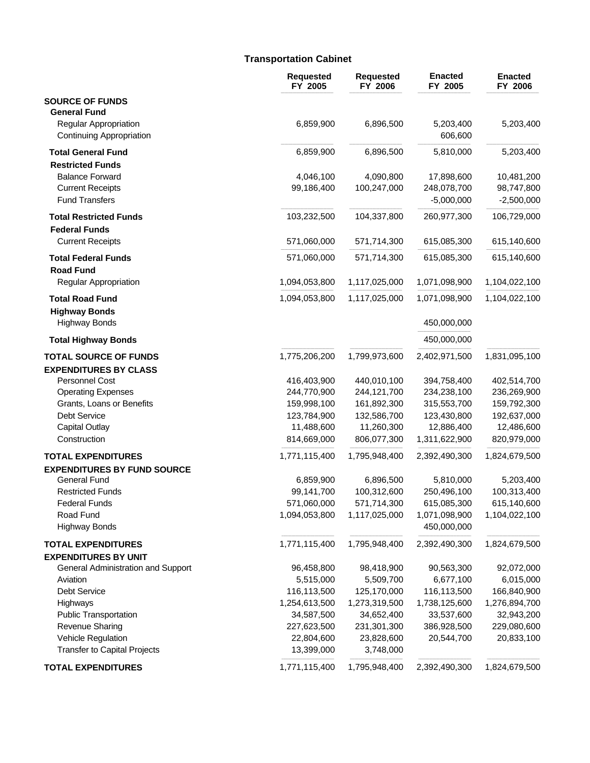# **Transportation Cabinet**

|                                                   | <b>Requested</b><br>FY 2005 | <b>Requested</b><br>FY 2006 | <b>Enacted</b><br>FY 2005  | <b>Enacted</b><br>FY 2006  |
|---------------------------------------------------|-----------------------------|-----------------------------|----------------------------|----------------------------|
| <b>SOURCE OF FUNDS</b><br><b>General Fund</b>     |                             |                             |                            |                            |
| Regular Appropriation<br>Continuing Appropriation | 6,859,900                   | 6,896,500                   | 5,203,400<br>606,600       | 5,203,400                  |
| <b>Total General Fund</b>                         | 6,859,900                   | 6,896,500                   | 5,810,000                  | 5,203,400                  |
| <b>Restricted Funds</b>                           |                             |                             |                            |                            |
| <b>Balance Forward</b>                            | 4,046,100                   | 4,090,800                   | 17,898,600                 | 10,481,200                 |
| <b>Current Receipts</b>                           | 99,186,400                  | 100,247,000                 | 248,078,700                | 98,747,800                 |
| <b>Fund Transfers</b>                             |                             |                             | $-5,000,000$               | $-2,500,000$               |
| <b>Total Restricted Funds</b>                     | 103,232,500                 | 104,337,800                 | 260,977,300                | 106,729,000                |
| <b>Federal Funds</b>                              |                             |                             |                            |                            |
| <b>Current Receipts</b>                           | 571,060,000                 | 571,714,300                 | 615,085,300                | 615,140,600                |
| <b>Total Federal Funds</b><br><b>Road Fund</b>    | 571,060,000                 | 571,714,300                 | 615,085,300                | 615,140,600                |
| Regular Appropriation                             | 1,094,053,800               | 1,117,025,000               | 1,071,098,900              | 1,104,022,100              |
| <b>Total Road Fund</b>                            | 1,094,053,800               | 1,117,025,000               | 1,071,098,900              | 1,104,022,100              |
| <b>Highway Bonds</b><br><b>Highway Bonds</b>      |                             |                             | 450,000,000                |                            |
| <b>Total Highway Bonds</b>                        |                             |                             | 450,000,000                |                            |
| <b>TOTAL SOURCE OF FUNDS</b>                      | 1,775,206,200               | 1,799,973,600               | 2,402,971,500              | 1,831,095,100              |
| <b>EXPENDITURES BY CLASS</b>                      |                             |                             |                            |                            |
| Personnel Cost                                    | 416,403,900                 | 440,010,100                 | 394,758,400                | 402,514,700                |
| <b>Operating Expenses</b>                         | 244,770,900                 | 244,121,700                 | 234,238,100                | 236,269,900                |
| Grants, Loans or Benefits                         | 159,998,100                 | 161,892,300                 | 315,553,700                | 159,792,300                |
| Debt Service                                      | 123,784,900                 | 132,586,700                 | 123,430,800                | 192,637,000                |
| <b>Capital Outlay</b>                             | 11,488,600                  | 11,260,300                  | 12,886,400                 | 12,486,600                 |
| Construction                                      | 814,669,000                 | 806,077,300                 | 1,311,622,900              | 820,979,000                |
| <b>TOTAL EXPENDITURES</b>                         | 1,771,115,400               | 1.795.948.400               | 2,392,490,300              | 1,824,679,500              |
| <b>EXPENDITURES BY FUND SOURCE</b>                |                             |                             |                            |                            |
| <b>General Fund</b>                               | 6,859,900                   | 6,896,500                   | 5,810,000                  | 5,203,400                  |
| <b>Restricted Funds</b><br><b>Federal Funds</b>   | 99,141,700<br>571,060,000   | 100,312,600<br>571,714,300  | 250,496,100<br>615,085,300 | 100,313,400<br>615,140,600 |
| Road Fund                                         | 1,094,053,800               | 1,117,025,000               | 1,071,098,900              | 1,104,022,100              |
| <b>Highway Bonds</b>                              |                             |                             | 450,000,000                |                            |
| <b>TOTAL EXPENDITURES</b>                         | 1,771,115,400               | 1,795,948,400               | 2,392,490,300              | 1,824,679,500              |
| <b>EXPENDITURES BY UNIT</b>                       |                             |                             |                            |                            |
| General Administration and Support                | 96,458,800                  | 98,418,900                  | 90,563,300                 | 92,072,000                 |
| Aviation                                          | 5,515,000                   | 5,509,700                   | 6,677,100                  | 6,015,000                  |
| Debt Service                                      | 116,113,500                 | 125,170,000                 | 116,113,500                | 166,840,900                |
| Highways                                          | 1,254,613,500               | 1,273,319,500               | 1,738,125,600              | 1,276,894,700              |
| <b>Public Transportation</b>                      | 34,587,500                  | 34,652,400                  | 33,537,600                 | 32,943,200                 |
| <b>Revenue Sharing</b>                            | 227,623,500                 | 231,301,300                 | 386,928,500                | 229,080,600                |
| Vehicle Regulation                                | 22,804,600                  | 23,828,600                  | 20,544,700                 | 20,833,100                 |
| <b>Transfer to Capital Projects</b>               | 13,399,000                  | 3,748,000                   |                            |                            |
| <b>TOTAL EXPENDITURES</b>                         | 1,771,115,400               | 1,795,948,400               | 2,392,490,300              | 1,824,679,500              |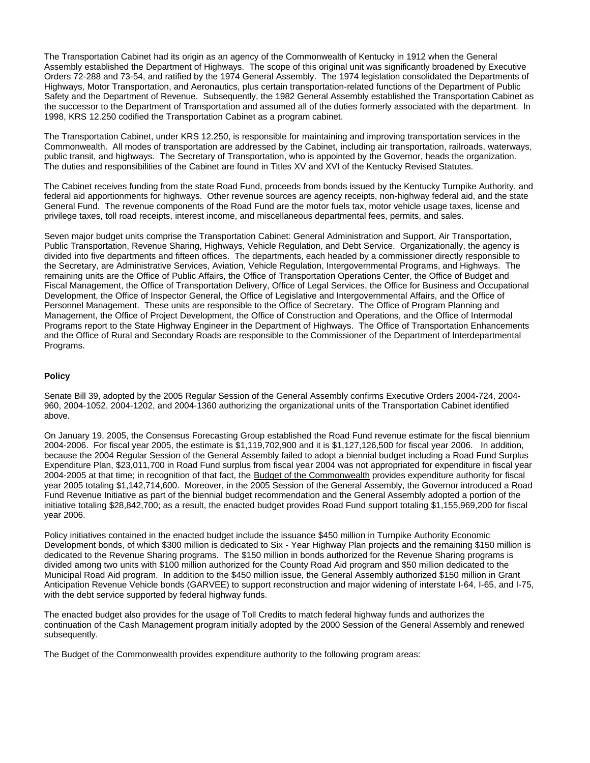The Transportation Cabinet had its origin as an agency of the Commonwealth of Kentucky in 1912 when the General Assembly established the Department of Highways. The scope of this original unit was significantly broadened by Executive Orders 72-288 and 73-54, and ratified by the 1974 General Assembly. The 1974 legislation consolidated the Departments of Highways, Motor Transportation, and Aeronautics, plus certain transportation-related functions of the Department of Public Safety and the Department of Revenue. Subsequently, the 1982 General Assembly established the Transportation Cabinet as the successor to the Department of Transportation and assumed all of the duties formerly associated with the department. In 1998, KRS 12.250 codified the Transportation Cabinet as a program cabinet.

The Transportation Cabinet, under KRS 12.250, is responsible for maintaining and improving transportation services in the Commonwealth. All modes of transportation are addressed by the Cabinet, including air transportation, railroads, waterways, public transit, and highways. The Secretary of Transportation, who is appointed by the Governor, heads the organization. The duties and responsibilities of the Cabinet are found in Titles XV and XVI of the Kentucky Revised Statutes.

The Cabinet receives funding from the state Road Fund, proceeds from bonds issued by the Kentucky Turnpike Authority, and federal aid apportionments for highways. Other revenue sources are agency receipts, non-highway federal aid, and the state General Fund. The revenue components of the Road Fund are the motor fuels tax, motor vehicle usage taxes, license and privilege taxes, toll road receipts, interest income, and miscellaneous departmental fees, permits, and sales.

Seven major budget units comprise the Transportation Cabinet: General Administration and Support, Air Transportation, Public Transportation, Revenue Sharing, Highways, Vehicle Regulation, and Debt Service. Organizationally, the agency is divided into five departments and fifteen offices. The departments, each headed by a commissioner directly responsible to the Secretary, are Administrative Services, Aviation, Vehicle Regulation, Intergovernmental Programs, and Highways. The remaining units are the Office of Public Affairs, the Office of Transportation Operations Center, the Office of Budget and Fiscal Management, the Office of Transportation Delivery, Office of Legal Services, the Office for Business and Occupational Development, the Office of Inspector General, the Office of Legislative and Intergovernmental Affairs, and the Office of Personnel Management. These units are responsible to the Office of Secretary. The Office of Program Planning and Management, the Office of Project Development, the Office of Construction and Operations, and the Office of Intermodal Programs report to the State Highway Engineer in the Department of Highways. The Office of Transportation Enhancements and the Office of Rural and Secondary Roads are responsible to the Commissioner of the Department of Interdepartmental Programs.

### **Policy**

Senate Bill 39, adopted by the 2005 Regular Session of the General Assembly confirms Executive Orders 2004-724, 2004- 960, 2004-1052, 2004-1202, and 2004-1360 authorizing the organizational units of the Transportation Cabinet identified above.

On January 19, 2005, the Consensus Forecasting Group established the Road Fund revenue estimate for the fiscal biennium 2004-2006. For fiscal year 2005, the estimate is \$1,119,702,900 and it is \$1,127,126,500 for fiscal year 2006. In addition, because the 2004 Regular Session of the General Assembly failed to adopt a biennial budget including a Road Fund Surplus Expenditure Plan, \$23,011,700 in Road Fund surplus from fiscal year 2004 was not appropriated for expenditure in fiscal year 2004-2005 at that time; in recognition of that fact, the Budget of the Commonwealth provides expenditure authority for fiscal year 2005 totaling \$1,142,714,600. Moreover, in the 2005 Session of the General Assembly, the Governor introduced a Road Fund Revenue Initiative as part of the biennial budget recommendation and the General Assembly adopted a portion of the initiative totaling \$28,842,700; as a result, the enacted budget provides Road Fund support totaling \$1,155,969,200 for fiscal year 2006.

Policy initiatives contained in the enacted budget include the issuance \$450 million in Turnpike Authority Economic Development bonds, of which \$300 million is dedicated to Six - Year Highway Plan projects and the remaining \$150 million is dedicated to the Revenue Sharing programs. The \$150 million in bonds authorized for the Revenue Sharing programs is divided among two units with \$100 million authorized for the County Road Aid program and \$50 million dedicated to the Municipal Road Aid program. In addition to the \$450 million issue, the General Assembly authorized \$150 million in Grant Anticipation Revenue Vehicle bonds (GARVEE) to support reconstruction and major widening of interstate I-64, I-65, and I-75, with the debt service supported by federal highway funds.

The enacted budget also provides for the usage of Toll Credits to match federal highway funds and authorizes the continuation of the Cash Management program initially adopted by the 2000 Session of the General Assembly and renewed subsequently.

The Budget of the Commonwealth provides expenditure authority to the following program areas: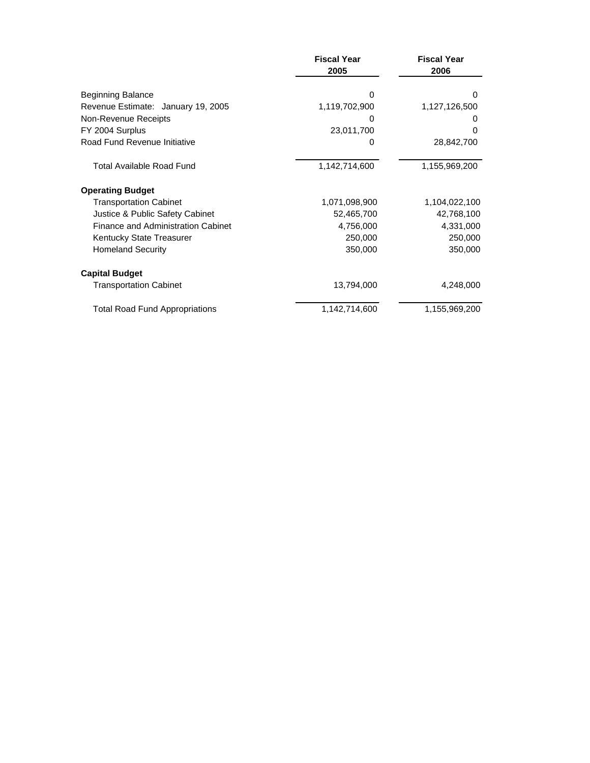|                                       | <b>Fiscal Year</b><br>2005 |               |
|---------------------------------------|----------------------------|---------------|
|                                       |                            |               |
| <b>Beginning Balance</b>              | 0                          | 0             |
| Revenue Estimate: January 19, 2005    | 1,119,702,900              | 1,127,126,500 |
| Non-Revenue Receipts                  | 0                          | O             |
| FY 2004 Surplus                       | 23,011,700                 | 0             |
| Road Fund Revenue Initiative          | 0                          | 28,842,700    |
| <b>Total Available Road Fund</b>      | 1,142,714,600              | 1,155,969,200 |
| <b>Operating Budget</b>               |                            |               |
| <b>Transportation Cabinet</b>         | 1,071,098,900              | 1,104,022,100 |
| Justice & Public Safety Cabinet       | 52,465,700                 | 42,768,100    |
| Finance and Administration Cabinet    | 4,756,000                  | 4,331,000     |
| <b>Kentucky State Treasurer</b>       | 250,000                    | 250,000       |
| <b>Homeland Security</b>              | 350,000                    | 350,000       |
| <b>Capital Budget</b>                 |                            |               |
| <b>Transportation Cabinet</b>         | 13,794,000                 | 4,248,000     |
| <b>Total Road Fund Appropriations</b> | 1,142,714,600              | 1,155,969,200 |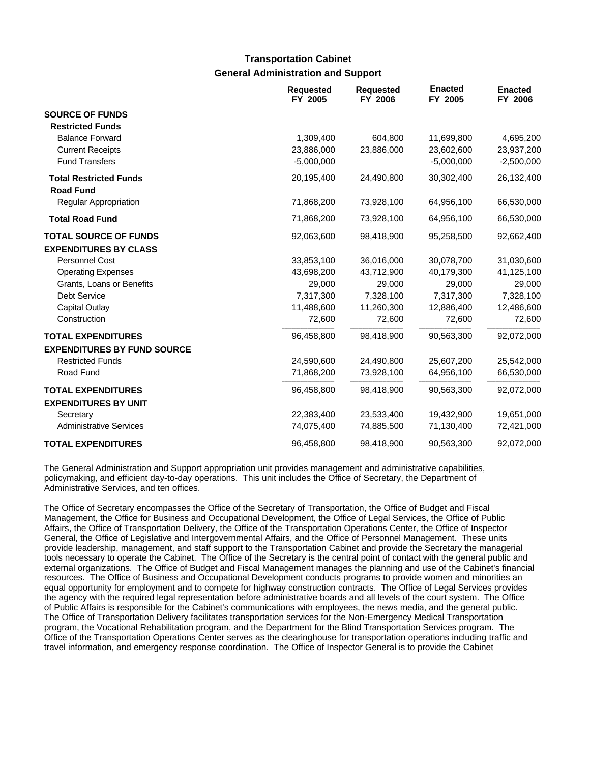# **General Administration and Support Transportation Cabinet**

|                                                          | <b>Requested</b><br>FY 2005 | <b>Requested</b><br>FY 2006 | <b>Enacted</b><br>FY 2005 | <b>Enacted</b><br>FY 2006 |
|----------------------------------------------------------|-----------------------------|-----------------------------|---------------------------|---------------------------|
| <b>SOURCE OF FUNDS</b>                                   |                             |                             |                           |                           |
| <b>Restricted Funds</b>                                  |                             |                             |                           |                           |
| <b>Balance Forward</b>                                   | 1,309,400                   | 604,800                     | 11,699,800                | 4,695,200                 |
| <b>Current Receipts</b>                                  | 23,886,000                  | 23,886,000                  | 23,602,600                | 23,937,200                |
| <b>Fund Transfers</b>                                    | $-5,000,000$                |                             | $-5,000,000$              | $-2,500,000$              |
| <b>Total Restricted Funds</b><br><b>Road Fund</b>        | 20,195,400                  | 24,490,800                  | 30,302,400                | 26,132,400                |
| <b>Regular Appropriation</b>                             | 71,868,200                  | 73,928,100                  | 64,956,100                | 66,530,000                |
| <b>Total Road Fund</b>                                   | 71,868,200                  | 73,928,100                  | 64,956,100                | 66,530,000                |
| <b>TOTAL SOURCE OF FUNDS</b>                             | 92,063,600                  | 98,418,900                  | 95,258,500                | 92,662,400                |
| <b>EXPENDITURES BY CLASS</b>                             |                             |                             |                           |                           |
| Personnel Cost                                           | 33,853,100                  | 36,016,000                  | 30,078,700                | 31,030,600                |
| <b>Operating Expenses</b>                                | 43,698,200                  | 43,712,900                  | 40,179,300                | 41,125,100                |
| Grants, Loans or Benefits                                | 29,000                      | 29,000                      | 29,000                    | 29,000                    |
| <b>Debt Service</b>                                      | 7,317,300                   | 7,328,100                   | 7,317,300                 | 7,328,100                 |
| Capital Outlay                                           | 11,488,600                  | 11,260,300                  | 12,886,400                | 12,486,600                |
| Construction                                             | 72,600                      | 72,600                      | 72,600                    | 72,600                    |
| <b>TOTAL EXPENDITURES</b>                                | 96,458,800                  | 98,418,900                  | 90,563,300                | 92,072,000                |
| <b>EXPENDITURES BY FUND SOURCE</b>                       |                             |                             |                           |                           |
| <b>Restricted Funds</b>                                  | 24,590,600                  | 24,490,800                  | 25,607,200                | 25,542,000                |
| Road Fund                                                | 71,868,200                  | 73,928,100                  | 64,956,100                | 66,530,000                |
| <b>TOTAL EXPENDITURES</b><br><b>EXPENDITURES BY UNIT</b> | 96,458,800                  | 98,418,900                  | 90,563,300                | 92,072,000                |
| Secretary                                                | 22,383,400                  | 23,533,400                  | 19,432,900                | 19,651,000                |
| <b>Administrative Services</b>                           | 74,075,400                  | 74,885,500                  | 71,130,400                | 72,421,000                |
| <b>TOTAL EXPENDITURES</b>                                | 96,458,800                  | 98,418,900                  | 90,563,300                | 92,072,000                |

The General Administration and Support appropriation unit provides management and administrative capabilities, policymaking, and efficient day-to-day operations. This unit includes the Office of Secretary, the Department of Administrative Services, and ten offices.

The Office of Secretary encompasses the Office of the Secretary of Transportation, the Office of Budget and Fiscal Management, the Office for Business and Occupational Development, the Office of Legal Services, the Office of Public Affairs, the Office of Transportation Delivery, the Office of the Transportation Operations Center, the Office of Inspector General, the Office of Legislative and Intergovernmental Affairs, and the Office of Personnel Management. These units provide leadership, management, and staff support to the Transportation Cabinet and provide the Secretary the managerial tools necessary to operate the Cabinet. The Office of the Secretary is the central point of contact with the general public and external organizations. The Office of Budget and Fiscal Management manages the planning and use of the Cabinet's financial resources. The Office of Business and Occupational Development conducts programs to provide women and minorities an equal opportunity for employment and to compete for highway construction contracts. The Office of Legal Services provides the agency with the required legal representation before administrative boards and all levels of the court system. The Office of Public Affairs is responsible for the Cabinet's communications with employees, the news media, and the general public. The Office of Transportation Delivery facilitates transportation services for the Non-Emergency Medical Transportation program, the Vocational Rehabilitation program, and the Department for the Blind Transportation Services program. The Office of the Transportation Operations Center serves as the clearinghouse for transportation operations including traffic and travel information, and emergency response coordination. The Office of Inspector General is to provide the Cabinet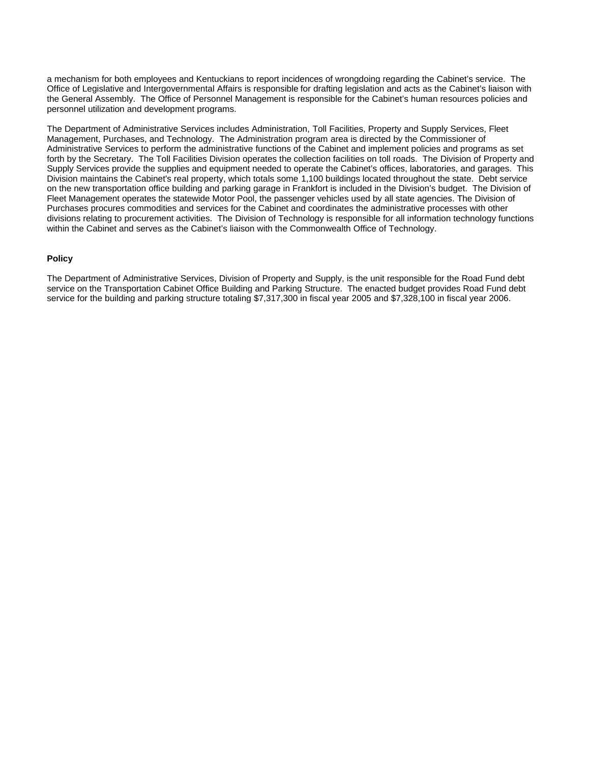a mechanism for both employees and Kentuckians to report incidences of wrongdoing regarding the Cabinet's service. The Office of Legislative and Intergovernmental Affairs is responsible for drafting legislation and acts as the Cabinet's liaison with the General Assembly. The Office of Personnel Management is responsible for the Cabinet's human resources policies and personnel utilization and development programs.

The Department of Administrative Services includes Administration, Toll Facilities, Property and Supply Services, Fleet Management, Purchases, and Technology. The Administration program area is directed by the Commissioner of Administrative Services to perform the administrative functions of the Cabinet and implement policies and programs as set forth by the Secretary. The Toll Facilities Division operates the collection facilities on toll roads. The Division of Property and Supply Services provide the supplies and equipment needed to operate the Cabinet's offices, laboratories, and garages. This Division maintains the Cabinet's real property, which totals some 1,100 buildings located throughout the state. Debt service on the new transportation office building and parking garage in Frankfort is included in the Division's budget. The Division of Fleet Management operates the statewide Motor Pool, the passenger vehicles used by all state agencies. The Division of Purchases procures commodities and services for the Cabinet and coordinates the administrative processes with other divisions relating to procurement activities. The Division of Technology is responsible for all information technology functions within the Cabinet and serves as the Cabinet's liaison with the Commonwealth Office of Technology.

#### **Policy**

The Department of Administrative Services, Division of Property and Supply, is the unit responsible for the Road Fund debt service on the Transportation Cabinet Office Building and Parking Structure. The enacted budget provides Road Fund debt service for the building and parking structure totaling \$7,317,300 in fiscal year 2005 and \$7,328,100 in fiscal year 2006.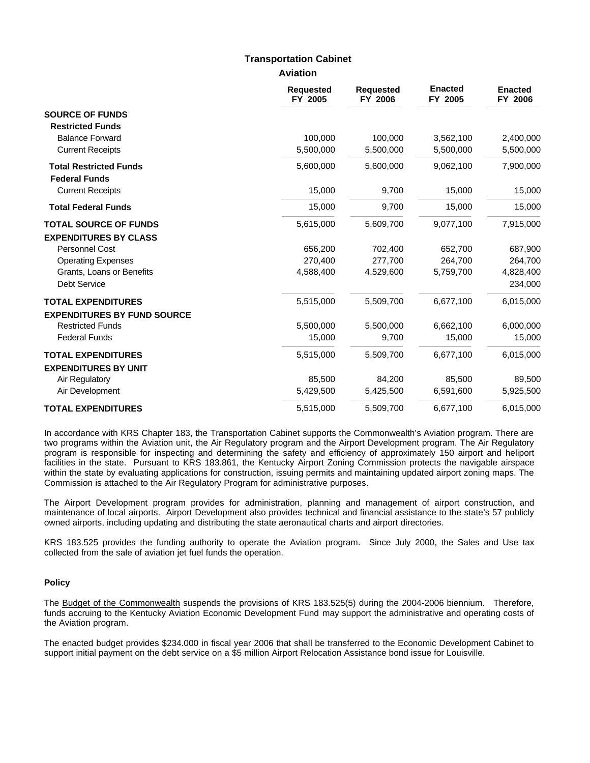## **Transportation Cabinet**

**Aviation**

|                                    | <b>Requested</b><br>FY 2005 | <b>Requested</b><br>FY 2006 | <b>Enacted</b><br>FY 2005 | <b>Enacted</b><br>FY 2006 |
|------------------------------------|-----------------------------|-----------------------------|---------------------------|---------------------------|
| <b>SOURCE OF FUNDS</b>             |                             |                             |                           |                           |
| <b>Restricted Funds</b>            |                             |                             |                           |                           |
| <b>Balance Forward</b>             | 100,000                     | 100,000                     | 3,562,100                 | 2,400,000                 |
| <b>Current Receipts</b>            | 5,500,000                   | 5,500,000                   | 5,500,000                 | 5,500,000                 |
| <b>Total Restricted Funds</b>      | 5,600,000                   | 5,600,000                   | 9,062,100                 | 7,900,000                 |
| <b>Federal Funds</b>               |                             |                             |                           |                           |
| <b>Current Receipts</b>            | 15,000                      | 9,700                       | 15,000                    | 15,000                    |
| <b>Total Federal Funds</b>         | 15,000                      | 9,700                       | 15,000                    | 15,000                    |
| <b>TOTAL SOURCE OF FUNDS</b>       | 5,615,000                   | 5,609,700                   | 9,077,100                 | 7,915,000                 |
| <b>EXPENDITURES BY CLASS</b>       |                             |                             |                           |                           |
| Personnel Cost                     | 656,200                     | 702,400                     | 652,700                   | 687,900                   |
| <b>Operating Expenses</b>          | 270,400                     | 277,700                     | 264,700                   | 264,700                   |
| Grants, Loans or Benefits          | 4,588,400                   | 4,529,600                   | 5,759,700                 | 4,828,400                 |
| <b>Debt Service</b>                |                             |                             |                           | 234,000                   |
| <b>TOTAL EXPENDITURES</b>          | 5,515,000                   | 5,509,700                   | 6,677,100                 | 6,015,000                 |
| <b>EXPENDITURES BY FUND SOURCE</b> |                             |                             |                           |                           |
| <b>Restricted Funds</b>            | 5,500,000                   | 5,500,000                   | 6,662,100                 | 6,000,000                 |
| <b>Federal Funds</b>               | 15,000                      | 9,700                       | 15,000                    | 15,000                    |
| <b>TOTAL EXPENDITURES</b>          | 5,515,000                   | 5,509,700                   | 6,677,100                 | 6,015,000                 |
| <b>EXPENDITURES BY UNIT</b>        |                             |                             |                           |                           |
| Air Regulatory                     | 85,500                      | 84,200                      | 85,500                    | 89,500                    |
| Air Development                    | 5,429,500                   | 5,425,500                   | 6,591,600                 | 5,925,500                 |
| <b>TOTAL EXPENDITURES</b>          | 5,515,000                   | 5,509,700                   | 6,677,100                 | 6,015,000                 |

In accordance with KRS Chapter 183, the Transportation Cabinet supports the Commonwealth's Aviation program. There are two programs within the Aviation unit, the Air Regulatory program and the Airport Development program. The Air Regulatory program is responsible for inspecting and determining the safety and efficiency of approximately 150 airport and heliport facilities in the state. Pursuant to KRS 183.861, the Kentucky Airport Zoning Commission protects the navigable airspace within the state by evaluating applications for construction, issuing permits and maintaining updated airport zoning maps. The Commission is attached to the Air Regulatory Program for administrative purposes.

The Airport Development program provides for administration, planning and management of airport construction, and maintenance of local airports. Airport Development also provides technical and financial assistance to the state's 57 publicly owned airports, including updating and distributing the state aeronautical charts and airport directories.

KRS 183.525 provides the funding authority to operate the Aviation program. Since July 2000, the Sales and Use tax collected from the sale of aviation jet fuel funds the operation.

#### **Policy**

The Budget of the Commonwealth suspends the provisions of KRS 183.525(5) during the 2004-2006 biennium. Therefore, funds accruing to the Kentucky Aviation Economic Development Fund may support the administrative and operating costs of the Aviation program.

The enacted budget provides \$234.000 in fiscal year 2006 that shall be transferred to the Economic Development Cabinet to support initial payment on the debt service on a \$5 million Airport Relocation Assistance bond issue for Louisville.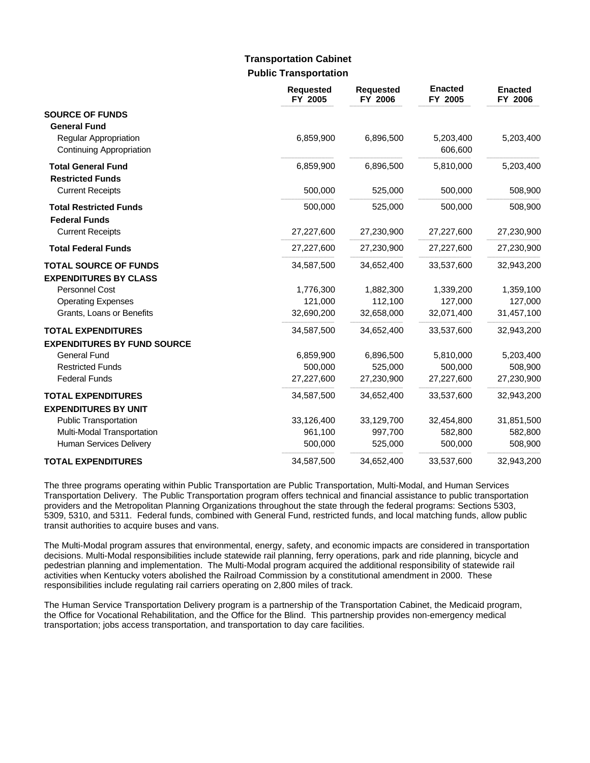# **Public Transportation Transportation Cabinet**

|                                                                 | <b>Requested</b><br>FY 2005 | <b>Requested</b><br>FY 2006 | <b>Enacted</b><br>FY 2005 | <b>Enacted</b><br>FY 2006 |
|-----------------------------------------------------------------|-----------------------------|-----------------------------|---------------------------|---------------------------|
| <b>SOURCE OF FUNDS</b><br><b>General Fund</b>                   |                             |                             |                           |                           |
| <b>Regular Appropriation</b><br>Continuing Appropriation        | 6,859,900                   | 6,896,500                   | 5,203,400<br>606,600      | 5,203,400                 |
| <b>Total General Fund</b><br><b>Restricted Funds</b>            | 6,859,900                   | 6,896,500                   | 5,810,000                 | 5,203,400                 |
| <b>Current Receipts</b>                                         | 500,000                     | 525,000                     | 500,000                   | 508,900                   |
| <b>Total Restricted Funds</b><br><b>Federal Funds</b>           | 500,000                     | 525,000                     | 500,000                   | 508,900                   |
| <b>Current Receipts</b>                                         | 27,227,600                  | 27,230,900                  | 27,227,600                | 27,230,900                |
| <b>Total Federal Funds</b>                                      | 27,227,600                  | 27,230,900                  | 27,227,600                | 27,230,900                |
| <b>TOTAL SOURCE OF FUNDS</b><br><b>EXPENDITURES BY CLASS</b>    | 34,587,500                  | 34,652,400                  | 33,537,600                | 32,943,200                |
| Personnel Cost                                                  | 1,776,300                   | 1,882,300                   | 1,339,200                 | 1,359,100                 |
| <b>Operating Expenses</b>                                       | 121,000                     | 112,100                     | 127,000                   | 127,000                   |
| Grants, Loans or Benefits                                       | 32,690,200                  | 32,658,000                  | 32,071,400                | 31,457,100                |
| <b>TOTAL EXPENDITURES</b><br><b>EXPENDITURES BY FUND SOURCE</b> | 34,587,500                  | 34,652,400                  | 33,537,600                | 32,943,200                |
| <b>General Fund</b>                                             | 6,859,900                   | 6,896,500                   | 5,810,000                 | 5,203,400                 |
| <b>Restricted Funds</b>                                         | 500,000                     | 525,000                     | 500,000                   | 508,900                   |
| <b>Federal Funds</b>                                            | 27,227,600                  | 27,230,900                  | 27,227,600                | 27,230,900                |
| <b>TOTAL EXPENDITURES</b><br><b>EXPENDITURES BY UNIT</b>        | 34,587,500                  | 34,652,400                  | 33,537,600                | 32,943,200                |
| <b>Public Transportation</b>                                    | 33,126,400                  | 33,129,700                  | 32,454,800                | 31,851,500                |
| Multi-Modal Transportation                                      | 961,100                     | 997,700                     | 582,800                   | 582,800                   |
| Human Services Delivery                                         | 500,000                     | 525,000                     | 500,000                   | 508,900                   |
| <b>TOTAL EXPENDITURES</b>                                       | 34,587,500                  | 34,652,400                  | 33,537,600                | 32,943,200                |

The three programs operating within Public Transportation are Public Transportation, Multi-Modal, and Human Services Transportation Delivery. The Public Transportation program offers technical and financial assistance to public transportation providers and the Metropolitan Planning Organizations throughout the state through the federal programs: Sections 5303, 5309, 5310, and 5311. Federal funds, combined with General Fund, restricted funds, and local matching funds, allow public transit authorities to acquire buses and vans.

The Multi-Modal program assures that environmental, energy, safety, and economic impacts are considered in transportation decisions. Multi-Modal responsibilities include statewide rail planning, ferry operations, park and ride planning, bicycle and pedestrian planning and implementation. The Multi-Modal program acquired the additional responsibility of statewide rail activities when Kentucky voters abolished the Railroad Commission by a constitutional amendment in 2000. These responsibilities include regulating rail carriers operating on 2,800 miles of track.

The Human Service Transportation Delivery program is a partnership of the Transportation Cabinet, the Medicaid program, the Office for Vocational Rehabilitation, and the Office for the Blind. This partnership provides non-emergency medical transportation; jobs access transportation, and transportation to day care facilities.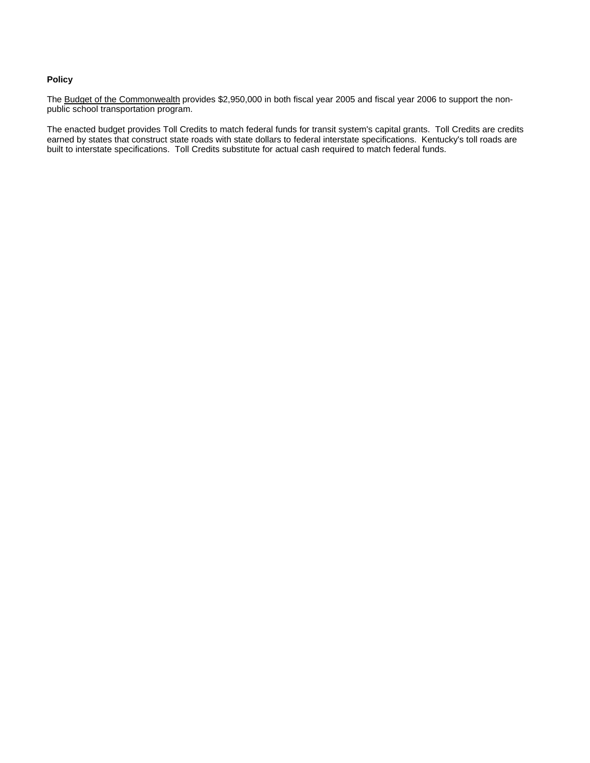### **Policy**

The Budget of the Commonwealth provides \$2,950,000 in both fiscal year 2005 and fiscal year 2006 to support the nonpublic school transportation program.

The enacted budget provides Toll Credits to match federal funds for transit system's capital grants. Toll Credits are credits earned by states that construct state roads with state dollars to federal interstate specifications. Kentucky's toll roads are built to interstate specifications. Toll Credits substitute for actual cash required to match federal funds.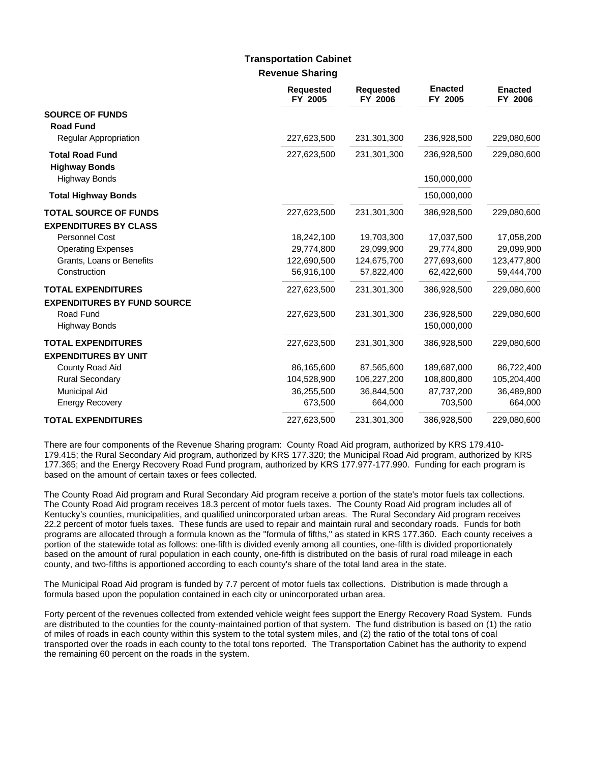## **Revenue Sharing Transportation Cabinet**

|                                                                 | <b>Requested</b><br>FY 2005 | <b>Requested</b><br>FY 2006 | <b>Enacted</b><br>FY 2005  | <b>Enacted</b><br>FY 2006 |
|-----------------------------------------------------------------|-----------------------------|-----------------------------|----------------------------|---------------------------|
| <b>SOURCE OF FUNDS</b><br><b>Road Fund</b>                      |                             |                             |                            |                           |
| <b>Regular Appropriation</b>                                    | 227,623,500                 | 231,301,300                 | 236,928,500                | 229,080,600               |
| <b>Total Road Fund</b><br><b>Highway Bonds</b>                  | 227,623,500                 | 231,301,300                 | 236,928,500                | 229,080,600               |
| <b>Highway Bonds</b>                                            |                             |                             | 150,000,000                |                           |
| <b>Total Highway Bonds</b>                                      |                             |                             | 150,000,000                |                           |
| <b>TOTAL SOURCE OF FUNDS</b><br><b>EXPENDITURES BY CLASS</b>    | 227,623,500                 | 231,301,300                 | 386,928,500                | 229,080,600               |
| Personnel Cost                                                  | 18,242,100                  | 19,703,300                  | 17,037,500                 | 17,058,200                |
| <b>Operating Expenses</b>                                       | 29,774,800                  | 29,099,900                  | 29,774,800                 | 29,099,900                |
| Grants, Loans or Benefits                                       | 122,690,500                 | 124,675,700                 | 277,693,600                | 123,477,800               |
| Construction                                                    | 56,916,100                  | 57,822,400                  | 62,422,600                 | 59,444,700                |
| <b>TOTAL EXPENDITURES</b><br><b>EXPENDITURES BY FUND SOURCE</b> | 227,623,500                 | 231,301,300                 | 386,928,500                | 229,080,600               |
| Road Fund<br><b>Highway Bonds</b>                               | 227,623,500                 | 231,301,300                 | 236,928,500<br>150,000,000 | 229,080,600               |
| <b>TOTAL EXPENDITURES</b><br><b>EXPENDITURES BY UNIT</b>        | 227,623,500                 | 231,301,300                 | 386,928,500                | 229,080,600               |
| County Road Aid                                                 | 86,165,600                  | 87,565,600                  | 189,687,000                | 86,722,400                |
| <b>Rural Secondary</b>                                          | 104,528,900                 | 106,227,200                 | 108,800,800                | 105,204,400               |
| <b>Municipal Aid</b>                                            | 36,255,500                  | 36,844,500                  | 87,737,200                 | 36,489,800                |
| <b>Energy Recovery</b>                                          | 673,500                     | 664,000                     | 703,500                    | 664,000                   |
| <b>TOTAL EXPENDITURES</b>                                       | 227,623,500                 | 231,301,300                 | 386,928,500                | 229,080,600               |

There are four components of the Revenue Sharing program: County Road Aid program, authorized by KRS 179.410- 179.415; the Rural Secondary Aid program, authorized by KRS 177.320; the Municipal Road Aid program, authorized by KRS 177.365; and the Energy Recovery Road Fund program, authorized by KRS 177.977-177.990. Funding for each program is based on the amount of certain taxes or fees collected.

The County Road Aid program and Rural Secondary Aid program receive a portion of the state's motor fuels tax collections. The County Road Aid program receives 18.3 percent of motor fuels taxes. The County Road Aid program includes all of Kentucky's counties, municipalities, and qualified unincorporated urban areas. The Rural Secondary Aid program receives 22.2 percent of motor fuels taxes. These funds are used to repair and maintain rural and secondary roads. Funds for both programs are allocated through a formula known as the "formula of fifths," as stated in KRS 177.360. Each county receives a portion of the statewide total as follows: one-fifth is divided evenly among all counties, one-fifth is divided proportionately based on the amount of rural population in each county, one-fifth is distributed on the basis of rural road mileage in each county, and two-fifths is apportioned according to each county's share of the total land area in the state.

The Municipal Road Aid program is funded by 7.7 percent of motor fuels tax collections. Distribution is made through a formula based upon the population contained in each city or unincorporated urban area.

Forty percent of the revenues collected from extended vehicle weight fees support the Energy Recovery Road System. Funds are distributed to the counties for the county-maintained portion of that system. The fund distribution is based on (1) the ratio of miles of roads in each county within this system to the total system miles, and (2) the ratio of the total tons of coal transported over the roads in each county to the total tons reported. The Transportation Cabinet has the authority to expend the remaining 60 percent on the roads in the system.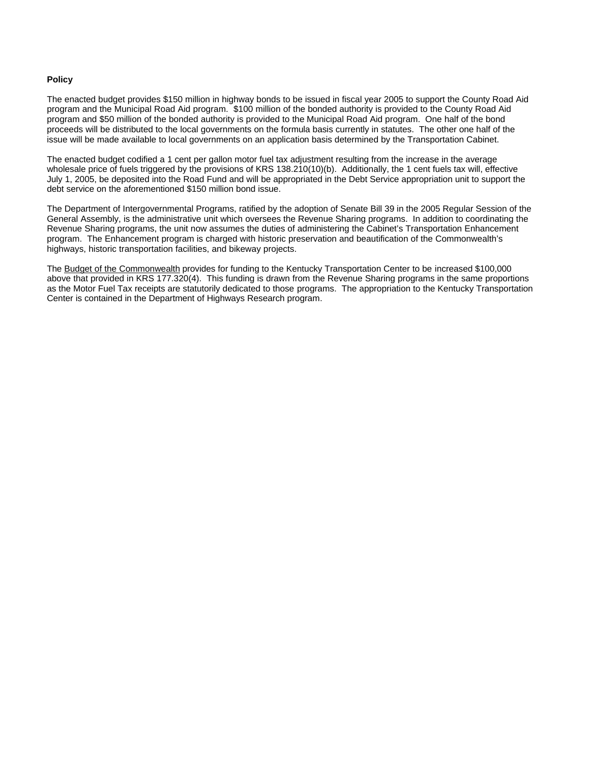### **Policy**

The enacted budget provides \$150 million in highway bonds to be issued in fiscal year 2005 to support the County Road Aid program and the Municipal Road Aid program. \$100 million of the bonded authority is provided to the County Road Aid program and \$50 million of the bonded authority is provided to the Municipal Road Aid program. One half of the bond proceeds will be distributed to the local governments on the formula basis currently in statutes. The other one half of the issue will be made available to local governments on an application basis determined by the Transportation Cabinet.

The enacted budget codified a 1 cent per gallon motor fuel tax adjustment resulting from the increase in the average wholesale price of fuels triggered by the provisions of KRS 138.210(10)(b). Additionally, the 1 cent fuels tax will, effective July 1, 2005, be deposited into the Road Fund and will be appropriated in the Debt Service appropriation unit to support the debt service on the aforementioned \$150 million bond issue.

The Department of Intergovernmental Programs, ratified by the adoption of Senate Bill 39 in the 2005 Regular Session of the General Assembly, is the administrative unit which oversees the Revenue Sharing programs. In addition to coordinating the Revenue Sharing programs, the unit now assumes the duties of administering the Cabinet's Transportation Enhancement program. The Enhancement program is charged with historic preservation and beautification of the Commonwealth's highways, historic transportation facilities, and bikeway projects.

The Budget of the Commonwealth provides for funding to the Kentucky Transportation Center to be increased \$100,000 above that provided in KRS 177.320(4). This funding is drawn from the Revenue Sharing programs in the same proportions as the Motor Fuel Tax receipts are statutorily dedicated to those programs. The appropriation to the Kentucky Transportation Center is contained in the Department of Highways Research program.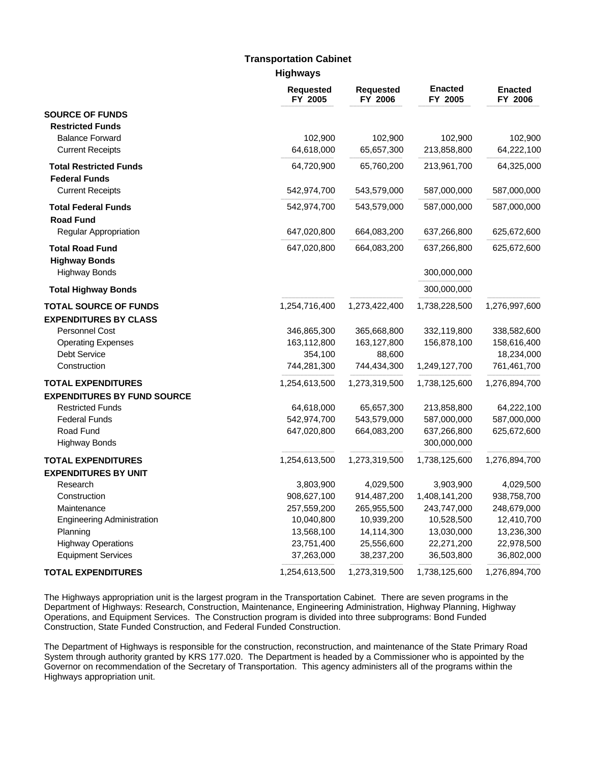# **Transportation Cabinet**

**Highways**

|                                              | <b>Requested</b><br>FY 2005 | <b>Requested</b><br>FY 2006 | <b>Enacted</b><br>FY 2005  | <b>Enacted</b><br>FY 2006 |
|----------------------------------------------|-----------------------------|-----------------------------|----------------------------|---------------------------|
| <b>SOURCE OF FUNDS</b>                       |                             |                             |                            |                           |
| <b>Restricted Funds</b>                      |                             |                             |                            |                           |
| <b>Balance Forward</b>                       | 102,900                     | 102,900                     | 102,900                    | 102,900                   |
| <b>Current Receipts</b>                      | 64,618,000                  | 65,657,300                  | 213,858,800                | 64,222,100                |
| <b>Total Restricted Funds</b>                | 64,720,900                  | 65,760,200                  | 213,961,700                | 64,325,000                |
| <b>Federal Funds</b>                         |                             |                             |                            |                           |
| <b>Current Receipts</b>                      | 542,974,700                 | 543,579,000                 | 587,000,000                | 587,000,000               |
| <b>Total Federal Funds</b>                   | 542,974,700                 | 543,579,000                 | 587,000,000                | 587,000,000               |
| <b>Road Fund</b>                             |                             |                             |                            |                           |
| <b>Regular Appropriation</b>                 | 647,020,800                 | 664,083,200                 | 637,266,800                | 625,672,600               |
| <b>Total Road Fund</b>                       | 647,020,800                 | 664,083,200                 | 637,266,800                | 625,672,600               |
| <b>Highway Bonds</b><br><b>Highway Bonds</b> |                             |                             | 300,000,000                |                           |
| <b>Total Highway Bonds</b>                   |                             |                             | 300,000,000                |                           |
| <b>TOTAL SOURCE OF FUNDS</b>                 | 1,254,716,400               | 1,273,422,400               | 1,738,228,500              | 1,276,997,600             |
| <b>EXPENDITURES BY CLASS</b>                 |                             |                             |                            |                           |
| Personnel Cost                               | 346,865,300                 | 365,668,800                 | 332,119,800                | 338,582,600               |
| <b>Operating Expenses</b>                    | 163,112,800                 | 163,127,800                 | 156,878,100                | 158,616,400               |
| <b>Debt Service</b>                          | 354,100                     | 88,600                      |                            | 18,234,000                |
| Construction                                 | 744,281,300                 | 744,434,300                 | 1,249,127,700              | 761,461,700               |
| <b>TOTAL EXPENDITURES</b>                    | 1,254,613,500               | 1,273,319,500               | 1,738,125,600              | 1,276,894,700             |
| <b>EXPENDITURES BY FUND SOURCE</b>           |                             |                             |                            |                           |
| <b>Restricted Funds</b>                      | 64,618,000                  | 65,657,300                  | 213,858,800                | 64,222,100                |
| <b>Federal Funds</b>                         | 542,974,700                 | 543,579,000                 | 587,000,000                | 587,000,000               |
| Road Fund<br><b>Highway Bonds</b>            | 647,020,800                 | 664,083,200                 | 637,266,800<br>300,000,000 | 625,672,600               |
| <b>TOTAL EXPENDITURES</b>                    | 1,254,613,500               | 1,273,319,500               | 1,738,125,600              | 1,276,894,700             |
| <b>EXPENDITURES BY UNIT</b>                  |                             |                             |                            |                           |
| Research                                     | 3,803,900                   | 4,029,500                   | 3,903,900                  | 4,029,500                 |
| Construction                                 | 908,627,100                 | 914,487,200                 | 1,408,141,200              | 938,758,700               |
| Maintenance                                  | 257,559,200                 | 265,955,500                 | 243,747,000                | 248,679,000               |
| <b>Engineering Administration</b>            | 10,040,800                  | 10,939,200                  | 10,528,500                 | 12,410,700                |
| Planning                                     | 13,568,100                  | 14,114,300                  | 13,030,000                 | 13,236,300                |
| <b>Highway Operations</b>                    | 23,751,400                  | 25,556,600                  | 22,271,200                 | 22,978,500                |
| <b>Equipment Services</b>                    | 37,263,000                  | 38,237,200                  | 36,503,800                 | 36,802,000                |
| <b>TOTAL EXPENDITURES</b>                    | 1,254,613,500               | 1,273,319,500               | 1,738,125,600              | 1,276,894,700             |

The Highways appropriation unit is the largest program in the Transportation Cabinet. There are seven programs in the Department of Highways: Research, Construction, Maintenance, Engineering Administration, Highway Planning, Highway Operations, and Equipment Services. The Construction program is divided into three subprograms: Bond Funded Construction, State Funded Construction, and Federal Funded Construction.

The Department of Highways is responsible for the construction, reconstruction, and maintenance of the State Primary Road System through authority granted by KRS 177.020. The Department is headed by a Commissioner who is appointed by the Governor on recommendation of the Secretary of Transportation. This agency administers all of the programs within the Highways appropriation unit.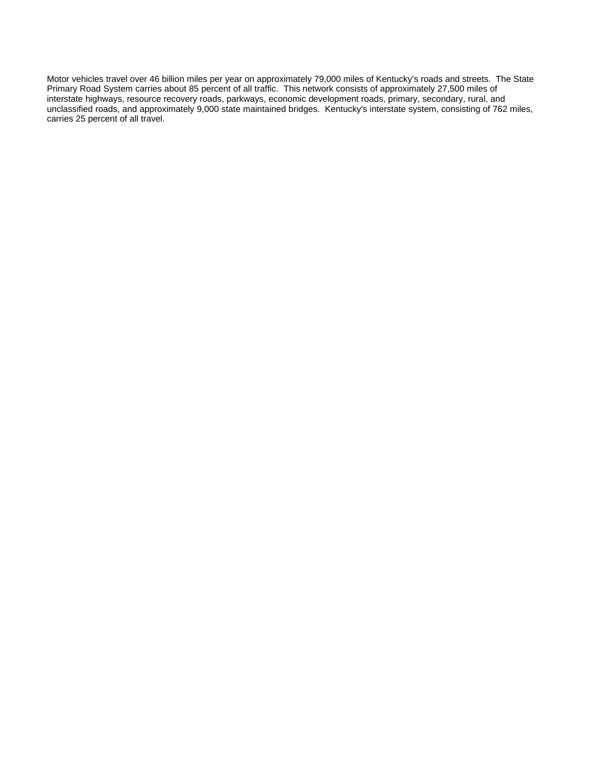Motor vehicles travel over 46 billion miles per year on approximately 79,000 miles of Kentucky's roads and streets. The State Primary Road System carries about 85 percent of all traffic. This network consists of approximately 27,500 miles of interstate highways, resource recovery roads, parkways, economic development roads, primary, secondary, rural, and unclassified roads, and approximately 9,000 state maintained bridges. Kentucky's interstate system, consisting of 762 miles, carries 25 percent of all travel.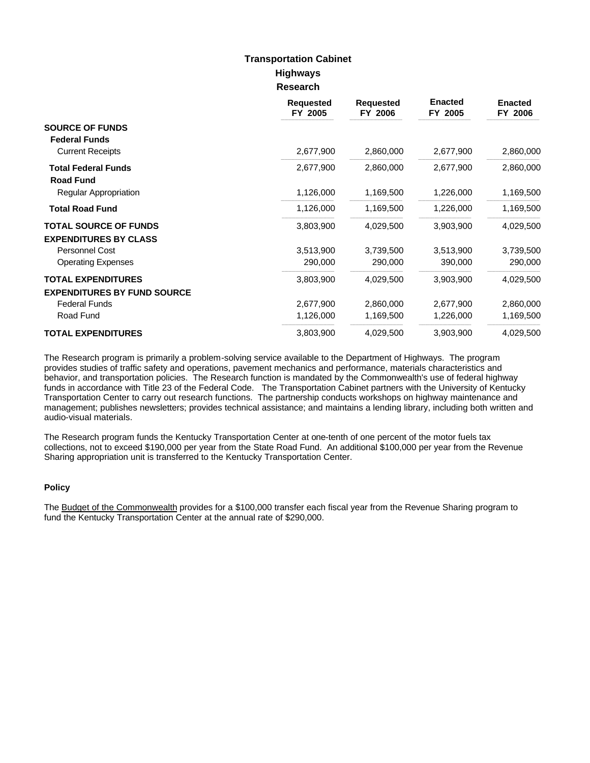## **Highways Research Transportation Cabinet**

|                                    | <b>Requested</b><br>FY 2005 | <b>Requested</b><br>FY 2006 | <b>Enacted</b><br>FY 2005 | <b>Enacted</b><br>FY 2006 |
|------------------------------------|-----------------------------|-----------------------------|---------------------------|---------------------------|
| <b>SOURCE OF FUNDS</b>             |                             |                             |                           |                           |
| <b>Federal Funds</b>               |                             |                             |                           |                           |
| <b>Current Receipts</b>            | 2,677,900                   | 2,860,000                   | 2,677,900                 | 2,860,000                 |
| <b>Total Federal Funds</b>         | 2,677,900                   | 2,860,000                   | 2,677,900                 | 2,860,000                 |
| <b>Road Fund</b>                   |                             |                             |                           |                           |
| Regular Appropriation              | 1,126,000                   | 1,169,500                   | 1,226,000                 | 1,169,500                 |
| <b>Total Road Fund</b>             | 1,126,000                   | 1,169,500                   | 1,226,000                 | 1,169,500                 |
| <b>TOTAL SOURCE OF FUNDS</b>       | 3,803,900                   | 4,029,500                   | 3,903,900                 | 4,029,500                 |
| <b>EXPENDITURES BY CLASS</b>       |                             |                             |                           |                           |
| Personnel Cost                     | 3,513,900                   | 3,739,500                   | 3,513,900                 | 3,739,500                 |
| <b>Operating Expenses</b>          | 290,000                     | 290,000                     | 390,000                   | 290,000                   |
| <b>TOTAL EXPENDITURES</b>          | 3,803,900                   | 4,029,500                   | 3,903,900                 | 4,029,500                 |
| <b>EXPENDITURES BY FUND SOURCE</b> |                             |                             |                           |                           |
| <b>Federal Funds</b>               | 2,677,900                   | 2,860,000                   | 2,677,900                 | 2,860,000                 |
| Road Fund                          | 1,126,000                   | 1,169,500                   | 1,226,000                 | 1,169,500                 |
| <b>TOTAL EXPENDITURES</b>          | 3,803,900                   | 4,029,500                   | 3,903,900                 | 4,029,500                 |

The Research program is primarily a problem-solving service available to the Department of Highways. The program provides studies of traffic safety and operations, pavement mechanics and performance, materials characteristics and behavior, and transportation policies. The Research function is mandated by the Commonwealth's use of federal highway funds in accordance with Title 23 of the Federal Code. The Transportation Cabinet partners with the University of Kentucky Transportation Center to carry out research functions. The partnership conducts workshops on highway maintenance and management; publishes newsletters; provides technical assistance; and maintains a lending library, including both written and audio-visual materials.

The Research program funds the Kentucky Transportation Center at one-tenth of one percent of the motor fuels tax collections, not to exceed \$190,000 per year from the State Road Fund. An additional \$100,000 per year from the Revenue Sharing appropriation unit is transferred to the Kentucky Transportation Center.

### **Policy**

The Budget of the Commonwealth provides for a \$100,000 transfer each fiscal year from the Revenue Sharing program to fund the Kentucky Transportation Center at the annual rate of \$290,000.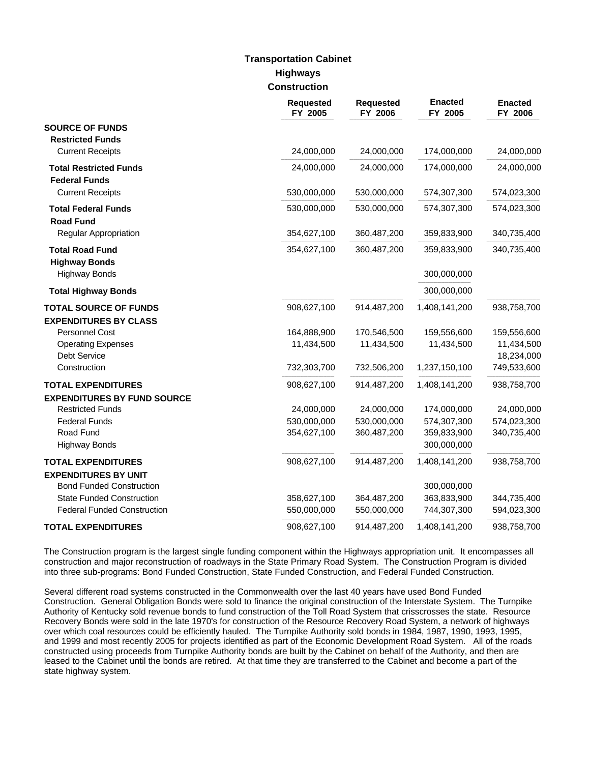## **Highways Construction Transportation Cabinet**

|                                    | <b>Requested</b><br>FY 2005 | <b>Requested</b><br>FY 2006 | <b>Enacted</b><br>FY 2005 | <b>Enacted</b><br>FY 2006 |
|------------------------------------|-----------------------------|-----------------------------|---------------------------|---------------------------|
| <b>SOURCE OF FUNDS</b>             |                             |                             |                           |                           |
| <b>Restricted Funds</b>            |                             |                             |                           |                           |
| <b>Current Receipts</b>            | 24,000,000                  | 24,000,000                  | 174,000,000               | 24,000,000                |
| <b>Total Restricted Funds</b>      | 24,000,000                  | 24,000,000                  | 174,000,000               | 24,000,000                |
| <b>Federal Funds</b>               |                             |                             |                           |                           |
| <b>Current Receipts</b>            | 530,000,000                 | 530,000,000                 | 574,307,300               | 574,023,300               |
| <b>Total Federal Funds</b>         | 530,000,000                 | 530,000,000                 | 574,307,300               | 574,023,300               |
| <b>Road Fund</b>                   |                             |                             |                           |                           |
| <b>Regular Appropriation</b>       | 354,627,100                 | 360,487,200                 | 359,833,900               | 340,735,400               |
| <b>Total Road Fund</b>             | 354,627,100                 | 360,487,200                 | 359,833,900               | 340,735,400               |
| <b>Highway Bonds</b>               |                             |                             |                           |                           |
| <b>Highway Bonds</b>               |                             |                             | 300,000,000               |                           |
| <b>Total Highway Bonds</b>         |                             |                             | 300,000,000               |                           |
| <b>TOTAL SOURCE OF FUNDS</b>       | 908,627,100                 | 914,487,200                 | 1,408,141,200             | 938,758,700               |
| <b>EXPENDITURES BY CLASS</b>       |                             |                             |                           |                           |
| <b>Personnel Cost</b>              | 164,888,900                 | 170,546,500                 | 159,556,600               | 159,556,600               |
| <b>Operating Expenses</b>          | 11,434,500                  | 11,434,500                  | 11,434,500                | 11,434,500                |
| Debt Service                       |                             |                             |                           | 18,234,000                |
| Construction                       | 732,303,700                 | 732,506,200                 | 1,237,150,100             | 749,533,600               |
| <b>TOTAL EXPENDITURES</b>          | 908,627,100                 | 914,487,200                 | 1,408,141,200             | 938,758,700               |
| <b>EXPENDITURES BY FUND SOURCE</b> |                             |                             |                           |                           |
| <b>Restricted Funds</b>            | 24,000,000                  | 24,000,000                  | 174,000,000               | 24,000,000                |
| <b>Federal Funds</b>               | 530,000,000                 | 530,000,000                 | 574,307,300               | 574,023,300               |
| Road Fund                          | 354,627,100                 | 360,487,200                 | 359,833,900               | 340,735,400               |
| <b>Highway Bonds</b>               |                             |                             | 300,000,000               |                           |
| <b>TOTAL EXPENDITURES</b>          | 908,627,100                 | 914,487,200                 | 1,408,141,200             | 938,758,700               |
| <b>EXPENDITURES BY UNIT</b>        |                             |                             |                           |                           |
| <b>Bond Funded Construction</b>    |                             |                             | 300,000,000               |                           |
| <b>State Funded Construction</b>   | 358,627,100                 | 364,487,200                 | 363,833,900               | 344,735,400               |
| <b>Federal Funded Construction</b> | 550,000,000                 | 550,000,000                 | 744,307,300               | 594,023,300               |
| <b>TOTAL EXPENDITURES</b>          | 908,627,100                 | 914,487,200                 | 1,408,141,200             | 938,758,700               |

The Construction program is the largest single funding component within the Highways appropriation unit. It encompasses all construction and major reconstruction of roadways in the State Primary Road System. The Construction Program is divided into three sub-programs: Bond Funded Construction, State Funded Construction, and Federal Funded Construction.

Several different road systems constructed in the Commonwealth over the last 40 years have used Bond Funded Construction. General Obligation Bonds were sold to finance the original construction of the Interstate System. The Turnpike Authority of Kentucky sold revenue bonds to fund construction of the Toll Road System that crisscrosses the state. Resource Recovery Bonds were sold in the late 1970's for construction of the Resource Recovery Road System, a network of highways over which coal resources could be efficiently hauled. The Turnpike Authority sold bonds in 1984, 1987, 1990, 1993, 1995, and 1999 and most recently 2005 for projects identified as part of the Economic Development Road System. All of the roads constructed using proceeds from Turnpike Authority bonds are built by the Cabinet on behalf of the Authority, and then are leased to the Cabinet until the bonds are retired. At that time they are transferred to the Cabinet and become a part of the state highway system.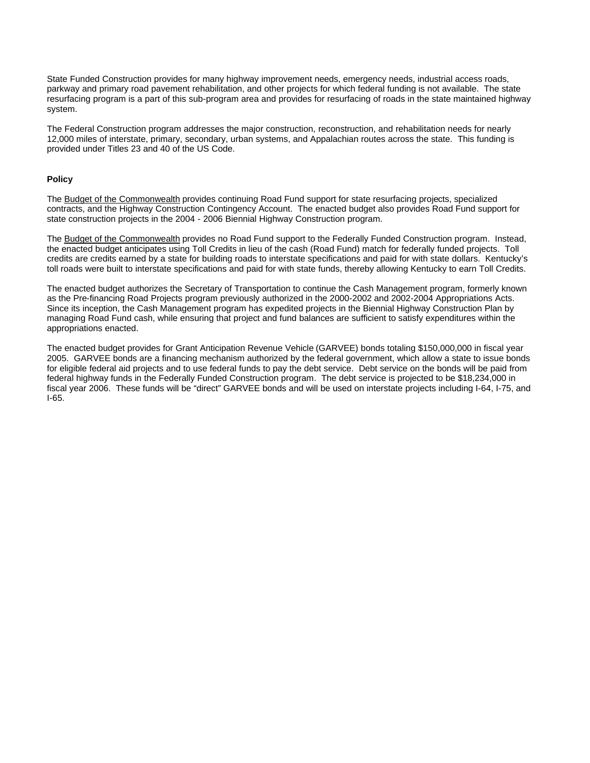State Funded Construction provides for many highway improvement needs, emergency needs, industrial access roads, parkway and primary road pavement rehabilitation, and other projects for which federal funding is not available. The state resurfacing program is a part of this sub-program area and provides for resurfacing of roads in the state maintained highway system.

The Federal Construction program addresses the major construction, reconstruction, and rehabilitation needs for nearly 12,000 miles of interstate, primary, secondary, urban systems, and Appalachian routes across the state. This funding is provided under Titles 23 and 40 of the US Code.

#### **Policy**

The Budget of the Commonwealth provides continuing Road Fund support for state resurfacing projects, specialized contracts, and the Highway Construction Contingency Account. The enacted budget also provides Road Fund support for state construction projects in the 2004 - 2006 Biennial Highway Construction program.

The Budget of the Commonwealth provides no Road Fund support to the Federally Funded Construction program. Instead, the enacted budget anticipates using Toll Credits in lieu of the cash (Road Fund) match for federally funded projects. Toll credits are credits earned by a state for building roads to interstate specifications and paid for with state dollars. Kentucky's toll roads were built to interstate specifications and paid for with state funds, thereby allowing Kentucky to earn Toll Credits.

The enacted budget authorizes the Secretary of Transportation to continue the Cash Management program, formerly known as the Pre-financing Road Projects program previously authorized in the 2000-2002 and 2002-2004 Appropriations Acts. Since its inception, the Cash Management program has expedited projects in the Biennial Highway Construction Plan by managing Road Fund cash, while ensuring that project and fund balances are sufficient to satisfy expenditures within the appropriations enacted.

The enacted budget provides for Grant Anticipation Revenue Vehicle (GARVEE) bonds totaling \$150,000,000 in fiscal year 2005. GARVEE bonds are a financing mechanism authorized by the federal government, which allow a state to issue bonds for eligible federal aid projects and to use federal funds to pay the debt service. Debt service on the bonds will be paid from federal highway funds in the Federally Funded Construction program. The debt service is projected to be \$18,234,000 in fiscal year 2006. These funds will be "direct" GARVEE bonds and will be used on interstate projects including I-64, I-75, and I-65.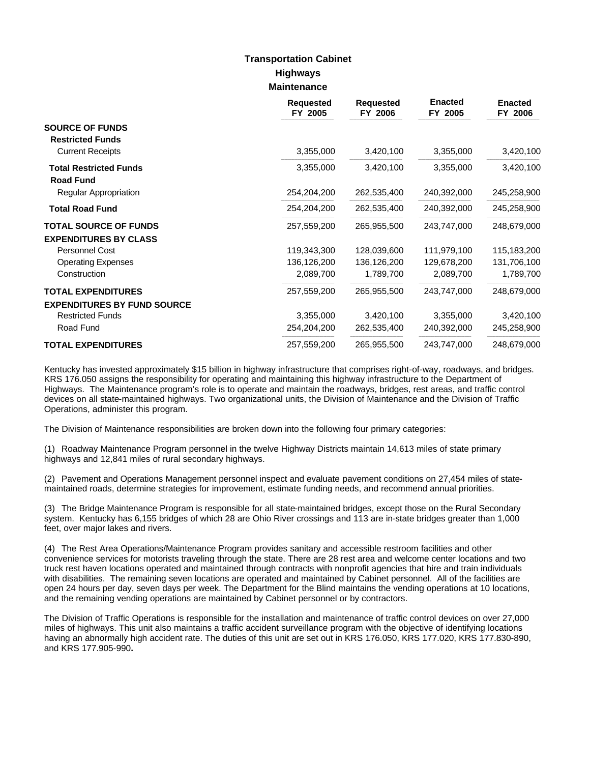## **Highways Maintenance Transportation Cabinet**

|                                                   | <b>Requested</b><br>FY 2005 | <b>Requested</b><br>FY 2006 | <b>Enacted</b><br>FY 2005 | <b>Enacted</b><br>FY 2006 |
|---------------------------------------------------|-----------------------------|-----------------------------|---------------------------|---------------------------|
| <b>SOURCE OF FUNDS</b>                            |                             |                             |                           |                           |
| <b>Restricted Funds</b>                           |                             |                             |                           |                           |
| <b>Current Receipts</b>                           | 3,355,000                   | 3,420,100                   | 3,355,000                 | 3,420,100                 |
| <b>Total Restricted Funds</b><br><b>Road Fund</b> | 3,355,000                   | 3,420,100                   | 3,355,000                 | 3,420,100                 |
| Regular Appropriation                             | 254,204,200                 | 262,535,400                 | 240,392,000               | 245,258,900               |
| <b>Total Road Fund</b>                            | 254,204,200                 | 262,535,400                 | 240,392,000               | 245,258,900               |
| <b>TOTAL SOURCE OF FUNDS</b>                      | 257,559,200                 | 265,955,500                 | 243,747,000               | 248,679,000               |
| <b>EXPENDITURES BY CLASS</b>                      |                             |                             |                           |                           |
| Personnel Cost                                    | 119,343,300                 | 128,039,600                 | 111,979,100               | 115,183,200               |
| <b>Operating Expenses</b>                         | 136,126,200                 | 136,126,200                 | 129,678,200               | 131,706,100               |
| Construction                                      | 2,089,700                   | 1,789,700                   | 2,089,700                 | 1,789,700                 |
| <b>TOTAL EXPENDITURES</b>                         | 257,559,200                 | 265,955,500                 | 243,747,000               | 248,679,000               |
| <b>EXPENDITURES BY FUND SOURCE</b>                |                             |                             |                           |                           |
| <b>Restricted Funds</b>                           | 3,355,000                   | 3,420,100                   | 3,355,000                 | 3,420,100                 |
| Road Fund                                         | 254,204,200                 | 262,535,400                 | 240,392,000               | 245,258,900               |
| <b>TOTAL EXPENDITURES</b>                         | 257,559,200                 | 265,955,500                 | 243,747,000               | 248,679,000               |

Kentucky has invested approximately \$15 billion in highway infrastructure that comprises right-of-way, roadways, and bridges. KRS 176.050 assigns the responsibility for operating and maintaining this highway infrastructure to the Department of Highways. The Maintenance program's role is to operate and maintain the roadways, bridges, rest areas, and traffic control devices on all state-maintained highways. Two organizational units, the Division of Maintenance and the Division of Traffic Operations, administer this program.

The Division of Maintenance responsibilities are broken down into the following four primary categories:

(1) Roadway Maintenance Program personnel in the twelve Highway Districts maintain 14,613 miles of state primary highways and 12,841 miles of rural secondary highways.

(2) Pavement and Operations Management personnel inspect and evaluate pavement conditions on 27,454 miles of statemaintained roads, determine strategies for improvement, estimate funding needs, and recommend annual priorities.

(3) The Bridge Maintenance Program is responsible for all state-maintained bridges, except those on the Rural Secondary system. Kentucky has 6,155 bridges of which 28 are Ohio River crossings and 113 are in-state bridges greater than 1,000 feet, over major lakes and rivers.

(4) The Rest Area Operations/Maintenance Program provides sanitary and accessible restroom facilities and other convenience services for motorists traveling through the state. There are 28 rest area and welcome center locations and two truck rest haven locations operated and maintained through contracts with nonprofit agencies that hire and train individuals with disabilities. The remaining seven locations are operated and maintained by Cabinet personnel. All of the facilities are open 24 hours per day, seven days per week. The Department for the Blind maintains the vending operations at 10 locations, and the remaining vending operations are maintained by Cabinet personnel or by contractors.

The Division of Traffic Operations is responsible for the installation and maintenance of traffic control devices on over 27,000 miles of highways. This unit also maintains a traffic accident surveillance program with the objective of identifying locations having an abnormally high accident rate. The duties of this unit are set out in KRS 176.050, KRS 177.020, KRS 177.830-890, and KRS 177.905-990**.**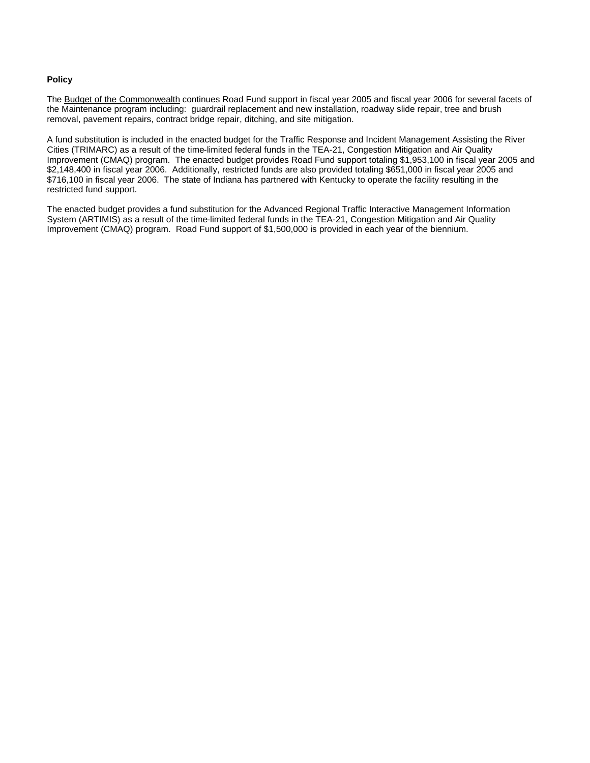### **Policy**

The Budget of the Commonwealth continues Road Fund support in fiscal year 2005 and fiscal year 2006 for several facets of the Maintenance program including: guardrail replacement and new installation, roadway slide repair, tree and brush removal, pavement repairs, contract bridge repair, ditching, and site mitigation.

A fund substitution is included in the enacted budget for the Traffic Response and Incident Management Assisting the River Cities (TRIMARC) as a result of the time-limited federal funds in the TEA-21, Congestion Mitigation and Air Quality Improvement (CMAQ) program. The enacted budget provides Road Fund support totaling \$1,953,100 in fiscal year 2005 and \$2,148,400 in fiscal year 2006. Additionally, restricted funds are also provided totaling \$651,000 in fiscal year 2005 and \$716,100 in fiscal year 2006. The state of Indiana has partnered with Kentucky to operate the facility resulting in the restricted fund support.

The enacted budget provides a fund substitution for the Advanced Regional Traffic Interactive Management Information System (ARTIMIS) as a result of the time-limited federal funds in the TEA-21, Congestion Mitigation and Air Quality Improvement (CMAQ) program. Road Fund support of \$1,500,000 is provided in each year of the biennium.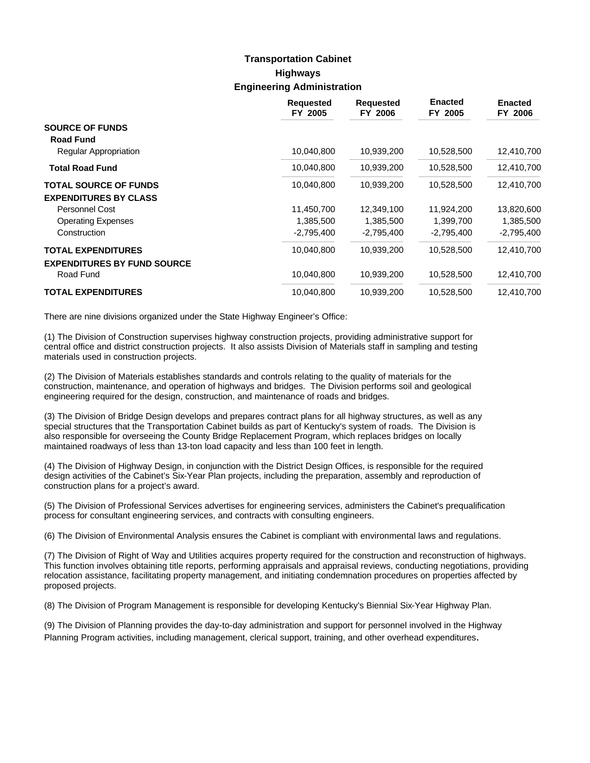# **Highways Engineering Administration Transportation Cabinet**

|                                    | <b>Requested</b><br>FY 2005 | <b>Requested</b><br>FY 2006 | <b>Enacted</b><br>FY 2005 | <b>Enacted</b><br>FY 2006 |
|------------------------------------|-----------------------------|-----------------------------|---------------------------|---------------------------|
| <b>SOURCE OF FUNDS</b>             |                             |                             |                           |                           |
| <b>Road Fund</b>                   |                             |                             |                           |                           |
| Regular Appropriation              | 10,040,800                  | 10,939,200                  | 10,528,500                | 12,410,700                |
| <b>Total Road Fund</b>             | 10,040,800                  | 10,939,200                  | 10,528,500                | 12,410,700                |
| <b>TOTAL SOURCE OF FUNDS</b>       | 10,040,800                  | 10,939,200                  | 10,528,500                | 12,410,700                |
| <b>EXPENDITURES BY CLASS</b>       |                             |                             |                           |                           |
| <b>Personnel Cost</b>              | 11,450,700                  | 12,349,100                  | 11.924.200                | 13,820,600                |
| <b>Operating Expenses</b>          | 1,385,500                   | 1,385,500                   | 1,399,700                 | 1,385,500                 |
| Construction                       | $-2,795,400$                | $-2,795,400$                | $-2,795,400$              | $-2,795,400$              |
| <b>TOTAL EXPENDITURES</b>          | 10,040,800                  | 10,939,200                  | 10,528,500                | 12,410,700                |
| <b>EXPENDITURES BY FUND SOURCE</b> |                             |                             |                           |                           |
| Road Fund                          | 10,040,800                  | 10,939,200                  | 10,528,500                | 12,410,700                |
| <b>TOTAL EXPENDITURES</b>          | 10,040,800                  | 10,939,200                  | 10,528,500                | 12,410,700                |

There are nine divisions organized under the State Highway Engineer's Office:

(1) The Division of Construction supervises highway construction projects, providing administrative support for central office and district construction projects. It also assists Division of Materials staff in sampling and testing materials used in construction projects.

(2) The Division of Materials establishes standards and controls relating to the quality of materials for the construction, maintenance, and operation of highways and bridges. The Division performs soil and geological engineering required for the design, construction, and maintenance of roads and bridges.

(3) The Division of Bridge Design develops and prepares contract plans for all highway structures, as well as any special structures that the Transportation Cabinet builds as part of Kentucky's system of roads. The Division is also responsible for overseeing the County Bridge Replacement Program, which replaces bridges on locally maintained roadways of less than 13-ton load capacity and less than 100 feet in length.

(4) The Division of Highway Design, in conjunction with the District Design Offices, is responsible for the required design activities of the Cabinet's Six-Year Plan projects, including the preparation, assembly and reproduction of construction plans for a project's award.

(5) The Division of Professional Services advertises for engineering services, administers the Cabinet's prequalification process for consultant engineering services, and contracts with consulting engineers.

(6) The Division of Environmental Analysis ensures the Cabinet is compliant with environmental laws and regulations.

(7) The Division of Right of Way and Utilities acquires property required for the construction and reconstruction of highways. This function involves obtaining title reports, performing appraisals and appraisal reviews, conducting negotiations, providing relocation assistance, facilitating property management, and initiating condemnation procedures on properties affected by proposed projects.

(8) The Division of Program Management is responsible for developing Kentucky's Biennial Six-Year Highway Plan.

(9) The Division of Planning provides the day-to-day administration and support for personnel involved in the Highway Planning Program activities, including management, clerical support, training, and other overhead expenditures.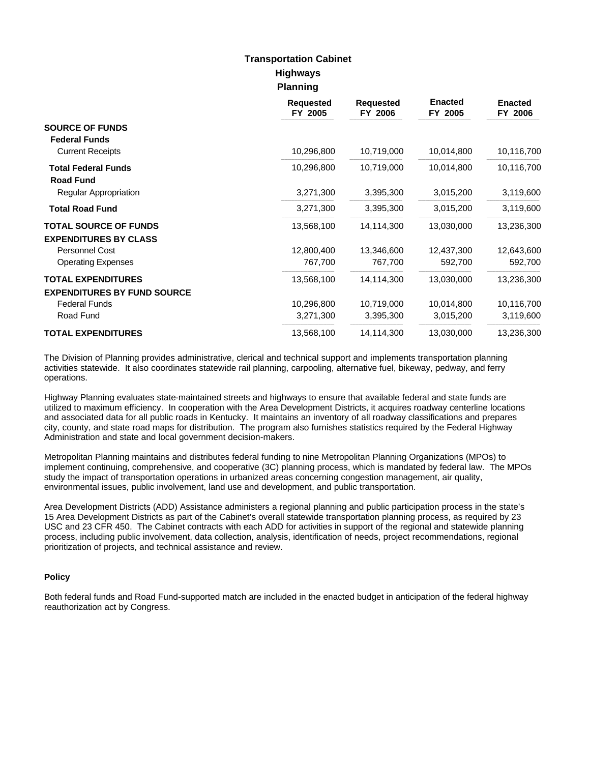## **Highways Planning Transportation Cabinet**

|                                    | <b>Requested</b><br>FY 2005 | <b>Requested</b><br>FY 2006 | <b>Enacted</b><br>FY 2005 | <b>Enacted</b><br>FY 2006 |
|------------------------------------|-----------------------------|-----------------------------|---------------------------|---------------------------|
| <b>SOURCE OF FUNDS</b>             |                             |                             |                           |                           |
| <b>Federal Funds</b>               |                             |                             |                           |                           |
| <b>Current Receipts</b>            | 10,296,800                  | 10,719,000                  | 10,014,800                | 10,116,700                |
| <b>Total Federal Funds</b>         | 10,296,800                  | 10,719,000                  | 10,014,800                | 10,116,700                |
| <b>Road Fund</b>                   |                             |                             |                           |                           |
| Regular Appropriation              | 3,271,300                   | 3,395,300                   | 3,015,200                 | 3,119,600                 |
| <b>Total Road Fund</b>             | 3,271,300                   | 3,395,300                   | 3,015,200                 | 3,119,600                 |
| <b>TOTAL SOURCE OF FUNDS</b>       | 13,568,100                  | 14,114,300                  | 13,030,000                | 13,236,300                |
| <b>EXPENDITURES BY CLASS</b>       |                             |                             |                           |                           |
| Personnel Cost                     | 12,800,400                  | 13,346,600                  | 12,437,300                | 12,643,600                |
| <b>Operating Expenses</b>          | 767,700                     | 767,700                     | 592,700                   | 592,700                   |
| <b>TOTAL EXPENDITURES</b>          | 13,568,100                  | 14,114,300                  | 13,030,000                | 13,236,300                |
| <b>EXPENDITURES BY FUND SOURCE</b> |                             |                             |                           |                           |
| <b>Federal Funds</b>               | 10,296,800                  | 10,719,000                  | 10,014,800                | 10,116,700                |
| Road Fund                          | 3,271,300                   | 3,395,300                   | 3,015,200                 | 3,119,600                 |
| <b>TOTAL EXPENDITURES</b>          | 13,568,100                  | 14,114,300                  | 13,030,000                | 13,236,300                |

The Division of Planning provides administrative, clerical and technical support and implements transportation planning activities statewide. It also coordinates statewide rail planning, carpooling, alternative fuel, bikeway, pedway, and ferry operations.

Highway Planning evaluates state-maintained streets and highways to ensure that available federal and state funds are utilized to maximum efficiency. In cooperation with the Area Development Districts, it acquires roadway centerline locations and associated data for all public roads in Kentucky. It maintains an inventory of all roadway classifications and prepares city, county, and state road maps for distribution. The program also furnishes statistics required by the Federal Highway Administration and state and local government decision-makers.

Metropolitan Planning maintains and distributes federal funding to nine Metropolitan Planning Organizations (MPOs) to implement continuing, comprehensive, and cooperative (3C) planning process, which is mandated by federal law. The MPOs study the impact of transportation operations in urbanized areas concerning congestion management, air quality, environmental issues, public involvement, land use and development, and public transportation.

Area Development Districts (ADD) Assistance administers a regional planning and public participation process in the state's 15 Area Development Districts as part of the Cabinet's overall statewide transportation planning process, as required by 23 USC and 23 CFR 450. The Cabinet contracts with each ADD for activities in support of the regional and statewide planning process, including public involvement, data collection, analysis, identification of needs, project recommendations, regional prioritization of projects, and technical assistance and review.

### **Policy**

Both federal funds and Road Fund-supported match are included in the enacted budget in anticipation of the federal highway reauthorization act by Congress.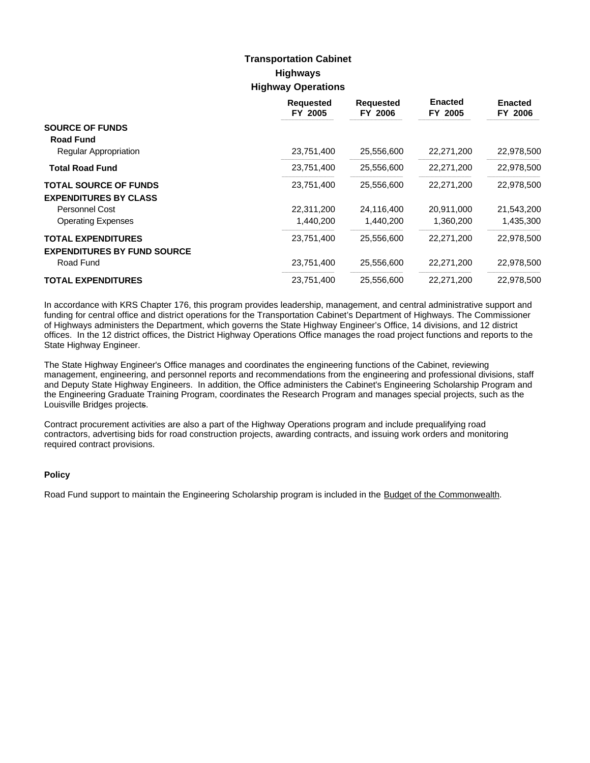# **Highways Highway Operations Transportation Cabinet**

|                                    | <b>Requested</b><br>FY 2005 | <b>Requested</b><br>FY 2006 | <b>Enacted</b><br>FY 2005 | <b>Enacted</b><br>FY 2006 |
|------------------------------------|-----------------------------|-----------------------------|---------------------------|---------------------------|
| <b>SOURCE OF FUNDS</b>             |                             |                             |                           |                           |
| <b>Road Fund</b>                   |                             |                             |                           |                           |
| Regular Appropriation              | 23,751,400                  | 25,556,600                  | 22,271,200                | 22,978,500                |
| <b>Total Road Fund</b>             | 23,751,400                  | 25,556,600                  | 22,271,200                | 22,978,500                |
| <b>TOTAL SOURCE OF FUNDS</b>       | 23,751,400                  | 25,556,600                  | 22,271,200                | 22,978,500                |
| <b>EXPENDITURES BY CLASS</b>       |                             |                             |                           |                           |
| Personnel Cost                     | 22,311,200                  | 24,116,400                  | 20,911,000                | 21,543,200                |
| <b>Operating Expenses</b>          | 1,440,200                   | 1,440,200                   | 1,360,200                 | 1,435,300                 |
| <b>TOTAL EXPENDITURES</b>          | 23,751,400                  | 25,556,600                  | 22,271,200                | 22,978,500                |
| <b>EXPENDITURES BY FUND SOURCE</b> |                             |                             |                           |                           |
| Road Fund                          | 23,751,400                  | 25,556,600                  | 22,271,200                | 22,978,500                |
| <b>TOTAL EXPENDITURES</b>          | 23,751,400                  | 25,556,600                  | 22,271,200                | 22,978,500                |

In accordance with KRS Chapter 176, this program provides leadership, management, and central administrative support and funding for central office and district operations for the Transportation Cabinet's Department of Highways. The Commissioner of Highways administers the Department, which governs the State Highway Engineer's Office, 14 divisions, and 12 district offices. In the 12 district offices, the District Highway Operations Office manages the road project functions and reports to the State Highway Engineer.

The State Highway Engineer's Office manages and coordinates the engineering functions of the Cabinet, reviewing management, engineering, and personnel reports and recommendations from the engineering and professional divisions, staff and Deputy State Highway Engineers. In addition, the Office administers the Cabinet's Engineering Scholarship Program and the Engineering Graduate Training Program, coordinates the Research Program and manages special projects, such as the Louisville Bridges projects.

Contract procurement activities are also a part of the Highway Operations program and include prequalifying road contractors, advertising bids for road construction projects, awarding contracts, and issuing work orders and monitoring required contract provisions.

### **Policy**

Road Fund support to maintain the Engineering Scholarship program is included in the Budget of the Commonwealth.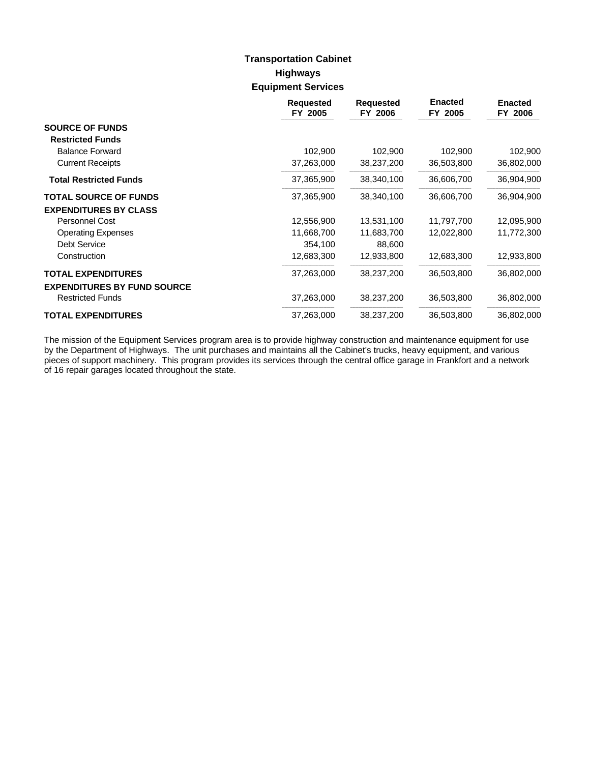# **Highways Equipment Services Transportation Cabinet**

|                                    | <b>Requested</b><br>FY 2005 | <b>Requested</b><br>FY 2006 | <b>Enacted</b><br>FY 2005 | <b>Enacted</b><br>FY 2006 |
|------------------------------------|-----------------------------|-----------------------------|---------------------------|---------------------------|
| <b>SOURCE OF FUNDS</b>             |                             |                             |                           |                           |
| <b>Restricted Funds</b>            |                             |                             |                           |                           |
| <b>Balance Forward</b>             | 102,900                     | 102,900                     | 102,900                   | 102,900                   |
| <b>Current Receipts</b>            | 37,263,000                  | 38,237,200                  | 36,503,800                | 36,802,000                |
| <b>Total Restricted Funds</b>      | 37,365,900                  | 38,340,100                  | 36,606,700                | 36,904,900                |
| <b>TOTAL SOURCE OF FUNDS</b>       | 37,365,900                  | 38,340,100                  | 36,606,700                | 36,904,900                |
| <b>EXPENDITURES BY CLASS</b>       |                             |                             |                           |                           |
| Personnel Cost                     | 12,556,900                  | 13,531,100                  | 11,797,700                | 12,095,900                |
| <b>Operating Expenses</b>          | 11,668,700                  | 11,683,700                  | 12,022,800                | 11,772,300                |
| <b>Debt Service</b>                | 354,100                     | 88,600                      |                           |                           |
| Construction                       | 12,683,300                  | 12,933,800                  | 12,683,300                | 12,933,800                |
| <b>TOTAL EXPENDITURES</b>          | 37,263,000                  | 38,237,200                  | 36,503,800                | 36,802,000                |
| <b>EXPENDITURES BY FUND SOURCE</b> |                             |                             |                           |                           |
| <b>Restricted Funds</b>            | 37,263,000                  | 38,237,200                  | 36,503,800                | 36,802,000                |
| <b>TOTAL EXPENDITURES</b>          | 37,263,000                  | 38,237,200                  | 36,503,800                | 36,802,000                |

The mission of the Equipment Services program area is to provide highway construction and maintenance equipment for use by the Department of Highways. The unit purchases and maintains all the Cabinet's trucks, heavy equipment, and various pieces of support machinery. This program provides its services through the central office garage in Frankfort and a network of 16 repair garages located throughout the state.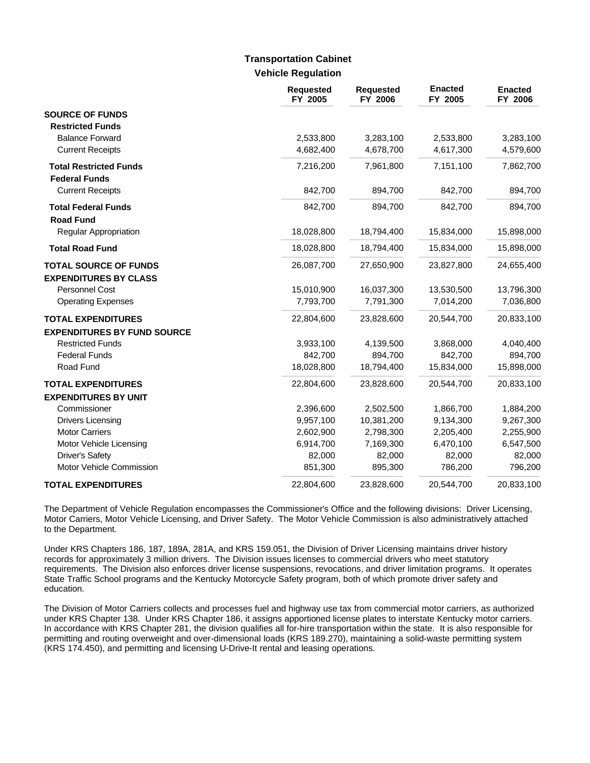## **Vehicle Regulation Transportation Cabinet**

|                                    | <b>Requested</b><br>FY 2005 | <b>Requested</b><br>FY 2006 | <b>Enacted</b><br>FY 2005 | <b>Enacted</b><br>FY 2006 |
|------------------------------------|-----------------------------|-----------------------------|---------------------------|---------------------------|
| <b>SOURCE OF FUNDS</b>             |                             |                             |                           |                           |
| <b>Restricted Funds</b>            |                             |                             |                           |                           |
| <b>Balance Forward</b>             | 2,533,800                   | 3,283,100                   | 2,533,800                 | 3,283,100                 |
| <b>Current Receipts</b>            | 4,682,400                   | 4,678,700                   | 4,617,300                 | 4,579,600                 |
| <b>Total Restricted Funds</b>      | 7,216,200                   | 7,961,800                   | 7,151,100                 | 7,862,700                 |
| <b>Federal Funds</b>               |                             |                             |                           |                           |
| <b>Current Receipts</b>            | 842,700                     | 894,700                     | 842,700                   | 894,700                   |
| <b>Total Federal Funds</b>         | 842,700                     | 894,700                     | 842,700                   | 894,700                   |
| <b>Road Fund</b>                   |                             |                             |                           |                           |
| Regular Appropriation              | 18,028,800                  | 18,794,400                  | 15,834,000                | 15,898,000                |
| <b>Total Road Fund</b>             | 18,028,800                  | 18,794,400                  | 15,834,000                | 15,898,000                |
| <b>TOTAL SOURCE OF FUNDS</b>       | 26,087,700                  | 27,650,900                  | 23,827,800                | 24,655,400                |
| <b>EXPENDITURES BY CLASS</b>       |                             |                             |                           |                           |
| <b>Personnel Cost</b>              | 15,010,900                  | 16,037,300                  | 13,530,500                | 13,796,300                |
| <b>Operating Expenses</b>          | 7,793,700                   | 7,791,300                   | 7,014,200                 | 7,036,800                 |
| <b>TOTAL EXPENDITURES</b>          | 22,804,600                  | 23,828,600                  | 20,544,700                | 20,833,100                |
| <b>EXPENDITURES BY FUND SOURCE</b> |                             |                             |                           |                           |
| <b>Restricted Funds</b>            | 3,933,100                   | 4,139,500                   | 3,868,000                 | 4,040,400                 |
| <b>Federal Funds</b>               | 842,700                     | 894,700                     | 842,700                   | 894,700                   |
| Road Fund                          | 18,028,800                  | 18,794,400                  | 15,834,000                | 15,898,000                |
| <b>TOTAL EXPENDITURES</b>          | 22,804,600                  | 23,828,600                  | 20,544,700                | 20,833,100                |
| <b>EXPENDITURES BY UNIT</b>        |                             |                             |                           |                           |
| Commissioner                       | 2,396,600                   | 2,502,500                   | 1,866,700                 | 1,884,200                 |
| <b>Drivers Licensing</b>           | 9,957,100                   | 10,381,200                  | 9,134,300                 | 9,267,300                 |
| <b>Motor Carriers</b>              | 2,602,900                   | 2,798,300                   | 2,205,400                 | 2,255,900                 |
| Motor Vehicle Licensing            | 6,914,700                   | 7,169,300                   | 6,470,100                 | 6,547,500                 |
| <b>Driver's Safety</b>             | 82,000                      | 82,000                      | 82,000                    | 82,000                    |
| Motor Vehicle Commission           | 851,300                     | 895,300                     | 786,200                   | 796,200                   |
| <b>TOTAL EXPENDITURES</b>          | 22,804,600                  | 23,828,600                  | 20,544,700                | 20,833,100                |

The Department of Vehicle Regulation encompasses the Commissioner's Office and the following divisions: Driver Licensing, Motor Carriers, Motor Vehicle Licensing, and Driver Safety. The Motor Vehicle Commission is also administratively attached to the Department.

Under KRS Chapters 186, 187, 189A, 281A, and KRS 159.051, the Division of Driver Licensing maintains driver history records for approximately 3 million drivers. The Division issues licenses to commercial drivers who meet statutory requirements. The Division also enforces driver license suspensions, revocations, and driver limitation programs. It operates State Traffic School programs and the Kentucky Motorcycle Safety program, both of which promote driver safety and education.

The Division of Motor Carriers collects and processes fuel and highway use tax from commercial motor carriers, as authorized under KRS Chapter 138. Under KRS Chapter 186, it assigns apportioned license plates to interstate Kentucky motor carriers. In accordance with KRS Chapter 281, the division qualifies all for-hire transportation within the state. It is also responsible for permitting and routing overweight and over-dimensional loads (KRS 189.270), maintaining a solid-waste permitting system (KRS 174.450), and permitting and licensing U-Drive-It rental and leasing operations.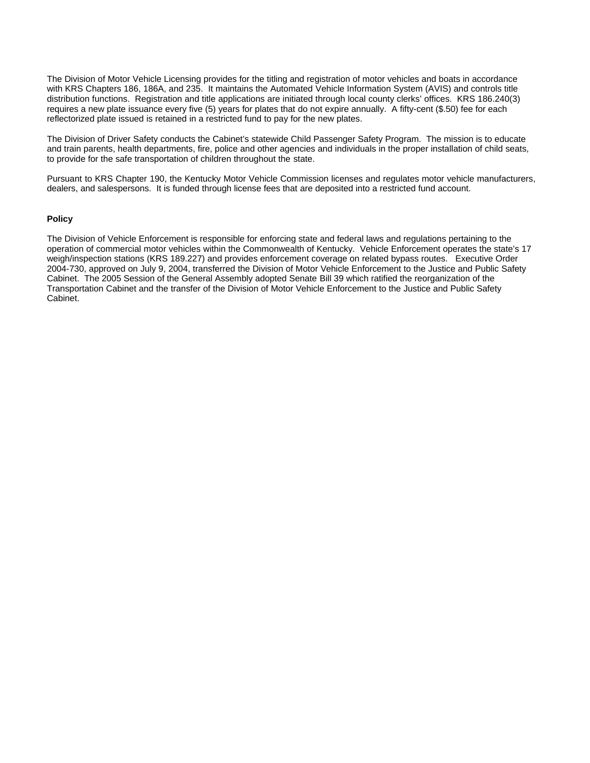The Division of Motor Vehicle Licensing provides for the titling and registration of motor vehicles and boats in accordance with KRS Chapters 186, 186A, and 235. It maintains the Automated Vehicle Information System (AVIS) and controls title distribution functions. Registration and title applications are initiated through local county clerks' offices. KRS 186.240(3) requires a new plate issuance every five (5) years for plates that do not expire annually. A fifty-cent (\$.50) fee for each reflectorized plate issued is retained in a restricted fund to pay for the new plates.

The Division of Driver Safety conducts the Cabinet's statewide Child Passenger Safety Program. The mission is to educate and train parents, health departments, fire, police and other agencies and individuals in the proper installation of child seats, to provide for the safe transportation of children throughout the state.

Pursuant to KRS Chapter 190, the Kentucky Motor Vehicle Commission licenses and regulates motor vehicle manufacturers, dealers, and salespersons. It is funded through license fees that are deposited into a restricted fund account.

#### **Policy**

The Division of Vehicle Enforcement is responsible for enforcing state and federal laws and regulations pertaining to the operation of commercial motor vehicles within the Commonwealth of Kentucky. Vehicle Enforcement operates the state's 17 weigh/inspection stations (KRS 189.227) and provides enforcement coverage on related bypass routes. Executive Order 2004-730, approved on July 9, 2004, transferred the Division of Motor Vehicle Enforcement to the Justice and Public Safety Cabinet. The 2005 Session of the General Assembly adopted Senate Bill 39 which ratified the reorganization of the Transportation Cabinet and the transfer of the Division of Motor Vehicle Enforcement to the Justice and Public Safety Cabinet.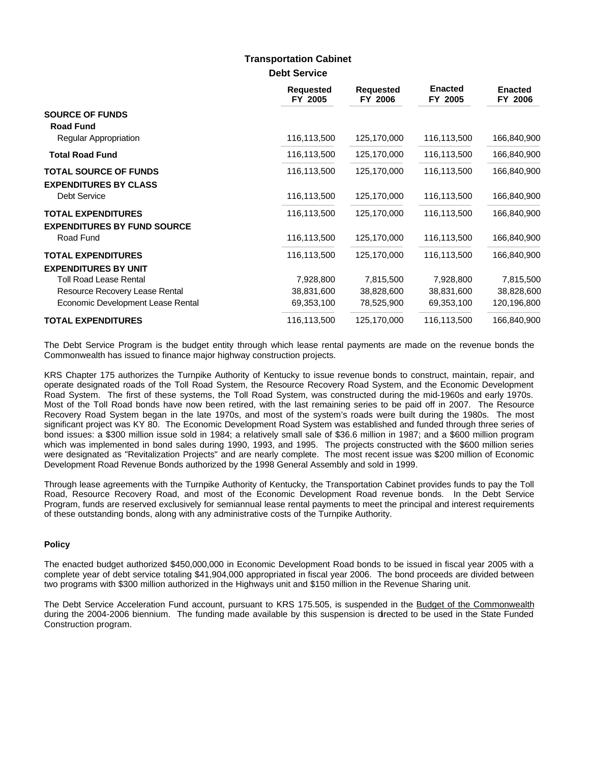### **Debt Service Transportation Cabinet**

|                                                                 | <b>Requested</b><br>FY 2005 | <b>Requested</b><br>FY 2006 | <b>Enacted</b><br>FY 2005 | <b>Enacted</b><br>FY 2006 |
|-----------------------------------------------------------------|-----------------------------|-----------------------------|---------------------------|---------------------------|
| <b>SOURCE OF FUNDS</b>                                          |                             |                             |                           |                           |
| <b>Road Fund</b><br><b>Regular Appropriation</b>                | 116,113,500                 | 125,170,000                 | 116,113,500               | 166,840,900               |
| <b>Total Road Fund</b>                                          | 116,113,500                 | 125,170,000                 | 116,113,500               | 166,840,900               |
| <b>TOTAL SOURCE OF FUNDS</b>                                    | 116,113,500                 | 125,170,000                 | 116,113,500               | 166,840,900               |
| <b>EXPENDITURES BY CLASS</b><br><b>Debt Service</b>             | 116,113,500                 | 125,170,000                 | 116,113,500               | 166,840,900               |
| <b>TOTAL EXPENDITURES</b><br><b>EXPENDITURES BY FUND SOURCE</b> | 116,113,500                 | 125,170,000                 | 116,113,500               | 166,840,900               |
| Road Fund                                                       | 116,113,500                 | 125,170,000                 | 116,113,500               | 166,840,900               |
| <b>TOTAL EXPENDITURES</b>                                       | 116,113,500                 | 125,170,000                 | 116,113,500               | 166,840,900               |
| <b>EXPENDITURES BY UNIT</b>                                     |                             |                             |                           |                           |
| <b>Toll Road Lease Rental</b>                                   | 7,928,800                   | 7,815,500                   | 7,928,800                 | 7,815,500                 |
| Resource Recovery Lease Rental                                  | 38,831,600                  | 38,828,600                  | 38,831,600                | 38,828,600                |
| Economic Development Lease Rental                               | 69,353,100                  | 78,525,900                  | 69,353,100                | 120,196,800               |
| <b>TOTAL EXPENDITURES</b>                                       | 116,113,500                 | 125,170,000                 | 116,113,500               | 166,840,900               |

The Debt Service Program is the budget entity through which lease rental payments are made on the revenue bonds the Commonwealth has issued to finance major highway construction projects.

KRS Chapter 175 authorizes the Turnpike Authority of Kentucky to issue revenue bonds to construct, maintain, repair, and operate designated roads of the Toll Road System, the Resource Recovery Road System, and the Economic Development Road System. The first of these systems, the Toll Road System, was constructed during the mid-1960s and early 1970s. Most of the Toll Road bonds have now been retired, with the last remaining series to be paid off in 2007. The Resource Recovery Road System began in the late 1970s, and most of the system's roads were built during the 1980s. The most significant project was KY 80. The Economic Development Road System was established and funded through three series of bond issues: a \$300 million issue sold in 1984; a relatively small sale of \$36.6 million in 1987; and a \$600 million program which was implemented in bond sales during 1990, 1993, and 1995. The projects constructed with the \$600 million series were designated as "Revitalization Projects" and are nearly complete. The most recent issue was \$200 million of Economic Development Road Revenue Bonds authorized by the 1998 General Assembly and sold in 1999.

Through lease agreements with the Turnpike Authority of Kentucky, the Transportation Cabinet provides funds to pay the Toll Road, Resource Recovery Road, and most of the Economic Development Road revenue bonds. In the Debt Service Program, funds are reserved exclusively for semiannual lease rental payments to meet the principal and interest requirements of these outstanding bonds, along with any administrative costs of the Turnpike Authority.

### **Policy**

The enacted budget authorized \$450,000,000 in Economic Development Road bonds to be issued in fiscal year 2005 with a complete year of debt service totaling \$41,904,000 appropriated in fiscal year 2006. The bond proceeds are divided between two programs with \$300 million authorized in the Highways unit and \$150 million in the Revenue Sharing unit.

The Debt Service Acceleration Fund account, pursuant to KRS 175.505, is suspended in the Budget of the Commonwealth during the 2004-2006 biennium. The funding made available by this suspension is directed to be used in the State Funded Construction program.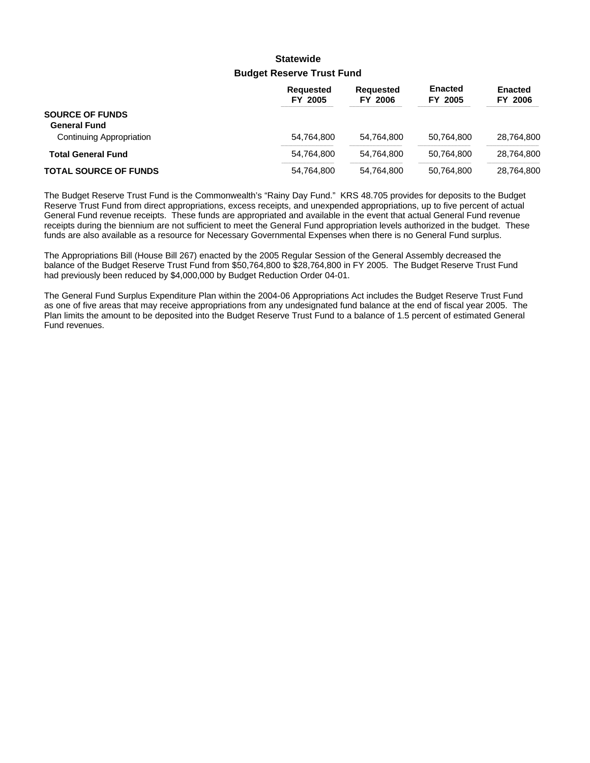## **Budget Reserve Trust Fund Statewide**

|                                               | <b>Requested</b><br>FY 2005 | <b>Requested</b><br>FY 2006 | <b>Enacted</b><br>FY 2005 | <b>Enacted</b><br><b>FY 2006</b> |
|-----------------------------------------------|-----------------------------|-----------------------------|---------------------------|----------------------------------|
| <b>SOURCE OF FUNDS</b><br><b>General Fund</b> |                             |                             |                           |                                  |
| Continuing Appropriation                      | 54,764,800                  | 54.764.800                  | 50.764.800                | 28,764,800                       |
| <b>Total General Fund</b>                     | 54.764.800                  | 54.764.800                  | 50.764.800                | 28.764.800                       |
| <b>TOTAL SOURCE OF FUNDS</b>                  | 54,764,800                  | 54,764,800                  | 50,764,800                | 28,764,800                       |

The Budget Reserve Trust Fund is the Commonwealth's "Rainy Day Fund." KRS 48.705 provides for deposits to the Budget Reserve Trust Fund from direct appropriations, excess receipts, and unexpended appropriations, up to five percent of actual General Fund revenue receipts. These funds are appropriated and available in the event that actual General Fund revenue receipts during the biennium are not sufficient to meet the General Fund appropriation levels authorized in the budget. These funds are also available as a resource for Necessary Governmental Expenses when there is no General Fund surplus.

The Appropriations Bill (House Bill 267) enacted by the 2005 Regular Session of the General Assembly decreased the balance of the Budget Reserve Trust Fund from \$50,764,800 to \$28,764,800 in FY 2005. The Budget Reserve Trust Fund had previously been reduced by \$4,000,000 by Budget Reduction Order 04-01.

The General Fund Surplus Expenditure Plan within the 2004-06 Appropriations Act includes the Budget Reserve Trust Fund as one of five areas that may receive appropriations from any undesignated fund balance at the end of fiscal year 2005. The Plan limits the amount to be deposited into the Budget Reserve Trust Fund to a balance of 1.5 percent of estimated General Fund revenues.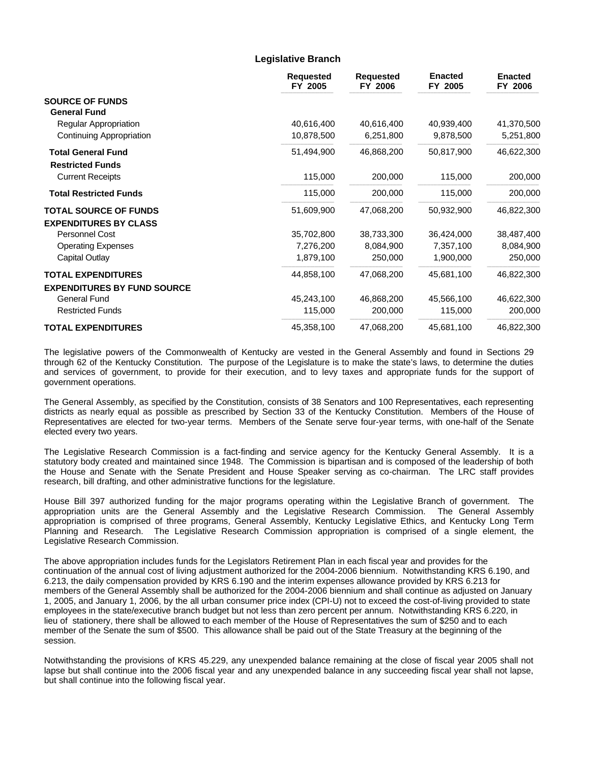### **Legislative Branch**

|                                                      | <b>Requested</b><br>FY 2005 | <b>Requested</b><br>FY 2006 | <b>Enacted</b><br>FY 2005 | <b>Enacted</b><br>FY 2006 |
|------------------------------------------------------|-----------------------------|-----------------------------|---------------------------|---------------------------|
| <b>SOURCE OF FUNDS</b><br><b>General Fund</b>        |                             |                             |                           |                           |
| <b>Regular Appropriation</b>                         | 40,616,400                  | 40,616,400                  | 40,939,400                | 41,370,500                |
| Continuing Appropriation                             | 10,878,500                  | 6,251,800                   | 9,878,500                 | 5,251,800                 |
| <b>Total General Fund</b><br><b>Restricted Funds</b> | 51,494,900                  | 46,868,200                  | 50,817,900                | 46,622,300                |
| <b>Current Receipts</b>                              | 115,000                     | 200,000                     | 115,000                   | 200,000                   |
| <b>Total Restricted Funds</b>                        | 115,000                     | 200,000                     | 115,000                   | 200,000                   |
| <b>TOTAL SOURCE OF FUNDS</b>                         | 51,609,900                  | 47,068,200                  | 50,932,900                | 46,822,300                |
| <b>EXPENDITURES BY CLASS</b>                         |                             |                             |                           |                           |
| Personnel Cost                                       | 35,702,800                  | 38,733,300                  | 36,424,000                | 38,487,400                |
| <b>Operating Expenses</b>                            | 7,276,200                   | 8,084,900                   | 7,357,100                 | 8,084,900                 |
| Capital Outlay                                       | 1,879,100                   | 250,000                     | 1,900,000                 | 250,000                   |
| <b>TOTAL EXPENDITURES</b>                            | 44,858,100                  | 47,068,200                  | 45,681,100                | 46,822,300                |
| <b>EXPENDITURES BY FUND SOURCE</b>                   |                             |                             |                           |                           |
| <b>General Fund</b>                                  | 45,243,100                  | 46,868,200                  | 45,566,100                | 46,622,300                |
| <b>Restricted Funds</b>                              | 115,000                     | 200,000                     | 115,000                   | 200,000                   |
| <b>TOTAL EXPENDITURES</b>                            | 45,358,100                  | 47,068,200                  | 45,681,100                | 46,822,300                |

The legislative powers of the Commonwealth of Kentucky are vested in the General Assembly and found in Sections 29 through 62 of the Kentucky Constitution. The purpose of the Legislature is to make the state's laws, to determine the duties and services of government, to provide for their execution, and to levy taxes and appropriate funds for the support of government operations.

The General Assembly, as specified by the Constitution, consists of 38 Senators and 100 Representatives, each representing districts as nearly equal as possible as prescribed by Section 33 of the Kentucky Constitution. Members of the House of Representatives are elected for two-year terms. Members of the Senate serve four-year terms, with one-half of the Senate elected every two years.

The Legislative Research Commission is a fact-finding and service agency for the Kentucky General Assembly. It is a statutory body created and maintained since 1948. The Commission is bipartisan and is composed of the leadership of both the House and Senate with the Senate President and House Speaker serving as co-chairman. The LRC staff provides research, bill drafting, and other administrative functions for the legislature.

House Bill 397 authorized funding for the major programs operating within the Legislative Branch of government. The appropriation units are the General Assembly and the Legislative Research Commission. The General Assembly appropriation is comprised of three programs, General Assembly, Kentucky Legislative Ethics, and Kentucky Long Term Planning and Research. The Legislative Research Commission appropriation is comprised of a single element, the Legislative Research Commission.

The above appropriation includes funds for the Legislators Retirement Plan in each fiscal year and provides for the continuation of the annual cost of living adjustment authorized for the 2004-2006 biennium. Notwithstanding KRS 6.190, and 6.213, the daily compensation provided by KRS 6.190 and the interim expenses allowance provided by KRS 6.213 for members of the General Assembly shall be authorized for the 2004-2006 biennium and shall continue as adjusted on January 1, 2005, and January 1, 2006, by the all urban consumer price index (CPI-U) not to exceed the cost-of-living provided to state employees in the state/executive branch budget but not less than zero percent per annum. Notwithstanding KRS 6.220, in lieu of stationery, there shall be allowed to each member of the House of Representatives the sum of \$250 and to each member of the Senate the sum of \$500. This allowance shall be paid out of the State Treasury at the beginning of the session.

Notwithstanding the provisions of KRS 45.229, any unexpended balance remaining at the close of fiscal year 2005 shall not lapse but shall continue into the 2006 fiscal year and any unexpended balance in any succeeding fiscal year shall not lapse, but shall continue into the following fiscal year.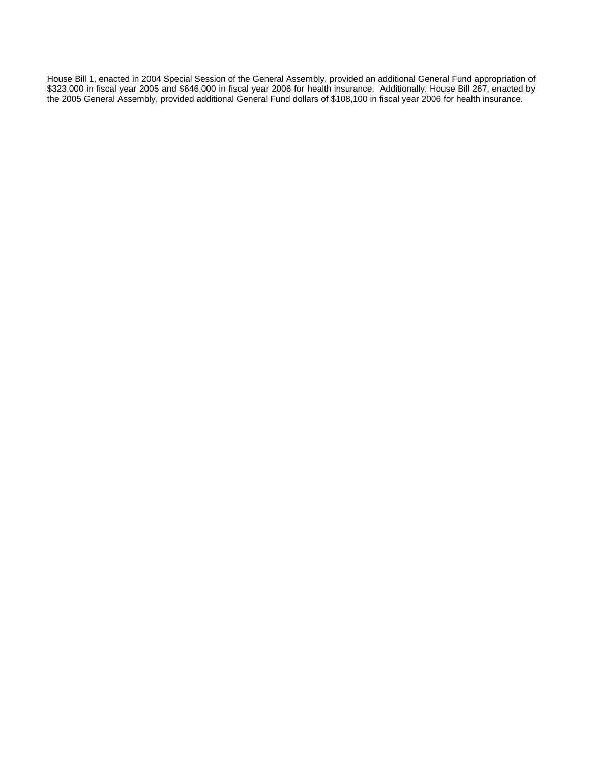House Bill 1, enacted in 2004 Special Session of the General Assembly, provided an additional General Fund appropriation of \$323,000 in fiscal year 2005 and \$646,000 in fiscal year 2006 for health insurance. Additionally, House Bill 267, enacted by the 2005 General Assembly, provided additional General Fund dollars of \$108,100 in fiscal year 2006 for health insurance.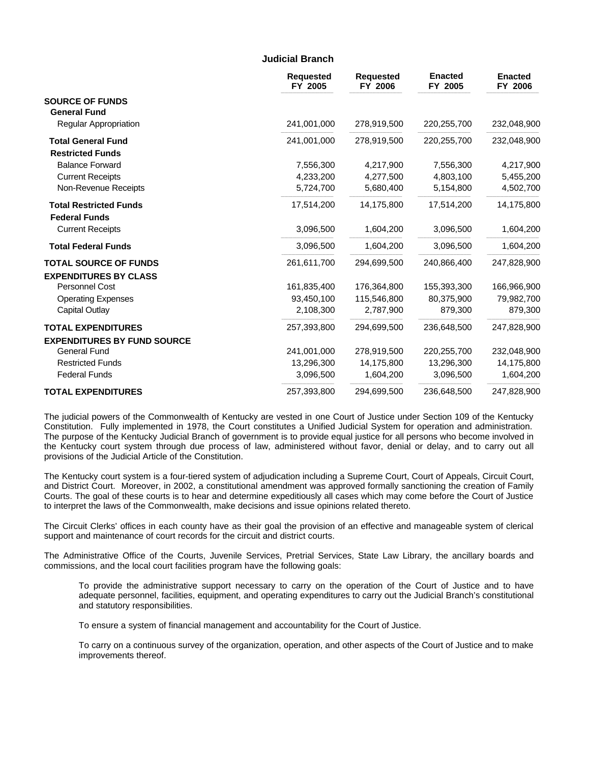#### **Judicial Branch**

|                                                       | <b>Requested</b><br>FY 2005 | <b>Requested</b><br>FY 2006 | <b>Enacted</b><br>FY 2005 | <b>Enacted</b><br>FY 2006 |
|-------------------------------------------------------|-----------------------------|-----------------------------|---------------------------|---------------------------|
| <b>SOURCE OF FUNDS</b><br><b>General Fund</b>         |                             |                             |                           |                           |
| <b>Regular Appropriation</b>                          | 241,001,000                 | 278,919,500                 | 220,255,700               | 232,048,900               |
| <b>Total General Fund</b><br><b>Restricted Funds</b>  | 241,001,000                 | 278,919,500                 | 220,255,700               | 232,048,900               |
| <b>Balance Forward</b>                                | 7,556,300                   | 4.217.900                   | 7,556,300                 | 4,217,900                 |
| <b>Current Receipts</b>                               | 4,233,200                   | 4,277,500                   | 4,803,100                 | 5,455,200                 |
| Non-Revenue Receipts                                  | 5,724,700                   | 5,680,400                   | 5,154,800                 | 4,502,700                 |
| <b>Total Restricted Funds</b><br><b>Federal Funds</b> | 17,514,200                  | 14,175,800                  | 17,514,200                | 14,175,800                |
| <b>Current Receipts</b>                               | 3,096,500                   | 1,604,200                   | 3,096,500                 | 1,604,200                 |
| <b>Total Federal Funds</b>                            | 3,096,500                   | 1,604,200                   | 3,096,500                 | 1,604,200                 |
| <b>TOTAL SOURCE OF FUNDS</b>                          | 261,611,700                 | 294,699,500                 | 240,866,400               | 247,828,900               |
| <b>EXPENDITURES BY CLASS</b>                          |                             |                             |                           |                           |
| Personnel Cost                                        | 161,835,400                 | 176,364,800                 | 155,393,300               | 166,966,900               |
| <b>Operating Expenses</b>                             | 93,450,100                  | 115,546,800                 | 80,375,900                | 79,982,700                |
| Capital Outlay                                        | 2,108,300                   | 2,787,900                   | 879,300                   | 879,300                   |
| <b>TOTAL EXPENDITURES</b>                             | 257,393,800                 | 294,699,500                 | 236,648,500               | 247,828,900               |
| <b>EXPENDITURES BY FUND SOURCE</b>                    |                             |                             |                           |                           |
| <b>General Fund</b>                                   | 241,001,000                 | 278,919,500                 | 220,255,700               | 232,048,900               |
| <b>Restricted Funds</b>                               | 13,296,300                  | 14,175,800                  | 13,296,300                | 14,175,800                |
| <b>Federal Funds</b>                                  | 3,096,500                   | 1,604,200                   | 3,096,500                 | 1,604,200                 |
| <b>TOTAL EXPENDITURES</b>                             | 257,393,800                 | 294,699,500                 | 236,648,500               | 247,828,900               |

The judicial powers of the Commonwealth of Kentucky are vested in one Court of Justice under Section 109 of the Kentucky Constitution. Fully implemented in 1978, the Court constitutes a Unified Judicial System for operation and administration. The purpose of the Kentucky Judicial Branch of government is to provide equal justice for all persons who become involved in the Kentucky court system through due process of law, administered without favor, denial or delay, and to carry out all provisions of the Judicial Article of the Constitution.

The Kentucky court system is a four-tiered system of adjudication including a Supreme Court, Court of Appeals, Circuit Court, and District Court. Moreover, in 2002, a constitutional amendment was approved formally sanctioning the creation of Family Courts. The goal of these courts is to hear and determine expeditiously all cases which may come before the Court of Justice to interpret the laws of the Commonwealth, make decisions and issue opinions related thereto.

The Circuit Clerks' offices in each county have as their goal the provision of an effective and manageable system of clerical support and maintenance of court records for the circuit and district courts.

The Administrative Office of the Courts, Juvenile Services, Pretrial Services, State Law Library, the ancillary boards and commissions, and the local court facilities program have the following goals:

To provide the administrative support necessary to carry on the operation of the Court of Justice and to have adequate personnel, facilities, equipment, and operating expenditures to carry out the Judicial Branch's constitutional and statutory responsibilities.

To ensure a system of financial management and accountability for the Court of Justice.

To carry on a continuous survey of the organization, operation, and other aspects of the Court of Justice and to make improvements thereof.